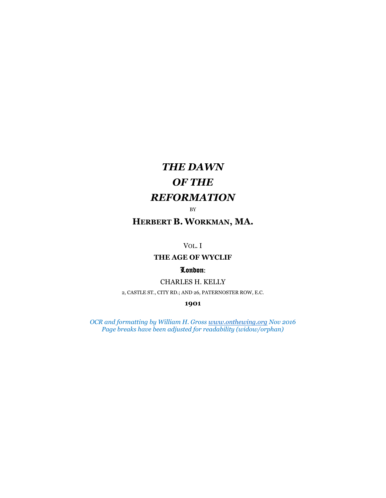# *THE DAWN OF THE REFORMATION*

BY

# **HERBERT B. WORKMAN, MA.**

VOL. I

## **THE AGE OF WYCLIF**

## London:

CHARLES H. KELLY

2, CASTLE ST., CITY RD.; AND 26, PATERNOSTER ROW, E.C.

**1901**

*OCR and formatting by William H. Gros[s www.onthewing.org](http://www.onthewing.org/) Nov 2016 Page breaks have been adjusted for readability (widow/orphan)*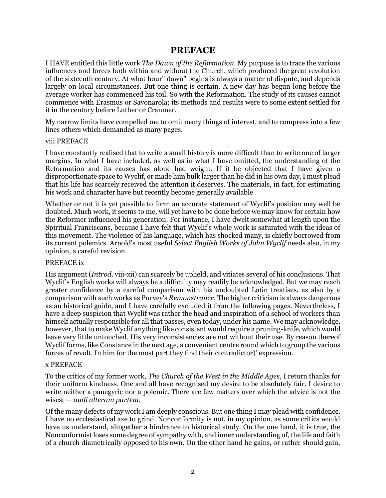# **PREFACE**

<span id="page-1-0"></span>I HAVE entitled this little work *The Dawn of the Reformation*. My purpose is to trace the various influences and forces both within and without the Church, which produced the great revolution of the sixteenth century. At what hour" dawn" begins is always a matter of dispute, and depends largely on local circumstances. But one thing is certain. A new day has begun long before the average worker has commenced his toil. So with the Reformation. The study of its causes cannot commence with Erasmus or Savonarola; its methods and results were to some extent settled for it in the century before Luther or Cranmer.

My narrow limits have compelled me to omit many things of interest, and to compress into a few lines others which demanded as many pages.

#### viii PREFACE

I have constantly realised that to write a small history is more difficult than to write one of larger margins. In what I have included, as well as in what I have omitted, the understanding of the Reformation and its causes has alone had weight. If it be objected that I have given a disproportionate space to Wyclif, or made him bulk larger than he did in his own day, I must plead that his life has scarcely received the attention it deserves. The materials, in fact, for estimating his work and character have but recently become generally available.

Whether or not it is yet possible to form an accurate statement of Wyclif's position may well be doubted. Much work, it seems to me, will yet have to be done before we may know for certain how the Reformer influenced his generation. For instance, I have dwelt somewhat at length upon the Spiritual Franciscans, because I have felt that Wyclif's whole work is saturated with the ideas of this movement. The violence of his language, which has shocked many, is chiefly borrowed from its current polemics. Arnold's most useful *Select English Works of John Wyclif* needs also, in my opinion, a careful revision.

#### PREFACE ix

His argument (*Introd*. viii-xii) can scarcely be upheld, and vitiates several of his conclusions. That Wyclif's English works will always be a difficulty may readily be acknowledged. But we may reach greater confidence by a careful comparison with his undoubted Latin treatises, as also by a comparison with such works as Purvey's *Remonstrance*. The higher criticism is always dangerous as an historical guide, and I have carefully excluded it from the following pages. Nevertheless, I have a deep suspicion that Wyclif was rather the head and inspiration of a school of workers than himself actually responsible for all that passes, even today, under his name. We may acknowledge, however, that to make Wyclif anything like consistent would require a pruning-knife, which would leave very little untouched. His very inconsistencies are not without their use. By reason thereof Wyclif forms, like Constance in the next age, a convenient centre round which to group the various forces of revolt. In him for the most part they find their contradictor)' expression.

#### x PREFACE

To the critics of my former work, *The Church of the West in the Middle Ages*, I return thanks for their uniform kindness. One and all have recognised my desire to be absolutely fair. I desire to write neither a panegyric nor a polemic. There are few matters over which the advice is not the wisest — *audi alteram partem*.

Of the many defects of my work I am deeply conscious. But one thing I may plead with confidence. I have no ecclesiastical axe to grind. Nonconformity is not, in my opinion, as some critics would have us understand, altogether a hindrance to historical study. On the one hand, it is true, the Nonconformist loses some degree of sympathy with, and inner understanding of, the life and faith of a church diametrically opposed to his own. On the other hand he gains, or rather should gain,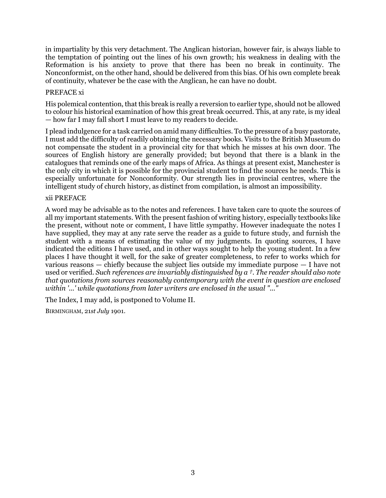in impartiality by this very detachment. The Anglican historian, however fair, is always liable to the temptation of pointing out the lines of his own growth; his weakness in dealing with the Reformation is his anxiety to prove that there has been no break in continuity. The Nonconformist, on the other hand, should be delivered from this bias. Of his own complete break of continuity, whatever be the case with the Anglican, he can have no doubt.

## PREFACE xi

His polemical contention, that this break is really a reversion to earlier type, should not be allowed to colour his historical examination of how this great break occurred. This, at any rate, is my ideal — how far I may fall short I must leave to my readers to decide.

I plead indulgence for a task carried on amid many difficulties. To the pressure of a busy pastorate, I must add the difficulty of readily obtaining the necessary books. Visits to the British Museum do not compensate the student in a provincial city for that which he misses at his own door. The sources of English history are generally provided; but beyond that there is a blank in the catalogues that reminds one of the early maps of Africa. As things at present exist, Manchester is the only city in which it is possible for the provincial student to find the sources he needs. This is especially unfortunate for Nonconformity. Our strength lies in provincial centres, where the intelligent study of church history, as distinct from compilation, is almost an impossibility.

#### xii PREFACE

A word may be advisable as to the notes and references. I have taken care to quote the sources of all my important statements. With the present fashion of writing history, especially textbooks like the present, without note or comment, I have little sympathy. However inadequate the notes I have supplied, they may at any rate serve the reader as a guide to future study, and furnish the student with a means of estimating the value of my judgments. In quoting sources, I have indicated the editions I have used, and in other ways sought to help the young student. In a few places I have thought it well, for the sake of greater completeness, to refer to works which for various reasons — chiefly because the subject lies outside my immediate purpose — I have not used or verified. *Such references are invariably distinguished by a †. The reader should also note that quotations from sources reasonably contemporary with the event in question are enclosed within '...' while quotations from later writers are enclosed in the usual "..."*

The Index, I may add, is postponed to Volume II.

BIRMINGHAM, 21*st July* 1901.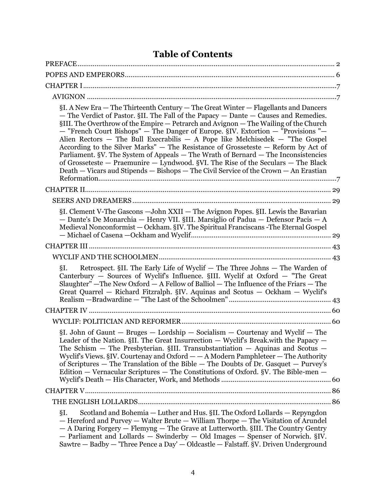# **Table of Contents**

| §I. A New Era — The Thirteenth Century — The Great Winter — Flagellants and Dancers<br>- The Verdict of Pastor. §II. The Fall of the Papacy - Dante - Causes and Remedies.<br>§III. The Overthrow of the Empire — Petrarch and Avignon — The Wailing of the Church<br>- "French Court Bishops" - The Danger of Europe. §IV. Extortion - "Provisions"<br>Alien Rectors $-$ The Bull Execrabilis $-$ A Pope like Melchisedek $-$ "The Gospel<br>According to the Silver Marks" - The Resistance of Grosseteste - Reform by Act of<br>Parliament. §V. The System of Appeals - The Wrath of Bernard - The Inconsistencies<br>of Grosseteste - Praemunire - Lyndwood. §VI. The Rise of the Seculars - The Black<br>Death - Vicars aud Stipends - Bishops - The Civil Service of the Crown - An Erastian |
|----------------------------------------------------------------------------------------------------------------------------------------------------------------------------------------------------------------------------------------------------------------------------------------------------------------------------------------------------------------------------------------------------------------------------------------------------------------------------------------------------------------------------------------------------------------------------------------------------------------------------------------------------------------------------------------------------------------------------------------------------------------------------------------------------|
|                                                                                                                                                                                                                                                                                                                                                                                                                                                                                                                                                                                                                                                                                                                                                                                                    |
|                                                                                                                                                                                                                                                                                                                                                                                                                                                                                                                                                                                                                                                                                                                                                                                                    |
| §I. Clement V-The Gascons - John XXII - The Avignon Popes. §II. Lewis the Bavarian<br>- Dante's De Monarchia - Henry VII. §III. Marsiglio of Padua - Defensor Pacis - A<br>Medieval Nonconformist - Ockham. §IV. The Spiritual Franciscans - The Eternal Gospel                                                                                                                                                                                                                                                                                                                                                                                                                                                                                                                                    |
|                                                                                                                                                                                                                                                                                                                                                                                                                                                                                                                                                                                                                                                                                                                                                                                                    |
|                                                                                                                                                                                                                                                                                                                                                                                                                                                                                                                                                                                                                                                                                                                                                                                                    |
| Retrospect. §II. The Early Life of Wyclif - The Three Johns - The Warden of<br>§Ι.<br>Canterbury - Sources of Wyclif's Influence. §III. Wyclif at Oxford - "The Great<br>Slaughter" - The New Oxford - A Fellow of Balliol - The Influence of the Friars - The<br>Great Quarrel - Richard Fitzralph. §IV. Aquinas and Scotus - Ockham - Wyclif's                                                                                                                                                                                                                                                                                                                                                                                                                                                   |
|                                                                                                                                                                                                                                                                                                                                                                                                                                                                                                                                                                                                                                                                                                                                                                                                    |
|                                                                                                                                                                                                                                                                                                                                                                                                                                                                                                                                                                                                                                                                                                                                                                                                    |
| $\S$ I. John of Gaunt – Bruges – Lordship – Socialism – Courtenay and Wyclif – The<br>Leader of the Nation. §II. The Great Insurrection - Wyclif's Break.with the Papacy -<br>The Schism - The Presbyterian. §III. Transubstantiation - Aquinas and Scotus -<br>Wyclif's Views. §IV. Courtenay and Oxford - - A Modern Pamphleteer - The Authority<br>of Scriptures $-$ The Translation of the Bible $-$ The Doubts of Dr. Gasquet $-$ Purvey's<br>Edition — Vernacular Scriptures — The Constitutions of Oxford. §V. The Bible-men —                                                                                                                                                                                                                                                              |
|                                                                                                                                                                                                                                                                                                                                                                                                                                                                                                                                                                                                                                                                                                                                                                                                    |
|                                                                                                                                                                                                                                                                                                                                                                                                                                                                                                                                                                                                                                                                                                                                                                                                    |
| Scotland and Bohemia - Luther and Hus. §II. The Oxford Lollards - Repyngdon<br>§Ι.<br>- Hereford and Purvey - Walter Brute - William Thorpe - The Visitation of Arundel<br>- A Daring Forgery - Flemyng - The Grave at Lutterworth. §III. The Country Gentry<br>- Parliament and Lollards - Swinderby - Old Images - Spenser of Norwich. §IV.<br>Sawtre — Badby — 'Three Pence a Day' — Oldcastle — Falstaff. §V. Driven Underground                                                                                                                                                                                                                                                                                                                                                               |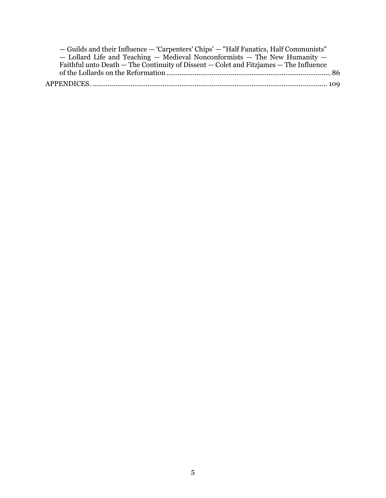| - Guilds and their Influence - 'Carpenters' Chips' - "Half Fanatics, Half Communists" |  |
|---------------------------------------------------------------------------------------|--|
| - Lollard Life and Teaching - Medieval Nonconformists - The New Humanity -            |  |
| Faithful unto Death — The Continuity of Dissent — Colet and Fitzjames — The Influence |  |
|                                                                                       |  |
|                                                                                       |  |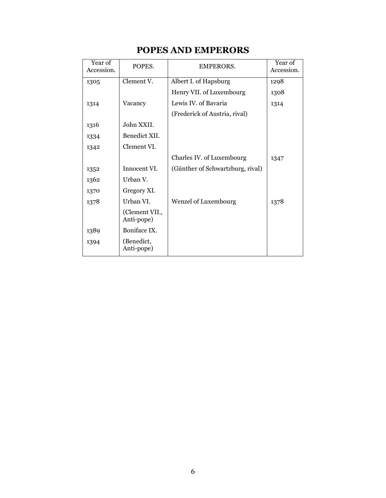# **POPES AND EMPERORS**

<span id="page-5-0"></span>

| Year of<br>Accession. | POPES.                       | EMPERORS.                        | Year of<br>Accession. |
|-----------------------|------------------------------|----------------------------------|-----------------------|
| 1305                  | Clement V.                   | Albert I. of Hapsburg            | 1298                  |
|                       |                              | Henry VII. of Luxembourg         | 1308                  |
| 1314                  | Vacancy                      | Lewis IV. of Bavaria             | 1314                  |
|                       |                              | (Frederick of Austria, rival)    |                       |
| 1316                  | John XXII.                   |                                  |                       |
| 1334                  | Benedict XII.                |                                  |                       |
| 1342                  | Clement VI.                  |                                  |                       |
|                       |                              | Charles IV. of Luxembourg        | 1347                  |
| 1352                  | Innocent VI.                 | (Günther of Schwartzburg, rival) |                       |
| 1362                  | Urban V.                     |                                  |                       |
| 1370                  | Gregory XI.                  |                                  |                       |
| 1378                  | Urban VI.                    | <b>Wenzel of Luxembourg</b>      | 1378                  |
|                       | (Clement VII.,<br>Anti-pope) |                                  |                       |
| 1389                  | Boniface IX.                 |                                  |                       |
| 1394                  | (Benedict,<br>Anti-pope)     |                                  |                       |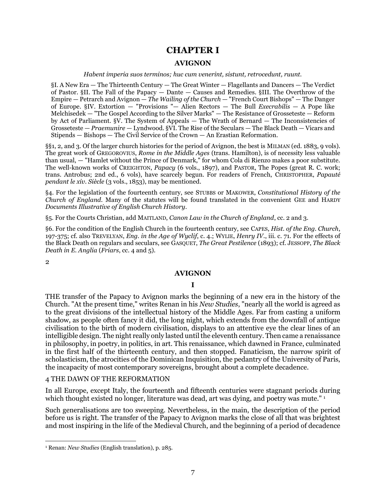# **CHAPTER I**

#### **AVIGNON**

*Habent imperia suos terminos; huc cum venerint, sistunt, retrocedunt, ruunt.*

<span id="page-6-2"></span><span id="page-6-1"></span><span id="page-6-0"></span>§I. A New Era — The Thirteenth Century — The Great Winter — Flagellants and Dancers — The Verdict of Pastor. §II. The Fall of the Papacy — Dante — Causes and Remedies. §III. The Overthrow of the Empire — Petrarch and Avignon — *The Wailing of the Church* — "French Court Bishops" — The Danger of Europe. §IV. Extortion — "Provisions "— Alien Rectors — The Bull *Execrabilis* — A Pope like Melchisedek — "The Gospel According to the Silver Marks" — The Resistance of Grosseteste — Reform by Act of Parliament. §V. The System of Appeals — The Wrath of Bernard — The Inconsistencies of Grosseteste — *Praemunire* — Lyndwood. §VI. The Rise of the Seculars — The Black Death — Vicars and Stipends — Bishops — The Civil Service of the Crown — An Erastian Reformation.

§§1, 2, and 3. Of the larger church histories for the period of Avignon, the best is MILMAN (ed. 1883, 9 vols). The great work of GREGOROVIUS, *Rome in the Middle Ages* (trans. Hamilton), is of necessity less valuable than usual, — "Hamlet without the Prince of Denmark," for whom Cola di Rienzo makes a poor substitute. The well-known works of CREIGHTON, *Papacy* (6 vols., 1897), and PASTOR, The Popes (great R. C. work; trans. Antrobus; 2nd ed., 6 vols), have scarcely begun. For readers of French, CHRISTOPHER, *Papauté pendant le xiv. Siècle* (3 vols., 1853), may be mentioned.

§4. For the legislation of the fourteenth century, see STUBBS or MAKOWER, *Constitutional History of the Church of England*. Many of the statutes will be found translated in the convenient GEE and HARDY *Documents Illustrative of English Church History*.

§5. For the Courts Christian, add MAITLAND, *Canon Law in the Church of England*, cc. 2 and 3.

§6. For the condition of the English Church in the fourteenth century, see CAPES, *Hist. of the Eng. Church*, 197-375; cf. also TREVELYAN, *Eng. in the Age of Wyclif*, c. 4.; WYLIE, *Henry IV*., iii. c. 71. For the effects of the Black Death on regulars and seculars, see GASQUET, *The Great Pestilence* (1893); cf. JESSOPP, *The Black Death in E. Anglia* (*Friars*, cc. 4 and 5).

2

#### **AVIGNON**

#### **I**

THE transfer of the Papacy to Avignon marks the beginning of a new era in the history of the Church. "At the present time," writes Renan in his *New Studies*, "nearly all the world is agreed as to the great divisions of the intellectual history of the Middle Ages. Far from casting a uniform shadow, as people often fancy it did, the long night, which extends from the downfall of antique civilisation to the birth of modern civilisation, displays to an attentive eye the clear lines of an intelligible design. The night really only lasted until the eleventh century. Then came a renaissance in philosophy, in poetry, in politics, in art. This renaissance, which dawned in France, culminated in the first half of the thirteenth century, and then stopped. Fanaticism, the narrow spirit of scholasticism, the atrocities of the Dominican Inquisition, the pedantry of the University of Paris, the incapacity of most contemporary sovereigns, brought about a complete decadence.

#### 4 THE DAWN OF THE REFORMATION

In all Europe, except Italy, the fourteenth and fifteenth centuries were stagnant periods during which thought existed no longer, literature was dead, art was dying, and poetry was mute."<sup>1</sup>

Such generalisations are too sweeping. Nevertheless, in the main, the description of the period before us is right. The transfer of the Papacy to Avignon marks the close of all that was brightest and most inspiring in the life of the Medieval Church, and the beginning of a period of decadence

 $\overline{a}$ <sup>1</sup> Renan: *New Studies* (English translation), p. 285.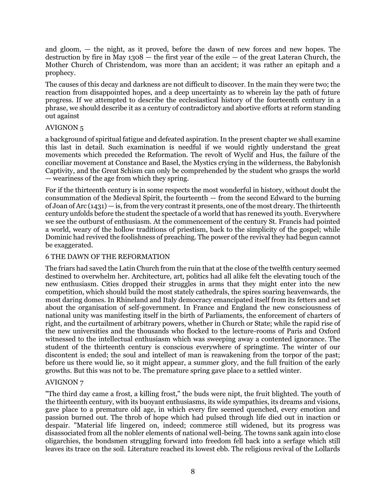and gloom, — the night, as it proved, before the dawn of new forces and new hopes. The destruction by fire in May  $1308$  — the first year of the exile — of the great Lateran Church, the Mother Church of Christendom, was more than an accident; it was rather an epitaph and a prophecy.

The causes of this decay and darkness are not difficult to discover. In the main they were two; the reaction from disappointed hopes, and a deep uncertainty as to wherein lay the path of future progress. If we attempted to describe the ecclesiastical history of the fourteenth century in a phrase, we should describe it as a century of contradictory and abortive efforts at reform standing out against

## AVIGNON 5

a background of spiritual fatigue and defeated aspiration. In the present chapter we shall examine this last in detail. Such examination is needful if we would rightly understand the great movements which preceded the Reformation. The revolt of Wyclif and Hus, the failure of the conciliar movement at Constance and Basel, the Mystics crying in the wilderness, the Babylonish Captivity, and the Great Schism can only be comprehended by the student who grasps the world — weariness of the age from which they spring.

For if the thirteenth century is in some respects the most wonderful in history, without doubt the consummation of the Medieval Spirit, the fourteenth — from the second Edward to the burning of Joan of Arc  $(1431)$  — is, from the very contrast it presents, one of the most dreary. The thirteenth century unfolds before the student the spectacle of a world that has renewed its youth. Everywhere we see the outburst of enthusiasm. At the commencement of the century St. Francis had pointed a world, weary of the hollow traditions of priestism, back to the simplicity of the gospel; while Dominic had revived the foolishness of preaching. The power of the revival they had begun cannot be exaggerated.

# 6 THE DAWN OF THE REFORMATION

The friars had saved the Latin Church from the ruin that at the close of the twelfth century seemed destined to overwhelm her. Architecture, art, politics had all alike felt the elevating touch of the new enthusiasm. Cities dropped their struggles in arms that they might enter into the new competition, which should build the most stately cathedrals, the spires soaring heavenwards, the most daring domes. In Rhineland and Italy democracy emancipated itself from its fetters and set about the organisation of self-government. In France and England the new consciousness of national unity was manifesting itself in the birth of Parliaments, the enforcement of charters of right, and the curtailment of arbitrary powers, whether in Church or State; while the rapid rise of the new universities and the thousands who flocked to the lecture-rooms of Paris and Oxford witnessed to the intellectual enthusiasm which was sweeping away a contented ignorance. The student of the thirteenth century is conscious everywhere of springtime. The winter of our discontent is ended; the soul and intellect of man is reawakening from the torpor of the past; before us there would lie, so it might appear, a summer glory, and the full fruition of the early growths. But this was not to be. The premature spring gave place to a settled winter.

## AVIGNON 7

"The third day came a frost, a killing frost," the buds were nipt, the fruit blighted. The youth of the thirteenth century, with its buoyant enthusiasms, its wide sympathies, its dreams and visions, gave place to a premature old age, in which every fire seemed quenched, every emotion and passion burned out. The throb of hope which had pulsed through life died out in inaction or despair. "Material life lingered on, indeed; commerce still widened, but its progress was disassociated from all the nobler elements of national well-being. The towns sank again into close oligarchies, the bondsmen struggling forward into freedom fell back into a serfage which still leaves its trace on the soil. Literature reached its lowest ebb. The religious revival of the Lollards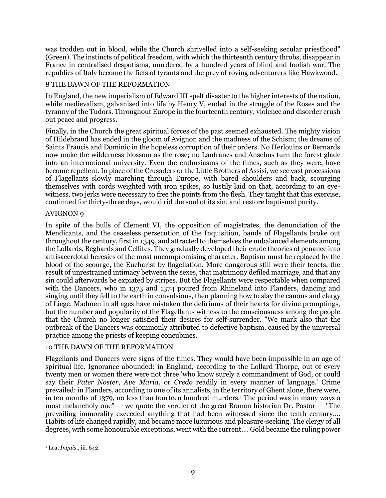was trodden out in blood, while the Church shrivelled into a self-seeking secular priesthood" (Green). The instincts of political freedom, with which the thirteenth century throbs, disappear in France in centralised despotisms, murdered by a hundred years of blind and foolish war. The republics of Italy become the fiefs of tyrants and the prey of roving adventurers like Hawkwood.

## 8 THE DAWN OF THE REFORMATION

In England, the new imperialism of Edward III spelt disaster to the higher interests of the nation, while medievalism, galvanised into life by Henry V, ended in the struggle of the Roses and the tyranny of the Tudors. Throughout Europe in the fourteenth century, violence and disorder crush out peace and progress.

Finally, in the Church the great spiritual forces of the past seemed exhausted. The mighty vision of Hildebrand has ended in the gloom of Avignon and the madness of the Schism; the dreams of Saints Francis and Dominic in the hopeless corruption of their orders. No Herlouins or Bernards now make the wilderness blossom as the rose; no Lanfrancs and Anselms turn the forest glade into an international university. Even the enthusiasms of the times, such as they were, have become repellent. In place of the Crusaders or the Little Brothers of Assisi, we see vast processions of Flagellants slowly marching through Europe, with bared shoulders and back, scourging themselves with cords weighted with iron spikes, so lustily laid on that, according to an eyewitness, two jerks were necessary to free the points from the flesh. They taught that this exercise, continued for thirty-three days, would rid the soul of its sin, and restore baptismal purity.

## AVIGNON 9

In spite of the bulls of Clement VI, the opposition of magistrates, the denunciation of the Mendicants, and the ceaseless persecution of the Inquisition, bands of Flagellants broke out throughout the century, first in 1349, and attracted to themselves the unbalanced elements among the Lollards, Beghards and Cellites. They gradually developed their crude theories of penance into antisacerdotal heresies of the most uncompromising character. Baptism must be replaced by the blood of the scourge, the Eucharist by flagellation. More dangerous still were their tenets, the result of unrestrained intimacy between the sexes, that matrimony defiled marriage, and that any sin could afterwards be expiated by stripes. But the Flagellants were respectable when compared with the Dancers, who in 1373 and 1374 poured from Rhineland into Flanders, dancing and singing until they fell to the earth in convulsions, then planning how to slay the canons and clergy of Liege. Madmen in all ages have mistaken the deliriums of their hearts for divine promptings, but the number and popularity of the Flagellants witness to the consciousness among the people that the Church no longer satisfied their desires for self-surrender. "We mark also that the outbreak of the Dancers was commonly attributed to defective baptism, caused by the universal practice among the priests of keeping concubines.

## 10 THE DAWN OF THE REFORMATION

Flagellants and Dancers were signs of the times. They would have been impossible in an age of spiritual life. Ignorance abounded: in England, according to the Lollard Thorpe, out of every twenty men or women there were not three 'who know surely a commandment of God, or could say their *Pater Noster*, *Ave Maria*, or *Credo* readily in every manner of language.' Crime prevailed: in Flanders, according to one of its annalists, in the territory of Ghent alone, there were, in ten months of 1379, no less than fourteen hundred murders.<sup>1</sup> The period was in many ways a most melancholy one" — we quote the verdict of the great Roman historian Dr. Pastor — "The prevailing immorality exceeded anything that had been witnessed since the tenth century.... Habits of life changed rapidly, and became more luxurious and pleasure-seeking. The clergy of all degrees, with some honourable exceptions, went with the current.... Gold became the ruling power

 $\overline{a}$ <sup>1</sup> Lea, *Inquis*., iii. 642.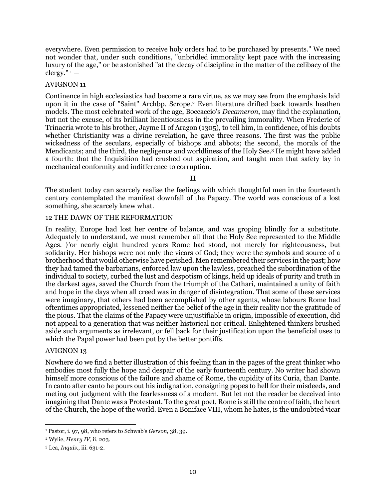everywhere. Even permission to receive holy orders had to be purchased by presents." We need not wonder that, under such conditions, "unbridled immorality kept pace with the increasing luxury of the age," or be astonished "at the decay of discipline in the matter of the celibacy of the clergy." $1 -$ 

## AVIGNON 11

Continence in high ecclesiastics had become a rare virtue, as we may see from the emphasis laid upon it in the case of "Saint" Archbp. Scrope.<sup>2</sup> Even literature drifted back towards heathen models. The most celebrated work of the age, Boccaccio's *Decameron*, may find the explanation, but not the excuse, of its brilliant licentiousness in the prevailing immorality. When Frederic of Trinacria wrote to his brother, Jayme II of Aragon (1305), to tell him, in confidence, of his doubts whether Christianity was a divine revelation, he gave three reasons. The first was the public wickedness of the seculars, especially of bishops and abbots; the second, the morals of the Mendicants; and the third, the negligence and worldliness of the Holy See.<sup>3</sup> He might have added a fourth: that the Inquisition had crushed out aspiration, and taught men that safety lay in mechanical conformity and indifference to corruption.

**II**

The student today can scarcely realise the feelings with which thoughtful men in the fourteenth century contemplated the manifest downfall of the Papacy. The world was conscious of a lost something, she scarcely knew what.

## 12 THE DAWN OF THE REFORMATION

In reality, Europe had lost her centre of balance, and was groping blindly for a substitute. Adequately to understand, we must remember all that the Holy See represented to the Middle Ages. }'or nearly eight hundred years Rome had stood, not merely for righteousness, but solidarity. Her bishops were not only the vicars of God; they were the symbols and source of a brotherhood that would otherwise have perished. Men remembered their services in the past; how they had tamed the barbarians, enforced law upon the lawless, preached the subordination of the individual to society, curbed the lust and despotism of kings, held up ideals of purity and truth in the darkest ages, saved the Church from the triumph of the Cathari, maintained a unity of faith and hope in the days when all creed was in danger of disintegration. That some of these services were imaginary, that others had been accomplished by other agents, whose labours Rome had oftentimes appropriated, lessened neither the belief of the age in their reality nor the gratitude of the pious. That the claims of the Papacy were unjustifiable in origin, impossible of execution, did not appeal to a generation that was neither historical nor critical. Enlightened thinkers brushed aside such arguments as irrelevant, or fell back for their justification upon the beneficial uses to which the Papal power had been put by the better pontiffs.

#### AVIGNON 13

Nowhere do we find a better illustration of this feeling than in the pages of the great thinker who embodies most fully the hope and despair of the early fourteenth century. No writer had shown himself more conscious of the failure and shame of Rome, the cupidity of its Curia, than Dante. In canto after canto he pours out his indignation, consigning popes to hell for their misdeeds, and meting out judgment with the fearlessness of a modern. But let not the reader be deceived into imagining that Dante was a Protestant. To the great poet, Rome is still the centre of faith, the heart of the Church, the hope of the world. Even a Boniface VIII, whom he hates, is the undoubted vicar

<sup>1</sup> Pastor, i. 97, 98, who refers to Schwab's *Gerson*, 38, 39.

<sup>2</sup> Wylie, *Henry IV*, ii. 203.

<sup>3</sup> Lea, *Inquis*., iii. 631-2.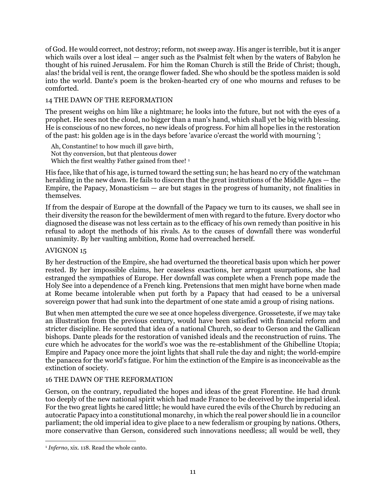of God. He would correct, not destroy; reform, not sweep away. His anger is terrible, but it is anger which wails over a lost ideal — anger such as the Psalmist felt when by the waters of Babylon he thought of his ruined Jerusalem. For him the Roman Church is still the Bride of Christ; though, alas! the bridal veil is rent, the orange flower faded. She who should be the spotless maiden is sold into the world. Dante's poem is the broken-hearted cry of one who mourns and refuses to be comforted.

## 14 THE DAWN OF THE REFORMATION

The present weighs on him like a nightmare; he looks into the future, but not with the eyes of a prophet. He sees not the cloud, no bigger than a man's hand, which shall yet be big with blessing. He is conscious of no new forces, no new ideals of progress. For him all hope lies in the restoration of the past: his golden age is in the days before 'avarice o'ercast the world with mourning ';

Ah, Constantine! to how much ill gave birth, Not thy conversion, but that plenteous dower Which the first wealthy Father gained from thee!<sup>1</sup>

His face, like that of his age, is turned toward the setting sun; he has heard no cry of the watchman heralding in the new dawn. He fails to discern that the great institutions of the Middle Ages — the Empire, the Papacy, Monasticism  $-$  are but stages in the progress of humanity, not finalities in themselves.

If from the despair of Europe at the downfall of the Papacy we turn to its causes, we shall see in their diversity the reason for the bewilderment of men with regard to the future. Every doctor who diagnosed the disease was not less certain as to the efficacy of his own remedy than positive in his refusal to adopt the methods of his rivals. As to the causes of downfall there was wonderful unanimity. By her vaulting ambition, Rome had overreached herself.

## AVIGNON 15

By her destruction of the Empire, she had overturned the theoretical basis upon which her power rested. By her impossible claims, her ceaseless exactions, her arrogant usurpations, she had estranged the sympathies of Europe. Her downfall was complete when a French pope made the Holy See into a dependence of a French king. Pretensions that men might have borne when made at Rome became intolerable when put forth by a Papacy that had ceased to be a universal sovereign power that had sunk into the department of one state amid a group of rising nations.

But when men attempted the cure we see at once hopeless divergence. Grosseteste, if we may take an illustration from the previous century, would have been satisfied with financial reform and stricter discipline. He scouted that idea of a national Church, so dear to Gerson and the Gallican bishops. Dante pleads for the restoration of vanished ideals and the reconstruction of ruins. The cure which he advocates for the world's woe was the re-establishment of the Ghibelline Utopia; Empire and Papacy once more the joint lights that shall rule the day and night; the world-empire the panacea for the world's fatigue. For him the extinction of the Empire is as inconceivable as the extinction of society.

## 16 THE DAWN OF THE REFORMATION

Gerson, on the contrary, repudiated the hopes and ideas of the great Florentine. He had drunk too deeply of the new national spirit which had made France to be deceived by the imperial ideal. For the two great lights he cared little; he would have cured the evils of the Church by reducing an autocratic Papacy into a constitutional monarchy, in which the real power should lie in a councilor parliament; the old imperial idea to give place to a new federalism or grouping by nations. Others, more conservative than Gerson, considered such innovations needless; all would be well, they

 $\overline{a}$ <sup>1</sup> *Inferno*, xix. 118. Read the whole canto.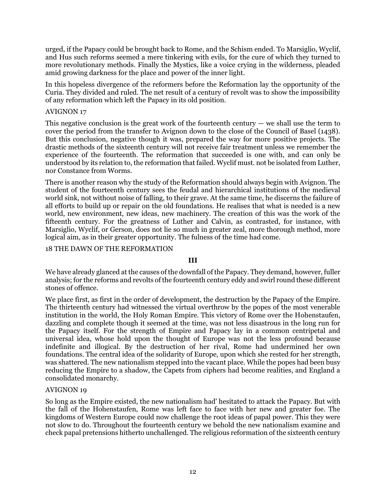urged, if the Papacy could be brought back to Rome, and the Schism ended. To Marsiglio, Wyclif, and Hus such reforms seemed a mere tinkering with evils, for the cure of which they turned to more revolutionary methods. Finally the Mystics, like a voice crying in the wilderness, pleaded amid growing darkness for the place and power of the inner light.

In this hopeless divergence of the reformers before the Reformation lay the opportunity of the Curia. They divided and ruled. The net result of a century of revolt was to show the impossibility of any reformation which left the Papacy in its old position.

## AVIGNON 17

This negative conclusion is the great work of the fourteenth century  $-$  we shall use the term to cover the period from the transfer to Avignon down to the close of the Council of Basel (1438). But this conclusion, negative though it was, prepared the way for more positive projects. The drastic methods of the sixteenth century will not receive fair treatment unless we remember the experience of the fourteenth. The reformation that succeeded is one with, and can only be understood by its relation to, the reformation that failed. Wyclif must. not be isolated from Luther, nor Constance from Worms.

There is another reason why the study of the Reformation should always begin with Avignon. The student of the fourteenth century sees the feudal and hierarchical institutions of the medieval world sink, not without noise of falling, to their grave. At the same time, he discerns the failure of all efforts to build up or repair on the old foundations. He realises that what is needed is a new world, new environment, new ideas, new machinery. The creation of this was the work of the fifteenth century. For the greatness of Luther and Calvin, as contrasted, for instance, with Marsiglio, Wyclif, or Gerson, does not lie so much in greater zeal, more thorough method, more logical aim, as in their greater opportunity. The fulness of the time had come.

### 18 THE DAWN OF THE REFORMATION

#### **III**

We have already glanced at the causes of the downfall of the Papacy. They demand, however, fuller analysis; for the reforms and revolts of the fourteenth century eddy and swirl round these different stones of offence.

We place first, as first in the order of development, the destruction by the Papacy of the Empire. The thirteenth century had witnessed the virtual overthrow by the popes of the most venerable institution in the world, the Holy Roman Empire. This victory of Rome over the Hohenstaufen, dazzling and complete though it seemed at the time, was not less disastrous in the long run for the Papacy itself. For the strength of Empire and Papacy lay in a common centripetal and universal idea, whose hold upon the thought of Europe was not the less profound because indefinite and illogical. By the destruction of her rival, Rome had undermined her own foundations. The central idea of the solidarity of Europe, upon which she rested for her strength, was shattered. The new nationalism stepped into the vacant place. While the popes had been busy reducing the Empire to a shadow, the Capets from ciphers had become realities, and England a consolidated monarchy.

#### AVIGNON 19

So long as the Empire existed, the new nationalism had' hesitated to attack the Papacy. But with the fall of the Hohenstaufen, Rome was left face to face with her new and greater foe. The kingdoms of Western Europe could now challenge the root ideas of papal power. This they were not slow to do. Throughout the fourteenth century we behold the new nationalism examine and check papal pretensions hitherto unchallenged. The religious reformation of the sixteenth century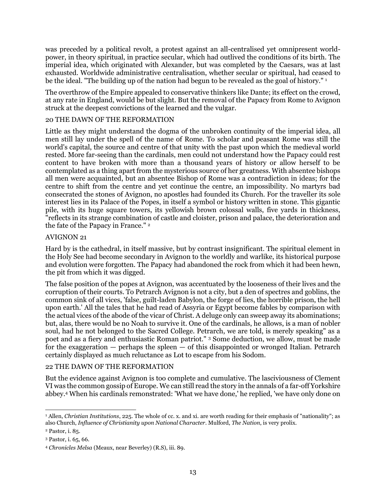was preceded by a political revolt, a protest against an all-centralised yet omnipresent worldpower, in theory spiritual, in practice secular, which had outlived the conditions of its birth. The imperial idea, which originated with Alexander, but was completed by the Caesars, was at last exhausted. Worldwide administrative centralisation, whether secular or spiritual, had ceased to be the ideal. "The building up of the nation had begun to be revealed as the goal of history." <sup>1</sup>

The overthrow of the Empire appealed to conservative thinkers like Dante; its effect on the crowd, at any rate in England, would be but slight. But the removal of the Papacy from Rome to Avignon struck at the deepest convictions of the learned and the vulgar.

## 20 THE DAWN OF THE REFORMATION

Little as they might understand the dogma of the unbroken continuity of the imperial idea, all men still lay under the spell of the name of Rome. To scholar and peasant Rome was still the world's capital, the source and centre of that unity with the past upon which the medieval world rested. More far-seeing than the cardinals, men could not understand how the Papacy could rest content to have broken with more than a thousand years of history or allow herself to be contemplated as a thing apart from the mysterious source of her greatness. With absentee bishops all men were acquainted, but an absentee Bishop of Rome was a contradiction in ideas; for the centre to shift from the centre and yet continue the centre, an impossibility. No martyrs bad consecrated the stones of Avignon, no apostles had founded its Church. For the traveller its sole interest lies in its Palace of the Popes, in itself a symbol or history written in stone. This gigantic pile, with its huge square towers, its yellowish brown colossal walls, five yards in thickness, "reflects in its strange combination of castle and cloister, prison and palace, the deterioration and the fate of the Papacy in France."<sup>2</sup>

## AVIGNON 21

Hard by is the cathedral, in itself massive, but by contrast insignificant. The spiritual element in the Holy See had become secondary in Avignon to the worldly and warlike, its historical purpose and evolution were forgotten. The Papacy had abandoned the rock from which it had been hewn, the pit from which it was digged.

The false position of the popes at Avignon, was accentuated by the looseness of their lives and the corruption of their courts. To Petrarch Avignon is not a city, but a den of spectres and goblins, the common sink of all vices, 'false, guilt-laden Babylon, the forge of lies, the horrible prison, the hell upon earth.' All the tales that he had read of Assyria or Egypt become fables by comparison with the actual vices of the abode of the vicar of Christ. A deluge only can sweep away its abominations; but, alas, there would be no Noah to survive it. One of the cardinals, he allows, is a man of nobler soul, had he not belonged to the Sacred College. Petrarch, we are told, is merely speaking" as a poet and as a fiery and enthusiastic Roman patriot." <sup>3</sup> Some deduction, we allow, must be made for the exaggeration  $-$  perhaps the spleen  $-$  of this disappointed or wronged Italian. Petrarch certainly displayed as much reluctance as Lot to escape from his Sodom.

## 22 THE DAWN OF THE REFORMATION

But the evidence against Avignon is too complete and cumulative. The lasciviousness of Clement VI was the common gossip of Europe. We can still read the story in the annals of a far-off Yorkshire abbey.<sup>4</sup> When his cardinals remonstrated: 'What we have done,' he replied, 'we have only done on

<sup>1</sup> Allen, *Christian Institutions*, 225. The whole of cc. x. and xi. are worth reading for their emphasis of "nationality"; as also Church, *Influence of Christianity upon National Character*. Mulford, *The Nation*, is very prolix.

<sup>2</sup> Pastor, i. 85.

<sup>3</sup> Pastor, i. 65, 66.

<sup>4</sup> *Chronicles Melsa* (Meaux, near Beverley) (R.S), iii. 89.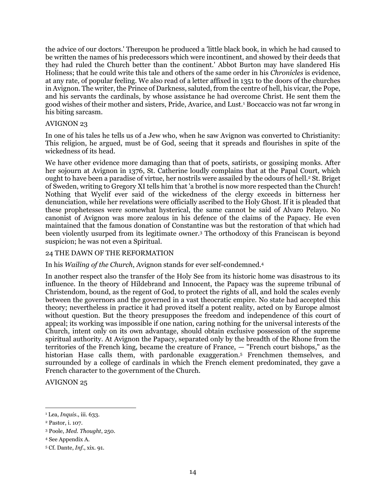the advice of our doctors.' Thereupon he produced a 'little black book, in which he had caused to be written the names of his predecessors which were incontinent, and showed by their deeds that they had ruled the Church better than the continent.' Abbot Burton may have slandered His Holiness; that he could write this tale and others of the same order in his *Chronicles* is evidence, at any rate, of popular feeling. We also read of a letter affixed in 1351 to the doors of the churches in Avignon. The writer, the Prince of Darkness, saluted, from the centre of hell, his vicar, the Pope, and his servants the cardinals, by whose assistance he had overcome Christ. He sent them the good wishes of their mother and sisters, Pride, Avarice, and Lust.<sup>1</sup> Boccaccio was not far wrong in his biting sarcasm.

### AVIGNON 23

In one of his tales he tells us of a Jew who, when he saw Avignon was converted to Christianity: This religion, he argued, must be of God, seeing that it spreads and flourishes in spite of the wickedness of its head.

We have other evidence more damaging than that of poets, satirists, or gossiping monks. After her sojourn at Avignon in 1376, St. Catherine loudly complains that at the Papal Court, which ought to have been a paradise of virtue, her nostrils were assailed by the odours of hell.<sup>2</sup> St. Briget of Sweden, writing to Gregory XI tells him that 'a brothel is now more respected than the Church! Nothing that Wyclif ever said of the wickedness of the clergy exceeds in bitterness her denunciation, while her revelations were officially ascribed to the Holy Ghost. If it is pleaded that these prophetesses were somewhat hysterical, the same cannot be said of Alvaro Pelayo. No canonist of Avignon was more zealous in his defence of the claims of the Papacy. He even maintained that the famous donation of Constantine was but the restoration of that which had been violently usurped from its legitimate owner.<sup>3</sup> The orthodoxy of this Franciscan is beyond suspicion; he was not even a Spiritual.

### 24 THE DAWN OF THE REFORMATION

In his *Wailing of the Church*, Avignon stands for ever self-condemned.<sup>4</sup>

In another respect also the transfer of the Holy See from its historic home was disastrous to its influence. In the theory of Hildebrand and Innocent, the Papacy was the supreme tribunal of Christendom, bound, as the regent of God, to protect the rights of all, and hold the scales evenly between the governors and the governed in a vast theocratic empire. No state had accepted this theory; nevertheless in practice it had proved itself a potent reality, acted on by Europe almost without question. But the theory presupposes the freedom and independence of this court of appeal; its working was impossible if one nation, caring nothing for the universal interests of the Church, intent only on its own advantage, should obtain exclusive possession of the supreme spiritual authority. At Avignon the Papacy, separated only by the breadth of the Rhone from the territories of the French king, became the creature of France, — "French court bishops," as the historian Hase calls them, with pardonable exaggeration.<sup>5</sup> Frenchmen themselves, and surrounded by a college of cardinals in which the French element predominated, they gave a French character to the government of the Church.

AVIGNON 25

<sup>1</sup> Lea, *Inquis*., iii. 633.

<sup>2</sup> Pastor, i. 107.

<sup>3</sup> Poole, *Med. Thought*, 250.

<sup>4</sup> See Appendix A.

<sup>5</sup> Cf. Dante, *Inf*., xix. 91.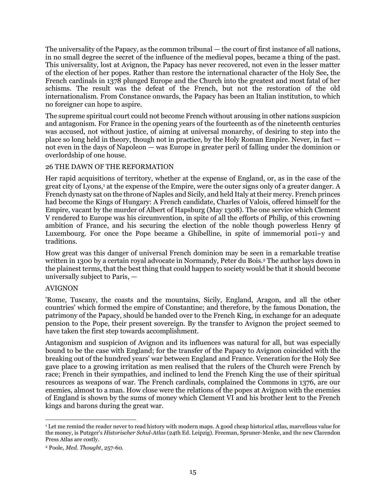The universality of the Papacy, as the common tribunal — the court of first instance of all nations, in no small degree the secret of the influence of the medieval popes, became a thing of the past. This universality, lost at Avignon, the Papacy has never recovered, not even in the lesser matter of the election of her popes. Rather than restore the international character of the Holy See, the French cardinals in 1378 plunged Europe and the Church into the greatest and most fatal of her schisms. The result was the defeat of the French, but not the restoration of the old internationalism. From Constance onwards, the Papacy has been an Italian institution, to which no foreigner can hope to aspire.

The supreme spiritual court could not become French without arousing in other nations suspicion and antagonism. For France in the opening years of the fourteenth as of the nineteenth centuries was accused, not without justice, of aiming at universal monarchy, of desiring to step into the place so long held in theory, though not in practice, by the Holy Roman Empire. Never, in fact not even in the days of Napoleon — was Europe in greater peril of falling under the dominion or overlordship of one house.

## 26 THE DAWN OF THE REFORMATION

Her rapid acquisitions of territory, whether at the expense of England, or, as in the case of the great city of Lyons,<sup>1</sup> at the expense of the Empire, were the outer signs only of a greater danger. A French dynasty sat on the throne of Naples and Sicily, and held Italy at their mercy. French princes had become the Kings of Hungary: A French candidate, Charles of Valois, offered himself for the Empire, vacant by the murder of Albert of Hapsburg (May 1308). The one service which Clement V rendered to Europe was his circumvention, in spite of all the efforts of Philip, of this crowning ambition of France, and his securing the election of the noble though powerless Henry 9f Luxembourg. For once the Pope became a Ghibelline, in spite of immemorial po $11 - y$  and traditions.

How great was this danger of universal French dominion may be seen in a remarkable treatise written in 1300 by a certain royal advocate in Normandy, Peter du Bois.<sup>2</sup> The author lays down in the plainest terms, that the best thing that could happen to society would be that it should become universally subject to Paris, —

#### AVIGNON

'Rome, Tuscany, the coasts and the mountains, Sicily, England, Aragon, and all the other countries' which formed the empire of Constantine; and therefore, by the famous Donation, the patrimony of the Papacy, should be handed over to the French King, in exchange for an adequate pension to the Pope, their present sovereign. By the transfer to Avignon the project seemed to have taken the first step towards accomplishment.

Antagonism and suspicion of Avignon and its influences was natural for all, but was especially bound to be the case with England; for the transfer of the Papacy to Avignon coincided with the breaking out of the hundred years' war between England and France. Veneration for the Holy See gave place to a growing irritation as men realised that the rulers of the Church were French by race; French in their sympathies, and inclined to lend the French King the use of their spiritual resources as weapons of war. The French cardinals, complained the Commons in 1376, are our enemies, almost to a man. How close were the relations of the popes at Avignon with the enemies of England is shown by the sums of money which Clement VI and his brother lent to the French kings and barons during the great war.

 $\overline{a}$ <sup>1</sup> Let me remind the reader never to read history with modern maps. A good cheap historical atlas, marvellous value for the money, is Putzger's *Historischer Schul-Atlas* (24th Ed. Leipzig). Freeman, Spruner-Menke, and the new Clarendon Press Atlas are costly.

<sup>2</sup> Poole, *Med. Thought*, 257-60.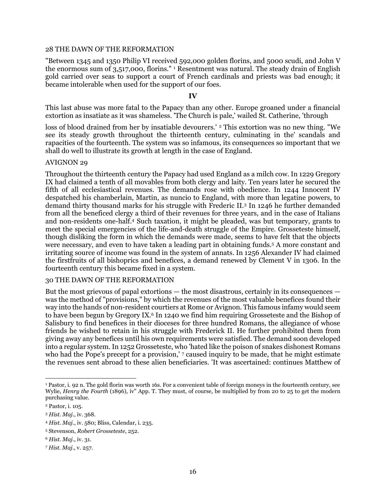#### 28 THE DAWN OF THE REFORMATION

"Between 1345 and 1350 Philip VI received 592,000 golden florins, and 5000 scudi, and John V the enormous sum of 3,517,000, florins." <sup>1</sup> Resentment was natural. The steady drain of English gold carried over seas to support a court of French cardinals and priests was bad enough; it became intolerable when used for the support of our foes.

#### **IV**

This last abuse was more fatal to the Papacy than any other. Europe groaned under a financial extortion as insatiate as it was shameless. 'The Church is pale,' wailed St. Catherine, 'through

loss of blood drained from her by insatiable devourers.' <sup>2</sup> This extortion was no new thing. "We see its steady growth throughout the thirteenth century, culminating in the' scandals and rapacities of the fourteenth. The system was so infamous, its consequences so important that we shall do well to illustrate its growth at length in the case of England.

#### AVIGNON 29

Throughout the thirteenth century the Papacy had used England as a milch cow. In 1229 Gregory IX had claimed a tenth of all movables from both clergy and laity. Ten years later he secured the fifth of all ecclesiastical revenues. The demands rose with obedience. In 1244 Innocent IV despatched his chamberlain, Martin, as nuncio to England, with more than legatine powers, to demand thirty thousand marks for his struggle with Frederic II.<sup>3</sup> In 1246 he further demanded from all the beneficed clergy a third of their revenues for three years, and in the case of Italians and non-residents one-half.<sup>4</sup> Such taxation, it might be pleaded, was but temporary, grants to meet the special emergencies of the life-and-death struggle of the Empire. Grosseteste himself, though disliking the form in which the demands were made, seems to have felt that the objects were necessary, and even to have taken a leading part in obtaining funds.<sup>5</sup> A more constant and irritating source of income was found in the system of annats. In 1256 Alexander IV had claimed the firstfruits of all bishoprics and benefices, a demand renewed by Clement V in 1306. In the fourteenth century this became fixed in a system.

### 30 THE DAWN OF THE REFORMATION

But the most grievous of papal extortions — the most disastrous, certainly in its consequences was the method of "provisions," by which the revenues of the most valuable benefices found their way into the hands of non-resident courtiers at Rome or Avignon. This famous infamy would seem to have been begun by Gregory  $IX<sup>6</sup>$  In 1240 we find him requiring Grosseteste and the Bishop of Salisbury to find benefices in their dioceses for three hundred Romans, the allegiance of whose friends he wished to retain in his struggle with Frederick II. He further prohibited them from giving away any benefices until his own requirements were satisfied. The demand soon developed into a regular system. In 1252 Grosseteste, who 'hated like the poison of snakes dishonest Romans who had the Pope's precept for a provision,' 7 caused inquiry to be made, that he might estimate the revenues sent abroad to these alien beneficiaries. 'It was ascertained: continues Matthew of

 $\overline{a}$ <sup>1</sup> Pastor, i. 92 n. The gold florin was worth 16s. For a convenient table of foreign moneys in the fourteenth century, see Wylie, *Henry the Fourth* (1896), iv" App. T. They must, of course, be multiplied by from 20 to 25 to get the modern purchasing value.

<sup>2</sup> Pastor, i. 105.

<sup>3</sup> *Hist. Maj*., iv. 368.

<sup>4</sup> *Hist. Maj*., iv. 580; Bliss, Calendar, i. 235.

<sup>5</sup> Stevenson, *Robert Grosseteste*, 252.

<sup>6</sup> *Hist. Maj*., iv. 31.

<sup>7</sup> *Hist. Maj*., v. 257.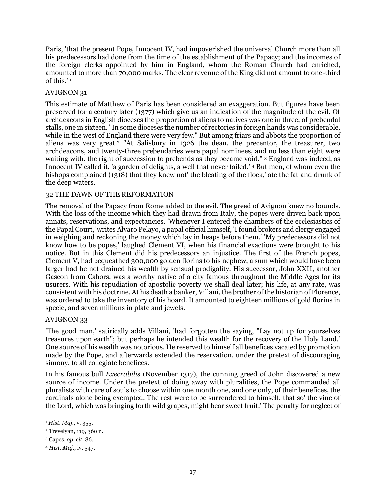Paris, 'that the present Pope, Innocent IV, had impoverished the universal Church more than all his predecessors had done from the time of the establishment of the Papacy; and the incomes of the foreign clerks appointed by him in England, whom the Roman Church had enriched, amounted to more than 70,000 marks. The clear revenue of the King did not amount to one-third of this.' <sup>1</sup>

## AVIGNON 31

This estimate of Matthew of Paris has been considered an exaggeration. But figures have been preserved for a century later (1377) which give us an indication of the magnitude of the evil. Of archdeacons in English dioceses the proportion of aliens to natives was one in three; of prebendal stalls, one in sixteen. "In some dioceses the number of rectories in foreign hands was considerable, while in the west of England there were very few." But among friars and abbots the proportion of aliens was very great.<sup>2</sup> "At Salisbury in 1326 the dean, the precentor, the treasurer, two archdeacons, and twenty-three prebendaries were papal nominees, and no less than eight were waiting with. the right of succession to prebends as they became void." <sup>3</sup> England was indeed, as Innocent IV called it, 'a garden of delights, a well that never failed.' <sup>4</sup> But men, of whom even the bishops complained (1318) that they knew not' the bleating of the flock,' ate the fat and drunk of the deep waters.

## 32 THE DAWN OF THE REFORMATION

The removal of the Papacy from Rome added to the evil. The greed of Avignon knew no bounds. With the loss of the income which they had drawn from Italy, the popes were driven back upon annats, reservations, and expectancies. 'Whenever I entered the chambers of the ecclesiastics of the Papal Court,' writes Alvaro Pelayo, a papal official himself, 'I found brokers and clergy engaged in weighing and reckoning the money which lay in heaps before them.' 'My predecessors did not know how to be popes,' laughed Clement VI, when his financial exactions were brought to his notice. But in this Clement did his predecessors an injustice. The first of the French popes, Clement V, had bequeathed 300,000 golden florins to his nephew, a sum which would have been larger had he not drained his wealth by sensual prodigality. His successor, John XXII, another Gascon from Cahors, was a worthy native of a city famous throughout the Middle Ages for its usurers. With his repudiation of apostolic poverty we shall deal later; his life, at any rate, was consistent with his doctrine. At his death a banker, Villani, the brother of the historian of Florence, was ordered to take the inventory of his hoard. It amounted to eighteen millions of gold florins in specie, and seven millions in plate and jewels.

## AVIGNON 33

'The good man,' satirically adds Villani, 'had forgotten the saying, "Lay not up for yourselves treasures upon earth"; but perhaps he intended this wealth for the recovery of the Holy Land.' One source of his wealth was notorious. He reserved to himself all benefices vacated by promotion made by the Pope, and afterwards extended the reservation, under the pretext of discouraging simony, to all collegiate benefices.

In his famous bull *Execrabilis* (November 1317), the cunning greed of John discovered a new source of income. Under the pretext of doing away with pluralities, the Pope commanded all pluralists with cure of souls to choose within one month one, and one only, of their benefices, the cardinals alone being exempted. The rest were to be surrendered to himself, that so' the vine of the Lord, which was bringing forth wild grapes, might bear sweet fruit.' The penalty for neglect of

<sup>1</sup> *Hist. Maj*., v. 355.

<sup>2</sup> Trevelyan, 119, 360 n.

<sup>3</sup> Capes, *op. cit*. 86.

<sup>4</sup> *Hist. Maj*., iv. 547.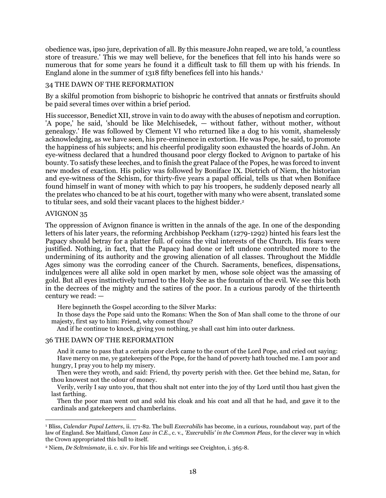obedience was, ipso jure, deprivation of all. By this measure John reaped, we are told, 'a countless store of treasure.' This we may well believe, for the benefices that fell into his hands were so numerous that for some years he found it a difficult task to fill them up with his friends. In England alone in the summer of 1318 fifty benefices fell into his hands.<sup>1</sup>

## 34 THE DAWN OF THE REFORMATION

By a skilful promotion from bishopric to bishopric he contrived that annats or firstfruits should be paid several times over within a brief period.

His successor, Benedict XII, strove in vain to do away with the abuses of nepotism and corruption. 'A pope,' he said, 'should be like Melchisedek, — without father, without mother, without genealogy.' He was followed by Clement VI who returned like a dog to his vomit, shamelessly acknowledging, as we have seen, his pre-eminence in extortion. He was Pope, he said, to promote the happiness of his subjects; and his cheerful prodigality soon exhausted the hoards of John. An eye-witness declared that a hundred thousand poor clergy flocked to Avignon to partake of his bounty. To satisfy these leeches, and to finish the great Palace of the Popes, he was forced to invent new modes of exaction. His policy was followed by Boniface IX. Dietrich of Niem, the historian and eye-witness of the Schism, for thirty-five years a papal official, tells us that when Boniface found himself in want of money with which to pay his troopers, he suddenly deposed nearly all the prelates who chanced to be at his court, together with many who were absent, translated some to titular sees, and sold their vacant places to the highest bidder.<sup>2</sup>

#### AVIGNON 35

The oppression of Avignon finance is written in the annals of the age. In one of the desponding letters of his later years, the reforming Archbishop Peckham (1279-1292) hinted his fears lest the Papacy should betray for a platter full. of coins the vital interests of the Church. His fears were justified. Nothing, in fact, that the Papacy had done or left undone contributed more to the undermining of its authority and the growing alienation of all classes. Throughout the Middle Ages simony was the corroding cancer of the Church. Sacraments, benefices, dispensations, indulgences were all alike sold in open market by men, whose sole object was the amassing of gold. But all eyes instinctively turned to the Holy See as the fountain of the evil. We see this both in the decrees of the mighty and the satires of the poor. In a curious parody of the thirteenth century we read: —

Here beginneth the Gospel according to the Silver Marks:

In those days the Pope said unto the Romans: When the Son of Man shall come to the throne of our majesty, first say to him: Friend, why comest thou?

And if he continue to knock, giving you nothing, ye shall cast him into outer darkness.

#### 36 THE DAWN OF THE REFORMATION

And it came to pass that a certain poor clerk came to the court of the Lord Pope, and cried out saying: Have mercy on me, ye gatekeepers of the Pope, for the hand of poverty hath touched me. I am poor and hungry, I pray you to help my misery.

Then were they wroth, and said: Friend, thy poverty perish with thee. Get thee behind me, Satan, for thou knowest not the odour of money.

Verily, verily I say unto you, that thou shalt not enter into the joy of thy Lord until thou hast given the last farthing.

Then the poor man went out and sold his cloak and his coat and all that he had, and gave it to the cardinals and gatekeepers and chamberlains.

 $\overline{a}$ <sup>1</sup> Bliss, *Calendar Papal Letters*, ii. 171-82. The bull *Execrabilis* has become, in a curious, roundabout way, part of the law of England. See Maitland, *Canon Law in C.E.*, c. v., *'Execrabilis' in the Common Pleas*, for the clever way in which the Crown appropriated this bull to itself.

<sup>2</sup> Niem, *De Scltmismate*, ii. c. xiv. For his life and writings see Creighton, i. 365-8.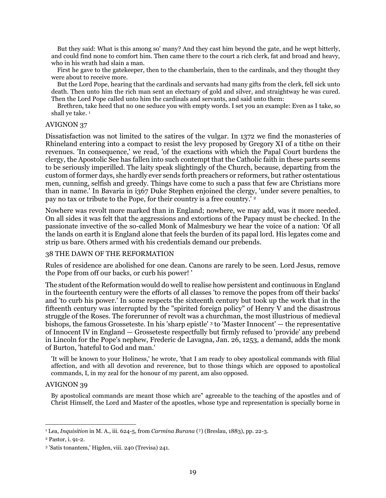But they said: What is this among so' many? And they cast him beyond the gate, and he wept bitterly, and could find none to comfort him. Then came there to the court a rich clerk, fat and broad and heavy, who in his wrath had slain a man.

First he gave to the gatekeeper, then to the chamberlain, then to the cardinals, and they thought they were about to receive more.

But the Lord Pope, hearing that the cardinals and servants had many gifts from the clerk, fell sick unto death. Then unto him the rich man sent an electuary of gold and silver, and straightway he was cured. Then the Lord Pope called unto him the cardinals and servants, and said unto them:

Brethren, take heed that no one seduce you with empty words. I set you an example: Even as I take, so shall ye take.<sup>1</sup>

#### AVIGNON 37

Dissatisfaction was not limited to the satires of the vulgar. In 1372 we find the monasteries of Rhineland entering into a compact to resist the levy proposed by Gregory XI of a tithe on their revenues. 'In consequence,' we read, 'of the exactions with which the Papal Court burdens the clergy, the Apostolic See has fallen into such contempt that the Catholic faith in these parts seems to be seriously imperilled. The laity speak slightingly of the Church, because, departing from the custom of former days, she hardly ever sends forth preachers or reformers, but rather ostentatious men, cunning, selfish and greedy. Things have come to such a pass that few are Christians more than in name.' In Bavaria in i367 Duke Stephen enjoined the clergy, 'under severe penalties, to pay no tax or tribute to the Pope, for their country is a free country.' <sup>2</sup>

Nowhere was revolt more marked than in England; nowhere, we may add, was it more needed. On all sides it was felt that the aggressions and extortions of the Papacy must be checked. In the passionate invective of the so-called Monk of Malmesbury we hear the voice of a nation: 'Of all the lands on earth it is England alone that feels the burden of its papal lord. His legates come and strip us bare. Others armed with his credentials demand our prebends.

#### 38 THE DAWN OF THE REFORMATION

Rules of residence are abolished for one dean. Canons are rarely to be seen. Lord Jesus, remove the Pope from off our backs, or curb his power! '

The student of the Reformation would do well to realise how persistent and continuous in England in the fourteenth century were the efforts of all classes 'to remove the popes from off their backs' and 'to curb his power.' In some respects the sixteenth century but took up the work that in the fifteenth century was interrupted by the "spirited foreign policy" of Henry V and the disastrous struggle of the Roses. The forerunner of revolt was a churchman, the most illustrious of medieval bishops, the famous Grosseteste. In his 'sharp epistle' <sup>3</sup> to 'Master Innocent' — the representative of Innocent IV in England — Grosseteste respectfully but firmly refused to 'provide' any prebend in Lincoln for the Pope's nephew, Frederic de Lavagna, Jan. 26, 1253, a demand, adds the monk of Burton, 'hateful to God and man.'

'It will be known to your Holiness,' he wrote, 'that I am ready to obey apostolical commands with filial affection, and with all devotion and reverence, but to those things which are opposed to apostolical commands, I, in my zeal for the honour of my parent, am also opposed.

#### AVIGNON 39

By apostolical commands are meant those which are" agreeable to the teaching of the apostles and of Christ Himself, the Lord and Master of the apostles, whose type and representation is specially borne in

<sup>1</sup> Lea, *Inquisition* in M. A., iii. 624-5, from *Carmina Burana* (†) (Breslau, 1883), pp. 22-3.

<sup>2</sup> Pastor, i. 91-2.

<sup>3</sup> 'Satis tonantem,' Higden, viii. 240 (Trevisa) 241.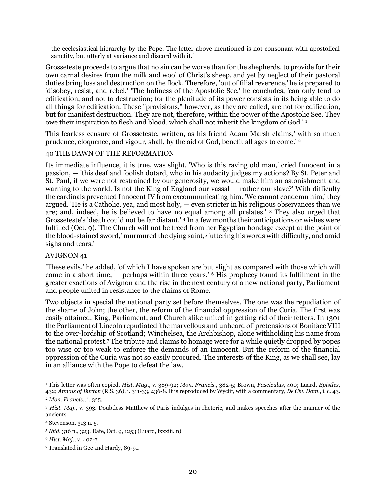the ecclesiastical hierarchy by the Pope. The letter above mentioned is not consonant with apostolical sanctity, but utterly at variance and discord with it.'

Grosseteste proceeds to argue that no sin can be worse than for the shepherds. to provide for their own carnal desires from the milk and wool of Christ's sheep, and yet by neglect of their pastoral duties bring loss and destruction on the flock. Therefore, 'out of filial reverence,' he is prepared to 'disobey, resist, and rebel.' 'The holiness of the Apostolic See,' he concludes, 'can only tend to edification, and not to destruction; for the plenitude of its power consists in its being able to do all things for edification. These "provisions," however, as they are called, are not for edification, but for manifest destruction. They are not, therefore, within the power of the Apostolic See. They owe their inspiration to flesh and blood, which shall not inherit the kingdom of God.' <sup>1</sup>

This fearless censure of Grosseteste, written, as his friend Adam Marsh claims,' with so much prudence, eloquence, and vigour, shall, by the aid of God, benefit all ages to come.' <sup>2</sup>

## 40 THE DAWN OF THE REFORMATION

Its immediate influence, it is true, was slight. 'Who is this raving old man,' cried Innocent in a passion, — 'this deaf and foolish dotard, who in his audacity judges my actions? By St. Peter and St. Paul, if we were not restrained by our generosity, we would make him an astonishment and warning to the world. Is not the King of England our vassal — rather our slave?' With difficulty the cardinals prevented Innocent IV from excommunicating him. 'We cannot condemn him,' they argued. 'He is a Catholic, yea, and most holy, — even stricter in his religious observances than we are; and, indeed, he is believed to have no equal among all prelates.' <sup>3</sup> They also urged that Grosseteste's 'death could not be far distant.' <sup>4</sup> In a few months their anticipations or wishes were fulfilled (Oct. 9). 'The Church will not be freed from her Egyptian bondage except at the point of the blood-stained sword,' murmured the dying saint,<sup>5</sup> 'uttering his words with difficulty, and amid sighs and tears.'

#### AVIGNON 41

'These evils,' he added, 'of which I have spoken are but slight as compared with those which will come in a short time, — perhaps within three years.' <sup>6</sup> His prophecy found its fulfilment in the greater exactions of Avignon and the rise in the next century of a new national party, Parliament and people united in resistance to the claims of Rome.

Two objects in special the national party set before themselves. The one was the repudiation of the shame of John; the other, the reform of the financial oppression of the Curia. The first was easily attained. King, Parliament, and Church alike united in getting rid of their fetters. In 1301 the Parliament of Lincoln repudiated 'the marvellous and unheard of' pretensions of Boniface VIII to the over-lordship of Scotland; Winchelsea, the Archbishop, alone withholding his name from the national protest.<sup>7</sup> The tribute and claims to homage were for a while quietly dropped by popes too wise or too weak to enforce the demands of an Innocent. But the reform of the financial oppression of the Curia was not so easily procured. The interests of the King, as we shall see, lay in an alliance with the Pope to defeat the law.

 $\overline{a}$ <sup>1</sup> This letter was often copied. *Hist. Mag*., v. 389-92; *Mon. Francis*., 382-5; Brown, *Fasciculus*, 400; Luard, *Epistles*, 432; *Annals of Burton* (R.S. 36), i. 311-33, 436-8. It is reproduced by Wyclif, with a commentary, *De Civ. Dom*., i. c. 43.

<sup>2</sup> *Mon. Francis*., i. 325.

<sup>3</sup> *Hist. Maj*., v. 393. Doubtless Matthew of Paris indulges in rhetoric, and makes speeches after the manner of the ancients.

<sup>4</sup> Stevenson, 313 n. 5.

<sup>5</sup> *Ibid*. 316 n., 323. Date, Oct. 9, 1253 (Luard, lxxxiii. n)

<sup>6</sup> *Hist. Maj*., v. 402-7.

<sup>7</sup> Translated in Gee and Hardy, 89-91.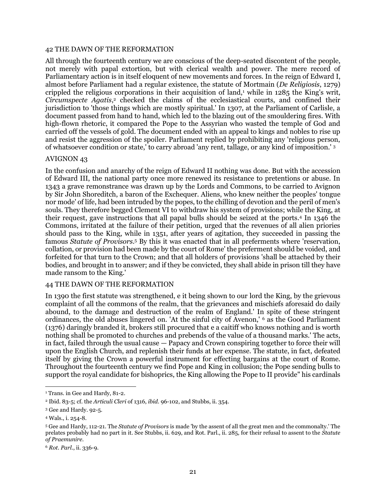#### 42 THE DAWN OF THE REFORMATION

All through the fourteenth century we are conscious of the deep-seated discontent of the people, not merely with papal extortion, but with clerical wealth and power. The mere record of Parliamentary action is in itself eloquent of new movements and forces. In the reign of Edward I, almost before Parliament had a regular existence, the statute of Mortmain (*De Religiosis*, 1279) crippled the religious corporations in their acquisition of land,<sup>1</sup> while in  $1285$  the King's writ, *Circumspecte Agatis*, <sup>2</sup> checked the claims of the ecclesiastical courts, and confined their jurisdiction to 'those things which are mostly spiritual.' In 1307, at the Parliament of Carlisle, a document passed from hand to hand, which led to the blazing out of the smouldering fires. With high-flown rhetoric, it compared the Pope to the Assyrian who wasted the temple of God and carried off the vessels of gold. The document ended with an appeal to kings and nobles to rise up and resist the aggression of the spoiler. Parliament replied by prohibiting any 'religious person, of whatsoever condition or state,' to carry abroad 'any rent, tallage, or any kind of imposition.' <sup>3</sup>

#### AVIGNON 43

In the confusion and anarchy of the reign of Edward II nothing was done. But with the accession of Edward III, the national party once more renewed its resistance to pretentions or abuse. In 1343 a grave remonstrance was drawn up by the Lords and Commons, to be carried to Avignon by Sir John Shoreditch, a baron of the Exchequer. Aliens, who knew neither the peoples' tongue nor mode' of life, had been intruded by the popes, to the chilling of devotion and the peril of men's souls. They therefore begged Clement VI to withdraw his system of provisions; while the King, at their request, gave instructions that all papal bulls should be seized at the ports.<sup>4</sup> In 1346 the Commons, irritated at the failure of their petition, urged that the revenues of all alien priories should pass to the King, while in 1351, after years of agitation, they succeeded in passing the famous *Statute of Provisors*. <sup>5</sup> By this it was enacted that in all preferments where 'reservation, collation, or provision had been made by the court of Rome' the preferment should be voided, and forfeited for that turn to the Crown; and that all holders of provisions 'shall be attached by their bodies, and brought in to answer; and if they be convicted, they shall abide in prison till they have made ransom to the King.'

#### 44 THE DAWN OF THE REFORMATION

In 1390 the first statute was strengthened, e it being shown to our lord the King, by the grievous complaint of all the commons of the realm, that the grievances and mischiefs aforesaid do daily abound, to the damage and destruction of the realm of England.' In spite of these stringent ordinances, the old abuses lingered on. 'At the sinful city of Avenon,' <sup>6</sup> as the Good Parliament (1376) daringly branded it, brokers still procured that e a caitiff who knows nothing and is worth nothing shall be promoted to churches and prebends of the value of a thousand marks.' The acts, in fact, failed through the usual cause — Papacy and Crown conspiring together to force their will upon the English Church, and replenish their funds at her expense. The statute, in fact, defeated itself by giving the Crown a powerful instrument for effecting bargains at the court of Rome. Throughout the fourteenth century we find Pope and King in collusion; the Pope sending bulls to support the royal candidate for bishoprics, the King allowing the Pope to II provide" his cardinals

 $\overline{a}$ <sup>1</sup> Trans. in Gee and Hardy, 81-2.

<sup>2</sup> Ibid. 83-5; cf. the *Articuli Cleri* of 1316, *ibid*. 96-102, and Stubbs, ii. 354.

<sup>3</sup> Gee and Hardy. 92-5.

<sup>4</sup> Wals., i. 254-8.

<sup>5</sup> Gee and Hardy, 112-21. The *Statute of Provisors* is made 'by the assent of all the great men and the commonalty.' The prelates probably had no part in it. See Stubbs, ii. 629, and Rot. Parl., ii. 285, for their refusal to assent to the *Statute of Praemunire*.

<sup>6</sup> *Rot. Parl*., ii. 336-9.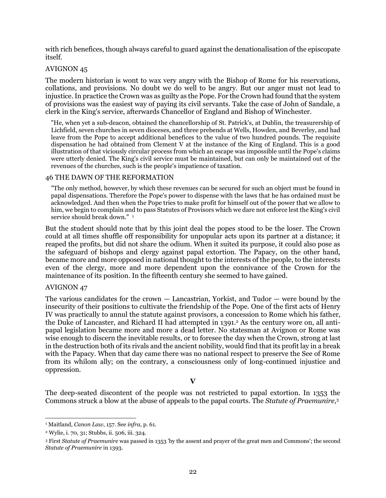with rich benefices, though always careful to guard against the denationalisation of the episcopate itself.

## AVIGNON 45

The modern historian is wont to wax very angry with the Bishop of Rome for his reservations, collations, and provisions. No doubt we do well to be angry. But our anger must not lead to injustice. In practice the Crown was as guilty as the Pope. For the Crown had found that the system of provisions was the easiest way of paying its civil servants. Take the case of John of Sandale, a clerk in the King's service, afterwards Chancellor of England and Bishop of Winchester.

"He, when yet a sub-deacon, obtained the chancellorship of St. Patrick's, at Dublin, the treasurership of Lichfield, seven churches in seven dioceses, and three prebends at Wells, Howden, and Beverley, and had leave from the Pope to accept additional benefices to the value of two hundred pounds. The requisite dispensation he had obtained from Clement V at the instance of the King of England. This is a good illustration of that viciously circular process from which an escape was impossible until the Pope's claims were utterly denied. The King's civil service must be maintained, but can only be maintained out of the revenues of the churches, such is the people's impatience of taxation.

## 46 THE DAWN OF THE REFORMATION

"The only method, however, by which these revenues can be secured for such an object must be found in papal dispensations. Therefore the Pope's power to dispense with the laws that he has ordained must be acknowledged. And then when the Pope tries to make profit for himself out of the power that we allow to him, we begin to complain and to pass Statutes of Provisors which we dare not enforce lest the King's civil service should break down." 1

But the student should note that by this joint deal the popes stood to be the loser. The Crown could at all times shuffle off responsibility for unpopular acts upon its partner at a distance; it reaped the profits, but did not share the odium. When it suited its purpose, it could also pose as the safeguard of bishops and clergy against papal extortion. The Papacy, on the other hand, became more and more opposed in national thought to the interests of the people, to the interests even of the clergy, more and more dependent upon the connivance of the Crown for the maintenance of its position. In the fifteenth century she seemed to have gained.

#### AVIGNON 47

The various candidates for the crown — Lancastrian, Yorkist, and Tudor — were bound by the insecurity of their positions to cultivate the friendship of the Pope. One of the first acts of Henry IV was practically to annul the statute against provisors, a concession to Rome which his father, the Duke of Lancaster, and Richard II had attempted in 1391.<sup>2</sup> As the century wore on, all antipapal legislation became more and more a dead letter. No statesman at Avignon or Rome was wise enough to discern the inevitable results, or to foresee the day when the Crown, strong at last in the destruction both of its rivals and the ancient nobility, would find that its profit lay in a break with the Papacy. When that day came there was no national respect to preserve the See of Rome from its whilom ally; on the contrary, a consciousness only of long-continued injustice and oppression.

## **V**

The deep-seated discontent of the people was not restricted to papal extortion. In 1353 the Commons struck a blow at the abuse of appeals to the papal courts. The *Statute of Praemunire*, 3

 $\overline{a}$ <sup>1</sup> Maitland, *Canon Law*, 157. See *infra*, p. 61.

<sup>2</sup> Wylie, i. 70, 31; Stubbs, ii. 506, iii. 324.

<sup>3</sup> First *Statute of Praemunire* was passed in 1353 'by the assent and prayer of the great men and Commons'; the second *Statute of Praemunire* in 1393.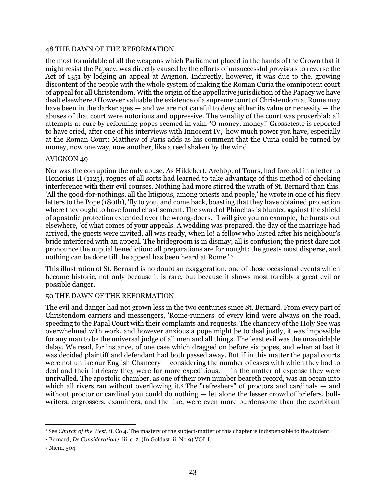## 48 THE DAWN OF THE REFORMATION

the most formidable of all the weapons which Parliament placed in the hands of the Crown that it might resist the Papacy, was directly caused by the efforts of unsuccessful provisors to reverse the Act of 1351 by lodging an appeal at Avignon. Indirectly, however, it was due to the. growing discontent of the people with the whole system of making the Roman Curia the omnipotent court of appeal for all Christendom. With the origin of the appellative jurisdiction of the Papacy we have dealt elsewhere.<sup>1</sup> However valuable the existence of a supreme court of Christendom at Rome may have been in the darker ages — and we are not careful to deny either its value or necessity — the abuses of that court were notorious and oppressive. The venality of the court was proverbial; all attempts at cure by reforming popes seemed in vain. 'O money, money!' Grosseteste is reported to have cried, after one of his interviews with Innocent IV, 'how much power you have, especially at the Roman Court: Matthew of Paris adds as his comment that the Curia could be turned by money, now one way, now another, like a reed shaken by the wind.

## AVIGNON 49

Nor was the corruption the only abuse. As Hildebert, Archbp. of Tours, had foretold in a letter to Honorius II (1125), rogues of all sorts had learned to take advantage of this method of checking interference with their evil courses. Nothing had more stirred the wrath of St. Bernard than this. 'All the good-for-nothings, all the litigious, among priests and people,' he wrote in one of his fiery letters to the Pope (180th), 'fly to you, and come back, boasting that they have obtained protection where they ought to have found chastisement. The sword of Phinehas is blunted against the shield of apostolic protection extended over the wrong-doers.' 'I will give you an example,' he bursts out elsewhere, 'of what comes of your appeals. A wedding was prepared, the day of the marriage had arrived, the guests were invited, all was ready, when lo! a fellow who lusted after his neighbour's bride interfered with an appeal. The bridegroom is in dismay; all is confusion; the priest dare not pronounce the nuptial benediction; all preparations are for nought; the guests must disperse, and nothing can be done till the appeal has been heard at Rome.' <sup>2</sup>

This illustration of St. Bernard is no doubt an exaggeration, one of those occasional events which become historic, not only because it is rare, but because it shows most forcibly a great evil or possible danger.

## 50 THE DAWN OF THE REFORMATION

The evil and danger had not grown less in the two centuries since St. Bernard. From every part of Christendom carriers and messengers, 'Rome-runners' of every kind were always on the road, speeding to the Papal Court with their complaints and requests. The chancery of the Holy See was overwhelmed with work, and however anxious a pope might be to deal justly, it was impossible for any man to be the universal judge of all men and all things. The least evil was the unavoidable delay. We read, for instance, of one case which dragged on before six popes, and when at last it was decided plaintiff and defendant had both passed away. But if in this matter the papal courts were not unlike our English Chancery — considering the number of cases with which they had to deal and their intricacy they were far more expeditious, — in the matter of expense they were unrivalled. The apostolic chamber, as one of their own number beareth record, was an ocean into which all rivers ran without overflowing it.<sup>3</sup> The "refreshers" of proctors and cardinals — and without proctor or cardinal you could do nothing — let alone the lesser crowd of briefers, bullwriters, engrossers, examiners, and the like, were even more burdensome than the exorbitant

 $\overline{a}$ <sup>1</sup> See *Church of the West*, ii. Co 4. The mastery of the subject-matter of this chapter is indispensable to the student.

<sup>2</sup> Bernard, *De Consideratione*, iii. c. 2. (In Goldast, ii. No.9) VOL I.

<sup>3</sup> Niem, 504.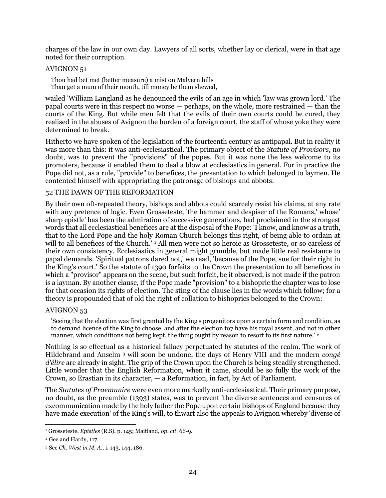charges of the law in our own day. Lawyers of all sorts, whether lay or clerical, were in that age noted for their corruption.

## AVIGNON 51

Thou had bet met (better measure) a mist on Malvern hills Than get a mum of their mouth, till money be them shewed,

wailed 'William Langland as he denounced the evils of an age in which 'law was grown lord.' The papal courts were in this respect no worse — perhaps, on the whole, more restrained — than the courts of the King. But while men felt that the evils of their own courts could be cured, they realised in the abuses of Avignon the burden of a foreign court, the staff of whose yoke they were determined to break.

Hitherto we have spoken of the legislation of the fourteenth century as antipapal. But in reality it was more than this: it was anti-ecclesiastical. The primary object of the *Statute of Provisors*, no doubt, was to prevent the "provisions" of the popes. But it was none the less welcome to its promoters, because it enabled them to deal a blow at ecclesiastics in general. For in practice the Pope did not, as a rule, "provide" to benefices, the presentation to which belonged to laymen. He contented himself with appropriating the patronage of bishops and abbots.

#### 52 THE DAWN OF THE REFORMATION

By their own oft-repeated theory, bishops and abbots could scarcely resist his claims, at any rate with any pretence of logic. Even Grosseteste, 'the hammer and despiser of the Romans,' whose' sharp epistle' has been the admiration of successive generations, had proclaimed in the strongest words that all ecclesiastical benefices are at the disposal of the Pope: 'I know, and know as a truth, that to the Lord Pope and the holy Roman Church belongs this right, of being able to ordain at will to all benefices of the Church.<sup>'</sup> <sup>1</sup> All men were not so heroic as Grosseteste, or so careless of their own consistency. Ecclesiastics in general might grumble, but made little real resistance to papal demands. 'Spiritual patrons dared not,' we read, 'because of the Pope, sue for their right in the King's court.' So the statute of 1390 forfeits to the Crown the presentation to all benefices in which a "provisor" appears on the scene, but such forfeit, be it observed, is not made if the patron is a layman. By another clause, if the Pope made "provision" to a bishopric the chapter was to lose for that occasion its rights of election. The sting of the clause lies in the words which follow; for a theory is propounded that of old the right of collation to bishoprics belonged to the Crown:

#### AVIGNON 53

'Seeing that the election was first granted by the King's progenitors upon a certain form and condition, as to demand licence of the King to choose, and after the election to7 have his royal assent, and not in other manner, which conditions not being kept, the thing ought by reason to resort to its first nature.'<sup>2</sup>

Nothing is so effectual as a historical fallacy perpetuated by statutes of the realm. The work of Hildebrand and Anselm <sup>3</sup> will soon be undone; the days of Henry VIII and the modern *congé d'élire* are already in sight. The grip of the Crown upon the Church is being steadily strengthened. Little wonder that the English Reformation, when it came, should be so fully the work of the Crown, so Erastian in its character, — a Reformation, in fact, by Act of Parliament.

The *Statutes of Praemunire* were even more markedly anti-ecclesiastical. Their primary purpose, no doubt, as the preamble (1393) states, was to prevent 'the diverse sentences and censures of excommunication made by the holy father the Pope upon certain bishops of England because they have made execution' of the King's will, to thwart also the appeals to Avignon whereby 'diverse of

<sup>1</sup> Grosseteste, *Epistles* (R.S), p. 145; Maitland, *op. cit*. 66-9.

<sup>2</sup> Gee and Hardy, 117.

<sup>3</sup> See *Ch. West in M. A*., i. 143, 144, 186.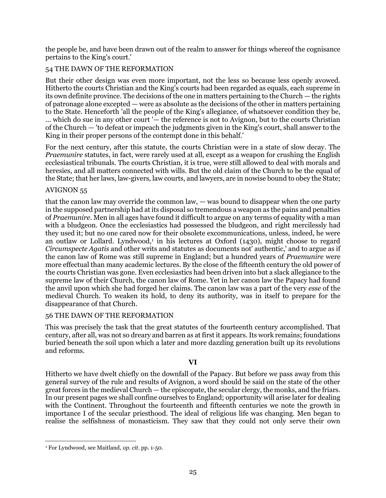the people be, and have been drawn out of the realm to answer for things whereof the cognisance pertains to the King's court.'

# 54 THE DAWN OF THE REFORMATION

But their other design was even more important, not the less so because less openly avowed. Hitherto the courts Christian and the King's courts had been regarded as equals, each supreme in its own definite province. The decisions of the one in matters pertaining to the Church — the rights of patronage alone excepted — were as absolute as the decisions of the other in matters pertaining to the State. Henceforth 'all the people of the King's allegiance, of whatsoever condition they be, ... which do sue in any other court '— the reference is not to Avignon, but to the courts Christian of the Church — 'to defeat or impeach the judgments given in the King's court, shall answer to the King in their proper persons of the contempt done in this behalf.'

For the next century, after this statute, the courts Christian were in a state of slow decay. The *Praemunire* statutes, in fact, were rarely used at all, except as a weapon for crushing the English ecclesiastical tribunals. The courts Christian, it is true, were still allowed to deal with morals and heresies, and all matters connected with wills. But the old claim of the Church to be the equal of the State; that her laws, law-givers, law courts, and lawyers, are in nowise bound to obey the State;

## AVIGNON 55

that the canon law may override the common law, — was bound to disappear when the one party in the supposed partnership had at its disposal so tremendous a weapon as the pains and penalties of *Praemunire*. Men in all ages have found it difficult to argue on any terms of equality with a man with a bludgeon. Once the ecclesiastics had possessed the bludgeon, and right mercilessly had they used it; but no one cared now for their obsolete excommunications, unless, indeed, he were an outlaw or Lollard. Lyndwood,<sup>1</sup> in his lectures at Oxford (1430), might choose to regard *Circumspecte Agatis* and other writs and statutes as documents not' authentic,' and to argue as if the canon law of Rome was still supreme in England; but a hundred years of *Praemunire* were more effectual than many academic lectures. By the close of the fifteenth century the old power of the courts Christian was gone. Even ecclesiastics had been driven into but a slack allegiance to the supreme law of their Church, the canon law of Rome. Yet in her canon law the Papacy had found the anvil upon which she had forged her claims. The canon law was a part of the very *esse* of the medieval Church. To weaken its hold, to deny its authority, was in itself to prepare for the disappearance of that Church.

## 56 THE DAWN OF THE REFORMATION

This was precisely the task that the great statutes of the fourteenth century accomplished. That century, after all, was not so dreary and barren as at first it appears. Its work remains; foundations buried beneath the soil upon which a later and more dazzling generation built up its revolutions and reforms.

# **VI**

Hitherto we have dwelt chiefly on the downfall of the Papacy. But before we pass away from this general survey of the rule and results of Avignon, a word should be said on the state of the other great forces in the medieval Church — the episcopate, the secular clergy, the monks, and the friars. In our present pages we shall confine ourselves to England; opportunity will arise later for dealing with the Continent. Throughout the fourteenth and fifteenth centuries we note the growth in importance I of the secular priesthood. The ideal of religious life was changing. Men began to realise the selfishness of monasticism. They saw that they could not only serve their own

 $\overline{a}$ <sup>1</sup> For Lyndwood, see Maitland, *op. cit*. pp. 1-50.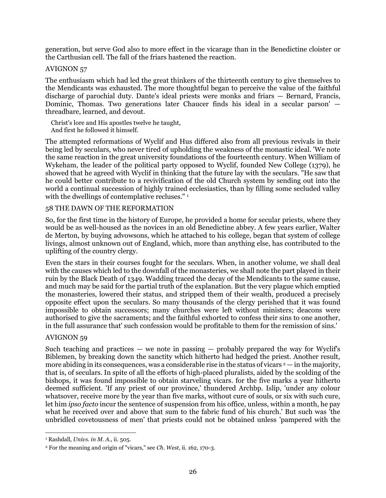generation, but serve God also to more effect in the vicarage than in the Benedictine cloister or the Carthusian cell. The fall of the friars hastened the reaction.

## AVIGNON 57

The enthusiasm which had led the great thinkers of the thirteenth century to give themselves to the Mendicants was exhausted. The more thoughtful began to perceive the value of the faithful discharge of parochial duty. Dante's ideal priests were monks and friars — Bernard, Francis, Dominic, Thomas. Two generations later Chaucer finds his ideal in a secular parson' threadbare, learned, and devout.

Christ's lore and His apostles twelve he taught, And first he followed it himself.

The attempted reformations of Wyclif and Hus differed also from all previous revivals in their being led by seculars, who never tired of upholding the weakness of the monastic ideal. 'We note the same reaction in the great university foundations of the fourteenth century. When William of Wykeham, the leader of the political party opposed to Wyclif, founded New College (1379), he showed that he agreed with Wyclif in thinking that the future lay with the seculars. "He saw that he could better contribute to a revivification of the old Church system by sending out into the world a continual succession of highly trained ecclesiastics, than by filling some secluded valley with the dwellings of contemplative recluses."<sup>1</sup>

## 58 THE DAWN OF THE REFORMATION

So, for the first time in the history of Europe, he provided a home for secular priests, where they would be as well-housed as the novices in an old Benedictine abbey. A few years earlier, Walter de Merton, by buying advowsons, which he attached to his college, began that system of college livings, almost unknown out of England, which, more than anything else, has contributed to the uplifting of the country clergy.

Even the stars in their courses fought for the seculars. When, in another volume, we shall deal with the causes which led to the downfall of the monasteries, we shall note the part played in their ruin by the Black Death of 1349. Wadding traced the decay of the Mendicants to the same cause, and much may be said for the partial truth of the explanation. But the very plague which emptied the monasteries, lowered their status, and stripped them of their wealth, produced a precisely opposite effect upon the seculars. So many thousands of the clergy perished that it was found impossible to obtain successors; many churches were left without ministers; deacons were authorised to give the sacraments; and the faithful exhorted to confess their sins to one another, in the full assurance that' such confession would be profitable to them for the remission of sins.'

#### AVIGNON 59

 $\overline{a}$ 

Such teaching and practices — we note in passing — probably prepared the way for Wyclif's Biblemen, by breaking down the sanctity which hitherto had hedged the priest. Another result, more abiding in its consequences, was a considerable rise in the status of vicars  $2 -$  in the majority, that is, of seculars. In spite of all the efforts of high-placed pluralists, aided by the scolding of the bishops, it was found impossible to obtain starveling vicars. for the five marks a year hitherto deemed sufficient. 'If any priest of our province,' thundered Archbp. Islip, 'under any colour whatsover, receive more by the year than five marks, without cure of souls, or six with such cure, let him *ipso facto* incur the sentence of suspension from his office, unless, within a month, he pay what he received over and above that sum to the fabric fund of his church.' But such was 'the unbridled covetousness of men' that priests could not be obtained unless 'pampered with the

<sup>1</sup> Rashdall, *Univs. in M. A*., ii. 505.

<sup>2</sup> For the meaning and origin of "vicars," see *Ch. West*, ii. 162, 170-3.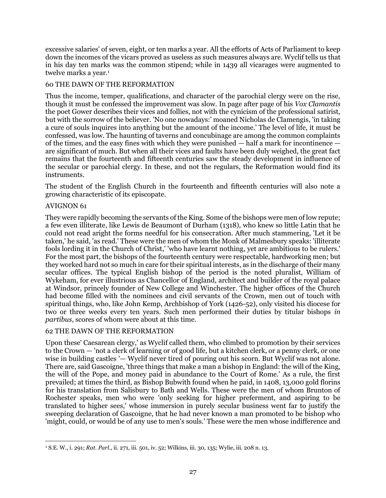excessive salaries' of seven, eight, or ten marks a year. All the efforts of Acts of Parliament to keep down the incomes of the vicars proved as useless as such measures always are. Wyclif tells us that in his day ten marks was the common stipend; while in 1439 all vicarages were augmented to twelve marks a year.<sup>1</sup>

## 60 THE DAWN OF THE REFORMATION

Thus the income, temper, qualifications, and character of the parochial clergy were on the rise, though it must be confessed the improvement was slow. In page after page of his *Vox Clamantis* the poet Gower describes their vices and follies, not with the cynicism of the professional satirist, but with the sorrow of the believer. 'No one nowadays:' moaned Nicholas de Clamengis, 'in taking a cure of souls inquires into anything but the amount of the income.' The level of life, it must be confessed, was low. The haunting of taverns and concubinage are among the common complaints of the times, and the easy fines with which they were punished — half a mark for incontinence are significant of much. But when all their vices and faults have been duly weighed, the great fact remains that the fourteenth and fifteenth centuries saw the steady development in influence of the secular or parochial clergy. In these, and not the regulars, the Reformation would find its instruments.

The student of the English Church in the fourteenth and fifteenth centuries will also note a growing characteristic of its episcopate.

## AVIGNON 61

They were rapidly becoming the servants of the King. Some of the bishops were men of low repute; a few even illiterate, like Lewis de Beaumont of Durham (1318), who knew so little Latin that he could not read aright the forms needful for his consecration. After much stammering, 'Let it be taken,' he said, 'as read.' These were the men of whom the Monk of Malmesbury speaks: 'illiterate fools lording it in the Church of Christ,' 'who have learnt nothing, yet are ambitious to be rulers.' For the most part, the bishops of the fourteenth century were respectable, hardworking men; but they worked hard not so much in care for their spiritual interests, as in the discharge of their many secular offices. The typical English bishop of the period is the noted pluralist, William of Wykeham, for ever illustrious as Chancellor of England, architect and builder of the royal palace at Windsor, princely founder of New College and Winchester. The higher offices of the Church had become filled with the nominees and civil servants of the Crown, men out of touch with spiritual things, who, like John Kemp, Archbishop of York (1426-52), only visited his diocese for two or three weeks every ten years. Such men performed their duties by titular bishops *in partibus*, scores of whom were about at this time.

## 62 THE DAWN OF THE REFORMATION

Upon these' Caesarean clergy,' as Wyclif called them, who climbed to promotion by their services to the Crown — 'not a clerk of learning or of good life, but a kitchen clerk, or a penny clerk, or one wise in building castles '— Wyclif never tired of pouring out his scorn. But Wyclif was not alone. There are, said Gascoigne, 'three things that make a man a bishop in England: the will of the King, the will of the Pope, and money paid in abundance to the Court of Rome.' As a rule, the first prevailed; at times the third, as Bishop Bubwith found when he paid, in 1408, 13,000 gold florins for his translation from Salisbury to Bath and Wells. These were the men of whom Brunton of Rochester speaks, men who were 'only seeking for higher preferment, and aspiring to be translated to higher sees,' whose immersion in purely secular business went far to justify the sweeping declaration of Gascoigne, that he had never known a man promoted to be bishop who 'might, could, or would be of any use to men's souls.' These were the men whose indifference and

 $\overline{a}$ <sup>1</sup> S.E. W., i. 291; *Rat. Parl*., ii. 271, iii. 501, iv. 52; Wilkins, iii. 30, 135; Wylie, iii. 208 n. 13.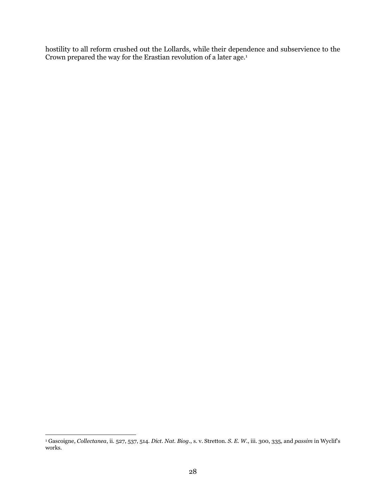hostility to all reform crushed out the Lollards, while their dependence and subservience to the Crown prepared the way for the Erastian revolution of a later age.<sup>1</sup>

<sup>1</sup> Gascoigne, *Collectanea*, ii. 527, 537, 514. *Dict. Nat. Biog*., s. v. Stretton. *S. E. W*., iii. 300, 335, and *passim* in Wyclif's works.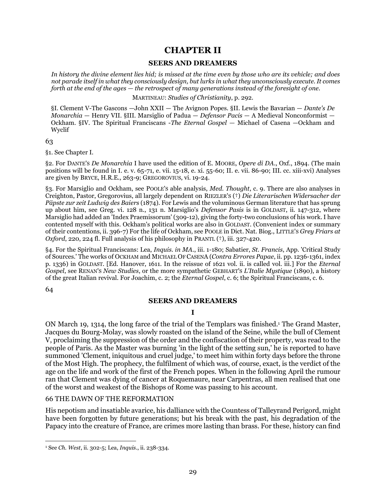# **CHAPTER II**

### **SEERS AND DREAMERS**

<span id="page-28-1"></span><span id="page-28-0"></span>*In history the divine element lies hid; is missed at the time even by those who are its vehicle; and does not parade itself in what they consciously design, but lurks in what they unconsciously execute. It comes forth at the end of the ages — the retrospect of many generations instead of the foresight of one.* 

MARTINEAU: *Studies of Christianity*, p. 292.

<span id="page-28-2"></span>§I. Clement V-The Gascons —John XXII — The Avignon Popes. §II. Lewis the Bavarian — *Dante's De Monarchia* — Henry VII. §III. Marsiglio of Padua — *Defensor Pacis* — A Medieval Nonconformist — Ockham. §IV. The Spiritual Franciscans -*The Eternal Gospel —* Michael of Casena —Ockham and Wyclif

63

§1. See Chapter I.

§2. For DANTE'S *De Monarchia* I have used the edition of E. MOORE, *Opere di DA*., Oxf., 1894. (The main positions will be found in I. e. v. 65-71, e. vii. 15-18, e. xi. 55-60; II. e. vii. 86-90; III. cc. xiii-xvi) Analyses are given by BRYCE, H.R.E., 263-9; GREGOROVIUS, vi. 19-24.

§3. For Marsiglio and Ockham, see POOLE'S able analysis, *Med. Thought*, c. 9. There are also analyses in Creighton, Pastor, Gregorovius, all largely dependent on RIEZLER'S (†) *Die Literarischen Widersacher der Päpste zur zeit Ludwig des Baiers* (1874). For Lewis and the voluminous German literature that has sprung up about him, see Greg. vi. 128 n., 131 n. Marsiglio's *Defensor Pasis* is in GOLDAST, ii. 147-312, where Marsiglio had added an 'Index Praemissorum' (309-12), giving the forty-two conclusions of his work. I have contented myself with this. Ockham's political works are also in GOLDAST. (Convenient index or summary of their contentions, ii. 396-7) For the life of Ockham, see POOLE in Dict. Nat. Biog., LITTLE'S *Grey Friars at Oxford*, 220, 224 fl. Full analysis of his philosophy in PRANTL (†), iii. 327-420.

§4. For the Spiritual Franciscans: Lea, *Inquis. in MA*., iii. 1-180; Sabatier, *St. Francis*, App. 'Critical Study of Sources.' The works of OCKHAM and MICHAEL OF CASENA (*Contra Errores Papae*, ii. pp. 1236-1361, index p. 1336) in GOLDAST. [Ed. Hanover, 1611. In the reissue of 1621 vol. ii. is called vol. iii.] For the *Eternal Gospel*, see RENAN'S *New Studies*, or the more sympathetic GEBHART'S *L'Italie Mystique* (1890), a history of the great Italian revival. For Joachim, c. 2; the *Eternal Gospel*, c. 6; the Spiritual Franciscans, c. 6.

64

## **SEERS AND DREAMERS**

#### **I**

ON March 19, 1314, the long farce of the trial of the Templars was finished.<sup>1</sup> The Grand Master, Jacques du Bourg-Molay, was slowly roasted on the island of the Seine, while the bull of Clement V, proclaiming the suppression of the order and the confiscation of their property, was read to the people of Paris. As the Master was burning 'in the light of the setting sun,' he is reported to have summoned 'Clement, iniquitous and cruel judge,' to meet him within forty days before the throne of the Most High. The prophecy, the fulfilment of which was, of course, exact, is the verdict of the age on the life and work of the first of the French popes. When in the following April the rumour ran that Clement was dying of cancer at Roquemaure, near Carpentras, all men realised that one of the worst and weakest of the Bishops of Rome was passing to his account.

#### 66 THE DAWN OF THE REFORMATION

His nepotism and insatiable avarice, his dalliance with the Countess of Talleyrand Perigord, might have been forgotten by future generations; but his break with the past, his degradation of the Papacy into the creature of France, are crimes more lasting than brass. For these, history can find

 $\overline{a}$ <sup>1</sup> See *Ch. West*, ii. 302-5; Lea, *Inquis*., ii. 238-334.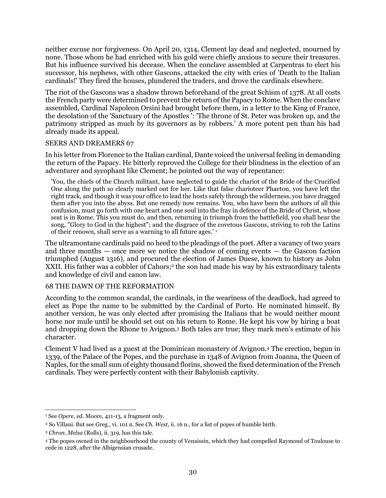neither excuse nor forgiveness. On April 20, 1314, Clement lay dead and neglected, mourned by none. Those whom he had enriched with his gold were chiefly anxious to secure their treasures. But his influence survived his decease. When the conclave assembled at Carpentras to elect his successor, his nephews, with other Gascons, attacked the city with cries of 'Death to the Italian cardinals!' They fired the houses, plundered the traders, and drove the cardinals elsewhere.

The riot of the Gascons was a shadow thrown beforehand of the great Schism of 1378. At all costs the French party were determined to prevent the return of the Papacy to Rome. When the conclave assembled, Cardinal Napoleon Orsini had brought before them, in a letter to the King of France, the desolation of the 'Sanctuary of the Apostles ': 'The throne of St. Peter was broken up, and the patrimony stripped as much by its governors as by robbers.' A more potent pen than his had already made its appeal.

## SEERS AND DREAMERS 67

In his letter from Florence to the Italian cardinal, Dante voiced the universal feeling in demanding the return of the Papacy. He bitterly reproved the College for their blindness in the election of an adventurer and sycophant like Clement; he pointed out the way of repentance:

'You, the chiefs of the Church militant, have neglected to guide the chariot of the Bride of the Crucified One along the path so clearly marked out for her. Like that false charioteer Phaeton, you have left the right track, and though it was your office to lead the hosts safely through the wilderness, you have dragged them after you into the abyss. But one remedy now remains. You, who have been the authors of all this confusion, must go forth with one heart and one soul into the fray in defence of the Bride of Christ, whose seat is in Rome. This you must do, and then, returning in triumph from the battlefield, you shall hear the song, "Glory to God in the highest"; and the disgrace of the covetous Gascons, striving to rob the Latins of their renown, shall serve as a warning to all future ages.' <sup>1</sup>

The ultramontane cardinals paid no heed to the pleadings of the poet. After a vacancy of two years and three months — once more we notice the shadow of coming events — the Gascon faction triumphed (August 1316), and procured the election of James Duese, known to history as John XXII. His father was a cobbler of Cahors; 2 the son had made his way by his extraordinary talents and knowledge of civil and canon law.

#### 68 THE DAWN OF THE REFORMATION

According to the common scandal, the cardinals, in the weariness of the deadlock, had agreed to elect as Pope the name to be submitted by the Cardinal of Porto. He nominated himself. By another version, he was only elected after promising the Italians that he would neither mount horse nor mule until he should set out on his return to Rome. He kept his vow by hiring a boat and dropping down the Rhone to Avignon.<sup>3</sup> Both tales are true; they mark men's estimate of his character.

Clement V had lived as a guest at the Dominican monastery of Avignon.<sup>4</sup> The erection, begun in 1339, of the Palace of the Popes, and the purchase in 1348 of Avignon from Joanna, the Queen of Naples, for the small sum of eighty thousand florins, showed the fixed determination of the French cardinals. They were perfectly content with their Babylonish captivity.

<sup>1</sup> See *Opere*, ed. Moore, 411-13, a fragment only.

<sup>2</sup> So Villani. But see Greg., vi. 101 n. See *Ch. West*, ii. 16 n., for a list of popes of humble birth.

<sup>3</sup> *Chron. Melsa* (Rolls), ii. 319, has this tale.

<sup>4</sup> The popes owned in the neighbourhood the county of Venaissin, which they had compelled Raymond of Toulouse to cede in 1228, after the Albigensian crusade.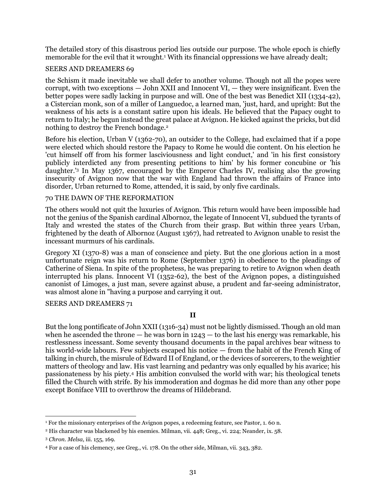The detailed story of this disastrous period lies outside our purpose. The whole epoch is chiefly memorable for the evil that it wrought.<sup>1</sup> With its financial oppressions we have already dealt;

## SEERS AND DREAMERS 69

the Schism it made inevitable we shall defer to another volume. Though not all the popes were corrupt, with two exceptions — John XXII and Innocent VI, — they were insignificant. Even the better popes were sadly lacking in purpose and will. One of the best was Benedict XII (1334-42), a Cistercian monk, son of a miller of Languedoc, a learned man, 'just, hard, and upright: But the weakness of his acts is a constant satire upon his ideals. He believed that the Papacy ought to return to Italy; he begun instead the great palace at Avignon. He kicked against the pricks, but did nothing to destroy the French bondage.<sup>2</sup>

Before his election, Urban V (1362-70), an outsider to the College, had exclaimed that if a pope were elected which should restore the Papacy to Rome he would die content. On his election he 'cut himself off from his former lasciviousness and light conduct,' and 'in his first consistory publicly interdicted any from presenting petitions to him' by his former concubine or 'his daughter.' <sup>3</sup> In May 1367, encouraged by the Emperor Charles IV, realising also the growing insecurity of Avignon now that the war with England had thrown the affairs of France into disorder, Urban returned to Rome, attended, it is said, by only five cardinals.

#### 70 THE DAWN OF THE REFORMATION

The others would not quit the luxuries of Avignon. This return would have been impossible had not the genius of the Spanish cardinal Albornoz, the legate of Innocent VI, subdued the tyrants of Italy and wrested the states of the Church from their grasp. But within three years Urban, frightened by the death of Albornoz (August 1367), had retreated to Avignon unable to resist the incessant murmurs of his cardinals.

Gregory XI (1370-8) was a man of conscience and piety. But the one glorious action in a most unfortunate reign was his return to Rome (September 1376) in obedience to the pleadings of Catherine of Siena. In spite of the prophetess, he was preparing to retire to Avignon when death interrupted his plans. Innocent VI (1352-62), the best of the Avignon popes, a distinguished canonist of Limoges, a just man, severe against abuse, a prudent and far-seeing administrator, was almost alone in "having a purpose and carrying it out.

#### SEERS AND DREAMERS 71

**II**

But the long pontificate of John XXII (1316-34) must not be lightly dismissed. Though an old man when he ascended the throne — he was born in  $1243 -$  to the last his energy was remarkable, his restlessness incessant. Some seventy thousand documents in the papal archives bear witness to his world-wide labours. Few subjects escaped his notice — from the habit of the French King of talking in church, the misrule of Edward II of England, or the devices of sorcerers, to the weightier matters of theology and law. His vast learning and pedantry was only equalled by his avarice; his passionateness by his piety.<sup>4</sup> His ambition convulsed the world with war; his theological tenets filled the Church with strife. By his immoderation and dogmas he did more than any other pope except Boniface VIII to overthrow the dreams of Hildebrand.

 $\overline{a}$ <sup>1</sup> For the missionary enterprises of the Avignon popes, a redeeming feature, see Pastor, 1. 60 n.

<sup>2</sup> His character was blackened by his enemies. Milman, vii. 448; Greg., vi. 224; Neander, ix. 58.

<sup>3</sup> *Chron. Melsa*, iii. 155, 169.

<sup>4</sup> For a case of his clemency, see Greg., vi. 178. On the other side, Milman, vii. 343, 382.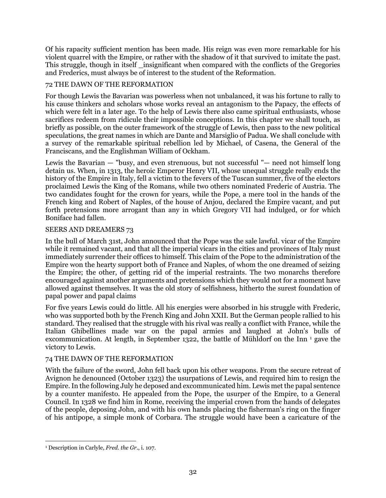Of his rapacity sufficient mention has been made. His reign was even more remarkable for his violent quarrel with the Empire, or rather with the shadow of it that survived to imitate the past. This struggle, though in itself \_insignificant when compared with the conflicts of the Gregories and Frederics, must always be of interest to the student of the Reformation.

## 72 THE DAWN OF THE REFORMATION

For though Lewis the Bavarian was powerless when not unbalanced, it was his fortune to rally to his cause thinkers and scholars whose works reveal an antagonism to the Papacy, the effects of which were felt in a later age. To the help of Lewis there also came spiritual enthusiasts, whose sacrifices redeem from ridicule their impossible conceptions. In this chapter we shall touch, as briefly as possible, on the outer framework of the struggle of Lewis, then pass to the new political speculations, the great names in which are Dante and Marsiglio of Padua. We shall conclude with a survey of the remarkable spiritual rebellion led by Michael, of Casena, the General of the Franciscans, and the Englishman William of Ockham.

Lewis the Bavarian — "busy, and even strenuous, but not successful "— need not himself long detain us. When, in 1313, the heroic Emperor Henry VII, whose unequal struggle really ends the history of the Empire in Italy, fell a victim to the fevers of the Tuscan summer, five of the electors proclaimed Lewis the King of the Romans, while two others nominated Frederic of Austria. The two candidates fought for the crown for years, while the Pope, a mere tool in the hands of the French king and Robert of Naples, of the house of Anjou, declared the Empire vacant, and put forth pretensions more arrogant than any in which Gregory VII had indulged, or for which Boniface had fallen.

## SEERS AND DREAMERS 73

In the bull of March 31st, John announced that the Pope was the sale lawful. vicar of the Empire while it remained vacant, and that all the imperial vicars in the cities and provinces of Italy must immediately surrender their offices to himself. This claim of the Pope to the administration of the Empire won the hearty support both of France and Naples, of whom the one dreamed of seizing the Empire; the other, of getting rid of the imperial restraints. The two monarchs therefore encouraged against another arguments and pretensions which they would not for a moment have allowed against themselves. It was the old story of selfishness, hitherto the surest foundation of papal power and papal claims

For five years Lewis could do little. All his energies were absorbed in his struggle with Frederic, who was supported both by the French King and John XXII. But the German people rallied to his standard. They realised that the struggle with his rival was really a conflict with France, while the Italian Ghibellines made war on the papal armies and laughed at John's bulls of excommunication. At length, in September 1322, the battle of Mühldorf on the Inn<sup>1</sup> gave the victory to Lewis.

## 74 THE DAWN OF THE REFORMATION

With the failure of the sword, John fell back upon his other weapons. From the secure retreat of Avignon he denounced (October 1323) the usurpations of Lewis, and required him to resign the Empire. In the following July he deposed and excommunicated him. Lewis met the papal sentence by a counter manifesto. He appealed from the Pope, the usurper of the Empire, to a General Council. In 1328 we find him in Rome, receiving the imperial crown from the hands of delegates of the people, deposing John, and with his own hands placing the fisherman's ring on the finger of his antipope, a simple monk of Corbara. The struggle would have been a caricature of the

 $\overline{a}$ <sup>1</sup> Description in Carlyle, *Fred. the Gr*., i. 107.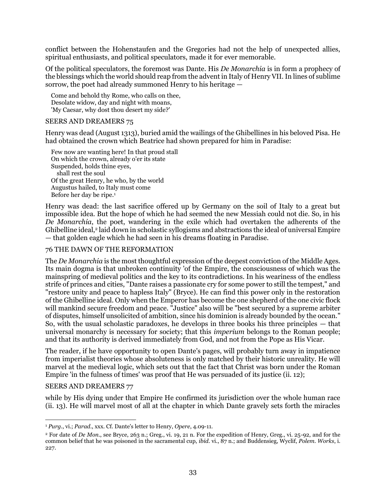conflict between the Hohenstaufen and the Gregories had not the help of unexpected allies, spiritual enthusiasts, and political speculators, made it for ever memorable.

Of the political speculators, the foremost was Dante. His *De Monarchia* is in form a prophecy of the blessings which the world should reap from the advent in Italy of Henry VII. In lines of sublime sorrow, the poet had already summoned Henry to his heritage —

Come and behold thy Rome, who calls on thee, Desolate widow, day and night with moans, 'My Caesar, why dost thou desert my side?'

#### SEERS AND DREAMERS 75

Henry was dead (August 1313), buried amid the wailings of the Ghibellines in his beloved Pisa. He had obtained the crown which Beatrice had shown prepared for him in Paradise:

Few now are wanting here! In that proud stall On which the crown, already o'er its state Suspended, holds thine eyes, shall rest the soul Of the great Henry, he who, by the world Augustus hailed, to Italy must come Before her day be ripe.<sup>1</sup>

Henry was dead: the last sacrifice offered up by Germany on the soil of Italy to a great but impossible idea. But the hope of which he had seemed the new Messiah could not die. So, in his *De Monarchia*, the poet, wandering in the exile which had overtaken the adherents of the Ghibelline ideal,<sup>2</sup> laid down in scholastic syllogisms and abstractions the ideal of universal Empire — that golden eagle which he had seen in his dreams floating in Paradise.

## 76 THE DAWN OF THE REFORMATION

The *De Monarchia* is the most thoughtful expression of the deepest conviction of the Middle Ages. Its main dogma is that unbroken continuity 'of the Empire, the consciousness of which was the mainspring of medieval politics and the key to its contradictions. In his weariness of the endless strife of princes and cities, "Dante raises a passionate cry for some power to still the tempest," and "restore unity and peace to hapless Italy" (Bryce). He can find this power only in the restoration of the Ghibelline ideal. Only when the Emperor has become the one shepherd of the one civic flock will mankind secure freedom and peace. "Justice" also will be "best secured by a supreme arbiter of disputes, himself unsolicited of ambition, since his dominion is already bounded by the ocean." So, with the usual scholastic paradoxes, he develops in three books his three principles — that universal monarchy is necessary for society; that this *imperium* belongs to the Roman people; and that its authority is derived immediately from God, and not from the Pope as His Vicar.

The reader, if he have opportunity to open Dante's pages, will probably turn away in impatience from imperialist theories whose absoluteness is only matched by their historic unreality. He will marvel at the medieval logic, which sets out that the fact that Christ was born under the Roman Empire 'in the fulness of times' was proof that He was persuaded of its justice (ii. 12);

#### SEERS AND DREAMERS 77

while by His dying under that Empire He confirmed its jurisdiction over the whole human race (ii. 13). He will marvel most of all at the chapter in which Dante gravely sets forth the miracles

 $\overline{a}$ <sup>1</sup> *Purg*., vi.; *Parad*., xxx. Cf. Dante's letter to Henry, *Opere*, 4.09-11.

<sup>2</sup> For date of *De Mon*., see Bryce, 263 n.; Greg., vi. 19, 21 n. For the expedition of Henry, Greg., vi. 25-92, and for the common belief that he was poisoned in the sacramental cup, *ibid*. vi., 87 n.; and Buddensieg, Wyclif, *Polem. Works*, i. 227.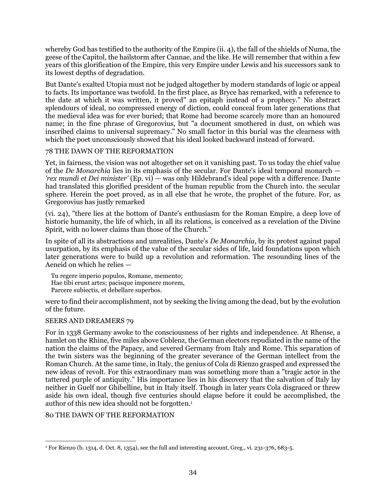whereby God has testified to the authority of the Empire (ii. 4), the fall of the shields of Numa, the geese of the Capitol, the hailstorm after Cannae, and the like. He will remember that within a few years of this glorification of the Empire, this very Empire under Lewis and his successors sank to its lowest depths of degradation.

But Dante's exalted Utopia must not be judged altogether by modern standards of logic or appeal to facts. Its importance was twofold. In the first place, as Bryce has remarked, with a reference to the date at which it was written, it proved" an epitaph instead of a prophecy." No abstract splendours of ideal, no compressed energy of diction, could conceal from later generations that the medieval idea was for ever buried; that Rome had become scarcely more than an honoured name; in the fine phrase of Gregorovius, but "a document smothered in dust, on which was inscribed claims to universal supremacy." No small factor in this burial was the clearness with which the poet unconsciously showed that his ideal looked backward instead of forward.

## 78 THE DAWN OF THE REFORMATION

Yet, in fairness, the vision was not altogether set on it vanishing past. To us today the chief value of the *De Monarchia* lies in its emphasis of the secular. For Dante's ideal temporal monarch — *'rex mundi et Dei minister'* (Ep. vi) — was only Hildebrand's ideal pope with a difference. Dante had translated this glorified president of the human republic from the Church into. the secular sphere. Herein the poet proved, as in all else that he wrote, the prophet of the future. For, as Gregorovius has justly remarked

(vi. 24), "there lies at the bottom of Dante's enthusiasm for the Roman Empire, a deep love of historic humanity, the life of which, in all its relations, is conceived as a revelation of the Divine Spirit, with no lower claims than those of the Church."

In spite of all its abstractions and unrealities, Dante's *De Monarchia*, by its protest against papal usurpation, by its emphasis of the value of the secular sides of life, laid foundations upon which later generations were to build up a revolution and reformation. The resounding lines of the Aeneid on which he relies —

Tu regere imperio populos, Romane, memento;

Hae tibi erunt artes; pacisque imponere morem,

Parcere subiectis, et debellare superbos.

were to find their accomplishment, not by seeking the living among the dead, but by the evolution of the future.

## SEERS AND DREAMERS 79

For in 1338 Germany awoke to the consciousness of her rights and independence. At Rhense, a hamlet on the Rhine, five miles above Coblenz, the German electors repudiated in the name of the nation the claims of the Papacy, and severed Germany from Italy and Rome. This separation of the twin sisters was the beginning of the greater severance of the German intellect from the Roman Church. At the same time, in Italy, the genius of Cola di Rienzo grasped and expressed the new ideas of revolt. For this extraordinary man was something more than a "tragic actor in the tattered purple of antiquity." His importance lies in his discovery that the salvation of Italy lay neither in Guelf nor Ghibelline, but in Italy itself. Though in later years Cola disgraced or threw aside his own ideal, though five centuries should elapse before it could be accomplished, the author of this new idea should not be forgotten.<sup>1</sup>

# 80 THE DAWN OF THE REFORMATION

 $\overline{a}$  $1$  For Rienzo (b. 1314, d. Oct. 8, 1354), see the full and interesting account, Greg., vi. 231-376, 683-5.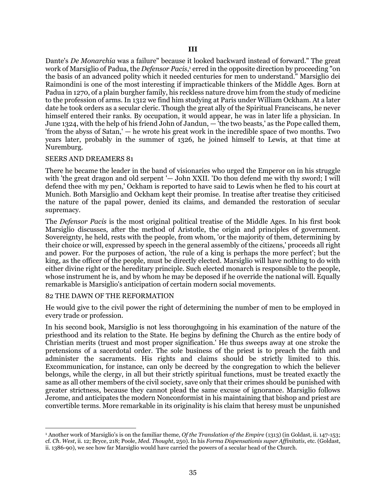Dante's *De Monarchia* was a failure" because it looked backward instead of forward." The great work of Marsiglio of Padua, the *Defensor Pacis*, <sup>1</sup> erred in the opposite direction by proceeding "on the basis of an advanced polity which it needed centuries for men to understand." Marsiglio dei Raimondini is one of the most interesting if impracticable thinkers of the Middle Ages. Born at Padua in 1270, of a plain burgher family, his reckless nature drove him from the study of medicine to the profession of arms. In 1312 we find him studying at Paris under William Ockham. At a later date he took orders as a secular cleric. Though the great ally of the Spiritual Franciscans, he never himself entered their ranks. By occupation, it would appear, he was in later life a physician. In June 1324, with the help of his friend John of Jandun, — 'the two beasts,' as the Pope called them, 'from the abyss of Satan,' — he wrote his great work in the incredible space of two months. Two years later, probably in the summer of 1326, he joined himself to Lewis, at that time at Nuremburg.

#### SEERS AND DREAMERS 81

There he became the leader in the band of visionaries who urged the Emperor on in his struggle with 'the great dragon and old serpent '- John XXII. 'Do thou defend me with thy sword; I will defend thee with my pen,' Ockham is reported to have said to Lewis when he fled to his court at Munich. Both Marsiglio and Ockham kept their promise. In treatise after treatise they criticised the nature of the papal power, denied its claims, and demanded the restoration of secular supremacy.

The *Defensor Pacis* is the most original political treatise of the Middle Ages. In his first book Marsiglio discusses, after the method of Aristotle, the origin and principles of government. Sovereignty, he held, rests with the people, from whom, 'or the majority of them, determining by their choice or will, expressed by speech in the general assembly of the citizens,' proceeds all right and power. For the purposes of action, 'the rule of a king is perhaps the more perfect'; but the king, as the officer of the people, must be directly elected. Marsiglio will have nothing to do with either divine right or the hereditary principle. Such elected monarch is responsible to the people, whose instrument he is, and by whom he may be deposed if he override the national will. Equally remarkable is Marsiglio's anticipation of certain modern social movements.

#### 82 THE DAWN OF THE REFORMATION

 $\overline{a}$ 

He would give to the civil power the right of determining the number of men to be employed in every trade or profession.

In his second book, Marsiglio is not less thoroughgoing in his examination of the nature of the priesthood and its relation to the State. He begins by defining the Church as the entire body of Christian merits (truest and most proper signification.' He thus sweeps away at one stroke the pretensions of a sacerdotal order. The sole business of the priest is to preach the faith and administer the sacraments. His rights and claims should be strictly limited to this. Excommunication, for instance, can only be decreed by the congregation to which the believer belongs, while the clergy, in all but their strictly spiritual functions, must be treated exactly the same as all other members of the civil society, save only that their crimes should be punished with greater strictness, because they cannot plead the same excuse of ignorance. Marsiglio follows Jerome, and anticipates the modern Nonconformist in his maintaining that bishop and priest are convertible terms. More remarkable in its originality is his claim that heresy must be unpunished

<sup>1</sup> Another work of Marsiglio's is on the familiar theme, *Of the Translation of the Empire* (1313) (in Goldast, ii. 147-153; cf. *Ch. West*, ii. 12; Bryce, 218; Poole, *Med. Thought*, 250). In his *Forma Dispensationis super Affinitatis*, etc. (Goldast, ii. 1386-90), we see how far Marsiglio would have carried the powers of a secular head of the Church.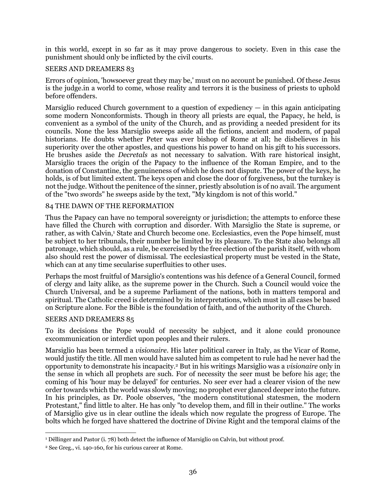in this world, except in so far as it may prove dangerous to society. Even in this case the punishment should only be inflicted by the civil courts.

## SEERS AND DREAMERS 83

Errors of opinion, 'howsoever great they may be,' must on no account be punished. Of these Jesus is the judge.in a world to come, whose reality and terrors it is the business of priests to uphold before offenders.

Marsiglio reduced Church government to a question of expediency — in this again anticipating some modern Nonconformists. Though in theory all priests are equal, the Papacy, he held, is convenient as a symbol of the unity of the Church, and as providing a needed president for its councils. None the less Marsiglio sweeps aside all the fictions, ancient and modern, of papal historians. He doubts whether Peter was ever bishop of Rome at all; he disbelieves in his superiority over the other apostles, and questions his power to hand on his gift to his successors. He brushes aside the *Decretals* as not necessary to salvation. With rare historical insight, Marsiglio traces the origin of the Papacy to the influence of the Roman Empire, and to the donation of Constantine, the genuineness of which he does not dispute. The power of the keys, he holds, is of but limited extent. The keys open and close the door of forgiveness, but the turnkey is not the judge. Without the penitence of the sinner, priestly absolution is of no avail. The argument of the "two swords" he sweeps aside by the text, "My kingdom is not of this world."

## 84 THE DAWN OF THE REFORMATION

Thus the Papacy can have no temporal sovereignty or jurisdiction; the attempts to enforce these have filled the Church with corruption and disorder. With Marsiglio the State is supreme, or rather, as with Calvin,<sup>1</sup> State and Church become one. Ecclesiastics, even the Pope himself, must be subject to her tribunals, their number be limited by its pleasure. To the State also belongs all patronage, which should, as a rule, be exercised by the free election of the parish itself, with whom also should rest the power of dismissal. The ecclesiastical property must be vested in the State, which can at any time secularise superfluities to other uses.

Perhaps the most fruitful of Marsiglio's contentions was his defence of a General Council, formed of clergy and laity alike, as the supreme power in the Church. Such a Council would voice the Church Universal, and be a supreme Parliament of the nations, both in matters temporal and spiritual. The Catholic creed is determined by its interpretations, which must in all cases be based on Scripture alone. For the Bible is the foundation of faith, and of the authority of the Church.

#### SEERS AND DREAMERS 85

 $\overline{a}$ 

To its decisions the Pope would of necessity be subject, and it alone could pronounce excommunication or interdict upon peoples and their rulers.

Marsiglio has been termed a *visionaire*. His later political career in Italy, as the Vicar of Rome, would justify the title. All men would have saluted him as competent to rule had he never had the opportunity to demonstrate his incapacity.<sup>2</sup> But in his writings Marsiglio was a *visionaire* only in the sense in which all prophets are such. For of necessity the seer must be before his age; the coming of his 'hour may be delayed' for centuries. No seer ever had a clearer vision of the new order towards which the world was slowly moving; no prophet ever glanced deeper into the future. In his principles, as Dr. Poole observes, "the modern constitutional statesmen, the modern Protestant," find little to alter. He has only "to develop them, and fill in their outline." The works of Marsiglio give us in clear outline the ideals which now regulate the progress of Europe. The bolts which he forged have shattered the doctrine of Divine Right and the temporal claims of the

<sup>1</sup> Dëllinger and Pastor (i. 78) both detect the influence of Marsiglio on Calvin, but without proof.

<sup>2</sup> See Greg., vi. 140-160, for his curious career at Rome.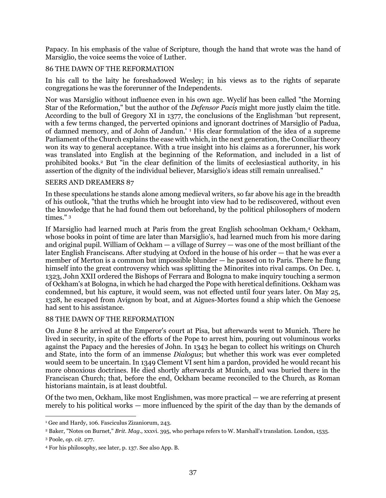Papacy. In his emphasis of the value of Scripture, though the hand that wrote was the hand of Marsiglio, the voice seems the voice of Luther.

# 86 THE DAWN OF THE REFORMATION

In his call to the laity he foreshadowed Wesley; in his views as to the rights of separate congregations he was the forerunner of the Independents.

Nor was Marsiglio without influence even in his own age. Wyclif has been called "the Morning Star of the Reformation," but the author of the *Defensor Pacis* might more justly claim the title. According to the bull of Gregory XI in 1377, the conclusions of the Englishman 'but represent, with a few terms changed, the perverted opinions and ignorant doctrines of Marsiglio of Padua, of damned memory, and of John of Jandun.' <sup>1</sup> His clear formulation of the idea of a supreme Parliament of the Church explains the ease with which, in the next generation, the Conciliar theory won its way to general acceptance. With a true insight into his claims as a forerunner, his work was translated into English at the beginning of the Reformation, and included in a list of prohibited books.<sup>2</sup> But "in the clear definition of the limits of ecclesiastical authority, in his assertion of the dignity of the individual believer, Marsiglio's ideas still remain unrealised."

### SEERS AND DREAMERS 87

In these speculations he stands alone among medieval writers, so far above his age in the breadth of his outlook, "that the truths which he brought into view had to be rediscovered, without even the knowledge that he had found them out beforehand, by the political philosophers of modern times." <sup>3</sup>

If Marsiglio had learned much at Paris from the great English schoolman Ockham,<sup>4</sup> Ockham, whose books in point of time are later than Marsiglio's, had learned much from his more daring and original pupil. William of Ockham — a village of Surrey — was one of the most brilliant of the later English Franciscans. After studying at Oxford in the house of his order — that he was ever a member of Merton is a common but impossible blunder — he passed on to Paris. There he flung himself into the great controversy which was splitting the Minorites into rival camps. On Dec. 1, 1323, John XXII ordered the Bishops of Ferrara and Bologna to make inquiry touching a sermon of Ockham's at Bologna, in which he had charged the Pope with heretical definitions. Ockham was condemned, but his capture, it would seem, was not effected until four years later. On May 25, 1328, he escaped from Avignon by boat, and at Aigues-Mortes found a ship which the Genoese had sent to his assistance.

#### 88 THE DAWN OF THE REFORMATION

On June 8 he arrived at the Emperor's court at Pisa, but afterwards went to Munich. There he lived in security, in spite of the efforts of the Pope to arrest him, pouring out voluminous works against the Papacy and the heresies of John. In 1343 he began to collect his writings on Church and State, into the form of an immense *Dialogus*; but whether this work was ever completed would seem to be uncertain. In 1349 Clement VI sent him a pardon, provided he would recant his more obnoxious doctrines. He died shortly afterwards at Munich, and was buried there in the Franciscan Church; that, before the end, Ockham became reconciled to the Church, as Roman historians maintain, is at least doubtful.

Of the two men, Ockham, like most Englishmen, was more practical — we are referring at present merely to his political works — more influenced by the spirit of the day than by the demands of

 $\overline{a}$ <sup>1</sup> Gee and Hardy, 106. Fasciculus Zizaniorum, 243.

<sup>2</sup> Baker, "Notes on Burnet," *Brit. Mag.,* xxxvi. 395, who perhaps refers to W. Marshall's translation. London, 1535.

<sup>3</sup> Poole, *op. cit*. 277.

<sup>4</sup> For his philosophy, see later, p. 137. See also App. B.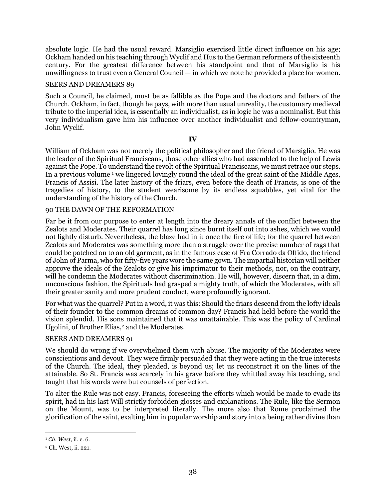absolute logic. He had the usual reward. Marsiglio exercised little direct influence on his age; Ockham handed on his teaching through Wyclif and Hus to the German reformers of the sixteenth century. For the greatest difference between his standpoint and that of Marsiglio is his unwillingness to trust even a General Council — in which we note he provided a place for women.

#### SEERS AND DREAMERS 89

Such a Council, he claimed, must be as fallible as the Pope and the doctors and fathers of the Church. Ockham, in fact, though he pays, with more than usual unreality, the customary medieval tribute to the imperial idea, is essentially an individualist, as in logic he was a nominalist. But this very individualism gave him his influence over another individualist and fellow-countryman, John Wyclif.

### **IV**

William of Ockham was not merely the political philosopher and the friend of Marsiglio. He was the leader of the Spiritual Franciscans, those other allies who had assembled to the help of Lewis against the Pope. To understand the revolt of the Spiritual Franciscans, we must retrace our steps. In a previous volume <sup>1</sup> we lingered lovingly round the ideal of the great saint of the Middle Ages, Francis of Assisi. The later history of the friars, even before the death of Francis, is one of the tragedies of history, to the student wearisome by its endless squabbles, yet vital for the understanding of the history of the Church.

### 90 THE DAWN OF THE REFORMATION

Far be it from our purpose to enter at length into the dreary annals of the conflict between the Zealots and Moderates. Their quarrel has long since burnt itself out into ashes, which we would not lightly disturb. Nevertheless, the blaze had in it once the fire of life; for the quarrel between Zealots and Moderates was something more than a struggle over the precise number of rags that could be patched on to an old garment, as in the famous case of Fra Corrado da Offido, the friend of John of Parma, who for fifty-five years wore the same gown. The impartial historian will neither approve the ideals of the Zealots or give his imprimatur to their methods, nor, on the contrary, will he condemn the Moderates without discrimination. He will, however, discern that, in a dim, unconscious fashion, the Spirituals had grasped a mighty truth, of which the Moderates, with all their greater sanity and more prudent conduct, were profoundly ignorant.

For what was the quarrel? Put in a word, it was this: Should the friars descend from the lofty ideals of their founder to the common dreams of common day? Francis had held before the world the vision splendid. His sons maintained that it was unattainable. This was the policy of Cardinal Ugolini, of Brother Elias,<sup>2</sup> and the Moderates.

#### SEERS AND DREAMERS 91

We should do wrong if we overwhelmed them with abuse. The majority of the Moderates were conscientious and devout. They were firmly persuaded that they were acting in the true interests of the Church. The ideal, they pleaded, is beyond us; let us reconstruct it on the lines of the attainable. So St. Francis was scarcely in his grave before they whittled away his teaching, and taught that his words were but counsels of perfection.

To alter the Rule was not easy. Francis, foreseeing the efforts which would be made to evade its spirit, had in his last Will strictly forbidden glosses and explanations. The Rule, like the Sermon on the Mount, was to be interpreted literally. The more also that Rome proclaimed the glorification of the saint, exalting him in popular worship and story into a being rather divine than

<sup>1</sup> *Ch. West*, ii. c. 6.

<sup>2</sup> Ch. West, ii. 221.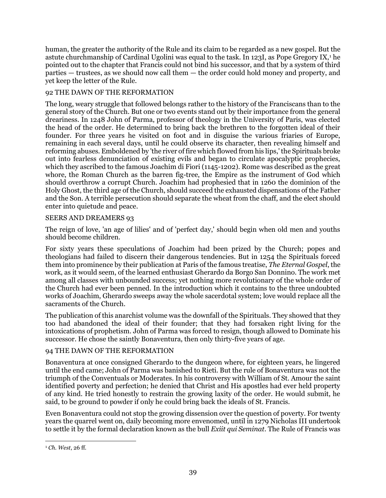human, the greater the authority of the Rule and its claim to be regarded as a new gospel. But the astute churchmanship of Cardinal Ugolini was equal to the task. In 123I, as Pope Gregory IX,<sup>1</sup> he pointed out to the chapter that Francis could not bind his successor, and that by a system of third parties — trustees, as we should now call them — the order could hold money and property, and yet keep the letter of the Rule.

# 92 THE DAWN OF THE REFORMATION

The long, weary struggle that followed belongs rather to the history of the Franciscans than to the general story of the Church. But one or two events stand out by their importance from the general dreariness. In 1248 John of Parma, professor of theology in the University of Paris, was elected the head of the order. He determined to bring back the brethren to the forgotten ideal of their founder. For three years he visited on foot and in disguise the various friaries of Europe, remaining in each several days, until he could observe its character, then revealing himself and reforming abuses. Emboldened by 'the river of fire which flowed from his lips,' the Spirituals broke out into fearless denunciation of existing evils and began to circulate apocalyptic prophecies, which they ascribed to the famous Joachim di Fiori (1145-1202). Rome was described as the great whore, the Roman Church as the barren fig-tree, the Empire as the instrument of God which should overthrow a corrupt Church. Joachim had prophesied that in 1260 the dominion of the Holy Ghost, the third age of the Church, should succeed the exhausted dispensations of the Father and the Son. A terrible persecution should separate the wheat from the chaff, and the elect should enter into quietude and peace.

# SEERS AND DREAMERS 93

The reign of love, 'an age of lilies' and of 'perfect day,' should begin when old men and youths should become children.

For sixty years these speculations of Joachim had been prized by the Church; popes and theologians had failed to discern their dangerous tendencies. But in 1254 the Spirituals forced them into prominence by their publication at Paris of the famous treatise, *The Eternal Gospel*, the work, as it would seem, of the learned enthusiast Gherardo da Borgo San Donnino. The work met among all classes with unbounded success; yet nothing more revolutionary of the whole order of the Church had ever been penned. In the introduction which it contains to the three undoubted works of Joachim, Gherardo sweeps away the whole sacerdotal system; love would replace all the sacraments of the Church.

The publication of this anarchist volume was the downfall of the Spirituals. They showed that they too had abandoned the ideal of their founder; that they had forsaken right living for the intoxications of prophetism. John of Parma was forced to resign, though allowed to Dominate his successor. He chose the saintly Bonaventura, then only thirty-five years of age.

# 94 THE DAWN OF THE REFORMATION

Bonaventura at once consigned Gherardo to the dungeon where, for eighteen years, he lingered until the end came; John of Parma was banished to Rieti. But the rule of Bonaventura was not the triumph of the Conventuals or Moderates. In his controversy with William of St. Amour the saint identified poverty and perfection; he denied that Christ and His apostles had ever held property of any kind. He tried honestly to restrain the growing laxity of the order. He would submit, he said, to be ground to powder if only he could bring back the ideals of St. Francis.

Even Bonaventura could not stop the growing dissension over the question of poverty. For twenty years the quarrel went on, daily becoming more envenomed, until in 1279 Nicholas III undertook to settle it by the formal declaration known as the bull *Exiit qui Seminat*. The Rule of Francis was

 $\overline{a}$ <sup>1</sup> *Ch. West*, 26 ff.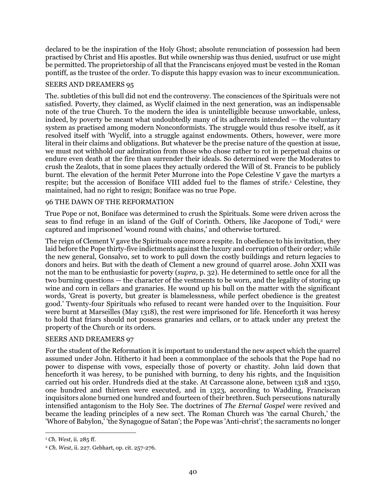declared to be the inspiration of the Holy Ghost; absolute renunciation of possession had been practised by Christ and His apostles. But while ownership was thus denied, usufruct or use might be permitted. The proprietorship of all that the Franciscans enjoyed must be vested in the Roman pontiff, as the trustee of the order. To dispute this happy evasion was to incur excommunication.

### SEERS AND DREAMERS 95

The. subtleties of this bull did not end the controversy. The consciences of the Spirituals were not satisfied. Poverty, they claimed, as Wyclif claimed in the next generation, was an indispensable note of the true Church. To the modern the idea is unintelligible because unworkable, unless, indeed, by poverty be meant what undoubtedly many of its adherents intended — the voluntary system as practised among modern Nonconformists. The struggle would thus resolve itself, as it resolved itself with 'Wyclif, into a struggle against endowments. Others, however, were more literal in their claims and obligations. But whatever be the precise nature of the question at issue, we must not withhold our admiration from those who chose rather to rot in perpetual chains or endure even death at the fire than surrender their ideals. So determined were the Moderates to crush the Zealots, that in some places they actually ordered the Will of St. Francis to be publicly burnt. The elevation of the hermit Peter Murrone into the Pope Celestine V gave the martyrs a respite; but the accession of Boniface VIII added fuel to the flames of strife.<sup>1</sup> Celestine, they maintained, had no right to resign; Boniface was no true Pope.

### 96 THE DAWN OF THE REFORMATION

True Pope or not, Boniface was determined to crush the Spirituals. Some were driven across the seas to find refuge in an island of the Gulf of Corinth. Others, like Jacopone of Todi,<sup>2</sup> were captured and imprisoned 'wound round with chains,' and otherwise tortured.

The reign of Clement V gave the Spirituals once more a respite. In obedience to his invitation, they laid before the Pope thirty-five indictments against the luxury and corruption of their order; while the new general, Gonsalvo, set to work to pull down the costly buildings and return legacies to donors and heirs. But with the death of Clement a new ground of quarrel arose. John XXII was not the man to be enthusiastic for poverty (*supra*, p. 32). He determined to settle once for all the two burning questions — the character of the vestments to be worn, and the legality of storing up wine and corn in cellars and granaries. He wound up his bull on the matter with the significant words, 'Great is poverty, but greater is blamelessness, while perfect obedience is the greatest good.' Twenty-four Spirituals who refused to recant were handed over to the Inquisition. Four were burnt at Marseilles (May 1318), the rest were imprisoned for life. Henceforth it was heresy to hold that friars should not possess granaries and cellars, or to attack under any pretext the property of the Church or its orders.

#### SEERS AND DREAMERS 97

For the student of the Reformation it is important to understand the new aspect which the quarrel assumed under John. Hitherto it had been a commonplace of the schools that the Pope had no power to dispense with vows, especially those of poverty or chastity. John laid down that henceforth it was heresy, to be punished with burning, to deny his rights, and the Inquisition carried out his order. Hundreds died at the stake. At Carcassone alone, between 1318 and 1350, one hundred and thirteen were executed, and in 1323, according to Wadding, Franciscan inquisitors alone burned one hundred and fourteen of their brethren. Such persecutions naturally intensified antagonism to the Holy See. The doctrines of *The Eternal Gospel* were revived and became the leading principles of a new sect. The Roman Church was 'the carnal Church,' the 'Whore of Babylon,' 'the Synagogue of Satan'; the Pope was 'Anti-christ'; the sacraments no longer

<sup>1</sup> *Ch. West*, ii. 285 ff.

<sup>2</sup> *Ch. West*, ii. 227. Gebhart, op. cit. 257-276.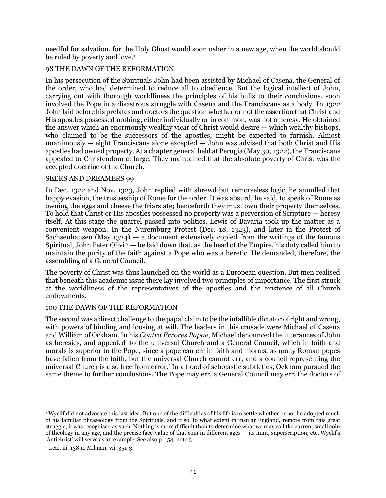needful for salvation, for the Holy Ghost would soon usher in a new age, when the world should be ruled by poverty and love.<sup>1</sup>

# 98 THE DAWN OF THE REFORMATION

In his persecution of the Spirituals John had been assisted by Michael of Casena, the General of the order, who had determined to reduce all to obedience. But the logical intellect of John, carrying out with thorough worldliness the principles of his bulls to their conclusions, soon involved the Pope in a disastrous struggle with Casena and the Franciscans as a body. In 1322 John laid before his prelates and doctors the question whether or not the assertion that Christ and His apostles possessed nothing, either individually or in common, was not a heresy. He obtained the answer which an enormously wealthy vicar of Christ would desire — which wealthy bishops, who claimed to be the successors of the apostles, might be expected to furnish. Almost unanimously  $-$  eight Franciscans alone excepted  $-$  John was advised that both Christ and His apostles had owned property. At a chapter general held at Perugia (May 30, 1322), the Franciscans appealed to Christendom at large. They maintained that the absolute poverty of Christ was the accepted doctrine of the Church.

### SEERS AND DREAMERS 99

In Dec. 1322 and Nov. 1323, John replied with shrewd but remorseless logic, he annulled that happy evasion, the trusteeship of Rome for the order. It was absurd, he said, to speak of Rome as owning the eggs and cheese the friars ate; henceforth they must own their property themselves. To hold that Christ or His apostles possessed no property was a perversion of Scripture — heresy itself. At this stage the quarrel passed into politics. Lewis of Bavaria took up the matter as a convenient weapon. In the Nuremburg Protest (Dec. 18, 1323), and later in the Protest of Sachsenhausen (May 1324) — a document extensively copied from the writings of the famous Spiritual, John Peter Olivi  $2 - h$ e laid down that, as the head of the Empire, his duty called him to maintain the purity of the faith against a Pope who was a heretic. He demanded, therefore, the assembling of a General Council.

The poverty of Christ was thus launched on the world as a European question. But men realised that beneath this academic issue there lay involved two principles of importance. The first struck at the worldliness of the representatives of the apostles and the existence of all Church endowments.

#### 100 THE DAWN OF THE REFORMATION

The second was a direct challenge to the papal claim to be the infallible dictator of right and wrong, with powers of binding and loosing at will. The leaders in this crusade were Michael of Casena and William of Ockham. In his *Contra Errores Papae*, Michael denounced the utterances of John as heresies, and appealed 'to the universal Church and a General Council, which in faith and morals is superior to the Pope, since a pope can err in faith and morals, as many Roman popes have fallen from the faith, but the universal Church cannot err, and a council representing the universal Church is also free from error.' In a flood of scholastic subtleties, Ockham pursued the same theme to further conclusions. The Pope may err, a General Council may err, the doctors of

l <sup>1</sup> Wyclif did not advocate this last idea. But one of the difficulties of his life is to settle whether or not he adopted much of his familiar phraseology from tbe Spirituals, and if so, to what extent in insular England, remote from this great struggle, it was recognised as such. Nothing is more difficult than to determine wbat we may call the current small coin of theology in any age, and the precise face-value of that coin in different ages — its mint, superscription, etc. Wyclif's 'Antichrist' will serve as an example. See also p. 154, note 3.

<sup>2</sup> Lea., iii. 138 n. Milman, vii. 351-3.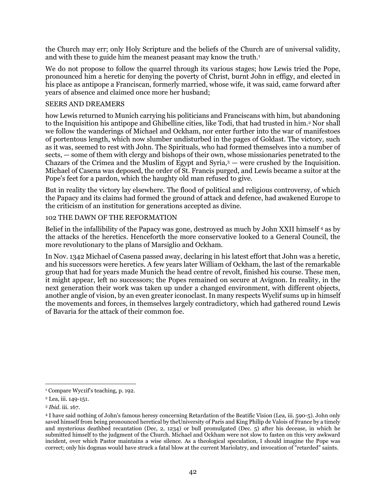the Church may err; only Holy Scripture and the beliefs of the Church are of universal validity, and with these to guide him the meanest peasant may know the truth.<sup>1</sup>

We do not propose to follow the quarrel through its various stages; how Lewis tried the Pope, pronounced him a heretic for denying the poverty of Christ, burnt John in effigy, and elected in his place as antipope a Franciscan, formerly married, whose wife, it was said, came forward after years of absence and claimed once more her husband;

### SEERS AND DREAMERS

how Lewis returned to Munich carrying his politicians and Franciscans with him, but abandoning to the Inquisition his antipope and Ghibelline cities, like Todi, that had trusted in him.<sup>2</sup> Nor shall we follow the wanderings of Michael and Ockham, nor enter further into the war of manifestoes of portentous length, which now slumber undisturbed in the pages of Goldast. The victory, such as it was, seemed to rest with John. The Spirituals, who had formed themselves into a number of sects, — some of them with clergy and bishops of their own, whose missionaries penetrated to the Chazars of the Crimea and the Muslim of Egypt and Syria, $3$  — were crushed by the Inquisition. Michael of Casena was deposed, the order of St. Francis purged, and Lewis became a suitor at the Pope's feet for a pardon, which the haughty old man refused to give.

But in reality the victory lay elsewhere. The flood of political and religious controversy, of which the Papacy and its claims had formed the ground of attack and defence, had awakened Europe to the criticism of an institution for generations accepted as divine.

# 102 THE DAWN OF THE REFORMATION

Belief in the infallibility of the Papacy was gone, destroyed as much by John XXII himself <sup>4</sup> as by the attacks of the heretics. Henceforth the more conservative looked to a General Council, the more revolutionary to the plans of Marsiglio and Ockham.

In Nov. 1342 Michael of Casena passed away, declaring in his latest effort that John was a heretic, and his successors were heretics. A few years later William of Ockham, the last of the remarkable group that had for years made Munich the head centre of revolt, finished his course. These men, it might appear, left no successors; the Popes remained on secure at Avignon. In reality, in the next generation their work was taken up under a changed environment, with different objects, another angle of vision, by an even greater iconoclast. In many respects Wyclif sums up in himself the movements and forces, in themselves largely contradictory, which had gathered round Lewis of Bavaria for the attack of their common foe.

 $\overline{a}$ <sup>1</sup> Compare Wyc1if's teaching, p. 192.

<sup>2</sup> Lea, iii. 149-151.

<sup>3</sup> *Ibid*. iii. 167.

<sup>4</sup> I have said nothing of John's famous heresy concerning Retardation of the Beatific Vision (Lea, iii. 590-5). John only saved himself from being pronounced heretical by theUniversity of Paris and King Philip de Valois of France by a timely and mysterious deathbed recantation (Dec, 2, 1234) or bull promulgated (Dec. 5) after his decease, in which he submitted himself to the judgment of the Church. Michael and Ockham were not slow to fasten on this very awkward incident, over which Pastor maintains a wise silence. As a theological speculation, I should imagine the Pope was correct; only his dogmas would have struck a fatal blow at the current Mariolatry, and invocation of "retarded" saints.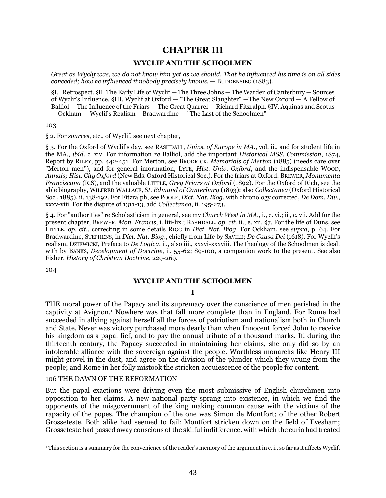# **CHAPTER III**

### **WYCLIF AND THE SCHOOLMEN**

*Great as Wyclif was, we do not know him yet as we should. That he influenced his time is on all sides conceded; how he influenced it nobody precisely knows.* — BUDDENSIEG (1883).

§I. Retrospect. §II. The Early Life of Wyclif — The Three Johns — The Warden of Canterbury — Sources of Wyclif's Influence. §III. Wyclif at Oxford — "The Great Slaughter" —The New Oxford — A Fellow of Balliol — The Influence of the Friars — The Great Quarrel — Richard Fitzralph. §IV. Aquinas and Scotus — Ockham — Wyclif's Realism —Bradwardine — "The Last of the Schoolmen"

103

§ 2. For *sources*, etc., of Wyclif, see next chapter,

§ 3. For the Oxford of Wyclif's day, see RASHDALL, *Univs. of Europe in MA*., vol. ii., and for student life in the MA., *ibid*. c. xiv. For information *re* Balliol, add the important *Historical MSS. Commission*, 1874, Report by RILEY, pp. 442-451. For Merton, see BRODRICK, *Memorials of Merton* (1885) (needs care over "Merton men"), and for general information, LYTE, *Hist. Univ. Oxford*, and the indispensable WOOD, *Annals; Hist. City Oxford* (New Eds. Oxford Historical Soc.). For the friars at Oxford: BREWER, *Monumenta Franciscana* (R.S), and the valuable LITTLE, *Grey Friars at Oxford* (1892). For the Oxford of Rich, see the able biography, WILFRED WALLACE*, St. Edmund of Canterbury* (1893); also *Collectanea* (Oxford Historical Soc., 1885), ii. 138-192. For Fitzralph, see POOLE, *Dict. Nat. Biog*. with chronology corrected, *De Dom. Div*., xxxv-viii. For the dispute of 1311-13, add *Collectanea*, ii. 195-273.

§ 4. For "authorities" re Scholasticism in general, see my *Church West in MA*., i., c. vi.; ii., c. vii. Add for the present chapter, BREWER, *Mon. Francis*, i. liii-lix.; RASHDALL, *op. cit.* ii., e. xii. §7. For the life of Duns, see LITTLE, *op. cit.*, correcting in some details RIGG in *Dict. Nat. Biog*. For Ockham, see *supra*, p. 64. For Bradwardine, STEPHENS, in *Dict. Nat. Biog*., chiefly from Life by SAVILE; *De Causa Dei* (1618). For Wyclif's realism, DZIEWICKI, Preface to *De Logica*, ii., also iii., xxxvi-xxxviii. The theology of the Schoolmen is dealt with by BANKS, *Development of Doctrine*, ii. 55-62; 89-100, a companion work to the present. See also Fisher, *History of Christian Doctrine*, 229-269.

104

#### **WYCLIF AND THE SCHOOLMEN**

#### **I**

THE moral power of the Papacy and its supremacy over the conscience of men perished in the captivity at Avignon.<sup>1</sup> Nowhere was that fall more complete than in England. For Rome had succeeded in allying against herself all the forces of patriotism and nationalism both in Church and State. Never was victory purchased more dearly than when Innocent forced John to receive his kingdom as a papal fief, and to pay the annual tribute of a thousand marks. If, during the thirteenth century, the Papacy succeeded in maintaining her claims, she only did so by an intolerable alliance with the sovereign against the people. Worthless monarchs like Henry III might grovel in the dust, and agree on the division of the plunder which they wrung from the people; and Rome in her folly mistook the stricken acquiescence of the people for content.

#### 106 THE DAWN OF THE REFORMATION

But the papal exactions were driving even the most submissive of English churchmen into opposition to her claims. A new national party sprang into existence, in which we find the opponents of the misgovernment of the king making common cause with the victims of the rapacity of the popes. The champion of the one was Simon de Montfort; of the other Robert Grosseteste. Both alike had seemed to fail: Montfort stricken down on the field of Evesham; Grosseteste had passed away conscious of the skilful indifference. with which the curia had treated

 $\overline{a}$ <sup>1</sup>This section is a summary for the convenience of the reader's memory of the argument in c. i., so far as it affects Wyclif.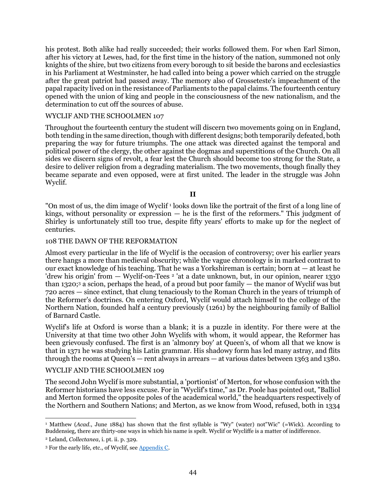his protest. Both alike had really succeeded; their works followed them. For when Earl Simon, after his victory at Lewes, had, for the first time in the history of the nation, summoned not only knights of the shire, but two citizens from every borough to sit beside the barons and ecclesiastics in his Parliament at Westminster, he had called into being a power which carried on the struggle after the great patriot had passed away. The memory also of Grosseteste's impeachment of the papal rapacity lived on in the resistance of Parliaments to the papal claims. The fourteenth century opened with the union of king and people in the consciousness of the new nationalism, and the determination to cut off the sources of abuse.

#### WYCLIF AND THE SCHOOLMEN 107

Throughout the fourteenth century the student will discern two movements going on in England, both tending in the same direction, though with different designs; both temporarily defeated, both preparing the way for future triumphs. The one attack was directed against the temporal and political power of the clergy, the other against the dogmas and superstitions of the Church. On all sides we discern signs of revolt, a fear lest the Church should become too strong for the State, a desire to deliver religion from a degrading materialism. The two movements, though finally they became separate and even opposed, were at first united. The leader in the struggle was John Wyclif.

**II**

"On most of us, the dim image of Wyclif<sup>1</sup> looks down like the portrait of the first of a long line of kings, without personality or expression  $-$  he is the first of the reformers." This judgment of Shirley is unfortunately still too true, despite fifty years' efforts to make up for the neglect of centuries.

#### 108 THE DAWN OF THE REFORMATION

Almost every particular in the life of Wyclif is the occasion of controversy; over his earlier years there hangs a more than medieval obscurity; while the vague chronology is in marked contrast to our exact knowledge of his teaching. That he was a Yorkshireman is certain; born at  $-$  at least he 'drew his origin' from — Wyclif-on-Tees<sup>2</sup> 'at a date unknown, but, in our opinion, nearer 1330 than 1320;<sup>3</sup> a scion, perhaps the head, of a proud but poor family  $-$  the manor of Wyclif was but 720 acres — since extinct, that clung tenaciously to the Roman Church in the years of triumph of the Reformer's doctrines. On entering Oxford, Wyclif would attach himself to the college of the Northern Nation, founded half a century previously (1261) by the neighbouring family of Balliol of Barnard Castle.

Wyclif's life at Oxford is worse than a blank; it is a puzzle in identity. For there were at the University at that time two other John Wyclifs with whom, it would appear, the Reformer has been grievously confused. The first is an 'almonry boy' at Queen's, of whom all that we know is that in 1371 he was studying his Latin grammar. His shadowy form has led many astray, and flits through the rooms at Queen's — rent always in arrears — at various dates between 1363 and 1380.

### WYCLIF AND THE SCHOOLMEN 109

The second John Wyclif is more substantial, a 'portionist' of Merton, for whose confusion with the Reformer historians have less excuse. For in "Wyclif's time," as Dr. Poole has pointed out, "Balliol and Merton formed the opposite poles of the academical world," the headquarters respectively of the Northern and Southern Nations; and Merton, as we know from Wood, refused, both in 1334

 $\overline{a}$ <sup>1</sup> Matthew (*Acad.*, June 1884) has shown that the first syllable is "Wy" (water) not "Wic" (=Wick). According to Buddensieg, there are thirty-one ways in which his name is spelt. Wyclif or Wycliffe is a matter of indifference.

<sup>2</sup> Leland, *Collectanea*, i. pt. ii. p. 329.

<sup>3</sup> For the early life, etc., of Wyclif, se[e Appendix C.](#page-108-0)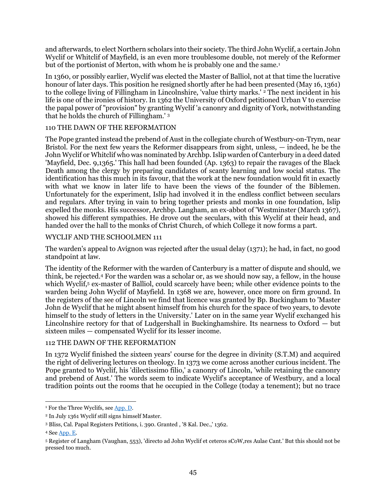and afterwards, to elect Northern scholars into their society. The third John Wyclif, a certain John Wyclif or Whitclif of Mayfield, is an even more troublesome double, not merely of the Reformer but of the portionist of Merton, with whom he is probably one and the same.<sup>1</sup>

In 1360, or possibly earlier, Wyclif was elected the Master of Balliol, not at that time the lucrative honour of later days. This position he resigned shortly after he had been presented (May 16, 1361) to the college living of Fillingham in Lincolnshire, 'value thirty marks.'  $2$  The next incident in his life is one of the ironies of history. In 1362 the University of Oxford petitioned Urban V to exercise the papal power of "provision" by granting Wyclif 'a canonry and dignity of York, notwithstanding that he holds the church of Fillingham.' <sup>3</sup>

### 110 THE DAWN OF THE REFORMATION

The Pope granted instead the prebend of Aust in the collegiate church of Westbury-on-Trym, near Bristol. For the next few years the Reformer disappears from sight, unless, — indeed, he be the John Wyclif or Whitclif who was nominated by Archbp. Islip warden of Canterbury in a deed dated 'Mayfield, Dec. 9,1365.' This hall had been founded (Ap. 1363) to repair the ravages of the Black Death among the clergy by preparing candidates of scanty learning and low social status. The identification has this much in its favour, that the work at the new foundation would fit in exactly with what we know in later life to have been the views of the founder of the Biblemen. Unfortunately for the experiment, Islip had involved it in the endless conflict between seculars and regulars. After trying in vain to bring together priests and monks in one foundation, Islip expelled the monks. His successor, Archbp. Langham, an ex-abbot of 'Westminster (March 1367), showed his different sympathies. He drove out the seculars, with this Wyclif at their head, and handed over the hall to the monks of Christ Church, of which College it now forms a part.

### WYCLIF AND THE SCHOOLMEN 111

The warden's appeal to Avignon was rejected after the usual delay (1371); he had, in fact, no good standpoint at law.

The identity of the Reformer with the warden of Canterbury is a matter of dispute and should, we think, be rejected.<sup>4</sup> For the warden was a scholar or, as we should now say, a fellow, in the house which Wyclif,<sup>5</sup> ex-master of Balliol, could scarcely have been; while other evidence points to the warden being John Wyclif of Mayfield. In 1368 we are, however, once more on firm ground. In the registers of the see of Lincoln we find that licence was granted by Bp. Buckingham to 'Master John de Wyclif that he might absent himself from his church for the space of two years, to devote himself to the study of letters in the University.' Later on in the same year Wyclif exchanged his Lincolnshire rectory for that of Ludgershall in Buckinghamshire. Its nearness to Oxford — but sixteen miles — compensated Wyclif for its lesser income.

### 112 THE DAWN OF THE REFORMATION

In 1372 Wyclif finished the sixteen years' course for the degree in divinity (S.T.M) and acquired the right of delivering lectures on theology. In 1373 we come across another curious incident. The Pope granted to Wyclif, his 'dilectissimo filio,' a canonry of Lincoln, 'while retaining the canonry and prebend of Aust.' The words seem to indicate Wyclif's acceptance of Westbury, and a local tradition points out the rooms that he occupied in the College (today a tenement); but no trace

l

<sup>&</sup>lt;sup>1</sup> For the Three Wyclifs, see [App. D.](#page-108-1)

<sup>2</sup> In July 1361 Wyclif still signs himself Master.

<sup>3</sup> Bliss, Cal. Papal Registers Petitions, i. 390. Granted , '8 Kal. Dec.,' 1362.

<sup>4</sup> Se[e App. E.](#page-109-0)

<sup>5</sup> Register of Langham (Vaughan, 553), 'directo ad John Wyclif et ceteros sCoW,res Aulae Cant.' But this should not be pressed too much.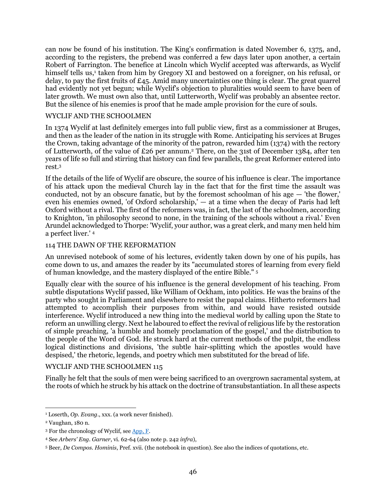can now be found of his institution. The King's confirmation is dated November 6, 1375, and, according to the registers, the prebend was conferred a few days later upon another, a certain Robert of Farrington. The benefice at Lincoln which Wyclif accepted was afterwards, as Wyclif himself tells us,<sup>1</sup> taken from him by Gregory XI and bestowed on a foreigner, on his refusal, or delay, to pay the first fruits of £45. Amid many uncertainties one thing is clear. The great quarrel had evidently not yet begun; while Wyclif's objection to pluralities would seem to have been of later growth. We must own also that, until Lutterworth, Wyclif was probably an absentee rector. But the silence of his enemies is proof that he made ample provision for the cure of souls.

### WYCLIF AND THE SCHOOLMEN

In 1374 Wyclif at last definitely emerges into full public view, first as a commissioner at Bruges, and then as the leader of the nation in its struggle with Rome. Anticipating his services at Bruges the Crown, taking advantage of the minority of the patron, rewarded him (1374) with the rectory of Lutterworth, of the value of £26 per annum.<sup>2</sup> There, on the 31st of December 1384, after ten years of life so full and stirring that history can find few parallels, the great Reformer entered into rest.<sup>3</sup>

If the details of the life of Wyclif are obscure, the source of his influence is clear. The importance of his attack upon the medieval Church lay in the fact that for the first time the assault was conducted, not by an obscure fanatic, but by the foremost schoolman of his age  $-$  'the flower,' even his enemies owned, 'of Oxford scholarship,' — at a time when the decay of Paris had left Oxford without a rival. The first of the reformers was, in fact, the last of the schoolmen, according to Knighton, 'in philosophy second to none, in the training of the schools without a rival.' Even Arundel acknowledged to Thorpe: 'Wyclif, your author, was a great clerk, and many men held him a perfect liver.' <sup>4</sup>

### 114 THE DAWN OF THE REFORMATION

An unrevised notebook of some of his lectures, evidently taken down by one of his pupils, has come down to us, and amazes the reader by its "accumulated stores of learning from every field of human knowledge, and the mastery displayed of the entire Bible." <sup>5</sup>

Equally clear with the source of his influence is the general development of his teaching. From subtle disputations Wyclif passed, like William of Ockham, into politics. He was the brains of the party who sought in Parliament and elsewhere to resist the papal claims. Hitherto reformers had attempted to accomplish their purposes from within, and would have resisted outside interference. Wyclif introduced a new thing into the medieval world by calling upon the State to reform an unwilling clergy. Next he laboured to effect the revival of religious life by the restoration of simple preaching, 'a humble and homely proclamation of the gospel,' and the distribution to the people of the Word of God. He struck hard at the current methods of the pulpit, the endless logical distinctions and divisions, 'the subtle hair-splitting which the apostles would have despised,' the rhetoric, legends, and poetry which men substituted for the bread of life.

### WYCLIF AND THE SCHOOLMEN 115

Finally he felt that the souls of men were being sacrificed to an overgrown sacramental system, at the roots of which he struck by his attack on the doctrine of transubstantiation. In all these aspects

<sup>1</sup> Loserth, *Op. Evang*., xxx. (a work never finished).

<sup>2</sup> Vaughan, 180 n.

<sup>&</sup>lt;sup>3</sup> For the chronology of Wyclif, see [App, F.](#page-110-0)

<sup>4</sup> See *Arbers' Eng. Garner*, vi. 62-64 (also note p. 242 *infra*),

<sup>5</sup> Beer, *De Compos. Hominis*, Pref. xvii. (the notebook in question). See also the indices of quotations, etc.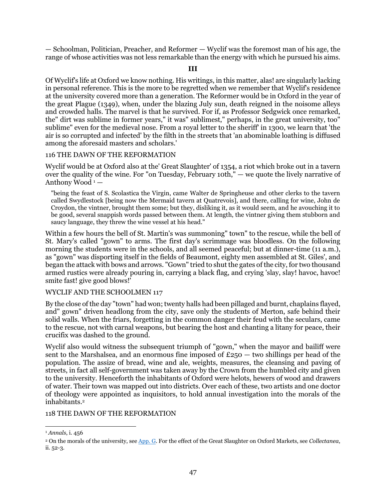— Schoolman, Politician, Preacher, and Reformer — Wyclif was the foremost man of his age, the range of whose activities was not less remarkable than the energy with which he pursued his aims.

**III**

Of Wyclif's life at Oxford we know nothing. His writings, in this matter, alas! are singularly lacking in personal reference. This is the more to be regretted when we remember that Wyclif's residence at the university covered more than a generation. The Reformer would be in Oxford in the year of the great Plague (1349), when, under the blazing July sun, death reigned in the noisome alleys and crowded halls. The marvel is that he survived. For if, as Professor Sedgwick once remarked, the" dirt was sublime in former years," it was" sublimest," perhaps, in the great university, too" sublime" even for the medieval nose. From a royal letter to the sheriff' in 1300, we learn that 'the air is so corrupted and infected' by the filth in the streets that 'an abominable loathing is diffused among the aforesaid masters and scholars.'

#### 116 THE DAWN OF THE REFORMATION

Wyclif would be at Oxford also at the' Great Slaughter' of 1354, a riot which broke out in a tavern over the quality of the wine. For "on Tuesday, February 10th," — we quote the lively narrative of Anthony Wood<sup>1</sup> –

"being the feast of S. Scolastica the Virgin, came Walter de Springheuse and other clerks to the tavern called Swydlestock [being now the Mermaid tavern at Quatrevois], and there, calling for wine, John de Croydon, the vintner, brought them some; but they, disliking it, as it would seem, and he avouching it to be good, several snappish words passed between them. At length, the vintner giving them stubborn and saucy language, they threw the wine vessel at his head."

Within a few hours the bell of St. Martin's was summoning" town" to the rescue, while the bell of St. Mary's called "gown" to arms. The first day's scrimmage was bloodless. On the following morning the students were in the schools, and all seemed peaceful; but at dinner-time (11 a.m.), as "gown" was disporting itself in the fields of Beaumont, eighty men assembled at St. Giles', and began the attack with bows and arrows. "Gown" tried to shut the gates of the city, for two thousand armed rustics were already pouring in, carrying a black flag, and crying 'slay, slay! havoc, havoc! smite fast! give good blows!'

#### WYCLIF AND THE SCHOOLMEN 117

By the close of the day "town" had won; twenty halls had been pillaged and burnt, chaplains flayed, and" gown" driven headlong from the city, save only the students of Merton, safe behind their solid walls. When the friars, forgetting in the common danger their feud with the seculars, came to the rescue, not with carnal weapons, but bearing the host and chanting a litany for peace, their crucifix was dashed to the ground.

Wyclif also would witness the subsequent triumph of "gown," when the mayor and bailiff were sent to the Marshalsea, and an enormous fine imposed of  $£250 -$  two shillings per head of the population. The assize of bread, wine and ale, weights, measures, the cleansing and paving of streets, in fact all self-government was taken away by the Crown from the humbled city and given to the university. Henceforth the inhabitants of Oxford were helots, hewers of wood and drawers of water. Their town was mapped out into districts. Over each of these, two artists and one doctor of theology were appointed as inquisitors, to hold annual investigation into the morals of the inhabitants. 2

#### 118 THE DAWN OF THE REFORMATION

 $\overline{a}$ <sup>1</sup> *Annals*, i. 456

<sup>2</sup> On the morals of the university, see [App. G.](#page-110-1) For the effect of the Great Slaughter on Oxford Markets, see *Collectanea*, ii. 52-3.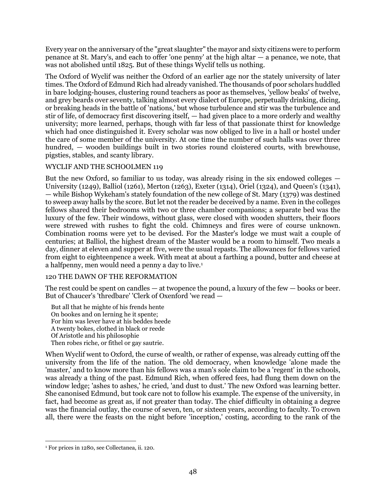Every year on the anniversary of the "great slaughter" the mayor and sixty citizens were to perform penance at St. Mary's, and each to offer 'one penny' at the high altar — a penance, we note, that was not abolished until 1825. But of these things Wyclif tells us nothing.

The Oxford of Wyclif was neither the Oxford of an earlier age nor the stately university of later times. The Oxford of Edmund Rich had already vanished. The thousands of poor scholars huddled in bare lodging-houses, clustering round teachers as poor as themselves, 'yellow beaks' of twelve, and grey beards over seventy, talking almost every dialect of Europe, perpetually drinking, dicing, or breaking heads in the battle of 'nations,' but whose turbulence and stir was the turbulence and stir of life, of democracy first discovering itself, — had given place to a more orderly and wealthy university; more learned, perhaps, though with far less of that passionate thirst for knowledge which had once distinguished it. Every scholar was now obliged to live in a hall or hostel under the care of some member of the university. At one time the number of such halls was over three hundred, — wooden buildings built in two stories round cloistered courts, with brewhouse, pigsties, stables, and scanty library.

### WYCLIF AND THE SCHOOLMEN 119

But the new Oxford, so familiar to us today, was already rising in the six endowed colleges — University (1249), Balliol (1261), Merton (1263), Exeter (1314), Oriel (1324), and Queen's (1341), — while Bishop Wykeham's stately foundation of the new college of St. Mary (1379) was destined to sweep away halls by the score. But let not the reader be deceived by a name. Even in the colleges fellows shared their bedrooms with two or three chamber companions; a separate bed was the luxury of the few. Their windows, without glass, were closed with wooden shutters, their floors were strewed with rushes to fight the cold. Chimneys and fires were of course unknown. Combination rooms were yet to be devised. For the Master's lodge we must wait a couple of centuries; at Balliol, the highest dream of the Master would be a room to himself. Two meals a day, dinner at eleven and supper at five, were the usual repasts. The allowances for fellows varied from eight to eighteenpence a week. With meat at about a farthing a pound, butter and cheese at a halfpenny, men would need a penny a day to live.<sup>1</sup>

### 120 THE DAWN OF THE REFORMATION

The rest could be spent on candles  $-$  at twopence the pound, a luxury of the few  $-$  books or beer. But of Chaucer's 'thredbare' 'Clerk of Oxenford 'we read —

But all that he mighte of his frends hente On bookes and on lerning he it spente; For him was lever have at his beddes heede A twenty bokes, clothed in black or reede Of Aristotle and his philosophie Then robes riche, or fithel or gay sautrie.

When Wyclif went to Oxford, the curse of wealth, or rather of expense, was already cutting off the university from the life of the nation. The old democracy, when knowledge 'alone made the 'master,' and to know more than his fellows was a man's sole claim to be a 'regent' in the schools, was already a thing of the past. Edmund Rich, when offered fees, had flung them down on the window ledge; 'ashes to ashes,' he cried, 'and dust to dust.' The new Oxford was learning better. She canonised Edmund, but took care not to follow his example. The expense of the university, in fact, had become as great as, if not greater than today. The chief difficulty in obtaining a degree was the financial outlay, the course of seven, ten, or sixteen years, according to faculty. To crown all, there were the feasts on the night before 'inception,' costing, according to the rank of the

 $\overline{a}$ <sup>1</sup> For prices in 1280, see Collectanea, ii. 120.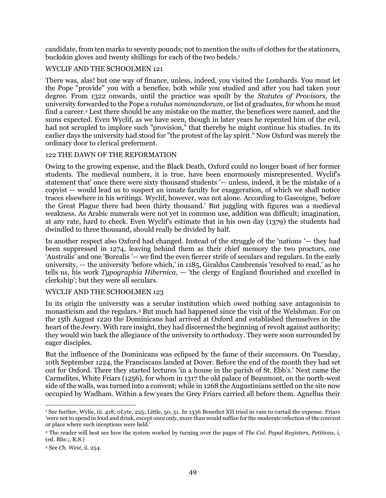candidate, from ten marks to seventy pounds; not to mention the suits of clothes for the stationers, buckskin gloves and twenty shillings for each of the two bedels.<sup>1</sup>

# WYCLIF AND THE SCHOOLMEN 121

There was, alas! but one way of finance, unless, indeed, you visited the Lombards. You must let the Pope "provide" you with a benefice, both while you studied and after you had taken your degree. From 1322 onwards, until the practice was spoilt by the *Statutes of Provisors*, the university forwarded to the Pope a *rotulus nominandorum*, or list of graduates, for whom he must find a career.<sup>2</sup> Lest there should be any mistake on the matter, the benefices were named, and the sums expected. Even Wyclif, as we have seen, though in later years he repented him of the evil, had not scrupled to implore such "provision," that thereby he might continue his studies. In its earlier days the university had stood for "the protest of the lay spirit." Now Oxford was merely the ordinary door to clerical preferment.

### 122 THE DAWN OF THE REFORMATION

Owing to the growing expense, and the Black Death, Oxford could no longer boast of her former students. The medieval numbers, it is true, have been enormously misrepresented. Wyclif's statement that' once there were sixty thousand students '— unless, indeed, it be the mistake of a copyist — would lead us to suspect an innate faculty for exaggeration, of which we shall notice traces elsewhere in his writings. Wyclif, however, was not alone. According to Gascoigne, 'before the Great Plague there had been thirty thousand.' But juggling with figures was a medieval weakness. As Arabic numerals were not yet in common use, addition was difficult; imagination, at any rate, hard to check. Even Wyclif's estimate that in his own day (1379) the students had dwindled to three thousand, should really be divided by half.

In another respect also Oxford had changed. Instead of the struggle of the 'nations '— they had been suppressed in 1274, leaving behind them as their chief memory the two proctors, one 'Australis' and one 'Borealis '— we find the even fiercer strife of seculars and regulars. In the early university, — the university 'before which,' in 1185, Giraldus Cambrensis 'resolved to read,' as he tells us, his work *Typographia Hibernica*, — 'the clergy of England flourished and excelled in clerkship'; but they were all seculars.

### WYCLIF AND THE SCHOOLMEN 123

In its origin the university was a secular institution which owed nothing save antagonism to monasticism and the regulars.<sup>3</sup> But much had happened since the visit of the Welshman. For on the 15th August 1220 the Dominicans had arrived at Oxford and established themselves in the heart of the Jewry. With rare insight, they had discerned the beginning of revolt against authority; they would win back the allegiance of the university to orthodoxy. They were soon surrounded by eager disciples.

But the influence of the Dominicans was eclipsed by the fame of their successors. On Tuesday, 10th September 1224, the Franciscans landed at Dover. Before the end of the month they had set out for Oxford. There they started lectures 'in a house in the parish of St. Ebb's.' Next came the Carmelites, White Friars (1256), for whom in 1317 the old palace of Beaumont, on the north-west side of the walls, was turned into a convent; while in 1268 the Augustinians settled on the site now occupied by Wadham. Within a few years the Grey Friars carried all before them. Agnellus their

l <sup>1</sup> See further, Wylie, iii. 418; 0Lyte, 225; Little, 50, 51. In 1336 Benedict XII tried in vain to curtail the expense. Friars 'were not to spend in food and drink, except once only, more than would suffice for the moderate refection of the convent or place where such inceptions were held.'

<sup>2</sup> The reader will best see how the system worked by turning over the pages of *The Cal. Papal Registers, Petitions*, i, (ed. Blis:;, R.S.)

<sup>3</sup> See *Ch. West*, ii. 254.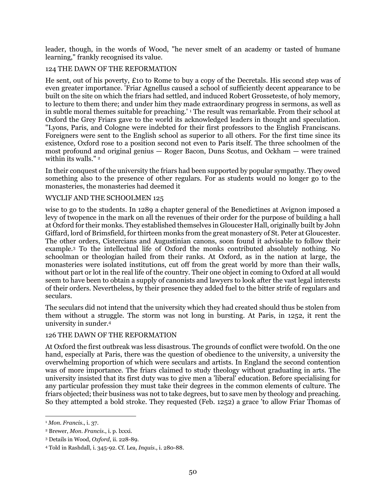leader, though, in the words of Wood, "he never smelt of an academy or tasted of humane learning," frankly recognised its value.

# 124 THE DAWN OF THE REFORMATION

He sent, out of his poverty, £10 to Rome to buy a copy of the Decretals. His second step was of even greater importance. 'Friar Agnellus caused a school of sufficiently decent appearance to be built on the site on which the friars had settled, and induced Robert Grosseteste, of holy memory, to lecture to them there; and under him they made extraordinary progress in sermons, as well as in subtle moral themes suitable for preaching.' <sup>1</sup> The result was remarkable. From their school at Oxford the Grey Friars gave to the world its acknowledged leaders in thought and speculation. "Lyons, Paris, and Cologne were indebted for their first professors to the English Franciscans. Foreigners were sent to the English school as superior to all others. For the first time since its existence, Oxford rose to a position second not even to Paris itself. The three schoolmen of the most profound and original genius — Roger Bacon, Duns Scotus, and Ockham — were trained within its walls."<sup>2</sup>

In their conquest of the university the friars had been supported by popular sympathy. They owed something also to the presence of other regulars. For as students would no longer go to the monasteries, the monasteries had deemed it

### WYCLIF AND THE SCHOOLMEN 125

wise to go to the students. In 1289 a chapter general of the Benedictines at Avignon imposed a levy of twopence in the mark on all the revenues of their order for the purpose of building a hall at Oxford for their monks. They established themselves in Gloucester Hall, originally built by John Giffard, lord of Brimsfield, for thirteen monks from the great monastery of St. Peter at Gloucester. The other orders, Cistercians and Augustinian canons, soon found it advisable to follow their example.<sup>3</sup> To the intellectual life of Oxford the monks contributed absolutely nothing. No schoolman or theologian hailed from their ranks. At Oxford, as in the nation at large, the monasteries were isolated institutions, cut off from the great world by more than their walls, without part or lot in the real life of the country. Their one object in coming to Oxford at all would seem to have been to obtain a supply of canonists and lawyers to look after the vast legal interests of their orders. Nevertheless, by their presence they added fuel to the bitter strife of regulars and seculars.

The seculars did not intend that the university which they had created should thus be stolen from them without a struggle. The storm was not long in bursting. At Paris, in 1252, it rent the university in sunder.<sup>4</sup>

#### 126 THE DAWN OF THE REFORMATION

At Oxford the first outbreak was less disastrous. The grounds of conflict were twofold. On the one hand, especially at Paris, there was the question of obedience to the university, a university the overwhelming proportion of which were seculars and artists. In England the second contention was of more importance. The friars claimed to study theology without graduating in arts. The university insisted that its first duty was to give men a 'liberal' education. Before specialising for any particular profession they must take their degrees in the common elements of culture. The friars objected; their business was not to take degrees, but to save men by theology and preaching. So they attempted a bold stroke. They requested (Feb. 1252) a grace 'to allow Friar Thomas of

<sup>1</sup> *Mon. Francis*., i. 37.

<sup>2</sup> Brewer, *Mon. Francis*., i. p. lxxxi.

<sup>3</sup> Details in Wood, *Oxford*, ii. 228-89.

<sup>4</sup> Told in Rashdall, i. 345-92. Cf. Lea, *Inquis*., i. 280-88.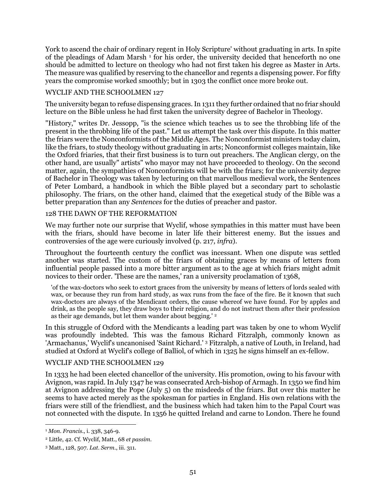York to ascend the chair of ordinary regent in Holy Scripture' without graduating in arts. In spite of the pleadings of Adam Marsh<sup>1</sup> for his order, the university decided that henceforth no one should be admitted to lecture on theology who had not first taken his degree as Master in Arts. The measure was qualified by reserving to the chancellor and regents a dispensing power. For fifty years the compromise worked smoothly; but in 1303 the conflict once more broke out.

## WYCLIF AND THE SCHOOLMEN 127

The university began to refuse dispensing graces. In 1311 they further ordained that no friar should lecture on the Bible unless he had first taken the university degree of Bachelor in Theology.

"History," writes Dr. Jessopp, "is the science which teaches us to see the throbbing life of the present in the throbbing life of the past." Let us attempt the task over this dispute. In this matter the friars were the Nonconformists of the Middle Ages. The Nonconformist ministers today claim, like the friars, to study theology without graduating in arts; Nonconformist colleges maintain, like the Oxford friaries, that their first business is to turn out preachers. The Anglican clergy, on the other hand, are usually" artists" who mayor may not have proceeded to theology. On the second matter, again, the sympathies of Nonconformists will be with the friars; for the university degree of Bachelor in Theology was taken by lecturing on that marvellous medieval work, the Sentences of Peter Lombard, a handbook in which the Bible played but a secondary part to scholastic philosophy. The friars, on the other hand, claimed that the exegetical study of the Bible was a better preparation than any *Sentences* for the duties of preacher and pastor.

### 128 THE DAWN OF THE REFORMATION

We may further note our surprise that Wyclif, whose sympathies in this matter must have been with the friars, should have become in later life their bitterest enemy. But the issues and controversies of the age were curiously involved (p. 217, *infra*).

Throughout the fourteenth century the conflict was incessant. When one dispute was settled another was started. The custom of the friars of obtaining graces by means of letters from influential people passed into a more bitter argument as to the age at which friars might admit novices to their order. 'These are the names,' ran a university proclamation of 1368,

'of the wax-doctors who seek to extort graces from the university by means of letters of lords sealed with wax, or because they run from hard study, as wax runs from the face of the fire. Be it known that such wax-doctors are always of the Mendicant orders, the cause whereof we have found. For by apples and drink, as the people say, they draw boys to their religion, and do not instruct them after their profession as their age demands, but let them wander about begging.' <sup>2</sup>

In this struggle of Oxford with the Mendicants a leading part was taken by one to whom Wyclif was profoundly indebted. This was the famous Richard Fitzralph, commonly known as 'Armachanus,' Wyclif's uncanonised 'Saint Richard.' <sup>3</sup> Fitzralph, a native of Louth, in Ireland, had studied at Oxford at Wyclif's college of Balliol, of which in 1325 he signs himself an ex-fellow.

### WYCLIF AND THE SCHOOLMEN 129

In 1333 he had been elected chancellor of the university. His promotion, owing to his favour with Avignon, was rapid. In July 1347 he was consecrated Arch-bishop of Armagh. In 1350 we find him at Avignon addressing the Pope (July 5) on the misdeeds of the friars. But over this matter he seems to have acted merely as the spokesman for parties in England. His own relations with the friars were still of the friendliest, and the business which had taken him to the Papal Court was not connected with the dispute. In 1356 he quitted Ireland and carne to London. There he found

 $\overline{a}$ <sup>1</sup> *Mon. Francis*., i. 338, 346-9.

<sup>2</sup> Little, 42. Cf. Wyclif, Matt., 68 *et passim*.

<sup>3</sup> Matt., 128, 507. *Lat. Serm*., iii. 311.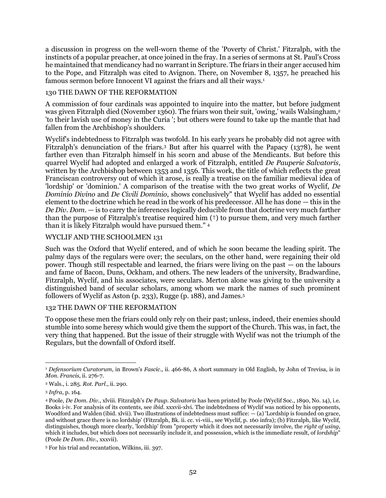a discussion in progress on the well-worn theme of the 'Poverty of Christ.' Fitzralph, with the instincts of a popular preacher, at once joined in the fray. In a series of sermons at St. Paul's Cross he maintained that mendicancy had no warrant in Scripture. The friars in their anger accused him to the Pope, and Fitzralph was cited to Avignon. There, on November 8, 1357, he preached his famous sermon before Innocent VI against the friars and all their ways.<sup>1</sup>

### 130 THE DAWN OF THE REFORMATION

A commission of four cardinals was appointed to inquire into the matter, but before judgment was given Fitzralph died (November 1360). The friars won their suit, 'owing,' wails Walsingham,<sup>2</sup> 'to their lavish use of money in the Curia '; but others were found to take up the mantle that had fallen from the Archbishop's shoulders.

Wyclif's indebtedness to Fitzralph was twofold. In his early years he probably did not agree with Fitzralph's denunciation of the friars.<sup>3</sup> But after his quarrel with the Papacy (1378), he went farther even than Fitzralph himself in his scorn and abuse of the Mendicants. But before this quarrel Wyclif had adopted and enlarged a work of Fitzralph, entitled *De Pauperie Salvatoris*, written by the Archbishop between 1353 and 1356. This work, the title of which reflects the great Franciscan controversy out of which it arose, is really a treatise on the familiar medieval idea of 'lordship' or 'dominion.' A comparison of the treatise with the two great works of Wyclif, *De Dominio Divino* and *De Civili Dominio*, shows conclusively" that Wyclif has added no essential element to the doctrine which he read in the work of his predecessor. All he has done — this in the *De Div. Dom*. — is to carry the inferences logically deducible from that doctrine very much farther than the purpose of Fitzralph's treatise required him (†) to pursue them, and very much farther than it is likely Fitzralph would have pursued them." 4

### WYCLIF AND THE SCHOOLMEN 131

Such was the Oxford that Wyclif entered, and of which he soon became the leading spirit. The palmy days of the regulars were over; the seculars, on the other hand, were regaining their old power. Though still respectable and learned, the friars were living on the past — on the labours and fame of Bacon, Duns, Ockham, and others. The new leaders of the university, Bradwardine, Fitzralph, Wyclif, and his associates, were seculars. Merton alone was giving to the university a distinguished band of secular scholars, among whom we mark the names of such prominent followers of Wyclif as Aston (p. 233), Rugge (p. 188), and James.<sup>5</sup>

#### 132 THE DAWN OF THE REFORMATION

To oppose these men the friars could only rely on their past; unless, indeed, their enemies should stumble into some heresy which would give them the support of the Church. This was, in fact, the very thing that happened. But the issue of their struggle with Wyclif was not the triumph of the Regulars, but the downfall of Oxford itself.

 $\overline{a}$ <sup>1</sup> *Defensorium Curatorum*, in Brown's *Fascic*., ii. 466-86, A short summary in Old English, by John of Trevisa, is in *Mon. Francis*, ii. 276-7.

<sup>2</sup> Wals., i. 285. *Rot. Parl*., ii. 290.

<sup>3</sup> *Infra*, p. 164.

<sup>4</sup> Poole, *De Dom. Div*., xlviii. Fitzralph's *De Paup. Salvatoris* has heen printed by Poole (Wyclif Soc., 1890, No. 14), i.e. Books i-iv. For analysis of its contents, see *ibid*. xxxvii-xlvi. The indebtedness of Wyclif was noticed by his opponents, Woodford and Walden (ibid. xlvii). Two illustrations of indebtedness must suffice: — (a) 'Lordship is founded on grace, and without grace there is no lordship' (Fitzralph, Bk. ii. cc. vi-viii., see Wyclif, p. 160 infra); (b) Fitzralph, like Wyclif, distinguishes, though more clearly, 'lordship' from "property which it does not necessarily involve, the *right of using*, which it includes, but which does not necessarily include it, and possession, which is the immediate result, of *lordship*" (Poole *De Dom. Div*., xxxvii).

<sup>5</sup> For his trial and recantation, Wilkins, iii. 397.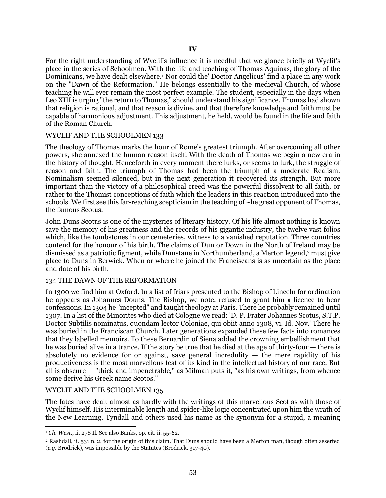For the right understanding of Wyclif's influence it is needful that we glance briefly at Wyclif's place in the series of Schoolmen. With the life and teaching of Thomas Aquinas, the glory of the Dominicans, we have dealt elsewhere.<sup>1</sup> Nor could the' Doctor Angelicus' find a place in any work on the "Dawn of the Reformation." He belongs essentially to the medieval Church, of whose teaching he will ever remain the most perfect example. The student, especially in the days when Leo XIII is urging "the return to Thomas," should understand his significance. Thomas had shown that religion is rational, and that reason is divine, and that therefore knowledge and faith must be capable of harmonious adjustment. This adjustment, he held, would be found in the life and faith of the Roman Church.

#### WYCLIF AND THE SCHOOLMEN 133

The theology of Thomas marks the hour of Rome's greatest triumph. After overcoming all other powers, she annexed the human reason itself. With the death of Thomas we begin a new era in the history of thought. Henceforth in every moment there lurks, or seems to lurk, the struggle of reason and faith. The triumph of Thomas had been the triumph of a moderate Realism. Nominalism seemed silenced, but in the next generation it recovered its strength. But more important than the victory of a philosophical creed was the powerful dissolvent to all faith, or rather to the Thomist conceptions of faith which the leaders in this reaction introduced into the schools. We first see this far-reaching scepticism in the teaching of  $\sim$ he great opponent of Thomas, the famous Scotus.

John Duns Scotus is one of the mysteries of literary history. Of his life almost nothing is known save the memory of his greatness and the records of his gigantic industry, the twelve vast folios which, like the tombstones in our cemeteries, witness to a vanished reputation. Three countries contend for the honour of his birth. The claims of Dun or Down in the North of Ireland may be dismissed as a patriotic figment, while Dunstane in Northumberland, a Merton legend,<sup>2</sup> must give place to Duns in Berwick. When or where he joined the Franciscans is as uncertain as the place and date of his birth.

#### 134 THE DAWN OF THE REFORMATION

In 1300 we find him at Oxford. In a list of friars presented to the Bishop of Lincoln for ordination he appears as Johannes Douns. The Bishop, we note, refused to grant him a licence to hear confessions. In 1304 he "incepted" and taught theology at Paris. There he probably remained until 1307. In a list of the Minorites who died at Cologne we read: 'D. P. Frater Johannes Scotus, S.T.P. Doctor Subtilis nominatus, quondam lector Coloniae, qui obiit anno 1308, vi. Id. Nov.' There he was buried in the Franciscan Church. Later generations expanded these few facts into romances that they labelled memoirs. To these Bernardin of Siena added the crowning embellishment that he was buried alive in a trance. If the story be true that he died at the age of thirty-four — there is absolutely no evidence for or against, save general incredulity  $-$  the mere rapidity of his productiveness is the most marvellous feat of its kind in the intellectual history of our race. But all is obscure — "thick and impenetrable," as Milman puts it, "as his own writings, from whence some derive his Greek name Scotos."

#### WYCLIF AND THE SCHOOLMEN 135

 $\overline{a}$ 

The fates have dealt almost as hardly with the writings of this marvellous Scot as with those of Wyclif himself. His interminable length and spider-like logic concentrated upon him the wrath of the New Learning. Tyndall and others used his name as the synonym for a stupid, a meaning

<sup>1</sup> *Ch. West*., ii. 278 If. See also Banks, op. cit. ii. 55-62.

<sup>2</sup> Rashdall, ii. 531 n. 2, for the origin of this claim. That Duns should have been a Merton man, though often asserted (*e.g.* Brodrick), was impossible by the Statutes (Brodrick, 317-40).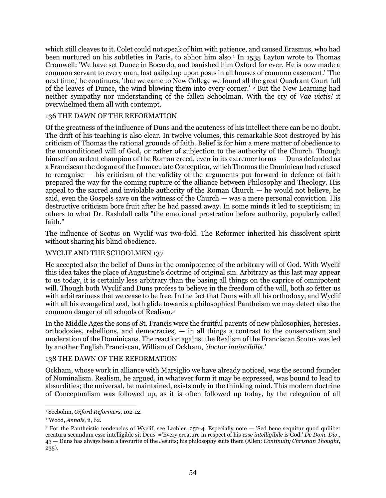which still cleaves to it. Colet could not speak of him with patience, and caused Erasmus, who had been nurtured on his subtleties in Paris, to abhor him also.<sup>1</sup> In 1535 Layton wrote to Thomas Cromwell: 'We have set Dunce in Bocardo, and banished him Oxford for ever. He is now made a common servant to every man, fast nailed up upon posts in all houses of common easement.' 'The next time,' he continues, 'that we came to New College we found all the great Quadrant Court full of the leaves of Dunce, the wind blowing them into every corner.' <sup>2</sup> But the New Learning had neither sympathy nor understanding of the fallen Schoolman. With the cry of *Vae victis!* it overwhelmed them all with contempt.

### 136 THE DAWN OF THE REFORMATION

Of the greatness of the influence of Duns and the acuteness of his intellect there can be no doubt. The drift of his teaching is also clear. In twelve volumes, this remarkable Scot destroyed by his criticism of Thomas the rational grounds of faith. Belief is for him a mere matter of obedience to the unconditioned will of God, or rather of subjection to the authority of the Church. Though himself an ardent champion of the Roman creed, even in its extremer forms  $-$  Duns defended as a Franciscan the dogma of the Immaculate Conception, which Thomas the Dominican had refused to recognise — his criticism of the validity of the arguments put forward in defence of faith prepared the way for the coming rupture of the alliance between Philosophy and Theology. His appeal to the sacred and inviolable authority of the Roman Church — he would not believe, he said, even the Gospels save on the witness of the Church — was a mere personal conviction. His destructive criticism bore fruit after he had passed away. In some minds it led to scepticism; in others to what Dr. Rashdall calls "the emotional prostration before authority, popularly called faith."

The influence of Scotus on Wyclif was two-fold. The Reformer inherited his dissolvent spirit without sharing his blind obedience.

### WYCLIF AND THE SCHOOLMEN 137

He accepted also the belief of Duns in the omnipotence of the arbitrary will of God. With Wyclif this idea takes the place of Augustine's doctrine of original sin. Arbitrary as this last may appear to us today, it is certainly less arbitrary than the basing all things on the caprice of omnipotent will. Though both Wyclif and Duns profess to believe in the freedom of the will, both so fetter us with arbitrariness that we cease to be free. In the fact that Duns with all his orthodoxy, and Wyclif with all his evangelical zeal, both glide towards a philosophical Pantheism we may detect also the common danger of all schools of Realism.<sup>3</sup>

In the Middle Ages the sons of St. Francis were the fruitful parents of new philosophies, heresies, orthodoxies, rebellions, and democracies, — in all things a contrast to the conservatism and moderation of the Dominicans. The reaction against the Realism of the Franciscan Scotus was led by another English Franciscan, William of Ockham, *'doctor invincibilis.'*

#### 138 THE DAWN OF THE REFORMATION

Ockham, whose work in alliance with Marsiglio we have already noticed, was the second founder of Nominalism. Realism, he argued, in whatever form it may be expressed, was bound to lead to absurdities; the universal, he maintained, exists only in the thinking mind. This modern doctrine of Conceptualism was followed up, as it is often followed up today, by the relegation of all

l <sup>1</sup> Seebohm, *Oxford Reformers*, 102-12.

<sup>2</sup> Wood, *Annals*, ii, 62.

<sup>3</sup> For the Pantheistic tendencies of Wyclif, see Lechler, 252-4. Especially note — 'Sed bene sequitur quod quilibet creatura secundum esse intelligible sit Deus' ='Every creature in respect of his *esse intelligibile* is God.' *De Dom. Div*., 43 — Duns has always been a favourite of the Jesuits; his philosophy suits them (Allen: *Continuity Christian Thought*, 235).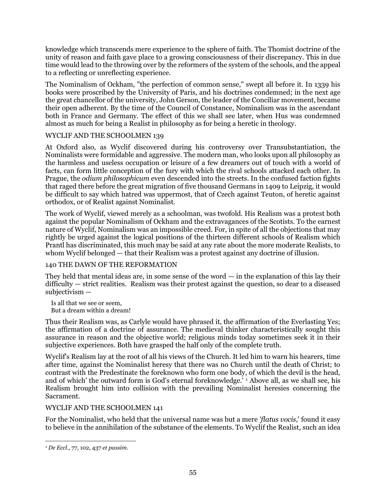knowledge which transcends mere experience to the sphere of faith. The Thomist doctrine of the unity of reason and faith gave place to a growing consciousness of their discrepancy. This in due time would lead to the throwing over by the reformers of the system of the schools, and the appeal to a reflecting or unreflecting experience.

The Nominalism of Ockham, "the perfection of common sense," swept all before it. In 1339 his books were proscribed by the University of Paris, and his doctrines condemned; in the next age the great chancellor of the university, John Gerson, the leader of the Conciliar movement, became their open adherent. By the time of the Council of Constance, Nominalism was in the ascendant both in France and Germany. The effect of this we shall see later, when Hus was condemned almost as much for being a Realist in philosophy as for being a heretic in theology.

# WYCLIF AND THE SCHOOLMEN 139

At Oxford also, as Wyclif discovered during his controversy over Transubstantiation, the Nominalists were formidable and aggressive. The modern man, who looks upon all philosophy as the harmless and useless occupation or leisure of a few dreamers out of touch with a world of facts, can form little conception of the fury with which the rival schools attacked each other. In Prague, the *odium philosophicum* even descended into the streets. In the confused faction fights that raged there before the great migration of five thousand Germans in 1409 to Leipzig, it would be difficult to say which hatred was uppermost, that of Czech against Teuton, of heretic against orthodox, or of Realist against Nominalist.

The work of Wyclif, viewed merely as a schoolman, was twofold. His Realism was a protest both against the popular Nominalism of Ockham and the extravagances of the Scotists. To the earnest nature of Wyclif, Nominalism was an impossible creed. For, in spite of all the objections that may rightly be urged against the logical positions of the thirteen different schools of Realism which Prantl has discriminated, this much may be said at any rate about the more moderate Realists, to whom Wyclif belonged — that their Realism was a protest against any doctrine of illusion.

# 140 THE DAWN OF THE REFORMATION

They held that mental ideas are, in some sense of the word  $-$  in the explanation of this lay their difficulty — strict realities. Realism was their protest against the question, so dear to a diseased subjectivism —

Is all that we see or seem, But a dream within a dream!

Thus their Realism was, as Carlyle would have phrased it, the affirmation of the Everlasting Yes; the affirmation of a doctrine of assurance. The medieval thinker characteristically sought this assurance in reason and the objective world; religious minds today sometimes seek it in their subjective experiences. Both have grasped the half only of the complete truth.

Wyclif's Realism lay at the root of all his views of the Church. It led him to warn his hearers, time after time, against the Nominalist heresy that there was no Church until the death of Christ; to contrast with the Predestinate the foreknown who form one body, of which the devil is the head, and of which' the outward form is God's eternal foreknowledge.' <sup>1</sup> Above all, as we shall see, his Realism brought him into collision with the prevailing Nominalist heresies concerning the Sacrament.

### WYCLIF AND THE SCHOOLMEN 141

For the Nominalist, who held that the universal name was but a mere *'flatus vocis*,' found it easy to believe in the annihilation of the substance of the elements. To Wyclif the Realist, such an idea

 $\overline{a}$ <sup>1</sup> *De Eccl*., 77, 102, 437 *et passim*.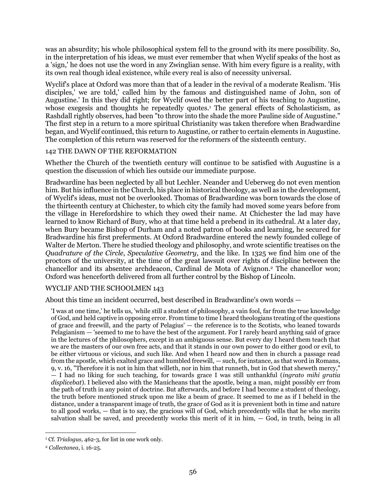was an absurdity; his whole philosophical system fell to the ground with its mere possibility. So, in the interpretation of his ideas, we must ever remember that when Wyclif speaks of the host as a 'sign,' he does not use the word in any Zwinglian sense. With him every figure is a reality, with its own real though ideal existence, while every real is also of necessity universal.

Wyclif's place at Oxford was more than that of a leader in the revival of a moderate Realism. 'His disciples,' we are told,' called him by the famous and distinguished name of John, son of Augustine.' In this they did right; for Wyclif owed the better part of his teaching to Augustine, whose exegesis and thoughts he repeatedly quotes.<sup>1</sup> The general effects of Scholasticism, as Rashdall rightly observes, had been "to throw into the shade the more Pauline side of Augustine." The first step in a return to a more spiritual Christianity was taken therefore when Bradwardine began, and Wyclif continued, this return to Augustine, or rather to certain elements in Augustine. The completion of this return was reserved for the reformers of the sixteenth century.

### 142 THE DAWN OF THE REFORMATION

Whether the Church of the twentieth century will continue to be satisfied with Augustine is a question the discussion of which lies outside our immediate purpose.

Bradwardine has been neglected by all but Lechler. Neander and Ueberweg do not even mention him. But his influence in the Church, his place in historical theology, as well as in the development, of Wyclif's ideas, must not be overlooked. Thomas of Bradwardine was born towards the close of the thirteenth century at Chichester, to which city the family had moved some years before from the village in Herefordshire to which they owed their name. At Chichester the lad may have learned to know Richard of Bury, who at that time held a prebend in its cathedral. At a later day, when Bury became Bishop of Durham and a noted patron of books and learning, he secured for Bradwardine his first preferments. At Oxford Bradwardine entered the newly founded college of Walter de Merton. There he studied theology and philosophy, and wrote scientific treatises on the *Quadrature of the Circle*, *Speculative Geometry*, and the like. In 1325 we find him one of the proctors of the university, at the time of the great lawsuit over rights of discipline between the chancellor and its absentee archdeacon, Cardinal de Mota of Avignon.<sup>2</sup> The chancellor won; Oxford was henceforth delivered from all further control by the Bishop of Lincoln.

### WYCLIF AND THE SCHOOLMEN 143

About this time an incident occurred, best described in Bradwardine's own words —

'I was at one time,' he tells us, 'while still a student of philosophy, a vain fool, far from the true knowledge of God, and held captive in opposing error. From time to time I heard theologians treating of the questions of grace and freewill, and the party of Pelagius' — the reference is to the Scotists, who leaned towards Pelagianism — 'seemed to me to have the best of the argument. For I rarely heard anything said of grace in the lectures of the philosophers, except in an ambiguous sense. But every day I heard them teach that we are the masters of our own free acts, and that it stands in our own power to do either good or evil, to be either virtuous or vicious, and such like. And when I heard now and then in church a passage read from the apostle, which exalted grace and humbled freewill, — such, for instance, as that word in Romans, 9, v. 16, "Therefore it is not in him that willeth, nor in him that runneth, but in God that sheweth mercy," — I had no liking for such teaching, for towards grace I was still unthankful (*ingrato mihi gratia displicebat*). I believed also with the Manicheans that the apostle, being a man, might possibly err from the path of truth in any point of doctrine. But afterwards, and before I had become a student of theology, the truth before mentioned struck upon me like a beam of grace. It seemed to me as if I beheld in the distance, under a transparent image of truth, the grace of God as it is prevenient both in time and nature to all good works, — that is to say, the gracious will of God, which precedently wills that he who merits salvation shall be saved, and precedently works this merit of it in him, — God, in truth, being in all

 $\overline{a}$ <sup>1</sup> Cf. *Trialogus,* 462-3, for list in one work only.

<sup>2</sup> *Collectanea*, i. 16-25.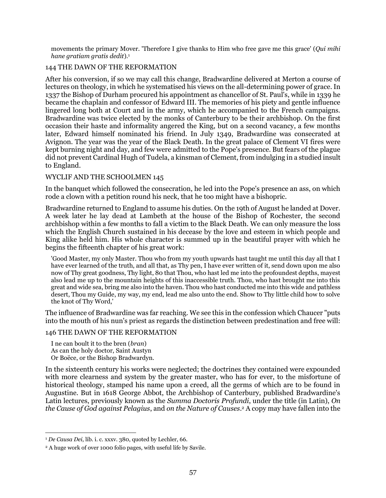movements the primary Mover. 'Therefore I give thanks to Him who free gave me this grace' (*Qui mihi hane gratiam gratis dedit*).<sup>1</sup>

### 144 THE DAWN OF THE REFORMATION

After his conversion, if so we may call this change, Bradwardine delivered at Merton a course of lectures on theology, in which he systematised his views on the all-determining power of grace. In 1337 the Bishop of Durham procured his appointment as chancellor of St. Paul's, while in 1339 he became the chaplain and confessor of Edward III. The memories of his piety and gentle influence lingered long both at Court and in the army, which he accompanied to the French campaigns. Bradwardine was twice elected by the monks of Canterbury to be their archbishop. On the first occasion their haste and informality angered the King, but on a second vacancy, a few months later, Edward himself nominated his friend. In July 1349, Bradwardine was consecrated at Avignon. The year was the year of the Black Death. In the great palace of Clement VI fires were kept burning night and day, and few were admitted to the Pope's presence. But fears of the plague did not prevent Cardinal Hugh of Tudela, a kinsman of Clement, from indulging in a studied insult to England.

#### WYCLIF AND THE SCHOOLMEN 145

In the banquet which followed the consecration, he led into the Pope's presence an ass, on which rode a clown with a petition round his neck, that he too might have a bishopric.

Bradwardine returned to England to assume his duties. On the 19th of August he landed at Dover. A week later he lay dead at Lambeth at the house of the Bishop of Rochester, the second archbishop within a few months to fall a victim to the Black Death. We can only measure the loss which the English Church sustained in his decease by the love and esteem in which people and King alike held him. His whole character is summed up in the beautiful prayer with which he begins the fifteenth chapter of his great work:

'Good Master, my only Master. Thou who from my youth upwards hast taught me until this day all that I have ever learned of the truth, and all that, as Thy pen, I have ever written of it, send down upon me also now of Thy great goodness, Thy light, 80 that Thou, who hast led me into the profoundest depths, mayest also lead me up to the mountain heights of this inaccessible truth. Thou, who hast brought me into this great and wide sea, bring me also into the haven. Thou who hast conducted me into this wide and pathless desert, Thou my Guide, my way, my end, lead me also unto the end. Show to Thy little child how to solve the knot of Thy Word,'

The influence of Bradwardine was far reaching. We see this in the confession which Chaucer "puts into the mouth of his nun's priest as regards the distinction between predestination and free will:

#### 146 THE DAWN OF THE REFORMATION

I ne can boult it to the bren (*bran*) As can the holy doctor, Saint Austyn Or Boëce, or the Bishop Bradwardyn.

In the sixteenth century his works were neglected; the doctrines they contained were expounded with more clearness and system by the greater master, who has for ever, to the misfortune of historical theology, stamped his name upon a creed, all the germs of which are to be found in Augustine. But in 1618 George Abbot, the Archbishop of Canterbury, published Bradwardine's Latin lectures, previously known as the *Summa Doctoris Profundi*, under the title (in Latin), *On the Cause of God against Pelagius*, and *on the Nature of Causes*. <sup>2</sup> A copy may have fallen into the

<sup>1</sup> *De Causa Dei*, lib. i. c. xxxv. 380, quoted by Lechler, 66.

<sup>2</sup> A huge work of over 1000 folio pages, with useful life by Savile.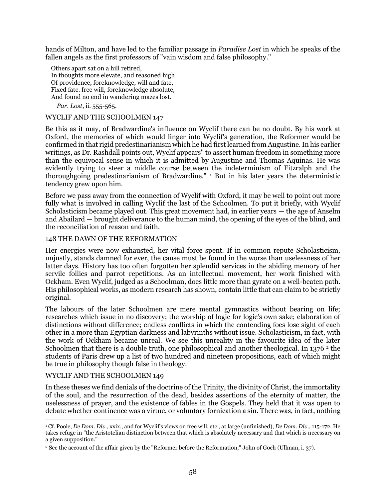hands of Milton, and have led to the familiar passage in *Paradise Lost* in which he speaks of the fallen angels as the first professors of "vain wisdom and false philosophy."

Others apart sat on a hill retired, In thoughts more elevate, and reasoned high Of providence, foreknowledge, will and fate, Fixed fate. free will, foreknowledge absolute, And found no end in wandering mazes lost.

*Par. Lost*, ii. 555-565.

### WYCLIF AND THE SCHOOLMEN 147

Be this as it may, of Bradwardine's influence on Wyclif there can be no doubt. By his work at Oxford, the memories of which would linger into Wyclif's generation, the Reformer would be confirmed in that rigid predestinarianism which he had first learned from Augustine. In his earlier writings, as Dr. Rashdall points out, Wyclif appears" to assert human freedom in something more than the equivocal sense in which it is admitted by Augustine and Thomas Aquinas. He was evidently trying to steer a middle course between the indeterminism of Fitzralph and the thoroughgoing predestinarianism of Bradwardine." <sup>1</sup> But in his later years the deterministic tendency grew upon him.

Before we pass away from the connection of Wyclif with Oxford, it may be well to point out more fully what is involved in calling Wyclif the last of the Schoolmen. To put it briefly, with Wyclif Scholasticism became played out. This great movement had, in earlier years — the age of Anselm and Abailard — brought deliverance to the human mind, the opening of the eyes of the blind, and the reconciliation of reason and faith.

#### 148 THE DAWN OF THE REFORMATION

Her energies were now exhausted, her vital force spent. If in common repute Scholasticism, unjustly, stands damned for ever, the cause must be found in the worse than uselessness of her latter days. History has too often forgotten her splendid services in the abiding memory of her servile follies and parrot repetitions. As an intellectual movement, her work finished with Ockham. Even Wyclif, judged as a Schoolman, does little more than gyrate on a well-beaten path. His philosophical works, as modern research has shown, contain little that can claim to be strictly original.

The labours of the later Schoolmen are mere mental gymnastics without bearing on life; researches which issue in no discovery; the worship of logic for logic's own sake; elaboration of distinctions without difference; endless conflicts in which the contending foes lose sight of each other in a more than Egyptian darkness and labyrinths without issue. Scholasticism, in fact, with the work of Ockham became unreal. We see this unreality in the favourite idea of the later Schoolmen that there is a double truth, one philosophical and another theological. In 1376<sup>2</sup> the students of Paris drew up a list of two hundred and nineteen propositions, each of which might be true in philosophy though false in theology.

#### WYCLIF AND THE SCHOOLMEN 149

In these theses we find denials of the doctrine of the Trinity, the divinity of Christ, the immortality of the soul, and the resurrection of the dead, besides assertions of the eternity of matter, the uselessness of prayer, and the existence of fables in the Gospels. They held that it was open to debate whether continence was a virtue, or voluntary fornication a sin. There was, in fact, nothing

 $\overline{a}$ <sup>1</sup> Cf. Poole, *De Dom. Div*., xxix., and for Wyclif's views on free will, etc., at large (unfinished), *De Dom. Div*., 115-172. He takes refuge in "the Aristotelian distinction between that which is absolutely necessary and that which is necessary on a given supposition."

<sup>2</sup> See the account of the affair given by the "Reformer before the Reformation," John of Goch (Ullman, i. 37).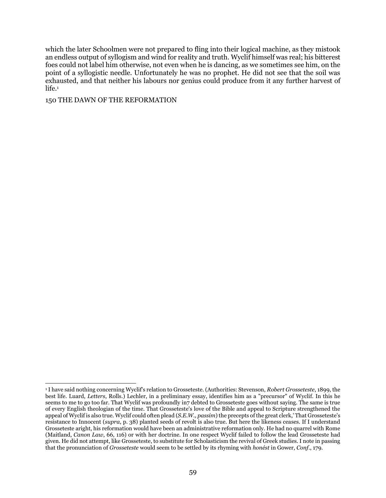which the later Schoolmen were not prepared to fling into their logical machine, as they mistook an endless output of syllogism and wind for reality and truth. Wyclif himself was real; his bitterest foes could not label him otherwise, not even when he is dancing, as we sometimes see him, on the point of a syllogistic needle. Unfortunately he was no prophet. He did not see that the soil was exhausted, and that neither his labours nor genius could produce from it any further harvest of life.<sup>1</sup>

150 THE DAWN OF THE REFORMATION

<sup>1</sup> I have said nothing concerning Wyclif's relation to Grosseteste. (Authorities: Stevenson, *Robert Grosseteste*, 1899, the best life. Luard, *Letters*, Rolls.) Lechler, in a preliminary essay, identifies him as a "precursor" of Wyclif. In this he seems to me to go too far. That Wyclif was profoundly in7 debted to Grosseteste goes without saying. The same is true of every English theologian of the time. That Grosseteste's love of the Bible and appeal to Scripture strengthened the appeal of Wyclif is also true. Wyclif could often plead (*S.E.W., passim*) the precepts of the great clerk,' That Grosseteste's resistance to Innocent (*supra*, p. 38) planted seeds of revolt is also true. But here the likeness ceases. If I understand Grosseteste aright, his reformation would have been an administrative reformation only. He had no quarrel with Rome (Maitland, *Canon Law*, 66, 116) or with her doctrine. In one respect Wyclif failed to follow the lead Grosseteste had given. He did not attempt, like Grosseteste, to substitute for Scholasticism the revival of Greek studies. I note in passing that the pronunciation of *Grosseteste* would seem to be settled by its rhyming with *honést* in Gower, *Conf*., 179.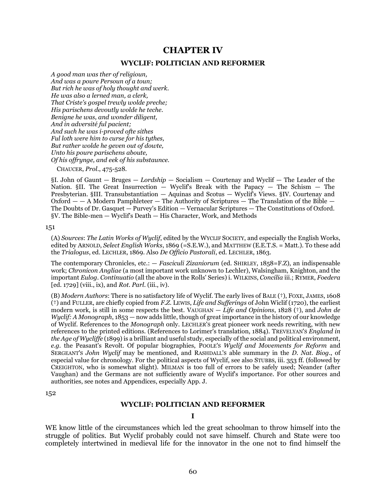# **CHAPTER IV**

### **WYCLIF: POLITICIAN AND REFORMER**

*A good man was ther of religioun, And was a poure Persoun of a toun; But rich he was of holy thought and werk. He was also a lerned man, a clerk, That Criste's gospel trewly wolde preche; His parischens devoutly wolde he teche. Benigne he was, and wonder diligent, And in adversité ful pacient; And such he was i-proved ofte sithes Ful loth were him to curse for his tythes, But rather wolde he geven out of dowte, Unto his poure parischens aboute, Of his offrynge, and eek of his substaunce.* 

CHAUCER, *Prol*., 475-528.

§I. John of Gaunt — Bruges — *Lordship* — Socialism — Courtenay and Wyclif — The Leader of the Nation. §II. The Great Insurrection  $\overline{\phantom{a}}$  Wyclif's Break with the Papacy  $\overline{\phantom{a}}$  The Schism  $\overline{\phantom{a}}$  The Presbyterian. §III. Transubstantiation — Aquinas and Scotus — Wyclif's Views. §IV. Courtenay and  $Oxford - A Modern Pasmphleteer - The Authority of Scriptures - The Translation of the Bible -$ The Doubts of Dr. Gasquet — Purvey's Edition — Vernacular Scriptures — The Constitutions of Oxford. §V. The Bible-men — Wyclif's Death — His Character, Work, and Methods

#### 151

(A) *Sources*: *The Latin Works of Wyclif*, edited by the WYCLIF SOCIETY, and especially the English Works, edited by ARNOLD, *Select English Works*, 1869 (=S.E.W.), and MATTHEW (E.E.T.S. = Matt.). To these add the *Trialogus*, ed. LECHLER, 1869. Also *De Officio Pastorali*, ed. LECHLER, 1863.

The contemporary Chronicles, etc.: — *Fasciculi Zizaniorum* (ed. SHIRLEY, 1858=F.Z), an indispensable work; *Chronicon Angliae* (a most important work unknown to Lechler), Walsingham, Knighton, and the important *Eulog. Continuatio* (all the above in the Rolls' Series) i. WILKINS, *Concilia* iii.; RYMER, *Foedera* [ed. 1729] (viii., ix), and *Rot. Parl*. (iii., iv).

(B) *Modern Authors*: There is no satisfactory life of Wyclif. The early lives of BALE (†), FOXE, JAMES, 1608 (†) and FULLER, are chiefly copied from *F.Z.* LEWIS, *Life and Sufferings* of John Wiclif (1720), the earliest modern work, is still in some respects the best. VAUGHAN — *Life and Opinions*, 1828 (†), and *John de Wyclif: A Monograph*, 1853 — now adds little, though of great importance in the history of our knowledge of Wyclif. References to the *Monograph* only. LECHLER'S great pioneer work needs rewriting, with new references to the printed editions. (References to Lorimer's translation, 1884). TREVELYAN'S *England in the Age of Wycliffe* (1899) is a brilliant and useful study, especially of the social and political environment, *e.g.* the Peasant's Revolt. Of popular biographies, POOLE'S *Wyclif and Movements for Reform* and SERGEANT'S *John Wyclif* may be mentioned, and RASHDALL'S able summary in the *D. Nat. Biog*., of especial value for chronology. For the political aspects of Wyclif, see also STUBBS, iii. 353 ff. (followed by CREIGHTON, who is somewhat slight). MILMAN is too full of errors to be safely used; Neander (after Vaughan) and the Germans are not sufficiently aware of Wyclif's importance. For other sources and authorities, see notes and Appendices, especially App. J.

152

#### **WYCLIF: POLITICIAN AND REFORMER**

#### **I**

WE know little of the circumstances which led the great schoolman to throw himself into the struggle of politics. But Wyclif probably could not save himself. Church and State were too completely intertwined in medieval life for the innovator in the one not to find himself the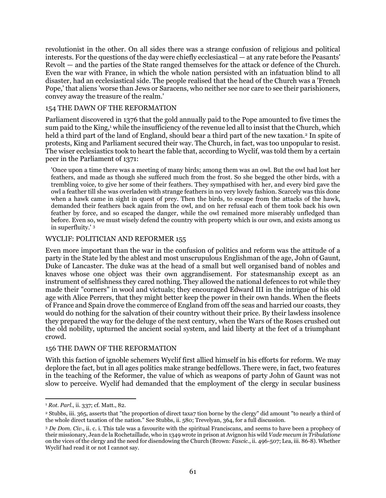revolutionist in the other. On all sides there was a strange confusion of religious and political interests. For the questions of the day were chiefly ecclesiastical — at any rate before the Peasants' Revolt — and the parties of the State ranged themselves for the attack or defence of the Church. Even the war with France, in which the whole nation persisted with an infatuation blind to all disaster, had an ecclesiastical side. The people realised that the head of the Church was a 'French Pope,' that aliens 'worse than Jews or Saracens, who neither see nor care to see their parishioners, convey away the treasure of the realm.'

### 154 THE DAWN OF THE REFORMATION

Parliament discovered in 1376 that the gold annually paid to the Pope amounted to five times the sum paid to the King,<sup>1</sup> while the insufficiency of the revenue led all to insist that the Church, which held a third part of the land of England, should bear a third part of the new taxation.<sup>2</sup> In spite of protests, King and Parliament secured their way. The Church, in fact, was too unpopular to resist. The wiser ecclesiastics took to heart the fable that, according to Wyclif, was told them by a certain peer in the Parliament of 1371:

'Once upon a time there was a meeting of many birds; among them was an owl. But the owl had lost her feathers, and made as though she suffered much from the frost. So she begged the other birds, with a trembling voice, to give her some of their feathers. They sympathised with her, and every bird gave the owl a feather till she was overladen with strange feathers in no very lovely fashion. Scarcely was this done when a hawk came in sight in quest of prey. Then the birds, to escape from the attacks of the hawk, demanded their feathers back again from the owl, and on her refusal each of them took back his own feather by force, and so escaped the danger, while the owl remained more miserably unfledged than before. Even so, we must wisely defend the country with property which is our own, and exists among us in superfluity.' <sup>3</sup>

### WYCLIF: POLITICIAN AND REFORMER 155

Even more important than the war in the confusion of politics and reform was the attitude of a party in the State led by the ablest and most unscrupulous Englishman of the age, John of Gaunt, Duke of Lancaster. The duke was at the head of a small but well organised band of nobles and knaves whose one object was their own aggrandisement. For statesmanship except as an instrument of selfishness they cared nothing. They allowed the national defences to rot while they made their "corners" in wool and victuals; they encouraged Edward III in the intrigue of his old age with Alice Perrers, that they might better keep the power in their own hands. When the fleets of France and Spain drove the commerce of England from off the seas and harried our coasts, they would do nothing for the salvation of their country without their price. By their lawless insolence they prepared the way for the deluge of the next century, when the Wars of the Roses crushed out the old nobility, upturned the ancient social system, and laid liberty at the feet of a triumphant crowd.

#### 156 THE DAWN OF THE REFORMATION

With this faction of ignoble schemers Wyclif first allied himself in his efforts for reform. We may deplore the fact, but in all ages politics make strange bedfellows. There were, in fact, two features in the teaching of the Reformer, the value of which as weapons of party John of Gaunt was not slow to perceive. Wyclif had demanded that the employment of' the clergy in secular business

 $\overline{a}$ <sup>1</sup> *Rot. Parl*., ii. 337; cf. Matt., 82.

<sup>2</sup> Stubbs, iii. 365, asserts that "the proportion of direct taxa7 tion borne by the clergy" did amount "to nearly a third of the whole direct taxation of the nation." See Stubbs, ii. 580; Trevelyan, 364, for a full discussion.

<sup>3</sup> *De Dom. Civ*., ii. c. i. This tale was a favourite with the spiritual Franciscans, and seems to have been a prophecy of their missionary, Jean de la Rochetaillade, who in 1349 wrote in prison at Avignon his wild *Vade mecum in Tribulatione* on the vices of the clergy and the need for disendowing the Church (Brown: *Fascic*., ii. 496-507; Lea, iii. 86-8). Whether Wyclif had read it or not I cannot say.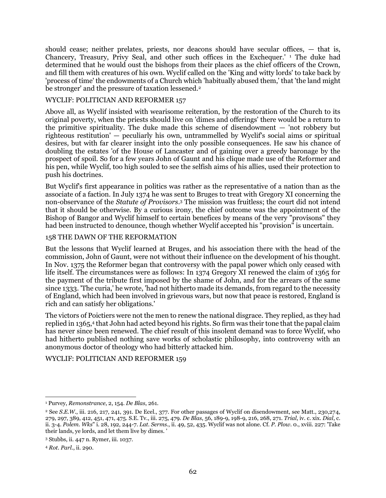should cease; neither prelates, priests, nor deacons should have secular offices, — that is, Chancery, Treasury, Privy Seal, and other such offices in the Exchequer.' <sup>1</sup> The duke had determined that he would oust the bishops from their places as the chief officers of the Crown, and fill them with creatures of his own. Wyclif called on the 'King and witty lords' to take back by 'process of time' the endowments of a Church which 'habitually abused them,' that 'the land might be stronger' and the pressure of taxation lessened.<sup>2</sup>

### WYCLIF: POLITICIAN AND REFORMER 157

Above all, as Wyclif insisted with wearisome reiteration, by the restoration of the Church to its original poverty, when the priests should live on 'dimes and offerings' there would be a return to the primitive spirituality. The duke made this scheme of disendowment — 'not robbery but righteous restitution' — peculiarly his own, untrammelled by Wyclif's social aims or spiritual desires, but with far clearer insight into the only possible consequences. He saw his chance of doubling the estates 'of the House of Lancaster and of gaining over a greedy baronage by the prospect of spoil. So for a few years John of Gaunt and his clique made use of the Reformer and his pen, while Wyclif, too high souled to see the selfish aims of his allies, used their protection to push his doctrines.

But Wyclif's first appearance in politics was rather as the representative of a nation than as the associate of a faction. In July 1374 he was sent to Bruges to treat with Gregory XI concerning the non-observance of the *Statute of Provisors*. <sup>3</sup> The mission was fruitless; the court did not intend that it should be otherwise. By a curious irony, the chief outcome was the appointment of the Bishop of Bangor and Wyclif himself to certain benefices by means of the very "provisons" they had been instructed to denounce, though whether Wyclif accepted his "provision" is uncertain.

### 158 THE DAWN OF THE REFORMATION

But the lessons that Wyclif learned at Bruges, and his association there with the head of the commission, John of Gaunt, were not without their influence on the development of his thought. In Nov. 1375 the Reformer began that controversy with the papal power which only ceased with life itself. The circumstances were as follows: In 1374 Gregory XI renewed the claim of 1365 for the payment of the tribute first imposed by the shame of John, and for the arrears of the same since 1333. 'The curia,' he wrote, 'had not hitherto made its demands, from regard to the necessity of England, which had been involved in grievous wars, but now that peace is restored, England is rich and can satisfy her obligations.'

The victors of Poictiers were not the men to renew the national disgrace. They replied, as they had replied in 1365,4 that John had acted beyond his rights. So firm was their tone that the papal claim has never since been renewed. The chief result of this insolent demand was to force Wyclif, who had hitherto published nothing save works of scholastic philosophy, into controversy with an anonymous doctor of theology who had bitterly attacked him.

### WYCLIF: POLITICIAN AND REFORMER 159

<sup>1</sup> Purvey, *Remonstrance*, 2, 154. *De Blas*, 261.

<sup>2</sup> See *S.E.W*., iii. 216, 217, 241, 391. De Ecel., 377. For other passages of Wyclif on disendowment, see Matt., 230,274, 279, 297, 389, 412, 451, 471, 475. S.E. Tv., iii. 275, 479. *De Blas*, 56, 189-9, 198-9, 216, 268, 271. *Trial*, iv. c. xix. *Dial*, c. ii. 3-4. *Polem. Wks*" i. 28, 192, 244-7. *Lat. Serms*., ii. 49, 52, 435. Wyclif was not alone. Cf. *P. Plow*. 0., xviii. 227: 'Take their lands, ye lords, and let them live by dimes. '

<sup>3</sup> Stubbs, ii. 447 n. Rymer, iii. 1037.

<sup>4</sup> *Rot. Parl*., ii. 290.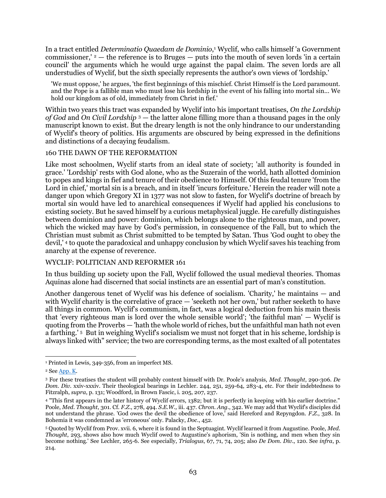In a tract entitled *Determinatio Quaedam de Dominio*, <sup>1</sup> Wyclif, who calls himself 'a Government commissioner,'  $2$  — the reference is to Bruges — puts into the mouth of seven lords 'in a certain council' the arguments which he would urge against the papal claim. The seven lords are all understudies of Wyclif, but the sixth specially represents the author's own views of 'lordship.'

'We must oppose,' he argues, 'the first beginnings of this mischief. Christ Himself is the Lord paramount. and the Pope is a fallible man who must lose his lordship in the event of his falling into mortal sin... We hold our kingdom as of old, immediately from Christ in fief.'

Within two years this tract was expanded by Wyclif into his important treatises, *On the Lordship of God* and *On Civil Lordship* <sup>3</sup> — the latter alone filling more than a thousand pages in the only manuscript known to exist. But the dreary length is not the only hindrance to our understanding of Wyclif's theory of politics. His arguments are obscured by being expressed in the definitions and distinctions of a decaying feudalism.

### 160 THE DAWN OF THE REFORMATION

Like most schoolmen, Wyclif starts from an ideal state of society; 'all authority is founded in grace.' 'Lordship' rests with God alone, who as the Suzerain of the world, hath allotted dominion to popes and kings in fief and tenure of their obedience to Himself. Of this feudal tenure 'from the Lord in chief,' mortal sin is a breach, and in itself 'incurs forfeiture.' Herein the reader will note a danger upon which Gregory XI in 1377 was not slow to fasten, for Wyclif's doctrine of breach by mortal sin would have led to anarchical consequences if Wyclif had applied his conclusions to existing society. But he saved himself by a curious metaphysical juggle. He carefully distinguishes between dominion and power: dominion, which belongs alone to the righteous man, and power, which the wicked may have by God's permission, in consequence of the Fall, but to which the Christian must submit as Christ submitted to be tempted by Satan. Thus 'God ought to obey the devil,' <sup>4</sup> to quote the paradoxical and unhappy conclusion by which Wyclif saves his teaching from anarchy at the expense of reverence.

### WYCLIF: POLITICIAN AND REFORMER 161

In thus building up society upon the Fall, Wyclif followed the usual medieval theories. Thomas Aquinas alone had discerned that social instincts are an essential part of man's constitution.

Another dangerous tenet of Wyclif was his defence of socialism. 'Charity,' he maintains — and with Wyclif charity is the correlative of grace — 'seeketh not her own,' but rather seeketh to have all things in common. Wyclif's communism, in fact, was a logical deduction from his main thesis that 'every righteous man is lord over the whole sensible world'; 'the faithful man' — Wyclif is quoting from the Proverbs — 'hath the whole world of riches, but the unfaithful man hath not even a farthing.' <sup>5</sup> But in weighing Wyclif's socialism we must not forget that in his scheme, lordship is always linked with" service; the two are corresponding terms, as the most exalted of all potentates

 $\overline{a}$ <sup>1</sup> Printed in Lewis, 349-356, from an imperfect MS.

<sup>2</sup> Se[e App. K.](#page-111-0)

<sup>3</sup> For these treatises the student will probably content himself with Dr. Poole's analysis, *Med. Thought*, 290-306. *De Dom. Div*. xxiv-xxxiv. Their theological bearings in Lechler. 244, 251, 259-64, 283-4, etc. For their indebtedness to Fitzralph, *supra*, p. 131; Woodford, in Brown Fascic, i. 205, 207, 237.

<sup>4</sup> "This first appears in the later history of Wyclif errors, 1382; but it is perfectly in keeping with his earlier doctrine." Poole, *Med. Thought*, 301. Cf. *F.Z*., 278, 494. *S.E.W.,* iii. 437. *Chron. Ang*., 342. We may add that Wyclif's disciples did not understand the phrase. 'God owes the devil the obedience of love,' said Hereford and Repyngdon. *F.Z*., 328. In Bohemia it was condemned as 'erroneous' only. Palacky, *Doc*., 452.

<sup>5</sup> Quoted by Wyclif from Prov. xvii. 6, where it is found in the Septuagint. Wyclif learned it from Augustine. Poole, *Med. Th0ught*, 293, shows also how much Wyclif owed to Augustine's aphorism, 'Sin is nothing, and men when they sin become nothing.' See Lechler, 265-6. See especially, *Trialogus*, 67, 71, 74, 205; also *De Dom. Div*., 120. See *infra*, p. 214.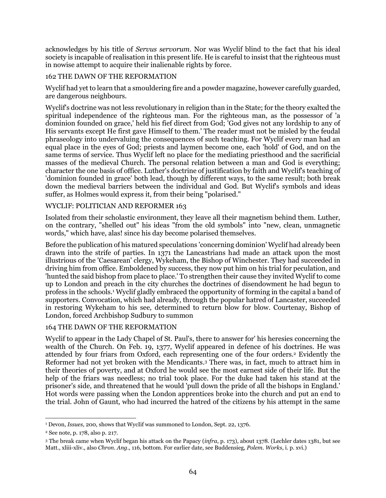acknowledges by his title of *Servus servorum*. Nor was Wyclif blind to the fact that his ideal society is incapable of realisation in this present life. He is careful to insist that the righteous must in nowise attempt to acquire their inalienable rights by force.

### 162 THE DAWN OF THE REFORMATION

Wyclif had yet to learn that a smouldering fire and a powder magazine, however carefully guarded, are dangerous neighbours.

Wyclif's doctrine was not less revolutionary in religion than in the State; for the theory exalted the spiritual independence of the righteous man. For the righteous man, as the possessor of 'a dominion founded on grace,' held his fief direct from God; 'God gives not any lordship to any of His servants except He first gave Himself to them.' The reader must not be misled by the feudal phraseology into undervaluing the consequences of such teaching. For Wyclif every man had an equal place in the eyes of God; priests and laymen become one, each 'hold' of God, and on the same terms of service. Thus Wyclif left no place for the mediating priesthood and the sacrificial masses of the medieval Church. The personal relation between a man and God is everything; character the one basis of office. Luther's doctrine of justification by faith and Wyclif's teaching of 'dominion founded in grace' both lead, though by different ways, to the same result; both break down the medieval barriers between the individual and God. But Wyclif's symbols and ideas suffer, as Holmes would express it, from their being "polarised."

### WYCLIF: POLITICIAN AND REFORMER 163

Isolated from their scholastic environment, they leave all their magnetism behind them. Luther, on the contrary, "shelled out" his ideas "from the old symbols" into "new, clean, unmagnetic words," which have, alas! since his day become polarised themselves.

Before the publication of his matured speculations 'concerning dominion' Wyclif had already been drawn into the strife of parties. In 1371 the Lancastrians had made an attack upon the most illustrious of the 'Caesarean' clergy, Wykeham, the Bishop of Winchester. They had succeeded in driving him from office. Emboldened by success, they now put him on his trial for peculation, and 'hunted the said bishop from place to place.' To strengthen their cause they invited Wyclif to come up to London and preach in the city churches the doctrines of disendowment he had begun to profess in the schools.<sup>1</sup> Wyclif gladly embraced the opportunity of forming in the capital a band of supporters. Convocation, which had already, through the popular hatred of Lancaster, succeeded in restoring Wykeham to his see, determined to return blow for blow. Courtenay, Bishop of London, forced Archbishop Sudbury to summon

#### 164 THE DAWN OF THE REFORMATION

Wyclif to appear in the Lady Chapel of St. Paul's, there to answer for' his heresies concerning the wealth of the Church. On Feb. 19, 1377, Wyclif appeared in defence of his doctrines. He was attended by four friars from Oxford, each representing one of the four orders.<sup>2</sup> Evidently the Reformer had not yet broken with the Mendicants.<sup>3</sup> There was, in fact, much to attract him in their theories of poverty, and at Oxford he would see the most earnest side of their life. But the help of the friars was needless; no trial took place. For the duke had taken his stand at the prisoner's side, and threatened that he would 'pull down the pride of all the bishops in England.' Hot words were passing when the London apprentices broke into the church and put an end to the trial. John of Gaunt, who had incurred the hatred of the citizens by his attempt in the same

 $\overline{a}$ <sup>1</sup> Devon, *Issues*, 200, shows that WycIif was summoned to London, Sept. 22, 1376.

<sup>2</sup> See note, p. 178, also p. 217.

<sup>3</sup> The break came when Wyclif began his attack on the Papacy (*infra*, p. 173), about 1378. (Lechler dates 1381, but see Matt., xliii-xliv., also *Chron. Ang*., 116, bottom. For earlier date, see Buddensieg, *Polem. Works*, i. p. xvi.)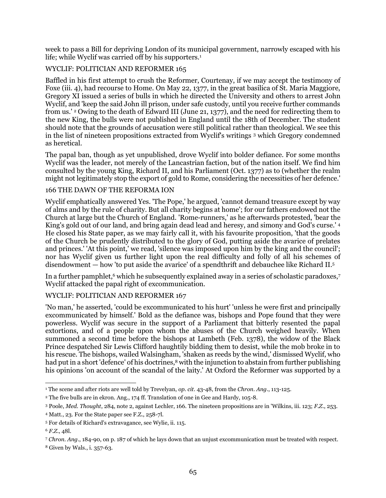week to pass a Bill for depriving London of its municipal government, narrowly escaped with his life; while Wyclif was carried off by his supporters.<sup>1</sup>

# WYCLIF: POLITICIAN AND REFORMER 165

Baffled in his first attempt to crush the Reformer, Courtenay, if we may accept the testimony of Foxe (iii. 4), had recourse to Home. On May 22, 1377, in the great basilica of St. Maria Maggiore, Gregory XI issued a series of bulls in which he directed the University and others to arrest John Wyclif, and 'keep the said John ill prison, under safe custody, until you receive further commands from us.' <sup>2</sup> Owing to the death of Edward III (June 21, 1377), and the need for redirecting them to the new King, the bulls were not published in England until the 18th of December. The student should note that the grounds of accusation were still political rather than theological. We see this in the list of nineteen propositions extracted from Wyclif's writings <sup>3</sup> which Gregory condemned as heretical.

The papal ban, though as yet unpublished, drove Wyclif into bolder defiance. For some months Wyclif was the leader, not merely of the Lancastrian faction, but of the nation itself. We find him consulted by the young King, Richard II, and his Parliament (Oct. 1377) as to (whether the realm might not legitimately stop the export of gold to Rome, considering the necessities of her defence.'

### 166 THE DAWN OF THE REFORMA ION

Wyclif emphatically answered Yes. 'The Pope,' he argued, 'cannot demand treasure except by way of alms and by the rule of charity. But all charity begins at home'; for our fathers endowed not the Church at large but the Church of England. 'Rome-runners,' as he afterwards protested, 'bear the King's gold out of our land, and bring again dead lead and heresy, and simony and God's curse.' <sup>4</sup> He closed his State paper, as we may fairly call it, with his favourite proposition, 'that the goods of the Church be prudently distributed to the glory of God, putting aside the avarice of prelates and princes.' 'At this point,' we read, 'silence was imposed upon him by the king and the council'; nor has Wyclif given us further light upon the real difficulty and folly of all his schemes of disendowment — how 'to put aside the avarice' of a spendthrift and debauchee like Richard II.<sup>5</sup>

In a further pamphlet,<sup>6</sup> which he subsequently explained away in a series of scholastic paradoxes,<sup>7</sup> Wyclif attacked the papal right of excommunication.

# WYCLIF: POLITICIAN AND REFORMER 167

'No man,' he asserted, 'could be excommunicated to his hurt' 'unless he were first and principally excommunicated by himself.' Bold as the defiance was, bishops and Pope found that they were powerless. Wyclif was secure in the support of a Parliament that bitterly resented the papal extortions, and of a people upon whom the abuses of the Church weighed heavily. When summoned a second time before the bishops at Lambeth (Feb. 1378), the widow of the Black Prince despatched Sir Lewis Clifford haughtily bidding them to desist, while the mob broke in to his rescue. The bishops, wailed Walsingham, 'shaken as reeds by the wind,' dismissed Wyclif, who had put in a short 'defence' of his doctrines,<sup>8</sup> with the injunction to abstain from further publishing his opinions 'on account of the scandal of the laity.' At Oxford the Reformer was supported by a

 $\overline{a}$ <sup>1</sup> The scene and after riots are well told by Trevelyan, *op. cit*. 43-48, from the *Chron. Ang*., 113-125.

<sup>&</sup>lt;sup>2</sup> The five bulls are in ekron. Ang., 174 ff. Translation of one in Gee and Hardy, 105-8.

<sup>3</sup> Poole, *Med. Thought*, 284, note 2, against Lechler, 166. The nineteen propositions are in 'Wilkins, iii. 123; *F.Z*., 253.

<sup>4</sup> Matt., 23. For the State paper see F.Z., 258-7l.

<sup>5</sup> For details of Richard's extravagance, see Wylie, ii. 115.

<sup>6</sup> *F.Z*., 48l.

<sup>7</sup> *Chron. Ang*., 184-90, on p. 187 of which he lays down that an unjust excommunication must be treated with respect.

<sup>8</sup> Given by Wals., i. 357-63.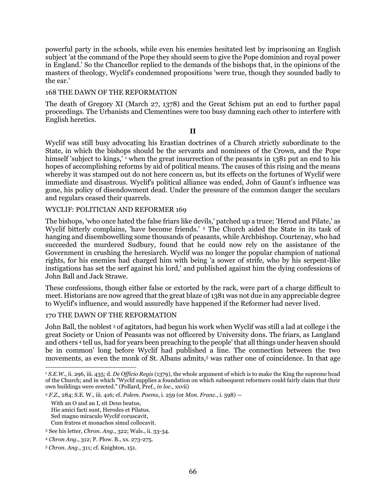powerful party in the schools, while even his enemies hesitated lest by imprisoning an English subject 'at the command of the Pope they should seem to give the Pope dominion and royal power in England.' So the Chancellor replied to the demands of the bishops that, in the opinions of the masters of theology, Wyclif's condemned propositions 'were true, though they sounded badly to the ear.'

### 168 THE DAWN OF THE REFORMATION

The death of Gregory XI (March 27, 1378) and the Great Schism put an end to further papal proceedings. The Urbanists and Clementines were too busy damning each other to interfere with English heretics.

#### **II**

Wyclif was still busy advocating his Erastian doctrines of a Church strictly subordinate to the State, in which the bishops should be the servants and nominees of the Crown, and the Pope himself 'subject to kings,'<sup>1</sup> when the great insurrection of the peasants in 1381 put an end to his hopes of accomplishing reforms by aid of political means. The causes of this rising and the means whereby it was stamped out do not here concern us, but its effects on the fortunes of Wyclif were immediate and disastrous. Wyclif's political alliance was ended, John of Gaunt's influence was gone, his policy of disendowment dead. Under the pressure of the common danger the seculars and regulars ceased their quarrels.

### WYCLIF: POLITICIAN AND REFORMER 169

The bishops, 'who once hated the false friars like devils,' patched up a truce; 'Herod and Pilate,' as Wyclif bitterly complains, 'have become friends.' <sup>2</sup> The Church aided the State in its task of hanging and disembowelling some thousands of peasants, while Archbishop. Courtenay, who had succeeded the murdered Sudbury, found that he could now rely on the assistance of the Government in crushing the heresiarch. Wyclif was no longer the popular champion of national rights, for his enemies had charged him with being 'a sower of strife, who by his serpent-like instigations has set the serf against his lord,' and published against him the dying confessions of John Ball and Jack Strawe.

These confessions, though either false or extorted by the rack, were part of a charge difficult to meet. Historians are now agreed that the great blaze of 1381 was not due in any appreciable degree to Wyclif's influence, and would assuredly have happened if the Reformer had never lived.

#### 170 THE DAWN OF THE REFORMATION

John Ball, the noblest <sup>3</sup> of agitators, had begun his work when Wyclif was still a lad at college i the great Society or Union of Peasants was not officered by University dons. The friars, as Langland and others <sup>4</sup> tell us, had for years been preaching to the people' that all things under heaven should be in common' long before Wyclif had published a line. The connection between the two movements, as even the monk of St. Albans admits,<sup>5</sup> was rather one of coincidence. In that age

With an O and an I, sit Deus beatus, Hie amici facti sunt, Herodes et Pilatus. Sed magno miraculo Wyclif coruscavit, Cum fratres et monachos simul collocavit.

<sup>3</sup> See his letter, *Chron. Ang*., 322; Wals., ii. 33-34.

 $\overline{a}$ <sup>1</sup> *S.E.W.*, ii. 296, iii. 435; d. *De Officio Regis* (1379), the whole argument of which is to make the King the supreme head of the Church; and in which "Wyclif supplies a foundation on which subsequent reformers could fairly claim that their own buildings were erected." (Pollard, Pref., *in loc*., xxvii)

<sup>2</sup> *F.Z*., 284; S.E. W., iii. 416; cf. *Polem. Poems*, i. 259 (or *Mon. Franc*., i. 598) —

<sup>4</sup> *Chron Ang*., 312; P. Plow. B., xx. 273-275.

<sup>5</sup> *Chron. Ang*., 311; cf. Knighton, 151.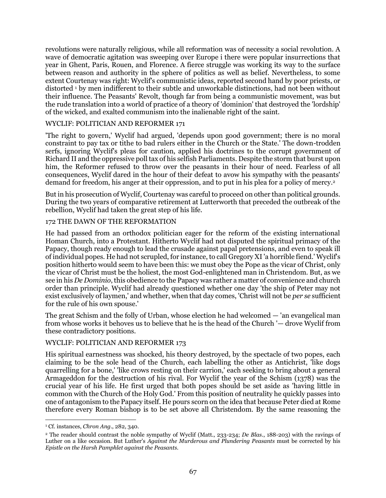revolutions were naturally religious, while all reformation was of necessity a social revolution. A wave of democratic agitation was sweeping over Europe i there were popular insurrections that year in Ghent, Paris, Rouen, and Florence. A fierce struggle was working its way to the surface between reason and authority in the sphere of politics as well as belief. Nevertheless, to some extent Courtenay was right: Wyclif's communistic ideas, reported second hand by poor priests, or distorted <sup>1</sup> by men indifferent to their subtle and unworkable distinctions, had not been without their influence. The Peasants' Revolt, though far from being a communistic movement, was but the rude translation into a world of practice of a theory of 'dominion' that destroyed the 'lordship' of the wicked, and exalted communism into the inalienable right of the saint.

### WYCLIF: POLITICIAN AND REFORMER 171

'The right to govern,' Wyclif had argued, 'depends upon good government; there is no moral constraint to pay tax or tithe to bad rulers either in the Church or the State.' The down-trodden serfs, ignoring Wyclif's pleas for caution, applied his doctrines to the corrupt government of Richard II and the oppressive poll tax of his selfish Parliaments. Despite the storm that burst upon him, the Reformer refused to throw over the peasants in their hour of need. Fearless of all consequences, Wyclif dared in the hour of their defeat to avow his sympathy with the peasants' demand for freedom, his anger at their oppression, and to put in his plea for a policy of mercy.<sup>2</sup>

But in his prosecution of Wyclif, Courtenay was careful to proceed on other than political grounds. During the two years of comparative retirement at Lutterworth that preceded the outbreak of the rebellion, Wyclif had taken the great step of his life.

#### 172 THE DAWN OF THE REFORMATION

He had passed from an orthodox politician eager for the reform of the existing international Homan Church, into a Protestant. Hitherto Wyclif had not disputed the spiritual primacy of the Papacy, though ready enough to lead the crusade against papal pretensions, and even to speak ill of individual popes. He had not scrupled, for instance, to call Gregory XI'a horrible fiend.' Wyclif's position hitherto would seem to have been this: we must obey the Pope as the vicar of Christ, only the vicar of Christ must be the holiest, the most God-enlightened man in Christendom. But, as we see in his *De Dominio*, this obedience to the Papacy was rather a matter of convenience and church order than principle. Wyclif had already questioned whether one day 'the ship of Peter may not exist exclusively of laymen,' and whether, when that day comes, 'Christ will not be *per se* sufficient for the rule of his own spouse.'

The great Schism and the folly of Urban, whose election he had welcomed — 'an evangelical man from whose works it behoves us to believe that he is the head of the Church '— drove Wyclif from these contradictory positions.

### WYCLIF: POLITICIAN AND REFORMER 173

His spiritual earnestness was shocked, his theory destroyed, by the spectacle of two popes, each claiming to be the sole head of the Church, each labelling the other as Antichrist, 'like dogs quarrelling for a bone,' 'like crows resting on their carrion,' each seeking to bring about a general Armageddon for the destruction of his rival. For Wyclif the year of the Schism (1378) was the crucial year of his life. He first urged that both popes should be set aside as 'having little in common with the Church of the Holy God.' From this position of neutrality he quickly passes into one of antagonism to the Papacy itself. He pours scorn on the idea that because Peter died at Rome therefore every Roman bishop is to be set above all Christendom. By the same reasoning the

<sup>1</sup> Cf. instances, *Chron Ang*., 282, 340.

<sup>2</sup> The reader should contrast the noble sympathy of Wyclif (Matt., 233-234; *De Blas*., 188-203) with the ravings of Luther on a like occasion. But Luther's *Against the Murderous and Plundering Peasants* must be corrected by his *Epistle on the Harsh Pamphlet against the Peasants*.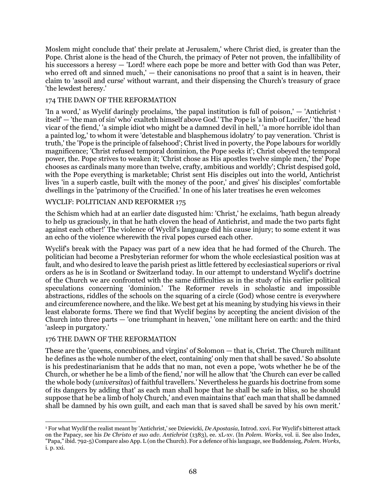Moslem might conclude that' their prelate at Jerusalem,' where Christ died, is greater than the Pope. Christ alone is the head of the Church, the primacy of Peter not proven, the infallibility of his successors a heresy — 'Lord! where each pope be more and better with God than was Peter, who erred oft and sinned much,' — their canonisations no proof that a saint is in heaven, their claim to 'assoil and curse' without warrant, and their dispensing the Church's treasury of grace 'the lewdest heresy.'

## 174 THE DAWN OF THE REFORMATION

'In a word,' as Wyclif daringly proclaims, 'the papal institution is full of poison,'  $-$  'Antichrist<sup>1</sup>' itself' — 'the man of sin' who' exalteth himself above God.' The Pope is 'a limb of Lucifer,' 'the head vicar of the fiend,' 'a simple idiot who might be a damned devil in hell,' 'a more horrible idol than a painted log,' to whom it were 'detestable and blasphemous idolatry' to pay veneration. 'Christ is truth,' the 'Pope is the principle of falsehood'; Christ lived in poverty, the Pope labours for worldly magnificence; 'Christ refused temporal dominion, the Pope seeks it'; Christ obeyed the temporal power, the. Pope strives to weaken it; 'Christ chose as His apostles twelve simple men,' the' Pope chooses as cardinals many more than twelve, crafty, ambitious and worldly'; Christ despised gold, with the Pope everything is marketable; Christ sent His disciples out into the world, Antichrist lives 'in a superb castle, built with the money of the poor,' and gives' his disciples' comfortable dwellings in the 'patrimony of the Crucified.' In one of his later treatises he even welcomes

### WYCLIF: POLITICIAN AND REFORMER 175

the Schism which had at an earlier date disgusted him: 'Christ,' he exclaims, 'hath begun already to help us graciously, in that he hath cloven the head of Antichrist, and made the two parts fight against each other!' The violence of Wyclif's language did his cause injury; to some extent it was an echo of the violence wherewith the rival popes cursed each other.

Wyclif's break with the Papacy was part of a new idea that he had formed of the Church. The politician had become a Presbyterian reformer for whom the whole ecclesiastical position was at fault, and who desired to leave the parish priest as little fettered by ecclesiastical superiors or rival orders as he is in Scotland or Switzerland today. In our attempt to understand Wyclif's doctrine of the Church we are confronted with the same difficulties as in the study of his earlier political speculations concerning 'dominion.' The Reformer revels in scholastic and impossible abstractions, riddles of the schools on the squaring of a circle (God) whose centre is everywhere and circumference nowhere, and the like. We best get at his meaning by studying his views in their least elaborate forms. There we find that Wyclif begins by accepting the ancient division of the Church into three parts — 'one triumphant in heaven,' 'one militant here on earth: and the third 'asleep in purgatory.'

### 176 THE DAWN OF THE REFORMATION

These are the 'queens, concubines, and virgins' of Solomon — that is, Christ. The Church militant he defines as the whole number of the elect, containing' only men that shall be saved.' So absolute is his predestinarianism that he adds that no man, not even a pope, 'wots whether he be of the Church, or whether he be a limb of the fiend,' nor will he allow that 'the Church can ever be called the whole body (*universitas*) of faithful travellers.' Nevertheless he guards his doctrine from some of its dangers by adding that' as each man shall hope that he shall be safe in bliss, so he should suppose that he be a limb of holy Church,' and even maintains that' each man that shall be damned shall be damned by his own guilt, and each man that is saved shall be saved by his own merit.'

 $\overline{a}$ <sup>1</sup> For what Wyclif the realist meant by 'Antichrist,' see Dziewicki, *De Apostasia*, Introd. xxvi. For Wyclif's bitterest attack on the Papacy, see his *De Christo et suo adv. Antichrist* (1383), ee. xL-xv. (In *Polem. Works*, vol. ii. See also Index, "Papa," ibid. 792-5) Compare also App. L (on the Church). For a defence of his language, see Buddensieg, *Polem. Works*, i. p. xxi.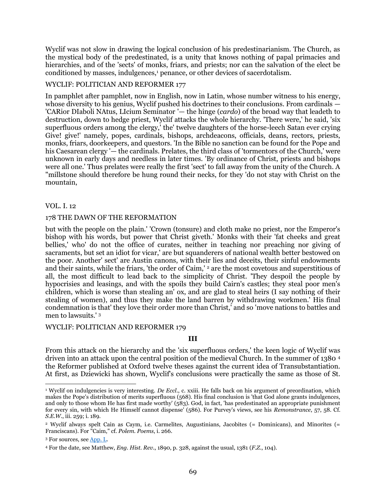Wyclif was not slow in drawing the logical conclusion of his predestinarianism. The Church, as the mystical body of the predestinated, is a unity that knows nothing of papal primacies and hierarchies, and of the 'sects' of monks, friars, and priests; nor can the salvation of the elect be conditioned by masses, indulgences,<sup>1</sup> penance, or other devices of sacerdotalism.

### WYCLIF: POLITICIAN AND REFORMER 177

In pamphlet after pamphlet, now in English, now in Latin, whose number witness to his energy, whose diversity to his genius, Wyclif pushed his doctrines to their conclusions. From cardinals — 'CARior DIaboli NAtus, LIcium Seminator '— the hinge (*cardo*) of the broad way that leadeth to destruction, down to hedge priest, Wyclif attacks the whole hierarchy. 'There were,' he said, 'six superfluous orders among the clergy,' the' twelve daughters of the horse-leech Satan ever crying Give! give!' namely, popes, cardinals, bishops, archdeacons, officials, deans, rectors, priests, monks, friars, doorkeepers, and questors. 'In the Bible no sanction can be found for the Pope and his Caesarean clergy '— the cardinals. Prelates, the third class of 'tormentors of the Church,' were unknown in early days and needless in later times. 'By ordinance of Christ, priests and bishops were all one.' Thus prelates were really the first 'sect' to fall away from the unity of the Church. A "millstone should therefore be hung round their necks, for they 'do not stay with Christ on the mountain,

#### VOL. I. 12

#### 178 THE DAWN OF THE REFORMATION

but with the people on the plain.' 'Crown (tonsure) and cloth make no priest, nor the Emperor's bishop with his words, but power that Christ giveth.' Monks with their 'fat cheeks and great bellies,' who' do not the office of curates, neither in teaching nor preaching nor giving of sacraments, but set an idiot for vicar,' are but squanderers of national wealth better bestowed on the poor. Another' sect' are Austin canons, with their lies and deceits, their sinful endowments and their saints, while the friars, 'the order of Caim,' <sup>2</sup> are the most covetous and superstitious of all, the most difficult to lead back to the simplicity of Christ. 'They despoil the people by hypocrisies and leasings, and with the spoils they build Cairn's castles; they steal poor men's children, which is worse than stealing an' ox, and are glad to steal heirs (I say nothing of their stealing of women), and thus they make the land barren by withdrawing workmen.' His final condemnation is that' they love their order more than Christ,' and so 'move nations to battles and men to lawsuits.' <sup>3</sup>

#### WYCLIF: POLITICIAN AND REFORMER 179

#### **III**

From this attack on the hierarchy and the 'six superfluous orders,' the keen logic of Wyclif was driven into an attack upon the central position of the medieval Church. In the summer of 1380 <sup>4</sup> the Reformer published at Oxford twelve theses against the current idea of Transubstantiation. At first, as Dziewicki has shown, Wyclif's conclusions were practically the same as those of St.

 $\overline{a}$ <sup>1</sup> Wyclif on indulgencies is very interesting. *De Eccl*., c. xxiii. He falls back on his argument of preordination, which makes the Pope's distribution of merits superfluous (568). His final conclusion is 'that God alone grants indulgences, and only to those whom He has first made worthy' (583). God, in fact, 'has predestinated an appropriate punishment for every sin, with which He Himself cannot dispense' (586). For Purvey's views, see his *Remonstrance*, 57, 58. Cf. *S.E.W*., iii. 259; i. 189.

<sup>2</sup> Wyclif always spelt Cain as Caym, i.e. Carmelites, Augustinians, Jacobites (= Dominicans), and Minorites (= Franciscans). For "Caim," cf. *Polem. Poems*, i. 266.

<sup>&</sup>lt;sup>3</sup> For sources, see [App. L.](#page-112-0)

<sup>4</sup> For the date, see Matthew, *Eng. Hist. Rev*., 1890, p. 328, against the usual, 1381 (*F.Z*., 104).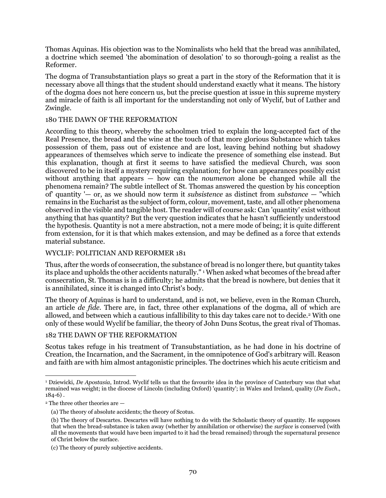Thomas Aquinas. His objection was to the Nominalists who held that the bread was annihilated, a doctrine which seemed 'the abomination of desolation' to so thorough-going a realist as the Reformer.

The dogma of Transubstantiation plays so great a part in the story of the Reformation that it is necessary above all things that the student should understand exactly what it means. The history of the dogma does not here concern us, but the precise question at issue in this supreme mystery and miracle of faith is all important for the understanding not only of Wyclif, but of Luther and Zwingle.

### 180 THE DAWN OF THE REFORMATION

According to this theory, whereby the schoolmen tried to explain the long-accepted fact of the Real Presence, the bread and the wine at the touch of that more glorious Substance which takes possession of them, pass out of existence and are lost, leaving behind nothing but shadowy appearances of themselves which serve to indicate the presence of something else instead. But this explanation, though at first it seems to have satisfied the medieval Church, was soon discovered to be in itself a mystery requiring explanation; for how can appearances possibly exist without anything that appears — how can the *noumenon* alone be changed while all the phenomena remain? The subtle intellect of St. Thomas answered the question by his conception of' quantity '— or, as we should now term it *subsistence* as distinct from *substance* — "which remains in the Eucharist as the subject of form, colour, movement, taste, and all other phenomena observed in the visible and tangible host. The reader will of course ask: Can 'quantity' exist without anything that has quantity? But the very question indicates that he hasn't sufficiently understood the hypothesis. Quantity is not a mere abstraction, not a mere mode of being; it is quite different from extension, for it is that which makes extension, and may be defined as a force that extends material substance.

### WYCLIF: POLITICIAN AND REFORMER 181

Thus, after the words of consecration, the substance of bread is no longer there, but quantity takes its place and upholds the other accidents naturally." <sup>1</sup> When asked what becomes of the bread after consecration, St. Thomas is in a difficulty; he admits that the bread is nowhere, but denies that it is annihilated, since it is changed into Christ's body.

The theory of Aquinas is hard to understand, and is not, we believe, even in the Roman Church, an article *de fide*. There are, in fact, three other explanations of the dogma, all of which are allowed, and between which a cautious infallibility to this day takes care not to decide.<sup>2</sup> With one only of these would Wyclif be familiar, the theory of John Duns Scotus, the great rival of Thomas.

#### 182 THE DAWN OF THE REFORMATION

Scotus takes refuge in his treatment of Transubstantiation, as he had done in his doctrine of Creation, the Incarnation, and the Sacrament, in the omnipotence of God's arbitrary will. Reason and faith are with him almost antagonistic principles. The doctrines which his acute criticism and

 $\overline{a}$ <sup>1</sup> Dziewicki, *De Apostasia*, Introd. Wyclif tells us that the favourite idea in the province of Canterbury was that what remained was weight; in the diocese of Lincoln (including Oxford) 'quantity'; in Wales and Ireland, quality (*De Euch*., 184-6) .

<sup>2</sup> The three other theories are —

<sup>(</sup>a) The theory of absolute accidents; the theory of Scotus.

<sup>(</sup>b) The theory of Descartes. Descartes will have nothing to do with the Scholastic theory of quantity. He supposes that when the bread-substance is taken away (whether by annihilation or otherwise) the *surface* is conserved (with all the movements that would have been imparted to it had the bread remained) through the supernatural presence of Christ below the surface.

<sup>(</sup>c) The theory of purely subjective accidents.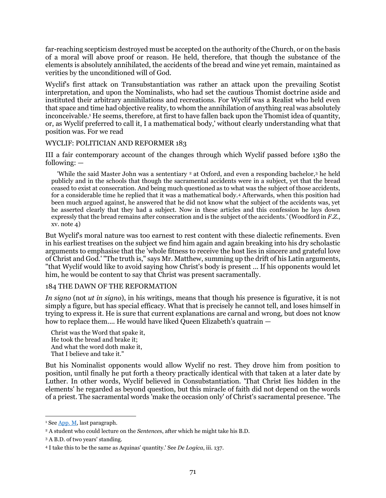far-reaching scepticism destroyed must be accepted on the authority of the Church, or on the basis of a moral will above proof or reason. He held, therefore, that though the substance of the elements is absolutely annihilated, the accidents of the bread and wine yet remain, maintained as verities by the unconditioned will of God.

Wyclif's first attack on Transubstantiation was rather an attack upon the prevailing Scotist interpretation, and upon the Nominalists, who had set the cautious Thomist doctrine aside and instituted their arbitrary annihilations and recreations. For Wyclif was a Realist who held even that space and time had objective reality, to whom the annihilation of anything real was absolutely inconceivable.<sup>1</sup> He seems, therefore, at first to have fallen back upon the Thomist idea of quantity, or, as Wyclif preferred to call it, I a mathematical body,' without clearly understanding what that position was. For we read

### WYCLIF: POLITICIAN AND REFORMER 183

III a fair contemporary account of the changes through which Wyclif passed before 1380 the following: —

'While the said Master John was a sententiary <sup>2</sup> at Oxford, and even a responding bachelor,<sup>3</sup> he held publicly and in the schools that though the sacramental accidents were in a subject, yet that the bread ceased to exist at consecration. And being much questioned as to what was the subject of those accidents, for a considerable time he replied that it was a mathematical body.<sup>4</sup> Afterwards, when this position had been much argued against, he answered that he did not know what the subject of the accidents was, yet he asserted clearly that they had a subject. Now in these articles and this confession he lays down expressly that the bread remains after consecration and is the subject of the accidents.' (Woodford in *F.Z.*, xv. note 4)

But Wyclif's moral nature was too earnest to rest content with these dialectic refinements. Even in his earliest treatises on the subject we find him again and again breaking into his dry scholastic arguments to emphasise that the 'whole fitness to receive the host lies in sincere and grateful love of Christ and God.' "The truth is," says Mr. Matthew, summing up the drift of his Latin arguments, "that Wyclif would like to avoid saying how Christ's body is present ... If his opponents would let him, he would be content to say that Christ was present sacramentally.

#### 184 THE DAWN OF THE REFORMATION

*In signo* (not *ut in signo*), in his writings, means that though his presence is figurative, it is not simply a figure, but has special efficacy. What that is precisely he cannot tell, and loses himself in trying to express it. He is sure that current explanations are carnal and wrong, but does not know how to replace them.... He would have liked Queen Elizabeth's quatrain —

Christ was the Word that spake it, He took the bread and brake it; And what the word doth make it, That I believe and take it."

But his Nominalist opponents would allow Wyclif no rest. They drove him from position to position, until finally he put forth a theory practically identical with that taken at a later date by Luther. In other words, Wyclif believed in Consubstantiation. 'That Christ lies hidden in the elements' he regarded as beyond question, but this miracle of faith did not depend on the words of a priest. The sacramental words 'make the occasion only' of Christ's sacramental presence. 'The

<sup>&</sup>lt;sup>1</sup> Se[e App. M,](#page-112-1) last paragraph.

<sup>2</sup> A student who could lecture on the *Sentence*s, after which he might take his B.D.

<sup>3</sup> A B.D. of two years' standing.

<sup>4</sup> I take this to be the same as Aquinas' quantity.' See *De Logica*, iii. 137.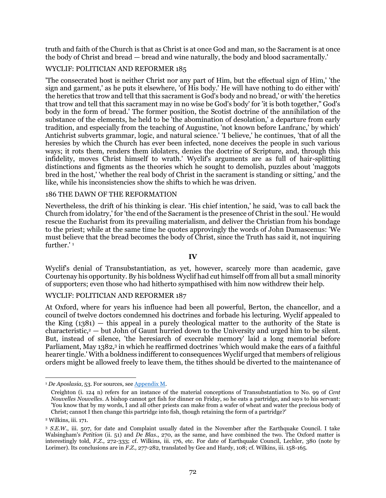truth and faith of the Church is that as Christ is at once God and man, so the Sacrament is at once the body of Christ and bread — bread and wine naturally, the body and blood sacramentally.'

# WYCLIF: POLITICIAN AND REFORMER 185

'The consecrated host is neither Christ nor any part of Him, but the effectual sign of Him,' 'the sign and garment,' as he puts it elsewhere, 'of His body.' He will have nothing to do either with' the heretics that trow and tell that this sacrament is God's body and no bread,' or with' the heretics that trow and tell that this sacrament may in no wise be God's body' for 'it is both together," God's body in the form of bread.' The former position, the Scotist doctrine of the annihilation of the substance of the elements, he held to be 'the abomination of desolation,' a departure from early tradition, and especially from the teaching of Augustine, 'not known before Lanfranc,' by which' Antichrist subverts grammar, logic, and natural science.' 'I believe,' he continues, 'that of all the heresies by which the Church has ever been infected, none deceives the people in such various ways; it rots them, renders them idolaters, denies the doctrine of Scripture, and, through this infidelity, moves Christ himself to wrath.' Wyclif's arguments are as full of hair-splitting distinctions and figments as the theories which he sought to demolish, puzzles about 'maggots bred in the host,' 'whether the real body of Christ in the sacrament is standing or sitting,' and the like, while his inconsistencies show the shifts to which he was driven.

#### 186 THE DAWN OF THE REFORMATION

Nevertheless, the drift of his thinking is clear. 'His chief intention,' he said, 'was to call back the Church from idolatry,' for 'the end of the Sacrament is the presence of Christ in the soul.' He would rescue the Eucharist from its prevailing materialism, and deliver the Christian from his bondage to the priest; while at the same time he quotes approvingly the words of John Damascenus: 'We must believe that the bread becomes the body of Christ, since the Truth has said it, not inquiring further.'<sup>1</sup>

#### **IV**

Wyclif's denial of Transubstantiation, as yet, however, scarcely more than academic, gave Courtenay his opportunity. By his boldness Wyclif had cut himself off from all but a small minority of supporters; even those who had hitherto sympathised with him now withdrew their help.

#### WYCLIF: POLITICIAN AND REFORMER 187

At Oxford, where for years his influence had been all powerful, Berton, the chancellor, and a council of twelve doctors condemned his doctrines and forbade his lecturing. Wyclif appealed to the King  $(1381)$  — this appeal in a purely theological matter to the authority of the State is characteristic, $2 -$  but John of Gaunt hurried down to the University and urged him to be silent. But, instead of silence, 'the heresiarch of execrable memory' laid a long memorial before Parliament, May 1382,<sup>3</sup> in which he reaffirmed doctrines 'which would make the ears of a faithful hearer tingle.' With a boldness indifferent to consequences Wyclif urged that members of religious orders might be allowed freely to leave them, the tithes should be diverted to the maintenance of

<sup>1</sup> *De Aposlasia*, 53. For sources, se[e Appendix M.](#page-112-1)

Creighton (i. 124 n) refers for an instance of the material conceptions of Transubstantiation to No. 99 of *Cent Nouvelles Nouvelles*. A bishop cannot get fish for dinner on Friday, so he eats a partridge, and says to his servant: 'You know that by my words, I and all other priests can make from a wafer of wheat and water the precious body of Christ; cannot I then change this partridge into fish, though retaining the form of a partridge?'

<sup>2</sup> Wilkins, iii. 171.

<sup>3</sup> *S.E.W.*, iii. 507, for date and Complaint usually dated in the November after the Earthquake Council. I take Walsingham's *Petition* (ii. 51) and *De Blas*., 270, as the same, and have combined the two. The Oxford matter is interestingly told, *F.Z*., 272-333; cf. Wilkins, iii. 176, etc. For date of Earthquake Council, Lechler, 380 (note by Lorimer). Its conclusions are in *F.Z.,* 277-282, translated by Gee and Hardy, 108; cf. Wilkins, iii. 158-165.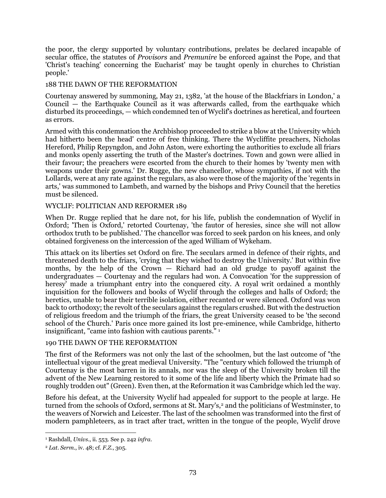the poor, the clergy supported by voluntary contributions, prelates be declared incapable of secular office, the statutes of *Provisors* and *Premunire* be enforced against the Pope, and that 'Christ's teaching' concerning the Eucharist' may be taught openly in churches to Christian people.'

### 188 THE DAWN OF THE REFORMATION

Courtenay answered by summoning, May 21, 1382, 'at the house of the Blackfriars in London,' a Council — the Earthquake Council as it was afterwards called, from the earthquake which disturbed its proceedings, — which condemned ten of Wyclif's doctrines as heretical, and fourteen as errors.

Armed with this condemnation the Archbishop proceeded to strike a blow at the University which had hitherto been the head' centre of free thinking. There the Wycliffite preachers, Nicholas Hereford, Philip Repyngdon, and John Aston, were exhorting the authorities to exclude all friars and monks openly asserting the truth of the Master's doctrines. Town and gown were allied in their favour; the preachers were escorted from the church to their homes by 'twenty men with weapons under their gowns.' Dr. Rugge, the new chancellor, whose sympathies, if not with the Lollards, were at any rate against the regulars, as also were those of the majority of the 'regents in arts,' was summoned to Lambeth, and warned by the bishops and Privy Council that the heretics must be silenced.

### WYCLIF: POLITICIAN AND REFORMER 189

When Dr. Rugge replied that he dare not, for his life, publish the condemnation of Wyclif in Oxford; 'Then is Oxford,' retorted Courtenay, 'the fautor of heresies, since she will not allow orthodox truth to be published.' The chancellor was forced to seek pardon on his knees, and only obtained forgiveness on the intercession of the aged William of Wykeham.

This attack on its liberties set Oxford on fire. The seculars armed in defence of their rights, and threatened death to the friars, 'crying that they wished to destroy the University.' But within five months, by the help of the Crown — Richard had an old grudge to payoff against the undergraduates — Courtenay and the regulars had won. A Convocation 'for the suppression of heresy' made a triumphant entry into the conquered city. A royal writ ordained a monthly inquisition for the followers and books of Wyclif through the colleges and halls of Oxford; the heretics, unable to bear their terrible isolation, either recanted or were silenced. Oxford was won back to orthodoxy; the revolt of the seculars against the regulars crushed. But with the destruction of religious freedom and the triumph of the friars, the great University ceased to be 'the second school of the Church.' Paris once more gained its lost pre-eminence, while Cambridge, hitherto insignificant, "came into fashion with cautious parents." <sup>1</sup>

### 190 THE DAWN OF THE REFORMATION

The first of the Reformers was not only the last of the schoolmen, but the last outcome of "the intellectual vigour of the great medieval University. "The "century which followed the triumph of Courtenay is the most barren in its annals, nor was the sleep of the University broken till the advent of the New Learning restored to it some of the life and liberty which the Primate had so roughly trodden out" (Green). Even then, at the Reformation it was Cambridge which led the way.

Before his defeat, at the University Wyclif had appealed for support to the people at large. He turned from the schools of Oxford, sermons at St. Mary's,<sup>2</sup> and the politicians of Westminster, to the weavers of Norwich and Leicester. The last of the schoolmen was transformed into the first of modern pamphleteers, as in tract after tract, written in the tongue of the people, Wyclif drove

 $\overline{a}$ <sup>1</sup> Rashdall, *Univs*., ii. 553. See p. 242 *infra*.

<sup>2</sup> *Lat. Serm*., iv. 48; cf. *F.Z.*, 305.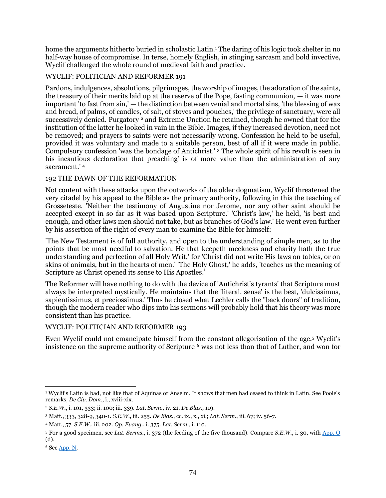home the arguments hitherto buried in scholastic Latin.<sup>1</sup> The daring of his logic took shelter in no half-way house of compromise. In terse, homely English, in stinging sarcasm and bold invective, Wyclif challenged the whole round of medieval faith and practice.

# WYCLIF: POLITICIAN AND REFORMER 191

Pardons, indulgences, absolutions, pilgrimages, the worship of images, the adoration of the saints, the treasury of their merits laid up at the reserve of the Pope, fasting communion, — it was more important 'to fast from sin,' — the distinction between venial and mortal sins, 'the blessing of wax and bread, of palms, of candles, of salt, of stoves and pouches,' the privilege of sanctuary, were all successively denied. Purgatory <sup>2</sup> and Extreme Unction he retained, though he owned that for the institution of the latter he looked in vain in the Bible. Images, if they increased devotion, need not be removed; and prayers to saints were not necessarily wrong. Confession he held to be useful, provided it was voluntary and made to a suitable person, best of all if it were made in public. Compulsory confession 'was the bondage of Antichrist.' <sup>3</sup> The whole spirit of his revolt is seen in his incautious declaration that preaching' is of more value than the administration of any sacrament.' <sup>4</sup>

### 192 THE DAWN OF THE REFORMATION

Not content with these attacks upon the outworks of the older dogmatism, Wyclif threatened the very citadel by his appeal to the Bible as the primary authority, following in this the teaching of Grosseteste. 'Neither the testimony of Augustine nor Jerome, nor any other saint should be accepted except in so far as it was based upon Scripture.' 'Christ's law,' he held, 'is best and enough, and other laws men should not take, but as branches of God's law.' He went even further by his assertion of the right of every man to examine the Bible for himself:

'The New Testament is of full authority, and open to the understanding of simple men, as to the points that be most needful to salvation. He that keepeth meekness and charity hath the true understanding and perfection of all Holy Writ,' for 'Christ did not write His laws on tables, or on skins of animals, but in the hearts of men.' 'The Holy Ghost,' he adds, 'teaches us the meaning of Scripture as Christ opened its sense to His Apostles.'

The Reformer will have nothing to do with the device of 'Antichrist's tyrants' that Scripture must always be interpreted mystically. He maintains that the 'literal. sense' is the best, 'dulcissimus, sapientissimus, et preciossimus.' Thus he closed what Lechler calls the "back doors" of tradition, though the modern reader who dips into his sermons will probably hold that his theory was more consistent than his practice.

### WYCLIF: POLITICIAN AND REFORMER 193

Even Wyclif could not emancipate himself from the constant allegorisation of the age.<sup>5</sup> Wyclif's insistence on the supreme authority of Scripture  $6$  was not less than that of Luther, and won for

 $\overline{a}$ <sup>1</sup> Wyclif's Latin is bad, not like that of Aquinas or Anselm. It shows that men had ceased to think in Latin. See Poole's remarks, *De Civ. Dom*., i., xviii-xix.

<sup>2</sup> *S.E.W*., i. 101, 333; ii. 100; iii. 339. *Lat. Serm*., iv. 21. *De Blas*., 119.

<sup>3</sup> Matt., 333, 328-9, 340-1*. S.E.W*., iii. 255. *De Blas*., cc. ix., x., xi.; *Lat. Serm*., iii. 67; iv. 56-7.

<sup>4</sup> Matt., 57. *S.E.W*., iii. 202. *Op. Evang*., i. 375. *Lat. Serm*., i. 110.

<sup>5</sup> For a good specimen, see *Lat. Serms*., i. 372 (the feeding of the five thousand). Compare *S.E.W.*, i. 30, with [App. O](#page-113-0) (d).

<sup>6</sup> Se[e App. N.](#page-113-1)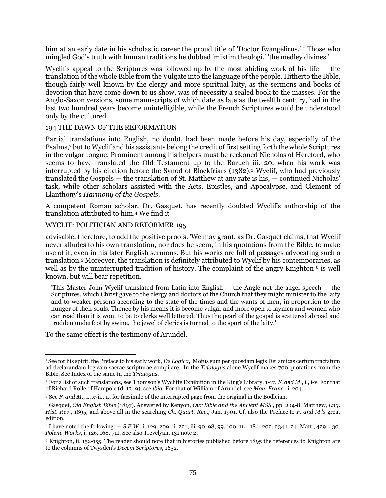him at an early date in his scholastic career the proud title of 'Doctor Evangelicus.' <sup>1</sup> Those who mingled God's truth with human traditions he dubbed 'mixtim theologi,' 'the medley divines.'

Wyclif's appeal to the Scriptures was followed up by the most abiding work of his life — the translation of the whole Bible from the Vulgate into the language of the people. Hitherto the Bible, though fairly well known by the clergy and more spiritual laity, as the sermons and books of devotion that have come down to us show, was of necessity a sealed book to the masses. For the Anglo-Saxon versions, some manuscripts of which date as late as the twelfth century, had in the last two hundred years become unintelligible, while the French Scriptures would be understood only by the cultured.

#### 194 THE DAWN OF THE REFORMATION

Partial translations into English, no doubt, had been made before his day, especially of the Psalms,<sup>2</sup> but to Wyclif and his assistants belong the credit of first setting forth the whole Scriptures in the vulgar tongue. Prominent among his helpers must be reckoned Nicholas of Hereford, who seems to have translated the Old Testament up to the Baruch iii. 20, when his work was interrupted by his citation before the Synod of Blackfriars (1382).<sup>3</sup> Wyclif, who had previously translated the Gospels — the translation of St. Matthew at any rate is his, — continued Nicholas' task, while other scholars assisted with the Acts, Epistles, and Apocalypse, and Clement of Llanthony's *Harmony of the Gospels*.

A competent Roman scholar, Dr. Gasquet, has recently doubted Wyclif's authorship of the translation attributed to him.<sup>4</sup> We find it

#### WYCLIF: POLITICIAN AND REFORMER 195

advisable, therefore, to add the positive proofs. 'We may grant, as Dr. Gasquet claims, that Wyclif never alludes to his own translation, nor does he seem, in his quotations from the Bible, to make use of it, even in his later English sermons. But his works are full of passages advocating such a translation.<sup>5</sup> Moreover, the translation is definitely attributed to Wyclif by his contemporaries, as well as by the uninterrupted tradition of history. The complaint of the angry Knighton <sup>6</sup> is well known, but will bear repetition.

'This Master John Wyclif translated from Latin into English — the Angle not the angel speech — the Scriptures, which Christ gave to the clergy and doctors of the Church that they might minister to the laity and to weaker persons according to the state of the times and the wants of men, in proportion to the hunger of their souls. Thence by his means it is become vulgar and more open to laymen and women who can read than it is wont to be to clerks well lettered. Thus the pearl of the gospel is scattered abroad and trodden underfoot by swine, the jewel of clerics is turned to the sport of the laity.'

To the same effect is the testimony of Arundel.

<sup>1</sup> See for his spirit, the Preface to his early work, *De Logica*, 'Motus sum per quosdam legis Dei amicas certum tractatum ad declarandam logicam sacrae scripturae compilare.' In the *Trialogus* alone Wyclif makes 700 quotations from the Bible. See Index of the same in the *Trialogus*.

<sup>2</sup> For a list of such translations, see Thomson's Wycliffe Exhibition in the King's Library, 1-17, *F. and M.*, i., i-v. For that of Richard Rolle of Hampole (d. 1349), see *ibid*. For that of William of Arundel, see *Mon. Franc*., i. 204.

<sup>3</sup> See *F. and M.*, i., xvii., 1., for facsimile of the interrupted page from the original in the Bodleian.

<sup>4</sup> Gasquet, *Old English Bible* (1897). Answered by Kenyon, *Our Bible and the Ancient MSS*., pp. 204-8. Matthew, *Eng. Hist. Rev*., 1895, and above all in the searching *Ch. Quart. Rev*., Jan. 1901. Cf. also the Preface to *F. and M.*'s great edition.

<sup>5</sup> I have noted the following: — *S.E.W*., i. 129, 209; ii. 221; iii. 90, 98, 99, 100, 114, 184, 202, 234 1. 24. Matt., 429, 430. *Polem. Works*, i. 126, 168, 711. See also Trevelyan, 131 note 2.

<sup>6</sup> Knighton, ii. 152-155. The reader should note that in histories published before 1895 the references to Knighton are to the columns of Twysden's *Decem Scriptores*, 1652.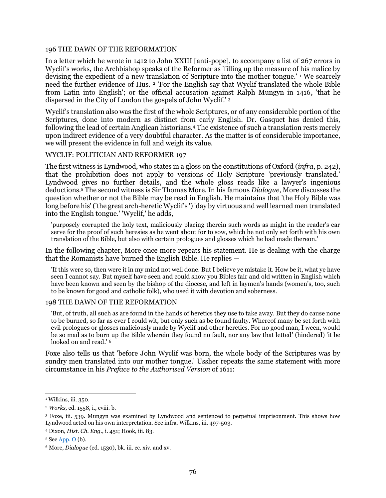#### 196 THE DAWN OF THE REFORMATION

In a letter which he wrote in 1412 to John XXIII [anti-pope], to accompany a list of 267 errors in Wyclif's works, the Archbishop speaks of the Reformer as 'filling up the measure of his malice by devising the expedient of a new translation of Scripture into the mother tongue.'<sup>1</sup> We scarcely need the further evidence of Hus. <sup>2</sup> 'For the English say that Wyclif translated the whole Bible from Latin into English'; or the official accusation against Ralph Mungyn in 1416, 'that he dispersed in the City of London the gospels of John Wyclif.' <sup>3</sup>

Wyclif's translation also was the first of the whole Scriptures, or of any considerable portion of the Scriptures, done into modern as distinct from early English. Dr. Gasquet has denied this, following the lead of certain Anglican historians.<sup>4</sup> The existence of such a translation rests merely upon indirect evidence of a very doubtful character. As the matter is of considerable importance, we will present the evidence in full and weigh its value.

#### WYCLIF: POLITICIAN AND REFORMER 197

The first witness is Lyndwood, who states in a gloss on the constitutions of Oxford (*infra*, p. 242), that the prohibition does not apply to versions of Holy Scripture 'previously translated.' Lyndwood gives no further details, and the whole gloss reads like a lawyer's ingenious deductions.<sup>5</sup> The second witness is Sir Thomas More. In his famous *Dialogue*, More discusses the question whether or not the Bible may be read in English. He maintains that 'the Holy Bible was long before his' ('the great arch-heretic Wyclif's') 'day by virtuous and well learned men translated into the English tongue.' 'Wyclif,' he adds,

'purposely corrupted the holy text, maliciously placing therein such words as might in the reader's ear serve for the proof of such heresies as he went about for to sow, which he not only set forth with his own translation of the Bible, but also with certain prologues and glosses which he had made thereon.'

In the following chapter, More once more repeats his statement. He is dealing with the charge that the Romanists have burned the English Bible. He replies —

'If this were so, then were it in my mind not well done. But I believe ye mistake it. How be it, what ye have seen I cannot say. But myself have seen and could show you Bibles fair and old written in English which have been known and seen by the bishop of the diocese, and left in laymen's hands (women's, too, such to be known for good and catholic folk), who used it with devotion and soberness.

#### 198 THE DAWN OF THE REFORMATION

'But, of truth, all such as are found in the hands of heretics they use to take away. But they do cause none to be burned, so far as ever I could wit, but only such as be found faulty. Whereof many be set forth with evil prologues or glosses maliciously made by Wyclif and other heretics. For no good man, I ween, would be so mad as to burn up the Bible wherein they found no fault, nor any law that letted' (hindered) 'it be looked on and read.' <sup>6</sup>

Foxe also tells us that 'before John Wyclif was born, the whole body of the Scriptures was by sundry men translated into our mother tongue.' Ussher repeats the same statement with more circumstance in his *Preface to the Authorised Version* of 1611:

<sup>&</sup>lt;sup>1</sup> Wilkins, iii. 350.

<sup>2</sup> *Works*, ed. 1558, i., cviii. b.

<sup>3</sup> Foxe, iii. 539. Mungyn was examined by Lyndwood and sentenced to perpetual imprisonment. This shows how Lyndwood acted on his own interpretation. See infra. Wilkins, iii. 497-503.

<sup>4</sup> Dixon, *Hist. Ch. Eng*., i. 451; Hook, iii. 83.

 $5$  See  $\underline{App. O}$  (b).

<sup>6</sup> More, *Dialogue* (ed. 1530), bk. iii. cc. xiv. and xv.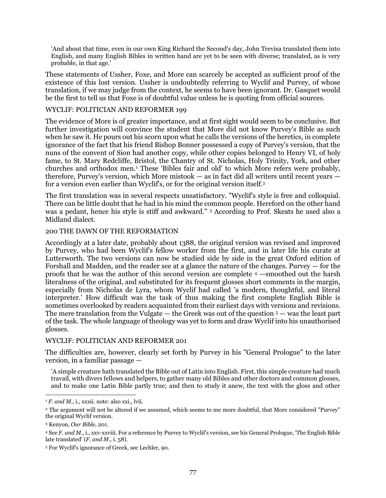'And about that time, even in our own King Richard the Second's day, John Trevisa translated them into English, and many English Bibles in written hand are yet to be seen with diverse; translated, as is very probable, in that age.'

These statements of Ussher, Foxe, and More can scarcely be accepted as sufficient proof of the existence of this lost version. Ussher is undoubtedly referring to Wyclif and Purvey, of whose translation, if we may judge from the context, he seems to have been ignorant. Dr. Gasquet would be the first to tell us that Foxe is of doubtful value unless he is quoting from official sources.

#### WYCLIF: POLITICIAN AND REFORMER 199

The evidence of More is of greater importance, and at first sight would seem to be conclusive. But further investigation will convince the student that More did not know Purvey's Bible as such when he saw it. He pours out his scorn upon what he calls the versions of the heretics, in complete ignorance of the fact that his friend Bishop Bonner possessed a copy of Purvey's version, that the nuns of the convent of Sion had another copy, while other copies belonged to Henry VI, of holy fame, to St. Mary Redcliffe, Bristol, the Chantry of St. Nicholas, Holy Trinity, York, and other churches and orthodox men.<sup>1</sup> These 'Bibles fair and old' to which More refers were probably, therefore, Purvey's version, which More mistook — as in fact did all writers until recent years for a version even earlier than Wyclif's, or for the original version itself.<sup>2</sup>

The first translation was in several respects unsatisfactory. "Wyclif's style is free and colloquial. There can be little doubt that he had in his mind the common people. Hereford on the other hand was a pedant, hence his style is stiff and awkward." <sup>3</sup> According to Prof. Skeats he used also a Midland dialect.

#### 200 THE DAWN OF THE REFORMATION

Accordingly at a later date, probably about 1388, the original version was revised and improved by Purvey, who had been Wyclif's fellow worker from the first, and in later life his curate at Lutterworth. The two versions can now be studied side by side in the great Oxford edition of Forshall and Madden, and the reader see at a glance the nature of the changes. Purvey — for the proofs that he was the author of this second version are complete <sup>4</sup> —smoothed out the harsh literalness of the original, and substituted for its frequent glosses short comments in the margin, especially from Nicholas de Lyra, whom Wyclif had called 'a modern, thoughtful, and literal interpreter.' How difficult was the task of thus making the first complete English Bible is sometimes overlooked by readers acquainted from their earliest days with versions and revisions. The mere translation from the Vulgate  $-$  the Greek was out of the question  $5 -$  was the least part of the task. The whole language of theology was yet to form and draw Wyclif into his unauthorised glosses.

### WYCLIF: POLITICIAN AND REFORMER 201

The difficulties are, however, clearly set forth by Purvey in his "General Prologue" to the later version, in a familiar passage —

'A simple creature hath translated the Bible out of Latin into English. First, this simple creature had much travail, with divers fellows and helpers, to gather many old Bibles and other doctors and common glosses, and to make one Latin Bible partly true; and then to study it anew, the text with the gloss and other

 $1 F.$  and  $M<sub>1</sub>$ , i., xxxii. note: also xxi., lvii.

<sup>2</sup> The argument will not be altered if we assumed, which seems to me more doubtful, that More considered "Purvey" the original Wyclif version.

<sup>3</sup> Kenyon, *Our Bible*, 201.

<sup>4</sup> See *F. and M.*, i., xxv-xxviii. For a reference by Purvey to Wyclif's version, see his General Prologue, 'The English Bible late translated' (*F. and M.,* i. 58).

<sup>5</sup> For Wyclif's ignorance of Greek, see Lechler, 90.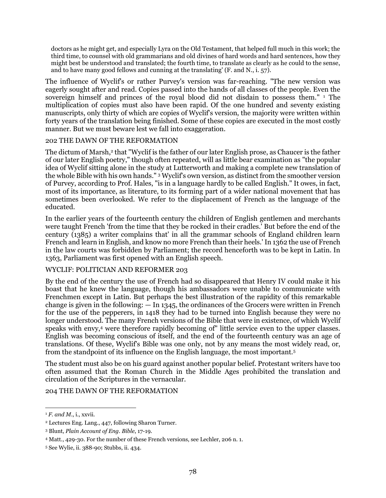doctors as he might get, and especially Lyra on the Old Testament, that helped full much in this work; the third time, to counsel with old grammarians and old divines of hard words and hard sentences, how they might best be understood and translated; the fourth time, to translate as clearly as he could to the sense, and to have many good fellows and cunning at the translating' (F. and N., i. 57).

The influence of Wyclif's or rather Purvey's version was far-reaching. "The new version was eagerly sought after and read. Copies passed into the hands of all classes of the people. Even the sovereign himself and princes of the royal blood did not disdain to possess them." <sup>1</sup> The multiplication of copies must also have been rapid. Of the one hundred and seventy existing manuscripts, only thirty of which are copies of Wyclif's version, the majority were written within forty years of the translation being finished. Some of these copies are executed in the most costly manner. But we must beware lest we fall into exaggeration.

### 202 THE DAWN OF THE REFORMATION

The dictum of Marsh,<sup>2</sup> that "Wyclif is the father of our later English prose, as Chaucer is the father of our later English poetry," though often repeated, will as little bear examination as "the popular idea of Wyclif sitting alone in the study at Lutterworth and making a complete new translation of the whole Bible with his own hands." <sup>3</sup> Wyclif's own version, as distinct from the smoother version of Purvey, according to Prof. Hales, "is in a language hardly to be called English." It owes, in fact, most of its importance, as literature, to its forming part of a wider national movement that has sometimes been overlooked. We refer to the displacement of French as the language of the educated.

In the earlier years of the fourteenth century the children of English gentlemen and merchants were taught French 'from the time that they be rocked in their cradles.' But before the end of the century (1385) a writer complains that' in all the grammar schools of England children learn French and learn in English, and know no more French than their heels.' In 1362 the use of French in the law courts was forbidden by Parliament; the record henceforth was to be kept in Latin. In 1363, Parliament was first opened with an English speech.

### WYCLIF: POLITICIAN AND REFORMER 203

By the end of the century the use of French had so disappeared that Henry IV could make it his boast that he knew the language, though his ambassadors were unable to communicate with Frenchmen except in Latin. But perhaps the best illustration of the rapidity of this remarkable change is given in the following:  $-$  In 1345, the ordinances of the Grocers were written in French for the use of the pepperers, in 1418 they had to be turned into English because they were no longer understood. The many French versions of the Bible that were in existence, of which Wyclif speaks with envy,<sup>4</sup> were therefore rapidly becoming of" little service even to the upper classes. English was becoming conscious of itself, and the end of the fourteenth century was an age of translations. Of these, Wyclif's Bible was one only, not by any means the most widely read, or, from the standpoint of its influence on the English language, the most important.<sup>5</sup>

The student must also be on his guard against another popular belief. Protestant writers have too often assumed that the Roman Church in the Middle Ages prohibited the translation and circulation of the Scriptures in the vernacular.

204 THE DAWN OF THE REFORMATION

<sup>&</sup>lt;sup>1</sup> *F. and M.*, *i.*, xxvii.

<sup>2</sup> Lectures Eng. Lang., 447, following Sharon Turner.

<sup>3</sup> Blunt, *Plain Account of Eng. Bible*, 17-19.

<sup>4</sup> Matt., 429-30. For the number of these French versions, see Lechler, 206 n. 1.

<sup>5</sup> See Wylie, ii. 388-90; Stubbs, ii. 434.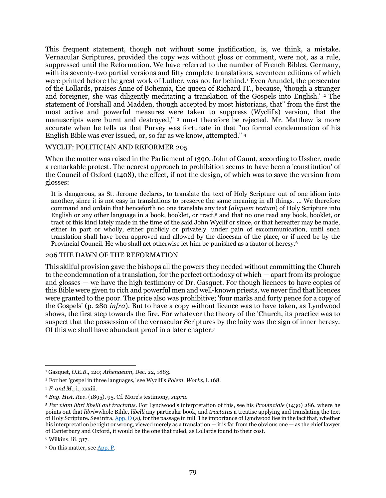This frequent statement, though not without some justification, is, we think, a mistake. Vernacular Scriptures, provided the copy was without gloss or comment, were not, as a rule, suppressed until the Reformation. We have referred to the number of French Bibles. Germany, with its seventy-two partial versions and fifty complete translations, seventeen editions of which were printed before the great work of Luther, was not far behind.<sup>1</sup> Even Arundel, the persecutor of the Lollards, praises Anne of Bohemia, the queen of Richard IT., because, 'though a stranger and foreigner, she was diligently meditating a translation of the Gospels into English.' <sup>2</sup> The statement of Forshall and Madden, though accepted by most historians, that" from the first the most active and powerful measures were taken to suppress (Wyclif's) version, that the manuscripts were burnt and destroyed," <sup>3</sup> must therefore be rejected. Mr. Matthew is more accurate when he tells us that Purvey was fortunate in that "no formal condemnation of his English Bible was ever issued, or, so far as we know, attempted." <sup>4</sup>

#### WYCLIF: POLITICIAN AND REFORMER 205

When the matter was raised in the Parliament of 1390, John of Gaunt, according to Ussher, made a remarkable protest. The nearest approach to prohibition seems to have been a 'constitution' of the Council of Oxford (1408), the effect, if not the design, of which was to save the version from glosses:

It is dangerous, as St. Jerome declares, to translate the text of Holy Scripture out of one idiom into another, since it is not easy in translations to preserve the same meaning in all things. ... We therefore command and ordain that henceforth no one translate any text (*aliquem textum*) of Holy Scripture into English or any other language in a book, booklet, or tract,<sup>5</sup> and that no one read any book, booklet, or tract of this kind lately made in the time of the said John Wyclif or since, or that hereafter may be made, either in part or wholly, either publicly or privately. under pain of excommunication, until such translation shall have been approved and allowed by the diocesan of the place, or if need be by the Provincial Council. He who shall act otherwise let him be punished as a fautor of heresy.<sup>6</sup>

#### 206 THE DAWN OF THE REFORMATION

This skilful provision gave the bishops all the powers they needed without committing the Church to the condemnation of a translation, for the perfect orthodoxy of which — apart from its prologue and glosses — we have the high testimony of Dr. Gasquet. For though licences to have copies of this Bible were given to rich and powerful men and well-known priests, we never find that licences were granted to the poor. The price also was prohibitive; 'four marks and forty pence for a copy of the Gospels' (p. 280 *infra*). But to have a copy without licence was to have taken, as Lyndwood shows, the first step towards the fire. For whatever the theory of the 'Church, its practice was to suspect that the possession of the vernacular Scriptures by the laity was the sign of inner heresy. Of this we shall have abundant proof in a later chapter.<sup>7</sup>

<sup>1</sup> Gasquet, *O.E.B.*, 120; *Athenaeum*, Dec. 22, 1883.

<sup>2</sup> For her 'gospel in three languages,' see Wyclif's *Polem. Works*, i. 168.

<sup>3</sup> *F. and M.*, i., xxxiii.

<sup>4</sup> *Eng. Hist. Rev*. (1895), 95. Cf. More's testimony, *supra*.

<sup>5</sup> *Per viam libri libelli aut tractatus*. For Lyndwood's interpretation of this, see his *Provinciale* (1430) 286, where he points out that *libri*=whole Bihle, *libelli* any particular book, and *tractatus* a treatise applying and translating the text of Holy Scripture. See infra[, App. O](#page-113-0) (a), for the passage in full. The importance of Lyndwood lies in the fact that, whether his interpretation be right or wrong, viewed merely as a translation — it is far from the obvious one — as the chief lawyer of Canterbury and Oxford, it would be the one that ruled, as Lollards found to their cost.

<sup>6</sup> Wilkins, iii. 317.

<sup>7</sup> On this matter, se[e App.](#page-113-2) P.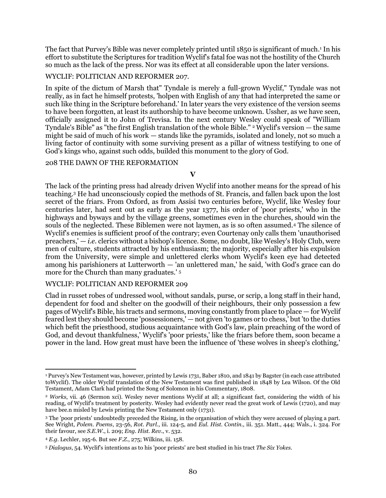The fact that Purvey's Bible was never completely printed until 1850 is significant of much.<sup>1</sup> In his effort to substitute the Scriptures for tradition Wyclif's fatal foe was not the hostility of the Church so much as the lack of the press. Nor was its effect at all considerable upon the later versions.

#### WYCLIF: POLITICIAN AND REFORMER 207.

In spite of the dictum of Marsh that" Tyndale is merely a full-grown Wyclif," Tyndale was not really, as in fact he himself protests, 'holpen with English of any that had interpreted the same or such like thing in the Scripture beforehand.' In later years the very existence of the version seems to have been forgotten, at least its authorship to have become unknown. Ussher, as we have seen, officially assigned it to John of Trevisa. In the next century Wesley could speak of "William Tyndale's Bible" as "the first English translation of the whole Bible." <sup>2</sup> Wyclif's version — the same might be said of much of his work — stands like the pyramids, isolated and lonely, not so much a living factor of continuity with some surviving present as a pillar of witness testifying to one of God's kings who, against such odds, builded this monument to the glory of God.

#### 208 THE DAWN OF THE REFORMATION

**V**

The lack of the printing press had already driven Wyclif into another means for the spread of his teaching.<sup>3</sup> He had unconsciously copied the methods of St. Francis, and fallen back upon the lost secret of the friars. From Oxford, as from Assisi two centuries before, Wyclif, like Wesley four centuries later, had sent out as early as the year 1377, his order of 'poor priests,' who in the highways and byways and by the village greens, sometimes even in the churches, should win the souls of the neglected. These Biblemen were not laymen, as is so often assumed.<sup>4</sup> The silence of Wyclif's enemies is sufficient proof of the contrary; even Courtenay only calls them 'unauthorised preachers,' — *i.e.* clerics without a bishop's licence. Some, no doubt, like Wesley's Holy Club, were men of culture, students attracted by his enthusiasm; the majority, especially after his expulsion from the University, were simple and unlettered clerks whom Wyclif's keen eye had detected among his parishioners at Lutterworth — 'an unlettered man,' he said, 'with God's grace can do more for the Church than many graduates.' <sup>5</sup>

#### WYCLIF: POLITICIAN AND REFORMER 209

Clad in russet robes of undressed wool, without sandals, purse, or scrip, a long staff in their hand, dependent for food and shelter on the goodwill of their neighbours, their only possession a few pages of Wyclif's Bible, his tracts and sermons, moving constantly from place to place — for Wyclif feared lest they should become 'possessioners,' — not given 'to games or to chess,' but 'to the duties which befit the priesthood, studious acquaintance with God's law, plain preaching of the word of God, and devout thankfulness,' Wyclif's 'poor priests,' like the friars before them, soon became a power in the land. How great must have been the influence of 'these wolves in sheep's clothing,'

 $\overline{a}$ <sup>1</sup> Purvey's New Testament was, however, printed by Lewis 1731, Baber 1810, and 1841 by Bagster (in each case attributed toWyclif). The older Wyclif translation of the New Testament was first published in 1848 by Lea Wilson. Of the Old Testament, Adam Clark had printed the Song of Solomon in his Commentary, 1808.

<sup>2</sup> *Works*, vii. 46 (Sermon xci). Wesley never mentions Wyclif at all; a significant fact, considering the width of his reading, of Wyclif's treatment by posterity. Wesley had evidently never read the great work of Lewis (1720), and may have bee.n misled by Lewis printing the New Testament only (1731).

<sup>3</sup> The 'poor priests' undoubtedly preceded the Rising, in the organisation of which they were accused of playing a part. See Wright, *Polem. Poems*, 23-56, *Rot. Parl*., iii. 124-5, and *Eul. Hist. Contin.,* iii. 351. Matt., 444; Wals., i. 324. For their favour, see *S.E.W.*, i. 209; *Eng. Hist. Rev*., v. 532.

<sup>4</sup> *E.g.* Lechler, 195-6. But see *F.Z.*, 275; Wilkins, iii. 158.

<sup>5</sup> *Dialogus*, 54. Wyclif's intentions as to his 'poor priests' are best studied in his tract *The Six Yokes*.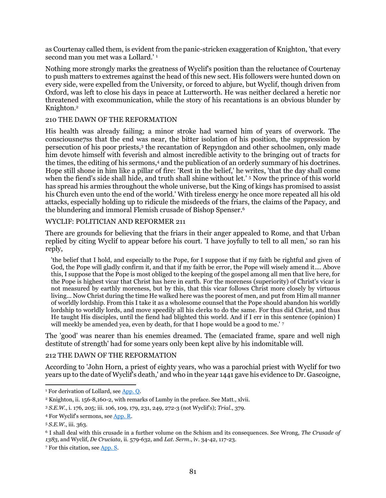as Courtenay called them, is evident from the panic-stricken exaggeration of Knighton, 'that every second man you met was a Lollard.' <sup>1</sup>

Nothing more strongly marks the greatness of Wyclif's position than the reluctance of Courtenay to push matters to extremes against the head of this new sect. His followers were hunted down on every side, were expelled from the University, or forced to abjure, but Wyclif, though driven from Oxford, was left to close his days in peace at Lutterworth. He was neither declared a heretic nor threatened with excommunication, while the story of his recantations is an obvious blunder by Knighton.<sup>2</sup>

### 210 THE DAWN OF THE REFORMATION

His health was already failing; a minor stroke had warned him of years of overwork. The consciousne7ss that the end was near, the bitter isolation of his position, the suppression by persecution of his poor priests,<sup>3</sup> the recantation of Repyngdon and other schoolmen, only made him devote himself with feverish and almost incredible activity to the bringing out of tracts for the times, the editing of his sermons,<sup>4</sup> and the publication of an orderly summary of his doctrines. Hope still shone in him like a pillar of fire: 'Rest in the belief,' he writes, 'that the day shall come when the fiend's side shall hide, and truth shall shine without let.' <sup>5</sup> Now the prince of this world has spread his armies throughout the whole universe, but the King of kings has promised to assist his Church even unto the end of the world.' With tireless energy he once more repeated all his old attacks, especially holding up to ridicule the misdeeds of the friars, the claims of the Papacy, and the blundering and immoral Flemish crusade of Bishop Spenser.<sup>6</sup>

#### WYCLIF: POLITICIAN AND REFORMER 211

There are grounds for believing that the friars in their anger appealed to Rome, and that Urban replied by citing Wyclif to appear before his court. 'I have joyfully to tell to all men,' so ran his reply,

'the belief that I hold, and especially to the Pope, for I suppose that if my faith be rightful and given of God, the Pope will gladly confirm it, and that if my faith be error, the Pope will wisely amend it.... Above this, I suppose that the Pope is most obliged to the keeping of the gospel among all men that live here, for the Pope is highest vicar that Christ has here in earth. For the moreness (superiority) of Christ's vicar is not measured by earthly moreness, but by this, that this vicar follows Christ more closely by virtuous living... Now Christ during the time He walked here was the poorest of men, and put from Him all manner of worldly lordship. From this I take it as a wholesome counsel that the Pope should abandon his worldly lordship to worldly lords, and move speedily all his clerks to do the same. For thus did Christ, and thus He taught His disciples, until the fiend had blighted this world. And if I err in this sentence (opinion) I will meekly be amended yea, even by death, for that I hope would be a good to me.' 7

The 'good' was nearer than his enemies dreamed. The (emaciated frame, spare and well nigh destitute of strength' had for some years only been kept alive by his indomitable will.

#### 212 THE DAWN OF THE REFORMATION

According to 'John Horn, a priest of eighty years, who was a parochial priest with Wyclif for two years up to the date of Wyclif's death,' and who in the year 1441 gave his evidence to Dr. Gascoigne,

<sup>&</sup>lt;sup>1</sup> For derivation of Lollard, see [App. Q.](#page-114-0)

<sup>2</sup> Knighton, ii. 156-8,160-2, with remarks of Lumby in the preface. See Matt., xlvii.

<sup>3</sup> *S.E.W*., i. 176, 205; iii. 106, 109, 179, 231, 249, 272-3 (not Wyclif's); *Trial*., 379.

<sup>4</sup> For Wyclif's sermons, se[e App. R.](#page-114-1)

<sup>5</sup> *S.E.W*., iii. 363.

<sup>6</sup> I shall deal with this crusade in a further volume on the Schism and its consequences. See Wrong, *The Crusade of 1383*, and Wyclif, *De Cruciata*, ii. 579-632, and *Lat. Serm*., iv. 34-42, 117-23.

<sup>7</sup> For this citation, see [App. S.](#page-114-2)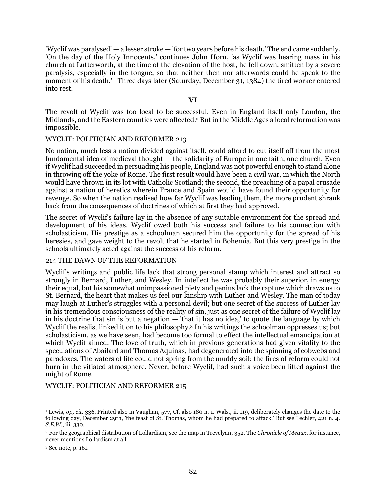'Wyclif was paralysed' — a lesser stroke — 'for two years before his death.' The end came suddenly. 'On the day of the Holy Innocents,' continues John Horn, 'as Wyclif was hearing mass in his church at Lutterworth, at the time of the elevation of the host, he fell down, smitten by a severe paralysis, especially in the tongue, so that neither then nor afterwards could he speak to the moment of his death.'<sup>1</sup> Three days later (Saturday, December 31, 1384) the tired worker entered into rest.

#### **VI**

The revolt of Wyclif was too local to be successful. Even in England itself only London, the Midlands, and the Eastern counties were affected.<sup>2</sup> But in the Middle Ages a local reformation was impossible.

#### WYCLIF: POLITICIAN AND REFORMER 213

No nation, much less a nation divided against itself, could afford to cut itself off from the most fundamental idea of medieval thought — the solidarity of Europe in one faith, one church. Even if Wyclif had succeeded in persuading his people, England was not powerful enough to stand alone in throwing off the yoke of Rome. The first result would have been a civil war, in which the North would have thrown in its lot with Catholic Scotland; the second, the preaching of a papal crusade against a nation of heretics wherein France and Spain would have found their opportunity for revenge. So when the nation realised how far Wyclif was leading them, the more prudent shrank back from the consequences of doctrines of which at first they had approved.

The secret of Wyclif's failure lay in the absence of any suitable environment for the spread and development of his ideas. Wyclif owed both his success and failure to his connection with scholasticism. His prestige as a schoolman secured him the opportunity for the spread of his heresies, and gave weight to the revolt that he started in Bohemia. But this very prestige in the schools ultimately acted against the success of his reform.

#### 214 THE DAWN OF THE REFORMATION

Wyclif's writings and public life lack that strong personal stamp which interest and attract so strongly in Bernard, Luther, and Wesley. In intellect he was probably their superior, in energy their equal, but his somewhat unimpassioned piety and genius lack the rapture which draws us to St. Bernard, the heart that makes us feel our kinship with Luther and Wesley. The man of today may laugh at Luther's struggles with a personal devil; but one secret of the success of Luther lay in his tremendous consciousness of the reality of sin, just as one secret of the failure of Wyclif lay in his doctrine that sin is but a negation — 'that it has no idea,' to quote the language by which Wyclif the realist linked it on to his philosophy.<sup>3</sup> In his writings the schoolman oppresses us; but scholasticism, as we have seen, had become too formal to effect the intellectual emancipation at which Wyclif aimed. The love of truth, which in previous generations had given vitality to the speculations of Abailard and Thomas Aquinas, had degenerated into the spinning of cobwebs and paradoxes. The waters of life could not spring from the muddy soil; the fires of reform could not burn in the vitiated atmosphere. Never, before Wyclif, had such a voice been lifted against the might of Rome.

#### WYCLIF: POLITICIAN AND REFORMER 215

l

<sup>1</sup> Lewis*, op, cit*. 336. Printed also in Vaughan, 577, Cf. also 180 n. 1. Wals., ii. 119, deliberately changes the date to the following day, December 29th, 'the feast of St. Thomas, whom he had prepared to attack.' But see Lechler, 421 n. 4. *S.E.W.*, iii. 330.

<sup>2</sup> For the geographical distribution of Lollardism, see the map in Trevelyan, 352. The *Chronicle of Meaux*, for instance, never mentions Lollardism at all.

<sup>3</sup> See note, p. 161.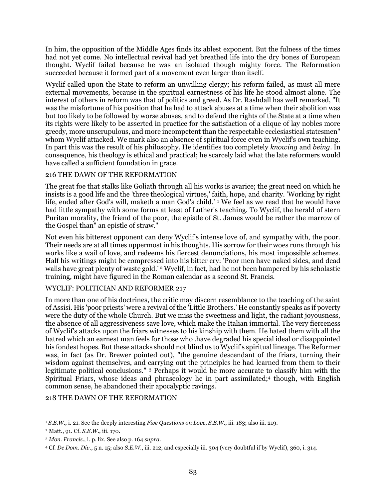In him, the opposition of the Middle Ages finds its ablest exponent. But the fulness of the times had not yet come. No intellectual revival had yet breathed life into the dry bones of European thought. Wyclif failed because he was an isolated though mighty force. The Reformation succeeded because it formed part of a movement even larger than itself.

Wyclif called upon the State to reform an unwilling clergy; his reform failed, as must all mere external movements, because in the spiritual earnestness of his life he stood almost alone. The interest of others in reform was that of politics and greed. As Dr. Rashdall has well remarked, "It was the misfortune of his position that he had to attack abuses at a time when their abolition was but too likely to be followed by worse abuses, and to defend the rights of the State at a time when its rights were likely to be asserted in practice for the satisfaction of a clique of lay nobles more greedy, more unscrupulous, and more incompetent than the respectable ecclesiastical statesmen" whom Wyclif attacked. We mark also an absence of spiritual force even in Wyclif's own teaching. In part this was the result of his philosophy. He identifies too completely *knowing* and *being*. In consequence, his theology is ethical and practical; he scarcely laid what the late reformers would have called a sufficient foundation in grace.

### 216 THE DAWN OF THE REFORMATION

The great foe that stalks like Goliath through all his works is avarice; the great need on which he insists is a good life and the 'three theological virtues,' faith, hope, and charity. 'Working by right life, ended after God's will, maketh a man God's child.' <sup>1</sup> We feel as we read that he would have had little sympathy with some forms at least of Luther's teaching. To Wyclif, the herald of stern Puritan morality, the friend of the poor, the epistle of St. James would be rather the marrow of the Gospel than" an epistle of straw."

Not even his bitterest opponent can deny Wyclif's intense love of, and sympathy with, the poor. Their needs are at all times uppermost in his thoughts. His sorrow for their woes runs through his works like a wail of love, and redeems his fiercest denunciations, his most impossible schemes. Half his writings might be compressed into his bitter cry: 'Poor men have naked sides, and dead walls have great plenty of waste gold.' <sup>2</sup> Wyclif, in fact, had he not been hampered by his scholastic training, might have figured in the Roman calendar as a second St. Francis.

### WYCLIF: POLITICIAN AND REFORMER 217

In more than one of his doctrines, the critic may discern resemblance to the teaching of the saint of Assisi. His 'poor priests' were a revival of the 'Little Brothers.' He constantly speaks as if poverty were the duty of the whole Church. But we miss the sweetness and light, the radiant joyousness, the absence of all aggressiveness save love, which make the Italian immortal. The very fierceness of Wyclif's attacks upon the friars witnesses to his kinship with them. He hated them with all the hatred which an earnest man feels for those who .have degraded his special ideal or disappointed his fondest hopes. But these attacks should not blind us to Wyclif's spiritual lineage. The Reformer was, in fact (as Dr. Brewer pointed out), "the genuine descendant of the friars, turning their wisdom against themselves, and carrying out the principles he had learned from them to their legitimate political conclusions." <sup>3</sup> Perhaps it would be more accurate to classify him with the Spiritual Friars, whose ideas and phraseology he in part assimilated;<sup>4</sup> though, with English common sense, he abandoned their apocalyptic ravings.

### 218 THE DAWN OF THE REFORMATION

 $\overline{a}$ <sup>1</sup> *S.E.W*., i. 21. See the deeply interesting *Five Questions on Love*, *S.E.W*., iii. 183; also iii. 219.

<sup>2</sup> Matt., 91. Cf. *S.E.W.*, iii. 170.

<sup>3</sup> *Mon. Francis*., i. p. lix. See also p. 164 *supra*.

<sup>4</sup> Cf. *De Dom. Div*., 5 n. 15; also *S.E.W*., iii. 212, and especially iii. 304 (very doubtful if by Wyclif), 360, i. 314.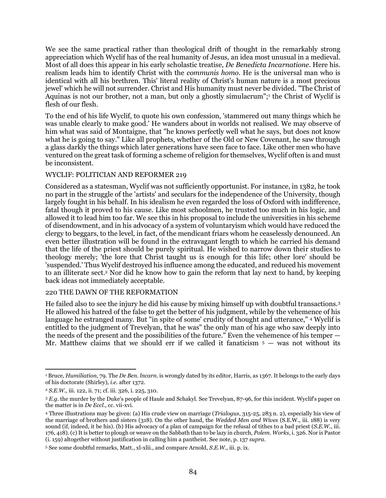We see the same practical rather than theological drift of thought in the remarkably strong appreciation which Wyclif has of the real humanity of Jesus, an idea most unusual in a medieval. Most of all does this appear in his early scholastic treatise, *De Benedicta Incarnatione*. Here his. realism leads him to identify Christ with the *communis homo*. He is the universal man who is identical with all his brethren. This' literal reality of Christ's human nature is a most precious jewel' which he will not surrender. Christ and His humanity must never be divided. "The Christ of Aquinas is not our brother, not a man, but only a ghostly simulacrum";<sup>1</sup> the Christ of Wyclif is flesh of our flesh.

To the end of his life Wyclif, to quote his own confession, 'stammered out many things which he was unable clearly to make good.' He wanders about in worlds not realised. We may observe of him what was said of Montaigne, that "he knows perfectly well what he says, but does not know what he is going to say." Like all prophets, whether of the Old or New Covenant, he saw through a glass darkly the things which later generations have seen face to face. Like other men who have ventured on the great task of forming a scheme of religion for themselves, Wyclif often is and must be inconsistent.

### WYCLIF: POLITICIAN AND REFORMER 219

Considered as a statesman, Wyclif was not sufficiently opportunist. For instance, in 1382, he took no part in the struggle of the 'artists' and seculars for the independence of the University, though largely fought in his behalf. In his idealism he even regarded the loss of Oxford with indifference, fatal though it proved to his cause. Like most schoolmen, he trusted too much in his logic, and allowed it to lead him too far. We see this in his proposal to include the universities in his scheme of disendowment, and in his advocacy of a system of voluntaryism which would have reduced the clergy to beggars, to the level, in fact, of the mendicant friars whom he ceaselessly denounced. An even better illustration will be found in the extravagant length to which he carried his demand that the life of the priest should be purely spiritual. He wished to narrow down their studies to theology merely; 'the lore that Christ taught us is enough for this life; other lore' should be 'suspended.' Thus Wyclif destroyed his influence among the educated, and reduced his movement to an illiterate sect.<sup>2</sup> Nor did he know how to gain the reform that lay next to hand, by keeping back ideas not immediately acceptable.

#### 220 THE DAWN OF THE REFORMATION

He failed also to see the injury he did his cause by mixing himself up with doubtful transactions.<sup>3</sup> He allowed his hatred of the false to get the better of his judgment, while by the vehemence of his language he estranged many. But "in spite of some' crudity of thought and utterance," <sup>4</sup> Wyclif is entitled to the judgment of Trevelyan, that he was" the only man of his age who saw deeply into the needs of the present and the possibilities of the future." Even the vehemence of his temper — Mr. Matthew claims that we should err if we called it fanaticism  $5 -$  was not without its

 $\overline{a}$ <sup>1</sup> Bruce, *Humiliation*, 79. The *De Ben. lncarn*. is wrongly dated by its editor, Harris, as 1367. It belongs to the early days of his doctorate (Shirley), *i.e.* after 1372.

<sup>2</sup> *S.E.W.,* iii. 122, ii. 71; cf. iii. 326, i. 225, 310.

<sup>3</sup> *E.g.* the murder by the Duke's people of Haule and Schakyl. See Trevelyan, 87-96, for this incident. Wyclif's paper on the matter is in *De Eccl*., cc. vii-xvi.

<sup>4</sup> Three illustrations may be given: (a) His crude view on marriage (*Trialogus*, 315-25, 283 n. 2), especially his view of the marriage of brothers and sisters (318). On the other hand, the *Wedded Men and Wives* (S.E.W., iii. 188) is very sound (if, indeed, it be his). (b) His advocacy of a plan of campaign for the refusal of tithes to a bad priest (*S.E.W.*, iii. 176, 418). (c) It is better to plough or weave on the Sabbath than to be lazy in church, *Polem. Works*, i. 326. Nor is Pastor (i. 159) altogether without justification in calling him a pantheist. See note, p. 137 *supra*.

<sup>5</sup> See some doubtful remarks, Matt., xl-xlii., and compare Arnold, *S.E.W*., iii. p. ix.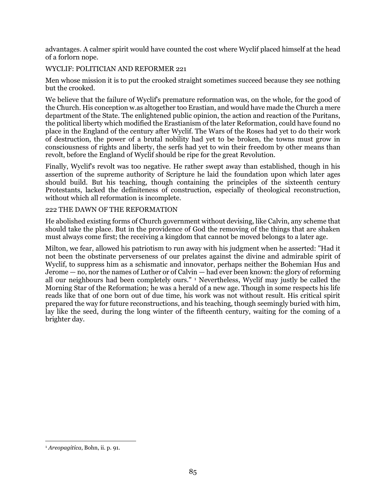advantages. A calmer spirit would have counted the cost where Wyclif placed himself at the head of a forlorn nope.

# WYCLIF: POLITICIAN AND REFORMER 221

Men whose mission it is to put the crooked straight sometimes succeed because they see nothing but the crooked.

We believe that the failure of Wyclif's premature reformation was, on the whole, for the good of the Church. His conception w.as altogether too Erastian, and would have made the Church a mere department of the State. The enlightened public opinion, the action and reaction of the Puritans, the political liberty which modified the Erastianism of the later Reformation, could have found no place in the England of the century after Wyclif. The Wars of the Roses had yet to do their work of destruction, the power of a brutal nobility had yet to be broken, the towns must grow in consciousness of rights and liberty, the serfs had yet to win their freedom by other means than revolt, before the England of Wyclif should be ripe for the great Revolution.

Finally, Wyclif's revolt was too negative. He rather swept away than established, though in his assertion of the supreme authority of Scripture he laid the foundation upon which later ages should build. But his teaching, though containing the principles of the sixteenth century Protestants, lacked the definiteness of construction, especially of theological reconstruction, without which all reformation is incomplete.

### 222 THE DAWN OF THE REFORMATION

He abolished existing forms of Church government without devising, like Calvin, any scheme that should take the place. But in the providence of God the removing of the things that are shaken must always come first; the receiving a kingdom that cannot be moved belongs to a later age.

Milton, we fear, allowed his patriotism to run away with his judgment when he asserted: "Had it not been the obstinate perverseness of our prelates against the divine and admirable spirit of Wyclif, to suppress him as a schismatic and innovator, perhaps neither the Bohemian Hus and Jerome — no, nor the names of Luther or of Calvin — had ever been known: the glory of reforming all our neighbours had been completely ours." <sup>1</sup> Nevertheless, Wyclif may justly be called the Morning Star of the Reformation; he was a herald of a new age. Though in some respects his life reads like that of one born out of due time, his work was not without result. His critical spirit prepared the way for future reconstructions, and his teaching, though seemingly buried with him, lay like the seed, during the long winter of the fifteenth century, waiting for the coming of a brighter day.

<sup>1</sup> *Areopagitica*, Bohn, ii. p. 91.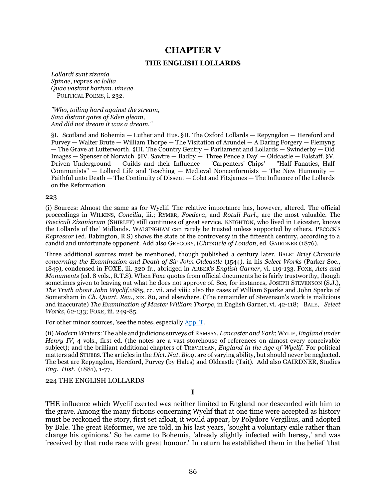# **CHAPTER V**

#### **THE ENGLISH LOLLARDS**

*Lollardi sunt zizania Spinae, vepres ac lollia Quae vastant hortum. vineae.*  POLITICAL POEMS, i. 232.

*"Who, toiling hard against the stream, Saw distant gates of Eden gleam, And did not dream it was a dream."* 

§I. Scotland and Bohemia — Luther and Hus. §II. The Oxford Lollards — Repyngdon — Hereford and Purvey — Walter Brute — William Thorpe — The Visitation of Arundel — A Daring Forgery — Flemyng — The Grave at Lutterworth. §III. The Country Gentry — Parliament and Lollards — Swinderby — Old Images — Spenser of Norwich. §IV. Sawtre — Badby — 'Three Pence a Day' — Oldcastle — Falstaff. §V. Driven Underground — Guilds and their Influence — 'Carpenters' Chips' — "Half Fanatics, Half Communists"  $-$  Lollard Life and Teaching  $-$  Medieval Nonconformists  $-$  The New Humanity  $-$ Faithful unto Death — The Continuity of Dissent — Colet and Fitzjames — The Influence of the Lollards on the Reformation

#### 223

(i) Sources: Almost the same as for Wyclif. The relative importance has, however, altered. The official proceedings in WILKINS, *Concilia*, iii.; RYMER, *Foedera*, and *Rotuli Parl*., are the most valuable. The *Fasciculi Zizaniorum* (SHIRLEY) still continues of great service. KNIGHTON, who lived in Leicester, knows the Lollards of the' Midlands. WALSINGHAM can rarely be trusted unless supported by others. PECOCK'S *Repressor* (ed. Babington, R.S) shows the state of the controversy in the fifteenth century, according to a candid and unfortunate opponent. Add also GREGORY, (*Chronicle of London*, ed. GAIRDNER (1876).

Three additional sources must be mentioned, though published a century later. BALE: *Brief Chronicle concerning the Examination and Death of Sir John Oldcastle* (1544), in his *Select Works* (Parker Soc., 1849), condensed in FOXE, iii. 320 fr., abridged in ARBER'S *English Garner*, vi. 119-133. FOXE, *Acts and Monuments* (ed. 8 vols., R.T.S). When Foxe quotes from official documents he is fairly trustworthy, though sometimes given to leaving out what he does not approve of. See, for instances, JOSEPH STEVENSON (S.J.), *The Truth about John Wyclif*,1885, cc. vii. and viii.; also the cases of William Sparke and John Sparke of Somersham in *Ch. Quart. Rev*., xix. 80, and elsewhere. (The remainder of Stevenson's work is malicious and inaccurate) *The Examination of Master William Thorpe*, in English Garner, vi. 42-118; BALE, *Select Works*, 62-133; FOXE, iii. 249-85.

For other minor sources, 'see the notes, especially [App. T.](#page-114-3)

(ii) *Modern Writers*: The able and judicious surveys of RAMSAY, *Lancaster and York*; WYLIE, *England under Henry IV*, 4 vols., first ed. (the notes are a vast storehouse of references on almost every conceivable subject); and the brilliant additional chapters of TREVELYAN, *England in the Age of Wyclif*. For political matters add STUBBS. The articles in the *Dict. Nat. Biog*. are of varying ability, but should never be neglected. The best are Repyngdon, Hereford, Purvey (by Hales) and Oldcastle (Tait). Add also GAIRDNER, Studies *Eng. Hist*. (1881), 1-77.

224 THE ENGLISH LOLLARDS

**I**

THE influence which Wyclif exerted was neither limited to England nor descended with him to the grave. Among the many fictions concerning Wyclif that at one time were accepted as history must be reckoned the story, first set afloat, it would appear, by Polydore Vergilius, and adopted by Bale. The great Reformer, we are told, in his last years, 'sought a voluntary exile rather than change his opinions.' So he came to Bohemia, 'already slightly infected with heresy,' and was 'received by that rude race with great honour.' In return he established them in the belief 'that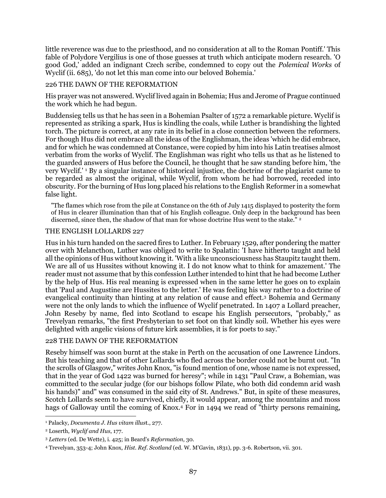little reverence was due to the priesthood, and no consideration at all to the Roman Pontiff.' This fable of Polydore Vergilius is one of those guesses at truth which anticipate modern research. 'O good God,' added an indignant Czech scribe, condemned to copy out the *Polemical Works* of Wyclif (ii. 685), 'do not let this man come into our beloved Bohemia.'

### 226 THE DAWN OF THE REFORMATION

His prayer was not answered. Wyclif lived again in Bohemia; Hus and Jerome of Prague continued the work which he had begun.

Buddensieg tells us that he has seen in a Bohemian Psalter of 1572 a remarkable picture. Wyclif is represented as striking a spark, Hus is kindling the coals, while Luther is brandishing the lighted torch. The picture is correct, at any rate in its belief in a close connection between the reformers. For though Hus did not embrace all the ideas of the Englishman, the ideas 'which he did embrace, and for which he was condemned at Constance, were copied by him into his Latin treatises almost verbatim from the works of Wyclif. The Englishman was right who tells us that as he listened to the guarded answers of Hus before the Council, he thought that he saw standing before him, 'the very Wyclif.' <sup>1</sup> By a singular instance of historical injustice, the doctrine of the plagiarist came to be regarded as almost the original, while Wyclif, from whom he had borrowed, receded into obscurity. For the burning of Hus long placed his relations to the English Reformer in a somewhat false light.

"The flames which rose from the pile at Constance on the 6th of July 1415 displayed to posterity the form of Hus in clearer illumination than that of his English colleague. Only deep in the background has been discerned, since then, the shadow of that man for whose doctrine Hus went to the stake.<sup>"2</sup>

#### THE ENGLISH LOLLARDS 227

Hus in his turn handed on the sacred fires to Luther. In February 1529, after pondering the matter over with Melancthon, Luther was obliged to write to Spalatin: 'I have hitherto taught and held all the opinions of Hus without knowing it. 'With a like unconsciousness has Staupitz taught them. We are all of us Hussites without knowing it. I do not know what to think for amazement.' The reader must not assume that by this confession Luther intended to hint that he had become Luther by the help of Hus. His real meaning is expressed when in the same letter he goes on to explain that 'Paul and Augustine are Hussites to the letter.' He was feeling his way rather to a doctrine of evangelical continuity than hinting at any relation of cause and effect.<sup>3</sup> Bohemia and Germany were not the only lands to which the influence of Wyclif penetrated. In 1407 a Lollard preacher, John Reseby by name, fled into Scotland to escape his English persecutors, "probably," as Trevelyan remarks, "the first Presbyterian to set foot on that kindly soil. Whether his eyes were delighted with angelic visions of future kirk assemblies, it is for poets to say."

#### 228 THE DAWN OF THE REFORMATION

Reseby himself was soon burnt at the stake in Perth on the accusation of one Lawrence Lindors. But his teaching and that of other Lollards who fled across the border could not be burnt out. "In the scrolls of Glasgow," writes John Knox, "is found mention of one, whose name is not expressed, that in the year of God 1422 was burned for heresy"; while in 1431 "Paul Craw, a Bohemian, was committed to the secular judge (for our bishops follow Pilate, who both did condemn arid wash his hands)" and" was consumed in the said city of St. Andrews." But, in spite of these measures, Scotch Lollards seem to have survived, chiefly, it would appear, among the mountains and moss hags of Galloway until the coming of Knox.<sup>4</sup> For in 1494 we read of "thirty persons remaining,

 $\overline{a}$ <sup>1</sup> Palacky, *Documenta J. Hus vitam illus*t., 277.

<sup>2</sup> Loserth, *Wyclif and Hus*, 177.

<sup>3</sup> *Letters* (ed. De Wette), i. 425; in Beard's *Reformation*, 30.

<sup>4</sup> Trevelyan, 353-4; John Knox, *Hist. Ref. Scotland* (ed. W. M'Gavin, 1831), pp. 3-6. Robertson, vii. 301.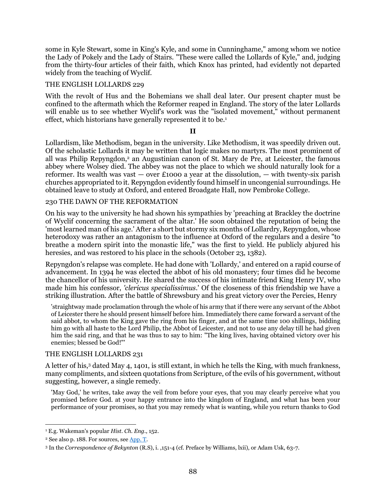some in Kyle Stewart, some in King's Kyle, and some in Cunninghame," among whom we notice the Lady of Pokely and the Lady of Stairs. "These were called the Lollards of Kyle," and, judging from the thirty-four articles of their faith, which Knox has printed, had evidently not departed widely from the teaching of Wyclif.

### THE ENGLISH LOLLARDS 229

With the revolt of Hus and the Bohemians we shall deal later. Our present chapter must be confined to the aftermath which the Reformer reaped in England. The story of the later Lollards will enable us to see whether Wyclif's work was the "isolated movement," without permanent effect, which historians have generally represented it to be.<sup>1</sup>

### **II**

Lollardism, like Methodism, began in the university. Like Methodism, it was speedily driven out. Of the scholastic Lollards it may be written that logic makes no martyrs. The most prominent of all was Philip Repyngdon,<sup>2</sup> an Augustinian canon of St. Mary de Pre, at Leicester, the famous abbey where Wolsey died. The abbey was not the place to which we should naturally look for a reformer. Its wealth was vast  $-$  over £1000 a year at the dissolution,  $-$  with twenty-six parish churches appropriated to it. Repyngdon evidently found himself in uncongenial surroundings. He obtained leave to study at Oxford, and entered Broadgate Hall, now Pembroke College.

#### 230 THE DAWN OF THE REFORMATION

On his way to the university he had shown his sympathies by 'preaching at Brackley the doctrine of Wyclif concerning the sacrament of the altar.' He soon obtained the reputation of being the 'most learned man of his age.' After a short but stormy six months of Lollardry, Repyngdon, whose heterodoxy was rather an antagonism to the influence at Oxford of the regulars and a desire "to breathe a modern spirit into the monastic life," was the first to yield. He publicly abjured his heresies, and was restored to his place in the schools (October 23, 1382).

Repyngdon's relapse was complete. He had done with 'Lollardy,' and entered on a rapid course of advancement. In 1394 he was elected the abbot of his old monastery; four times did he become the chancellor of his university. He shared the success of his intimate friend King Henry IV, who made him his confessor, *'clericus specialissimus*.' Of the closeness of this friendship we have a striking illustration. After the battle of Shrewsbury and his great victory over the Percies, Henry

'straightway made proclamation through the whole of his army that if there were any servant of the Abbot of Leicester there he should present himself before him. Immediately there came forward a servant of the said abbot, to whom the King gave the ring from his finger, and at the same time 100 shillings, bidding him go with all haste to the Lord Philip, the Abbot of Leicester, and not to use any delay till he had given him the said ring, and that he was thus to say to him: "The king lives, having obtained victory over his enemies; blessed be God!"'

### THE ENGLISH LOLLARDS 231

A letter of his,<sup>3</sup> dated May 4, 1401, is still extant, in which he tells the King, with much frankness, many compliments, and sixteen quotations from Scripture, of the evils of his government, without suggesting, however, a single remedy.

'May God,' he writes, take away the veil from before your eyes, that you may clearly perceive what you promised before God. at your happy entrance into the kingdom of England, and what has been your performance of your promises, so that you may remedy what is wanting, while you return thanks to God

<sup>1</sup> E.g. Wakeman's popular *Hist. Ch. Eng*., 152.

<sup>&</sup>lt;sup>2</sup> See also p. 188. For sources, see  $\Delta$ pp. T.

<sup>3</sup> In the *Correspondence of Bekynton* (R.S), i. ,151-4 (cf. Preface by Williams, lxii), or Adam Usk, 63-7.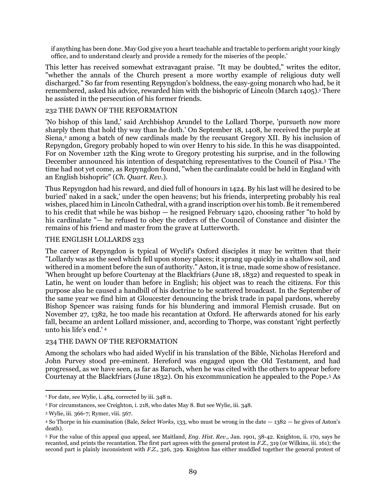if anything has been done. May God give you a heart teachable and tractable to perform aright your kingly office, and to understand clearly and provide a remedy for the miseries of the people.'

This letter has received somewhat extravagant praise. "It may be doubted," writes the editor, "whether the annals of the Church present a more worthy example of religious duty well discharged." So far from resenting Repyngdon's boldness, the easy-going monarch who had, be it remembered, asked his advice, rewarded him with the bishopric of Lincoln (March 1405).<sup>1</sup> There he assisted in the persecution of his former friends.

#### 232 THE DAWN OF THE REFORMATION

'No bishop of this land,' said Archbishop Arundel to the Lollard Thorpe, 'pursueth now more sharply them that hold thy way than he doth.' On September 18, 1408, he received the purple at Siena,<sup>2</sup> among a batch of new cardinals made by the recusant Gregory XII. By his inclusion of Repyngdon, Gregory probably hoped to win over Henry to his side. In this he was disappointed. For on November 12th the King wrote to Gregory protesting his surprise, and in the following December announced his intention of despatching representatives to the Council of Pisa.<sup>3</sup> The time had not yet come, as Repyngdon found, "when the cardinalate could be held in England with an English bishopric" (*Ch. Quart. Rev.*).

Thus Repyngdon had his reward, and died full of honours in 1424. By his last will he desired to be buried' naked in a sack,' under the open heavens; but his friends, interpreting probably his real wishes, placed him in Lincoln Cathedral, with a grand inscription over his tomb. Be it remembered to his credit that while he was bishop — he resigned February 1420, choosing rather "to hold by his cardinalate "— he refused to obey the orders of the Council of Constance and disinter the remains of his friend and master from the grave at Lutterworth.

### THE ENGLISH LOLLARDS 233

The career of Repyngdon is typical of Wyclif's Oxford disciples it may be written that their "Lollardy was as the seed which fell upon stoney places; it sprang up quickly in a shallow soil, and withered in a moment before the sun of authority." Aston, it is true, made some show of resistance. 'When brought up before Courtenay at the Blackfriars (June 18, 1832) and requested to speak in Latin, he went on louder than before in English; his object was to reach the citizens. For this purpose also he caused a handbill of his doctrine to be scattered broadcast. In the September of the same year we find him at Gloucester denouncing the brisk trade in papal pardons, whereby Bishop Spencer was raising funds for his blundering and immoral Flemish crusade. But on November 27, 1382, he too made his recantation at Oxford. He afterwards atoned for his early fall, became an ardent Lollard missioner, and, according to Thorpe, was constant 'right perfectly unto his life's end.' <sup>4</sup>

#### 234 THE DAWN OF THE REFORMATION

Among the scholars who had aided Wyclif in his translation of the Bible, Nicholas Hereford and John Purvey stood pre-eminent. Hereford was engaged upon the Old Testament, and had progressed, as we have seen, as far as Baruch, when he was cited with the others to appear before Courtenay at the Blackfriars (June 1832). On his excommunication he appealed to the Pope.<sup>5</sup> As

<sup>1</sup> For date, see Wylie, i. 484, corrected by iii. 348 n.

<sup>2</sup> For circumstances, see Creighton, i. 218, who dates May 8. But see Wylie, iii. 348.

<sup>3</sup> Wylie, iii. 366-7; Rymer, viii. 567.

<sup>4</sup> So Thorpe in his examination (Bale, *Select Works*, 133, who must be wrong in the date — 1382 — he gives of Aston's death).

<sup>5</sup> For the value of this appeal *qua* appeal, see Maitland, *Eng. Hist. Rev*., Jan. 1901, 38-42. Knighton, ii. 170, says he recanted, and prints the recantation. The first part agrees with the general protest in *F.Z.*, 319 (or Wilkins, iii. 161); the second part is plainly inconsistent with *F.Z.*, 326, 329. Knighton has either muddled together the general protest of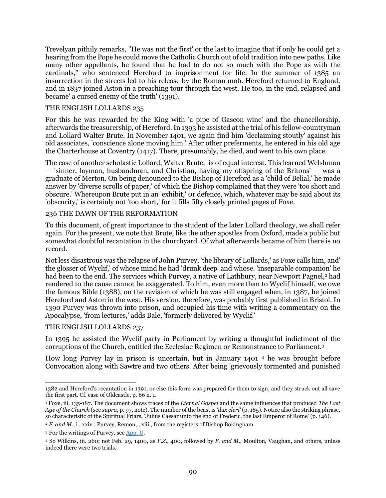Trevelyan pithily remarks, "He was not the first' or the last to imagine that if only he could get a hearing from the Pope he could move the Catholic Church out of old tradition into new paths. Like many other appellants, he found that he had to do not so much with the Pope as with the cardinals," who sentenced Hereford to imprisonment for life. In the summer of 1385 an insurrection in the streets led to his release by the Roman mob. Hereford returned to England, and in 1837 joined Aston in a preaching tour through the west. He too, in the end, relapsed and became' a cursed enemy of the truth' (1391).

#### THE ENGLISH LOLLARDS 235

For this he was rewarded by the King with 'a pipe of Gascon wine' and the chancellorship, afterwards the treasurership, of Hereford. In 1393 he assisted at the trial of his fellow-countryman and Lollard Walter Brute. In November 1401, we again find him 'declaiming stoutly' against his old associates, 'conscience alone moving him.' After other preferments, he entered in his old age the Charterhouse at Coventry (1417). There, presumably, he died, and went to his own place.

The case of another scholastic Lollard, Walter Brute,<sup>1</sup> is of equal interest. This learned Welshman — 'sinner, layman, husbandman, and Christian, having my offspring of the Britons' — was a graduate of Merton. On being denounced to the Bishop of Hereford as a 'child of Belial,' he made answer by 'diverse scrolls of paper,' of which the Bishop complained that they were 'too short and obscure.' Whereupon Brute put in an 'exhibit,' 0r defence, which, whatever may be said about its 'obscurity,' is certainly not 'too short,' for it fills fifty closely printed pages of Foxe.

### 236 THE DAWN OF THE REFORMATION

To this document, of great importance to the student of the later Lollard theology, we shall refer again. For the present, we note that Brute, like the other apostles from Oxford, made a public but somewhat doubtful recantation in the churchyard. Of what afterwards became of him there is no record.

Not less disastrous was the relapse of John Purvey, 'the library of Lollards,' as Foxe calls him, and' the glosser of Wyclif,' of whose mind he had 'drunk deep' and whose. 'inseparable companion' he had been to the end. The services which Purvey, a native of Lathbury, near Newport Pagnel,<sup>2</sup> had rendered to the cause cannot be exaggerated. To him, even more than to Wyclif himself, we owe the famous Bible (1388), on the revision of which he was still engaged when, in 1387, he joined Hereford and Aston in the west. His version, therefore, was probably first published in Bristol. In 1390 Purvey was thrown into prison, and occupied his time with writing a commentary on the Apocalypse, 'from lectures,' adds Bale, 'formerly delivered by Wyclif.'

### THE ENGLISH LOLLARDS 237

In 1395 he assisted the Wyclif party in Parliament by writing a thoughtful indictment of the corruptions of the Church, entitled the Ecclesiae Regimen or Remonstrance to Parliament.<sup>3</sup>

How long Purvey lay in prison is uncertain, but in January 1401 <sup>4</sup> he was brought before Convocation along with Sawtre and two others. After being 'grievously tormented and punished

 $\overline{a}$ 1382 and Hereford's recantation in 1391, or else this form was prepared for them to sign, and they struck out all save the first part. Cf. case of Oldcastle, p. 66 n. 1.

<sup>1</sup> Foxe, iii. 135-187. The document shows traces of the *Eternal Gospel* and the same influences that produced *The Last Age of the Church* (see *supra*, p. 97, note). The number of the beast is *'dux cleri'* (p. 185). Notice also the striking phrase, so characteristic of the Spiritual Friars, 'Julius Caesar unto the end of Frederic, the last Emperor of Rome' (p. 146).

<sup>&</sup>lt;sup>2</sup> *F. and M.*, i., xxiv.; Purvey, Remon,., xiii., from the registers of Bishop Bokingham.

<sup>3</sup> For the writings of Purvey, see [App. U.](#page-115-0)

<sup>4</sup> So Wilkins, iii. 260; not Feb. 29, 1400, as *F.Z.*, 400, followed by *F. and M.*, Moulton, Vaughan, and others, unless indeed there were two trials.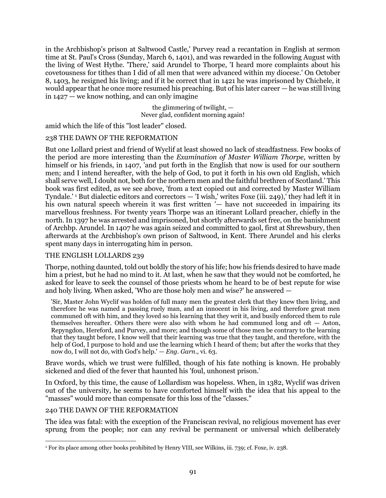in the Archbishop's prison at Saltwood Castle,' Purvey read a recantation in English at sermon time at St. Paul's Cross (Sunday, March 6, 1401), and was rewarded in the following August with the living of West Hythe. 'There,' said Arundel to Thorpe, 'I heard more complaints about his covetousness for tithes than I did of all men that were advanced within my diocese.' On October 8, 1403, he resigned his living; and if it be correct that in 1421 he was imprisoned by Chichele, it would appear that he once more resumed his preaching. But of his later career — he was still living in 1427 — we know nothing, and can only imagine

> the glimmering of twilight, — Never glad, confident morning again!

amid which the life of this "lost leader" closed.

### 238 THE DAWN OF THE REFORMATION

But one Lollard priest and friend of Wyclif at least showed no lack of steadfastness. Few books of the period are more interesting than the *Examination of Master William Th0rpe*, written by himself or his friends, in 1407, 'and put forth in the English that now is used for our southern men; and I intend hereafter, with the help of God, to put it forth in his own old English, which shall serve well, I doubt not, both for the northern men and the faithful brethren of Scotland.' This book was first edited, as we see above, 'from a text copied out and corrected by Master William Tyndale.' <sup>1</sup> But dialectic editors and correctors — 'I wish,' writes Foxe (iii. 249),' they had left it in his own natural speech wherein it was first written '— have not succeeded in impairing its marvellous freshness. For twenty years Thorpe was an itinerant Lollard preacher, chiefly in the north. In 1397 he was arrested and imprisoned, but shortly afterwards set free, on the banishment of Archbp. Arundel. In 1407 he was again seized and committed to gaol, first at Shrewsbury, then afterwards at the Archbishop's own prison of Saltwood, in Kent. There Arundel and his clerks spent many days in interrogating him in person.

### THE ENGLISH LOLLARDS 239

Thorpe, nothing daunted, told out boldly the story of his life; how his friends desired to have made him a priest, but he had no mind to it. At last, when he saw that they would not be comforted, he asked for leave to seek the counsel of those priests whom he heard to be of best repute for wise and holy living. When asked, 'Who are those holy men and wise?' he answered —

'Sir, Master John Wyclif was holden of full many men the greatest clerk that they knew then living, and therefore he was named a passing ruely man, and an innocent in his living, and therefore great men communed oft with him, and they loved so his learning that they writ it, and busily enforced them to rule themselves hereafter. Others there were also with whom he had communed long and oft — Aston, Repyngdon, Hereford, and Purvey, and more; and though some of those men be contrary to the learning that they taught before, I know well that their learning was true that they taught, and therefore, with the help of God, I purpose to hold and use the learning which I heard of them; but after the works that they now do, I will not do, with God's help.' — *Eng. Garn*., vi. 63.

Brave words, which we trust were fulfilled, though of his fate nothing is known. He probably sickened and died of the fever that haunted his 'foul, unhonest prison.'

In Oxford, by this time, the cause of Lollardism was hopeless. When, in 1382, Wyclif was driven out of the university, he seems to have comforted himself with the idea that his appeal to the "masses" would more than compensate for this loss of the "classes."

### 240 THE DAWN OF THE REFORMATION

The idea was fatal: with the exception of the Franciscan revival, no religious movement has ever sprung from the people; nor can any revival be permanent or universal which deliberately

 $\overline{a}$ <sup>1</sup> For its place among other books prohibited by Henry VIII, see Wilkins, iii. 739; cf. Foxe, iv. 238.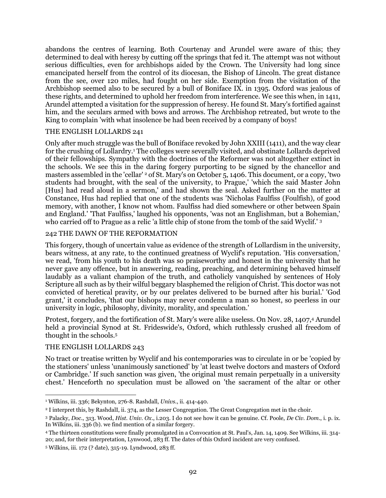abandons the centres of learning. Both Courtenay and Arundel were aware of this; they determined to deal with heresy by cutting off the springs that fed it. The attempt was not without serious difficulties, even for archbishops aided by the Crown. The University had long since emancipated herself from the control of its diocesan, the Bishop of Lincoln. The great distance from the see, over 120 miles, had fought on her side. Exemption from the visitation of the Archbishop seemed also to be secured by a bull of Boniface IX. in 1395. Oxford was jealous of these rights, and determined to uphold her freedom from interference. We see this when, in 1411, Arundel attempted a visitation for the suppression of heresy. He found St. Mary's fortified against him, and the seculars armed with bows and arrows. The Archbishop retreated, but wrote to the King to complain 'with what insolence be had been received by a company of boys!

#### THE ENGLISH LOLLARDS 241

Only after much struggle was the bull of Boniface revoked by John XXIII (1411), and the way clear for the crushing of Lollardry.<sup>1</sup> The colleges were severally visited, and obstinate Lollards deprived of their fellowships. Sympathy with the doctrines of the Reformer was not altogether extinct in the schools. We see this in the daring forgery purporting to be signed by the chancellor and masters assembled in the 'cellar' <sup>2</sup> of St. Mary's on October 5, 1406. This document, or a copy, 'two students had brought, with the seal of the university, to Prague,' 'which the said Master John [Hus] had read aloud in a sermon,' and had shown the seal. Asked further on the matter at Constance, Hus had replied that one of the students was 'Nicholas Faulfiss (Foulfish), of good memory, with another, I know not whom. Faulfiss had died somewhere or other between Spain and England.' 'That Faulfiss,' laughed his opponents, 'was not an Englishman, but a Bohemian,' who carried off to Prague as a relic 'a little chip of stone from the tomb of the said Wyclif.' <sup>3</sup>

#### 242 THE DAWN OF THE REFORMATION

This forgery, though of uncertain value as evidence of the strength of Lollardism in the university, bears witness, at any rate, to the continued greatness of Wyclif's reputation. 'His conversation,' we read, 'from his youth to his death was so praiseworthy and honest in the university that he never gave any offence, but in answering, reading, preaching, and determining behaved himself laudably as a valiant champion of the truth, and catholicly vanquished by sentences of Holy Scripture all such as by their wilful beggary blasphemed the religion of Christ. This doctor was not convicted of heretical pravity, or by our prelates delivered to be burned after his burial.' 'God grant,' it concludes, 'that our bishops may never condemn a man so honest, so peerless in our university in logic, philosophy, divinity, morality, and speculation.'

Protest, forgery, and the fortification of St. Mary's were alike useless. On Nov. 28, 1407,<sup>4</sup> Arundel held a provincial Synod at St. Frideswide's, Oxford, which ruthlessly crushed all freedom of thought in the schools.<sup>5</sup>

#### THE ENGLISH LOLLARDS 243

No tract or treatise written by Wyclif and his contemporaries was to circulate in or be 'copied by the stationers' unless 'unanimously sanctioned' by 'at least twelve doctors and masters of Oxford or Cambridge.' If such sanction was given, 'the original must remain perpetually in a university chest.' Henceforth no speculation must be allowed on 'the sacrament of the altar or other

 $\overline{a}$ <sup>1</sup> Wilkins, iii. 336; Bekynton, 276-8. Rashdall, *Univs*., ii. 414-440.

<sup>2</sup> I interpret this, by RashdalI, ii. 374, as the Lesser Congregation. The Great Congregation met in the choir.

<sup>3</sup> Palacky, *Doc*., 313. Wood, *Hist. Univ. Ox*., i.203. I do not see how it can be genuine. Cf. Poole, *De Civ. Dom*., i. p. ix. In Wilkins, iii. 336 (b). we find mention of a similar forgery.

<sup>4</sup> The thirteen constitutions were finally promulgated in a Convocation at St. Paul's, Jan. 14, 1409. See Wilkins, iii. 314- 20; and, for their interpretation, Lynwood, 283 ff. The dates of this Oxford incident are very confused.

<sup>5</sup> Wilkins, iii. 172 (? date), 315-19. Lyndwood, 283 ff.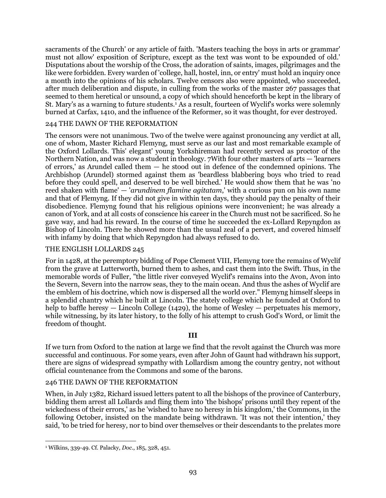sacraments of the Church' or any article of faith. 'Masters teaching the boys in arts or grammar' must not allow' exposition of Scripture, except as the text was wont to be expounded of old.' Disputations about the worship of the Cross, the adoration of saints, images, pilgrimages and the like were forbidden. Every warden of 'college, hall, hostel, inn, or entry' must hold an inquiry once a month into the opinions of his scholars. Twelve censors also were appointed, who succeeded, after much deliberation and dispute, in culling from the works of the master 267 passages that seemed to them heretical or unsound, a copy of which should henceforth be kept in the library of St. Mary's as a warning to future students.<sup>1</sup> As a result, fourteen of Wyclif's works were solemnly burned at Carfax, 1410, and the influence of the Reformer, so it was thought, for ever destroyed.

### 244 THE DAWN OF THE REFORMATION

The censors were not unanimous. Two of the twelve were against pronouncing any verdict at all, one of whom, Master Richard Flemyng, must serve as our last and most remarkable example of the Oxford Lollards. This' elegant' young Yorkshireman had recently served as proctor of the Northern Nation, and was now a student in theology. 7With four other masters of arts — 'learners of errors,' as Arundel called them — he stood out in defence of the condemned opinions. The Archbishop (Arundel) stormed against them as 'beardless blabbering boys who tried to read before they could spell, and deserved to be well birched.' He would show them that he was 'no reed shaken with flame' — '*arundinem flamine agitatam*,' with a curious pun on his own name and that of Flemyng. If they did not give in within ten days, they should pay the penalty of their disobedience. Flemyng found that his religious opinions were inconvenient; he was already a canon of York, and at all costs of conscience his career in the Church must not be sacrificed. So he gave way, and had his reward. In the course of time he succeeded the ex-Lollard Repyngdon as Bishop of Lincoln. There he showed more than the usual zeal of a pervert, and covered himself with infamy by doing that which Repyngdon had always refused to do.

#### THE ENGLISH LOLLARDS 245

For in 1428, at the peremptory bidding of Pope Clement VIII, Flemyng tore the remains of Wyclif from the grave at Lutterworth, burned them to ashes, and cast them into the Swift. Thus, in the memorable words of Fuller, "the little river conveyed Wyclif's remains into the Avon, Avon into the Severn, Severn into the narrow seas, they to the main ocean. And thus the ashes of Wyclif are the emblem of his doctrine, which now is dispersed all the world over." Flemyng himself sleeps in a splendid chantry which he built at Lincoln. The stately college which he founded at Oxford to help to baffle heresy — Lincoln College (1429), the home of Wesley — perpetuates his memory, while witnessing, by its later history, to the folly of his attempt to crush God's Word, or limit the freedom of thought.

#### **III**

If we turn from Oxford to the nation at large we find that the revolt against the Church was more successful and continuous. For some years, even after John of Gaunt had withdrawn his support, there are signs of widespread sympathy with Lollardism among the country gentry, not without official countenance from the Commons and some of the barons.

#### 246 THE DAWN OF THE REFORMATION

When, in July 1382, Richard issued letters patent to all the bishops of the province of Canterbury, bidding them arrest all Lollards and fling them into 'the bishops' prisons until they repent of the wickedness of their errors,' as he 'wished to have no heresy in his kingdom,' the Commons, in the following October, insisted on the mandate being withdrawn. 'It was not their intention,' they said, 'to be tried for heresy, nor to bind over themselves or their descendants to the prelates more

 $\overline{a}$ <sup>1</sup> Wilkins, 339-49. Cf. Palacky, *Doc*., 185, 328, 451.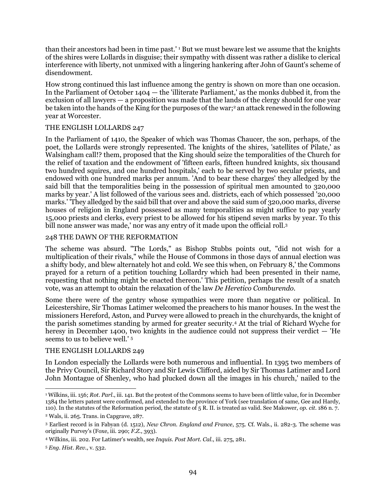than their ancestors had been in time past.' <sup>1</sup> But we must beware lest we assume that the knights of the shires were Lollards in disguise; their sympathy with dissent was rather a dislike to clerical interference with liberty, not unmixed with a lingering hankering after John of Gaunt's scheme of disendowment.

How strong continued this last influence among the gentry is shown on more than one occasion. In the Parliament of October 1404 — the 'illiterate Parliament,' as the monks dubbed it, from the exclusion of all lawyers — a proposition was made that the lands of the clergy should for one year be taken into the hands of the King for the purposes of the war;<sup>2</sup> an attack renewed in the following year at Worcester.

### THE ENGLISH LOLLARDS 247

In the Parliament of 1410, the Speaker of which was Thomas Chaucer, the son, perhaps, of the poet, the Lollards were strongly represented. The knights of the shires, 'satellites of Pilate,' as Walsingham call!? them, proposed that the King should seize the temporalities of the Church for the relief of taxation and the endowment of 'fifteen earls, fifteen hundred knights, six thousand two hundred squires, and one hundred hospitals,' each to be served by two secular priests, and endowed with one hundred marks per annum. 'And to bear these charges' they alledged by the said bill that the temporalities being in the possession of spiritual men amounted to 320,000 marks by year.' A list followed of the various sees and. districts, each of which possessed '20,000 marks.' 'They alledged by the said bill that over and above the said sum of 320,000 marks, diverse houses of religion in England possessed as many temporalities as might suffice to pay yearly 15,000 priests and clerks, every priest to be allowed for his stipend seven marks by year. To this bill none answer was made,' nor was any entry of it made upon the official roll.<sup>3</sup>

### 248 THE DAWN OF THE REFORMATION

The scheme was absurd. "The Lords," as Bishop Stubbs points out, "did not wish for a multiplication of their rivals," while the House of Commons in those days of annual election was a shifty body, and blew alternately hot and cold. We see this when, on February 8,' the Commons prayed for a return of a petition touching Lollardry which had been presented in their name, requesting that nothing might be enacted thereon.' This petition, perhaps the result of a snatch vote, was an attempt to obtain the relaxation of the law *De Heretico Comburendo*.

Some there were of the gentry whose sympathies were more than negative or political. In Leicestershire, Sir Thomas Latimer welcomed the preachers to his manor houses. In the west the missioners Hereford, Aston, and Purvey were allowed to preach in the churchyards, the knight of the parish sometimes standing by armed for greater security.<sup>4</sup> At the trial of Richard Wyche for heresy in December 1400, two knights in the audience could not suppress their verdict — 'He seems to us to believe well.' <sup>5</sup>

### THE ENGLISH LOLLARDS 249

In London especially the Lollards were both numerous and influential. In 1395 two members of the Privy Council, Sir Richard Story and Sir Lewis Clifford, aided by Sir Thomas Latimer and Lord John Montague of Shenley, who had plucked down all the images in his church,' nailed to the

 $\overline{a}$ <sup>1</sup> Wilkins, iii. 156; *Rot. Parl*., iii. 141. But the protest of the Commons seems to have been of little value, for in December 1384 the letters patent were confirmed, and extended to the province of York (see translation of same, Gee and Hardy, 110). In the statutes of the Reformation period, the statute of 5 R. II. is treated as valid. See Makower, *op. cit*. 186 n. 7.

<sup>2</sup> Wals, ii. 265. Trans. in Capgrave, 287.

<sup>3</sup> Earliest record is in Fabyan (d. 1512), *New Chron. England and France*, 575. Cf. Wals., ii. 282-3. The scheme was originally Purvey's (Foxe, iii. 290; *F.Z.*, 393).

<sup>4</sup> Wilkins, iii. 202. For Latimer's wealth, see *Inquis. Post Mort. Cal*., iii. 275, 281.

<sup>5</sup> *Eng. Hist. Rev*., v. 532.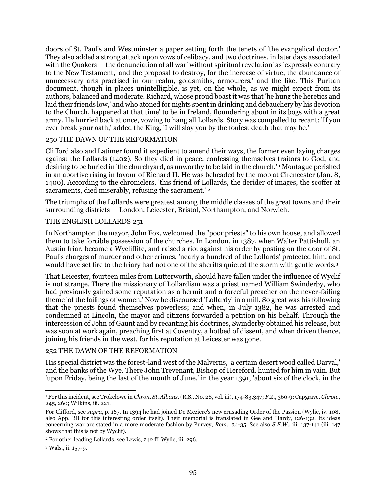doors of St. Paul's and Westminster a paper setting forth the tenets of 'the evangelical doctor.' They also added a strong attack upon vows of celibacy, and two doctrines, in later days associated with the Quakers — the denunciation of all war' without spiritual revelation' as 'expressly contrary to the New Testament,' and the proposal to destroy, for the increase of virtue, the abundance of unnecessary arts practised in our realm, goldsmiths, armourers,' and the like. This Puritan document, though in places unintelligible, is yet, on the whole, as we might expect from its authors, balanced and moderate. Richard, whose proud boast it was that 'he hung the heretics and laid their friends low,' and who atoned for nights spent in drinking and debauchery by his devotion to the Church, happened at that time' to be in Ireland, floundering about in its bogs with a great army. He hurried back at once, vowing to hang all Lollards. Story was compelled to recant: 'If you ever break your oath,' added the King, 'I will slay you by the foulest death that may be.'

#### 250 THE DAWN OF THE REFORMATION

Clifford also and Latimer found it expedient to amend their ways, the former even laying charges against the Lollards (1402). So they died in peace, confessing themselves traitors to God, and desiring to be buried in 'the churchyard, as unworthy to be laid in the church.' <sup>1</sup> Montague perished in an abortive rising in favour of Richard II. He was beheaded by the mob at Cirencester (Jan. 8, 1400). According to the chroniclers, 'this friend of Lollards, the derider of images, the scoffer at sacraments, died miserably, refusing the sacrament.<sup>'</sup> <sup>2</sup>

The triumphs of the Lollards were greatest among the middle classes of the great towns and their surrounding districts — London, Leicester, Bristol, Northampton, and Norwich.

### THE ENGLISH LOLLARDS 251

In Northampton the mayor, John Fox, welcomed the "poor priests" to his own house, and allowed them to take forcible possession of the churches. In London, in 1387, when Walter Pattishull, an Austin friar, became a Wycliffite, and raised a riot against his order by posting on the door of St. Paul's charges of murder and other crimes, 'nearly a hundred of the Lollards' protected him, and would have set fire to the friary had not one of the sheriffs quieted the storm with gentle words.<sup>3</sup>

That Leicester, fourteen miles from Lutterworth, should have fallen under the influence of Wyclif is not strange. There the missionary of Lollardism was a priest named William Swinderby, who had previously gained some reputation as a hermit and a forceful preacher on the never-failing theme 'of the failings of women.' Now he discoursed 'Lollardy' in a mill. So great was his following that the priests found themselves powerless; and when, in July 1382, he was arrested and condemned at Lincoln, the mayor and citizens forwarded a petition on his behalf. Through the intercession of John of Gaunt and by recanting his doctrines, Swinderby obtained his release, but was soon at work again, preaching first at Coventry, a hotbed of dissent, and when driven thence, joining his friends in the west, for his reputation at Leicester was gone.

### 252 THE DAWN OF THE REFORMATION

His special district was the forest-land west of the Malverns, 'a certain desert wood called Darval,' and the banks of the Wye. There John Trevenant, Bishop of Hereford, hunted for him in vain. But 'upon Friday, being the last of the month of June,' in the year 1391, 'about six of the clock, in the

<sup>1</sup> For this incident, see Trokelowe in *Chron. St. Albans*. (R.S., No. 28, vol. iii), 174-83,347; *F.Z.*, 360-9; Capgrave, *Chron*., 245, 260; Wilkins, iii. 221.

For Clifford, see *supra*, p. 167. In 1394 he had joined De Meziere's new crusading Order of the Passion (Wylie, iv. 108, also App. BB for this interesting order itself). Their memorial is translated in Gee and Hardy, 126-132. Its ideas concerning war are stated in a more moderate fashion by Purvey, *Rem*., 34-35. See also *S.E.W.*, iii. 137-141 (iii. 147 shows that this is not by Wyclif).

<sup>2</sup> For other leading Lollards, see Lewis, 242 ff. Wylie, iii. 296.

<sup>3</sup> Wals., ii. 157-9.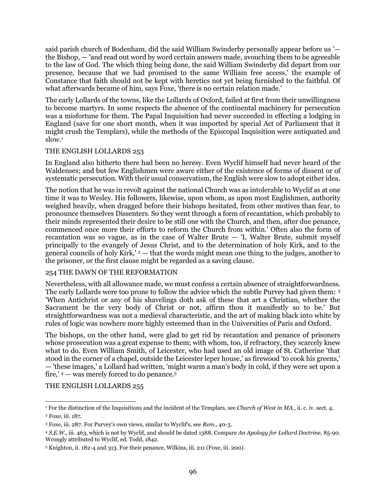said parish church of Bodenham, did the said William Swinderby personally appear before us ' the Bishop, — 'and read out word by word certain answers made, avouching them to be agreeable to the law of God. The which thing being done, the said William Swinderby did depart from our presence, because that we had promised to the same William free access,' the example of Constance that faith should not be kept with heretics not yet being furnished to the faithful. Of what afterwards became of him, says Foxe, 'there is no certain relation made.'

The early Lollards of the towns, like the Lollards of Oxford, failed at first from their unwillingness to become martyrs. In some respects the absence of the continental machinery for persecution was a misfortune for them. The Papal Inquisition had never succeeded in effecting a lodging in England (save for one short month, when it was imported by special Act of Parliament that it might crush the Templars), while the methods of the Episcopal Inquisition were antiquated and  $slow.<sup>1</sup>$ 

### THE ENGLISH LOLLARDS 253

In England also hitherto there had been no heresy. Even Wyclif himself had never heard of the Waldenses; and but few Englishmen were aware either of the existence of forms of dissent or of systematic persecution. With their usual conservatism, the English were slow to adopt either idea.

The notion that he was in revolt against the national Church was as intolerable to Wyclif as at one time it was to Wesley. His followers, likewise, upon whom, as upon most Englishmen, authority weighed heavily, when dragged before their bishops hesitated, from other motives than fear, to pronounce themselves Dissenters. So they went through a form of recantation, which probably to their minds represented their desire to be still one with the Church, and then, after due penance, commenced once more their efforts to reform the Church from within.' Often also the form of recantation was so vague, as in the case of Walter Brute  $-$  'I, Walter Brute, submit myself principally to the evangely of Jesus Christ, and to the determination of holy Kirk, and to the general councils of holy Kirk,'  $2 -$  that the words might mean one thing to the judges, another to the prisoner, or the first clause might be regarded as a saving clause.

### 254 THE DAWN OF THE REFORMATION

Nevertheless, with all allowance made, we must confess a certain absence of straightforwardness. The early Lollards were too prone to follow the advice which the subtle Purvey had given them: <sup>3</sup> 'When Antichrist or any of his shavelings doth ask of these that art a Christian, whether the Sacrament be the very body of Christ or not, affirm thou it manifestly so to be.' But straightforwardness was not a medieval characteristic, and the art of making black into white by rules of logic was nowhere more highly esteemed than in the Universities of Paris and Oxford.

The bishops, on the other hand, were glad to get rid by recantation and penance of prisoners whose prosecution was a great expense to them; with whom, too, if refractory, they scarcely knew what to do. Even William Smith, of Leicester, who had used an old image of St. Catherine 'that stood in the corner of a chapel, outside the Leicester leper house,' as firewood 'to cook his greens,' — 'these images,' a Lollard had written, 'might warm a man's body in cold, if they were set upon a fire,' <sup>4</sup> — was merely forced to do penance.<sup>5</sup>

THE ENGLISH LOLLARDS 255

l <sup>1</sup> For the distinction of the Inquisitions and the incident of the Templars, see *Church of West in MA.*, ii. c. iv. sect. 4. <sup>2</sup> Foxe, iii. 187.

<sup>3</sup> Foxe, iii. 287. For Purvey's own views, similar to Wyclif's, see *Rem*., 40-3.

<sup>4</sup> *S.E.W.*, iii. 463, which is not by Wyclif, and should be dated 1388. Compare *An Apology for Lollard Doctrine*, 85-90. Wrongly attributed to Wyclif, ed. Todd, 1842.

<sup>5</sup> Knighton, ii. 182-4 and 313. For their penance, Wilkins, iii. 211 (Foxe, iii. 200).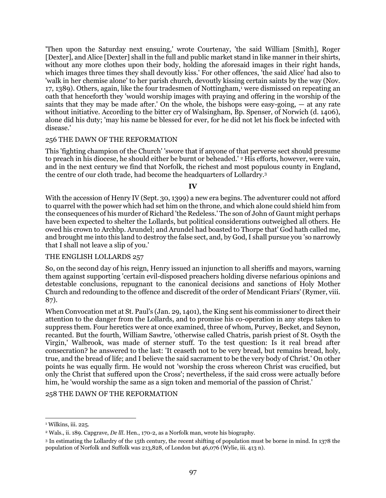'Then upon the Saturday next ensuing,' wrote Courtenay, 'the said William [Smith], Roger [Dexter], and Alice [Dexter] shall in the full and public market stand in like manner in their shirts, without any more clothes upon their body, holding the aforesaid images in their right hands, which images three times they shall devoutly kiss.' For other offences, 'the said Alice' had also to 'walk in her chemise alone' to her parish church, devoutly kissing certain saints by the way (Nov. 17, 1389). Others, again, like the four tradesmen of Nottingham,<sup>1</sup> were dismissed on repeating an oath that henceforth they 'would worship images with praying and offering in the worship of the saints that they may be made after.' On the whole, the bishops were easy-going,  $-$  at any rate without initiative. According to the bitter cry of Walsingham, Bp. Spenser, of Norwich (d. 1406), alone did his duty; 'may his name be blessed for ever, for he did not let his flock be infected with disease.'

### 256 THE DAWN OF THE REFORMATION

This 'fighting champion of the Church' 'swore that if anyone of that perverse sect should presume to preach in his diocese, he should either be burnt or beheaded.' <sup>2</sup> His efforts, however, were vain, and in the next century we find that Norfolk, the richest and most populous county in England, the centre of our cloth trade, had become the headquarters of Lollardry.<sup>3</sup>

### **IV**

With the accession of Henry IV (Sept. 30, 1399) a new era begins. The adventurer could not afford to quarrel with the power which had set him on the throne, and which alone could shield him from the consequences of his murder of Richard 'the Redeless.' The son of John of Gaunt might perhaps have been expected to shelter the Lollards, but political considerations outweighed all others. He owed his crown to Archbp. Arundel; and Arundel had boasted to Thorpe that' God hath called me, and brought me into this land to destroy the false sect, and, by God, I shall pursue you 'so narrowly that I shall not leave a slip of you.'

### THE ENGLISH LOLLARDS 257

So, on the second day of his reign, Henry issued an injunction to all sheriffs and mayors, warning them against supporting 'certain evil-disposed preachers holding diverse nefarious opinions and detestable conclusions, repugnant to the canonical decisions and sanctions of Holy Mother Church and redounding to the offence and discredit of the order of Mendicant Friars' (Rymer, viii. 87).

When Convocation met at St. Paul's (Jan. 29, 1401), the King sent his commissioner to direct their attention to the danger from the Lollards, and to promise his co-operation in any steps taken to suppress them. Four heretics were at once examined, three of whom, Purvey, Becket, and Seynon, recanted. But the fourth, William Sawtre, 'otherwise called Chatris, parish priest of St. Osyth the Virgin,' Walbrook, was made of sterner stuff. To the test question: Is it real bread after consecration? he answered to the last: 'It ceaseth not to be very bread, but remains bread, holy, true, and the bread of life; and I believe the said sacrament to be the very body of Christ.' On other points he was equally firm. He would not 'worship the cross whereon Christ was crucified, but only the Christ that suffered upon the Cross'; nevertheless, if the said cross were actually before him, he 'would worship the same as a sign token and memorial of the passion of Christ.'

### 258 THE DAWN OF THE REFORMATION

<sup>&</sup>lt;sup>1</sup> Wilkins, iii. 225.

<sup>2</sup> Wals., ii. 189. Capgrave, *De lll*. Hen., 170-2, as a Norfolk man, wrote his biography.

<sup>3</sup> In estimating the Lollardry of the 15th century, the recent shifting of population must be borne in mind. In 1378 the population of Norfolk and Suffolk was 213,828, of London but 46,076 (Wylie, iii. 413 n).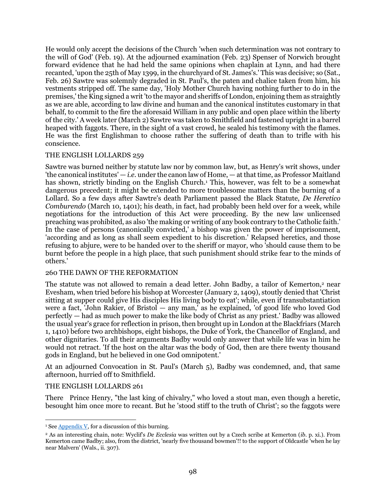He would only accept the decisions of the Church 'when such determination was not contrary to the will of God' (Feb. 19). At the adjourned examination (Feb. 23) Spenser of Norwich brought forward evidence that he had held the same opinions when chaplain at Lynn, and had there recanted, 'upon the 25th of May 1399, in the churchyard of St. James's.' This was decisive; so (Sat., Feb. 26) Sawtre was solemnly degraded in St. Paul's, the paten and chalice taken from him, his vestments stripped off. The same day, 'Holy Mother Church having nothing further to do in the premises,' the King signed a writ 'to the mayor and sheriffs of London, enjoining them as straightly as we are able, according to law divine and human and the canonical institutes customary in that behalf, to commit to the fire the aforesaid William in any public and open place within the liberty of the city.' A week later (March 2) Sawtre was taken to Smithfield and fastened upright in a barrel heaped with faggots. There, in the sight of a vast crowd, he sealed his testimony with the flames. He was the first Englishman to choose rather the suffering of death than to trifle with his conscience.

#### THE ENGLISH LOLLARDS 259

Sawtre was burned neither by statute law nor by common law, but, as Henry's writ shows, under 'the canonical institutes' — *i.e.* under the canon law of Home, — at that time, as Professor Maitland has shown, strictly binding on the English Church.<sup>1</sup> This, however, was felt to be a somewhat dangerous precedent; it might be extended to more troublesome matters than the burning of a Lollard. So a few days after Sawtre's death Parliament passed the Black Statute, *De Heretico Comburendo* (March 10, 1401); his death, in fact, had probably been held over for a week, while negotiations for the introduction of this Act were proceeding. By the new law unlicensed preaching was prohibited, as also 'the making or writing of any book contrary to the Catholic faith.' In the case of persons (canonically convicted,' a bishop was given the power of imprisonment, 'according and as long as shall seem expedient to his discretion.' Relapsed heretics, and those refusing to abjure, were to be handed over to the sheriff or mayor, who 'should cause them to be burnt before the people in a high place, that such punishment should strike fear to the minds of others.'

#### 260 THE DAWN OF THE REFORMATION

The statute was not allowed to remain a dead letter. John Badby, a tailor of Kemerton,<sup>2</sup> near Evesham, when tried before his bishop at Worcester (January 2, 1409), stoutly denied that 'Christ sitting at supper could give His disciples His living body to eat'; while, even if transubstantiation were a fact, 'John Rakier, of Bristol — any man,' as he explained, 'of good life who loved God perfectly — had as much power to make the like body of Christ as any priest.' Badby was allowed the usual year's grace for reflection in prison, then brought up in London at the Blackfriars (March 1, 1410) before two archbishops, eight bishops, the Duke of York, the Chancellor of England, and other dignitaries. To all their arguments Badby would only answer that while life was in him he would not retract. 'If the host on the altar was the body of God, then are there twenty thousand gods in England, but he believed in one God omnipotent.'

At an adjourned Convocation in St. Paul's (March 5), Badby was condemned, and, that same afternoon, hurried off to Smithfield.

#### THE ENGLISH LOLLARDS 261

There Prince Henry, "the last king of chivalry," who loved a stout man, even though a heretic, besought him once more to recant. But he 'stood stiff to the truth of Christ'; so the faggots were

 $\overline{a}$ <sup>1</sup> Se[e Appendix V,](#page-115-1) for a discussion of this burning.

<sup>2</sup> As an interesting chain, note: Wyclif's *De Ecclesia* was written out by a Czech scribe at Kemerton (*ib*. p. xi.). From Kemerton came Badby; also, from the district, 'nearly five thousand bowmen'!! to the support of Oldcastle 'when he lay near Malvern' (Wals., ii. 307).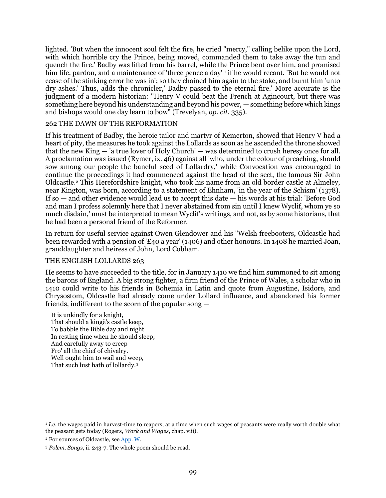lighted. 'But when the innocent soul felt the fire, he cried "mercy," calling belike upon the Lord, with which horrible cry the Prince, being moved, commanded them to take away the tun and quench the fire.' Badby was lifted from his barrel, while the Prince bent over him, and promised him life, pardon, and a maintenance of 'three pence a day'<sup>1</sup> if he would recant. 'But he would not cease of the stinking error he was in'; so they chained him again to the stake, and burnt him 'unto dry ashes.' Thus, adds the chronicler,' Badby passed to the eternal fire.' More accurate is the judgment of a modern historian: "Henry V could beat the French at Agincourt, but there was something here beyond his understanding and beyond his power, — something before which kings and bishops would one day learn to bow" (Trevelyan, *op. cit.* 335).

### 262 THE DAWN OF THE REFORMATION

If his treatment of Badby, the heroic tailor and martyr of Kemerton, showed that Henry V had a heart of pity, the measures he took against the Lollards as soon as he ascended the throne showed that the new King — 'a true lover of Holy Church' — was determined to crush heresy once for all. A proclamation was issued (Rymer, ix. 46) against all 'who, under the colour of preaching, should sow among our people the baneful seed of Lollardry,' while Convocation was encouraged to continue the proceedings it had commenced against the head of the sect, the famous Sir John Oldcastle.<sup>2</sup> This Herefordshire knight, who took his name from an old border castle at Almeley, near Kington, was born, according to a statement of Ehnham, 'in the year of the Schism' (1378). If so — and other evidence would lead us to accept this date — his words at his trial: 'Before God and man I profess solemnly here that I never abstained from sin until I knew Wyclif, whom ye so much disdain,' must be interpreted to mean Wyclif's writings, and not, as by some historians, that he had been a personal friend of the Reformer.

In return for useful service against Owen Glendower and his "Welsh freebooters, Oldcastle had been rewarded with a pension of '£40 a year' (1406) and other honours. In 1408 he married Joan, granddaughter and heiress of John, Lord Cobham.

### THE ENGLISH LOLLARDS 263

He seems to have succeeded to the title, for in January 1410 we find him summoned to sit among the barons of England. A big strong fighter, a firm friend of the Prince of Wales, a scholar who in 1410 could write to his friends in Bohemia in Latin and quote from Augustine, Isidore, and Chrysostom, Oldcastle had already come under Lollard influence, and abandoned his former friends, indifferent to the scorn of the popular song —

It is unkindly for a knight, That should a kingë's castle keep, To babble the Bible day and night In resting time when he should sleep; And carefully away to creep Fro' all the chief of chivalry. Well ought him to wail and weep, That such lust hath of lollardy.<sup>3</sup>

 $\overline{a}$ <sup>1</sup> *I.e.* the wages paid in harvest-time to reapers, at a time when such wages of peasants were really worth double what the peasant gets today (Rogers, *Work and Wages*, chap. viii).

<sup>2</sup> For sources of Oldcastle, see [App. W.](#page-116-0)

<sup>3</sup> *Polem. Songs*, ii. 243-7. The whole poem should be read.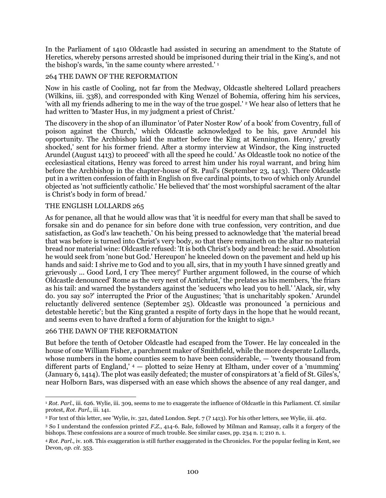In the Parliament of 1410 Oldcastle had assisted in securing an amendment to the Statute of Heretics, whereby persons arrested should be imprisoned during their trial in the King's, and not the bishop's wards, 'in the same county where arrested.' <sup>1</sup>

### 264 THE DAWN OF THE REFORMATION

Now in his castle of Cooling, not far from the Medway, Oldcastle sheltered Lollard preachers (Wilkins, iii. 338), and corresponded with King Wenzel of Bohemia, offering him his services, 'with all my friends adhering to me in the way of the true gospel.' <sup>2</sup> We hear also of letters that he had written to 'Master Hus, in my judgment a priest of Christ.'

The discovery in the shop of an illuminator 'of Pater Noster Row' of a book' from Coventry, full of poison against the Church,' which Oldcastle acknowledged to be his, gave Arundel his opportunity. The Archbishop laid the matter before the King at Kennington. Henry,' greatly shocked,' sent for his former friend. After a stormy interview at Windsor, the King instructed Arundel (August 1413) to proceed' with all the speed he could.' As Oldcastle took no notice of the ecclesiastical citations, Henry was forced to arrest him under his royal warrant, and bring him before the Archbishop in the chapter-house of St. Paul's (September 23, 1413). There Oldcastle put in a written confession of faith in English on five cardinal points, to two of which only Arundel objected as 'not sufficiently catholic.' He believed that' the most worshipful sacrament of the altar is Christ's body in form of bread.'

### THE ENGLISH LOLLARDS 265

As for penance, all that he would allow was that 'it is needful for every man that shall be saved to forsake sin and do penance for sin before done with true confession, very contrition, and due satisfaction, as God's law teacheth.' On his being pressed to acknowledge that 'the material bread that was before is turned into Christ's very body, so that there remaineth on the altar no material bread nor material wine: Oldcastle refused: 'It is both Christ's body and bread: he said. Absolution he would seek from 'none but God.' Hereupon' he kneeled down on the pavement and held up his hands and said: I shrive me to God and to you all, sirs, that in my youth I have sinned greatly and grievously ... Good Lord, I cry Thee mercy!' Further argument followed, in the course of which Oldcastle denounced' Rome as the very nest of Antichrist,' the prelates as his members, 'the friars as his tail: and warned the bystanders against the 'seducers who lead you to hell.' 'Alack, sir, why do. you say so?' interrupted the Prior of the Augustines; 'that is uncharitably spoken.' Arundel reluctantly delivered sentence (September 25). Oldcastle was pronounced 'a pernicious and detestable heretic'; but the King granted a respite of forty days in the hope that he would recant, and seems even to have drafted a form of abjuration for the knight to sign.<sup>3</sup>

#### 266 THE DAWN OF THE REFORMATION

But before the tenth of October Oldcastle had escaped from the Tower. He lay concealed in the house of one William Fisher, a parchment maker of Smithfield, while the more desperate Lollards, whose numbers in the home counties seem to have been considerable, — 'twenty thousand from different parts of England,' <sup>4</sup> — plotted to seize Henry at Eltham, under cover of a 'mumming' (January 6, 1414). The plot was easily defeated; the muster of conspirators at 'a field of St. Giles's,' near Holborn Bars, was dispersed with an ease which shows the absence of any real danger, and

 $\overline{a}$ <sup>1</sup> *Rot. Parl*., iii. 626. Wylie, iii. 309, seems to me to exaggerate the influence of Oldcastle in this Parliament. Cf. similar protest, *Rot. Parl*., iii. 141.

<sup>2</sup> For text of this letter, see 'Wylie, iv. 321, dated London. Sept. 7 (? 1413). For his other letters, see Wylie, iii. 462.

<sup>3</sup> So I understand the confession printed *F.Z.*, 414-6. Bale, followed by Milman and Ramsay, calls it a forgery of the bishops. These confessions are a source of much trouble. See similar cases, pp. 234 n. 1; 210 n. 1.

<sup>4</sup> *Rot. Parl*., iv. 108. This exaggeration is still further exaggerated in the Chronicles. For the popular feeling in Kent, see Devon, *op. cit.* 353.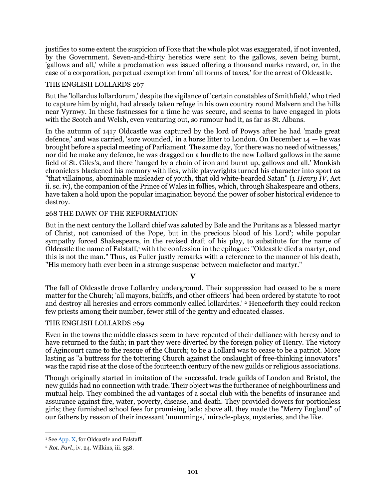justifies to some extent the suspicion of Foxe that the whole plot was exaggerated, if not invented, by the Government. Seven-and-thirty heretics were sent to the gallows, seven being burnt, 'gallows and all,' while a proclamation was issued offering a thousand marks reward, or, in the case of a corporation, perpetual exemption from' all forms of taxes,' for the arrest of Oldcastle.

# THE ENGLISH LOLLARDS 267

But the 'lollardus lollardorum,' despite the vigilance of 'certain constables of Smithfield,' who tried to capture him by night, had already taken refuge in his own country round Malvern and the hills near Vyrnwy. In these fastnesses for a time he was secure, and seems to have engaged in plots with the Scotch and Welsh, even venturing out, so rumour had it, as far as St. Albans.

In the autumn of 1417 Oldcastle was captured by the lord of Powys after he had 'made great defence,' and was carried, 'sore wounded,' in a horse litter to London. On December 14 — he was brought before a special meeting of Parliament. The same day, 'for there was no need of witnesses,' nor did he make any defence, he was dragged on a hurdle to the new Lollard gallows in the same field of St. Giles's, and there 'hanged by a chain of iron and burnt up, gallows and all.' Monkish chroniclers blackened his memory with lies, while playwrights turned his character into sport as "that villainous, abominable misleader of youth, that old white-bearded Satan" (1 *Henry IV*, Act ii. sc. iv), the companion of the Prince of Wales in follies, which, through Shakespeare and others, have taken a hold upon the popular imagination beyond the power of sober historical evidence to destroy.

### 268 THE DAWN OF THE REFORMATION

But in the next century the Lollard chief was saluted by Bale and the Puritans as a 'blessed martyr of Christ, not canonised of the Pope, but in the precious blood of his Lord'; while popular sympathy forced Shakespeare, in the revised draft of his play, to substitute for the name of Oldcastle the name of Falstaff,<sup>1</sup> with the confession in the epilogue: "Oldcastle died a martyr, and this is not the man." Thus, as Fuller justly remarks with a reference to the manner of his death, "His memory hath ever been in a strange suspense between malefactor and martyr."

**V**

The fall of Oldcastle drove Lollardry underground. Their suppression had ceased to be a mere matter for the Church; 'all mayors, bailiffs, and other officers' had been ordered by statute 'to root and destroy all heresies and errors commonly called lollardries.' <sup>2</sup> Henceforth they could reckon few priests among their number, fewer still of the gentry and educated classes.

### THE ENGLISH LOLLARDS 269

Even in the towns the middle classes seem to have repented of their dalliance with heresy and to have returned to the faith; in part they were diverted by the foreign policy of Henry. The victory of Agincourt came to the rescue of the Church; to be a Lollard was to cease to be a patriot. More lasting as "a buttress for the tottering Church against the onslaught of free-thinking innovators" was the rapid rise at the close of the fourteenth century of the new guilds or religious associations.

Though originally started in imitation of the successful. trade guilds of London and Bristol, the new guilds had no connection with trade. Their object was the furtherance of neighbourliness and mutual help. They combined the ad vantages of a social club with the benefits of insurance and assurance against fire, water, poverty, disease, and death. They provided dowers for portionless girls; they furnished school fees for promising lads; above all, they made the "Merry England" of our fathers by reason of their incessant 'mummings,' miracle-plays, mysteries, and the like.

 $\overline{a}$ <sup>1</sup> See  $\Delta$ pp.  $\overline{X}$ , for Oldcastle and Falstaff.

<sup>2</sup> *Rot. Parl*., iv. 24. Wilkins, iii. 358.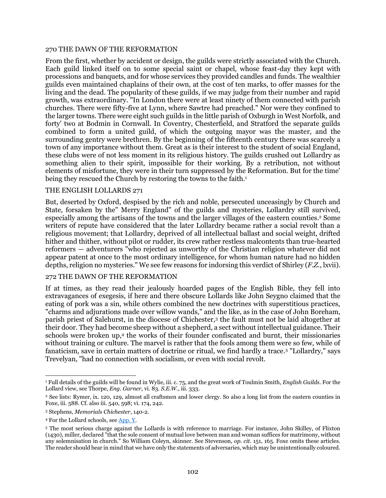#### 270 THE DAWN OF THE REFORMATION

From the first, whether by accident or design, the guilds were strictly associated with the Church. Each guild linked itself on to some special saint or chapel, whose feast-day they kept with processions and banquets, and for whose services they provided candles and funds. The wealthier guilds even maintained chaplains of their own, at the cost of ten marks, to offer masses for the living and the dead. The popularity of these guilds, if we may judge from their number and rapid growth, was extraordinary. "In London there were at least ninety of them connected with parish churches. There were fifty-five at Lynn, where Sawtre had preached." Nor were they confined to the larger towns. There were eight such guilds in the little parish of Oxburgh in West Norfolk, and forty' two at Bodmin in Cornwall. In Coventry, Chesterfield, and Stratford the separate guilds combined to form a united guild, of which the outgoing mayor was the master, and the surrounding gentry were brethren. By the beginning of the fifteenth century there was scarcely a town of any importance without them. Great as is their interest to the student of social England, these clubs were of not less moment in its religious history. The guilds crushed out Lollardry as something alien to their spirit, impossible for their working. By a retribution, not without elements of misfortune, they were in their turn suppressed by the Reformation. But for the time' being they rescued the Church by restoring the towns to the faith.<sup>1</sup>

#### THE ENGLISH LOLLARDS 271

But, deserted by Oxford, despised by the rich and noble, persecuted unceasingly by Church and State, forsaken by the" Merry England" of the guilds and mysteries, Lollardry still survived, especially among the artisans of the towns and the larger villages of the eastern counties.<sup>2</sup> Some writers of repute have considered that the later Lollardry became rather a social revolt than a religious movement; that Lollardry, deprived of all intellectual ballast and social weight, drifted hither and thither, without pilot or rudder, its crew rather restless malcontents than true-hearted reformers — adventurers "who rejected as unworthy of the Christian religion whatever did not appear patent at once to the most ordinary intelligence, for whom human nature had no hidden depths, religion no mysteries." We see few reasons for indorsing this verdict of Shirley (*F.Z.*, lxvii).

#### 272 THE DAWN OF THE REFORMATION

If at times, as they read their jealously hoarded pages of the English Bible, they fell into extravagances of exegesis, if here and there obscure Lollards like John Seygno claimed that the eating of pork was a sin, while others combined the new doctrines with superstitious practices, "charms and adjurations made over willow wands," and the like, as in the case of John Boreham, parish priest of Salehurst, in the diocese of Chichester,<sup>3</sup> the fault must not be laid altogether at their door. They had become sheep without a shepherd, a sect without intellectual guidance. Their schools were broken up,<sup>4</sup> the works of their founder confiscated and burnt, their missionaries without training or culture. The marvel is rather that the fools among them were so few, while of fanaticism, save in certain matters of doctrine or ritual, we find hardly a trace.<sup>5</sup> "Lollardry," says Trevelyan, "had no connection with socialism, or even with social revolt.

<sup>1</sup> Full details of the guilds will be found in Wylie, iii. c. 75, and the great work of Toulmin Smith, *English Guilds*. For the Lollard view, see Thorpe, *Eng. Garner*, vi. 83. *S.E.W.*, iii. 333.

<sup>2</sup> See lists: Rymer, ix. 120, 129, almost all craftsmen and lower clergy. So also a long list from the eastern counties in Foxe, iii. 588. Cf. also iii. 540, 598; vi. 174, 242.

<sup>3</sup> Stephens, *Memorials Chichester*, 140-2.

<sup>4</sup> For the Lollard schools, see [App. Y.](#page-117-0)

<sup>5</sup> The most serious charge against the Lollards is with reference to marriage. For instance, John Skilley, of Flixton (1430), miller, declared "that the sole consent of mutual love between man and woman suffices for matrimony, without any solemnisation in church." So William Coleyn, skinner. See Stevenson, *op. cit.* 151, 165. Foxe omits these articles. The reader should bear in mind that we have only the statements of adversaries, which may be unintentionally coloured.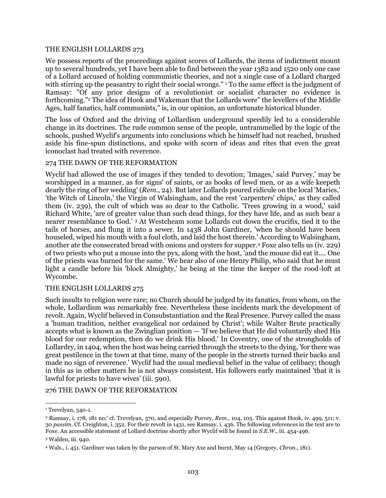#### THE ENGLISH LOLLARDS 273

We possess reports of the proceedings against scores of Lollards, the items of indictment mount up to several hundreds, yet I have been able to find between the year 1382 and 1520 only one case of a Lollard accused of holding communistic theories, and not a single case of a Lollard charged with stirring up the peasantry to right their social wrongs." <sup>1</sup> To the same effect is the judgment of Ramsay: "Of any prior designs of a revolutionist or socialist character no evidence is forthcoming."<sup>2</sup> The idea of Hook and Wakeman that the Lollards were" the levellers of the Middle Ages, half fanatics, half communists," is, in our opinion, an unfortunate historical blunder.

The loss of Oxford and the driving of Lollardism underground speedily led to a considerable change in its doctrines. The rude common sense of the people, untrammelled by the logic of the schools, pushed Wyclif's arguments into conclusions which he himself had not reached, brushed aside his fine-spun distinctions, and spoke with scorn of ideas and rites that even the great iconoclast had treated with reverence.

#### 274 THE DAWN OF THE REFORMATION

Wyclif had allowed the use of images if they tended to devotion; 'Images,' said Purvey,' may be worshipped in a manner, as for signs' of saints, or as books of lewd men, or as a wife keepeth dearly the ring of her wedding' (*Rem*., 24). But later Lollards poured ridicule on the local 'Maries,' 'the Witch of Lincoln,' the Virgin of Walsingham, and the rest 'carpenters' chips,' as they called them (iv. 239), the cult of which was so dear to the Catholic. 'Trees growing in a wood,' said Richard White, 'are of greater value than such dead things, for they have life, and as such bear a nearer resemblance to God.' <sup>3</sup> At Westcheam some Lollards cut down the crucifix, tied it to the tails of horses, and flung it into a sewer. In 1438 John Gardiner, 'when he should have been houseled, wiped his mouth with a foul cloth, and laid the host therein.' According to Walsingham, another ate the consecrated bread with onions and oysters for supper.<sup>4</sup> Foxe also tells us (iv. 229) of two priests who put a mouse into the pyx, along with the host, 'and the mouse did eat it.... One of the priests was burned for the same.' We hear also of one Henry Philip, who said that he must light a candle before his 'block Almighty,' he being at the time the keeper of the rood-loft at Wycombe.

#### THE ENGLISH LOLLARDS 275

Such insults to religion were rare; no Church should be judged by its fanatics, from whom, on the whole, Lollardism was remarkably free. Nevertheless these incidents mark the development of revolt. Again, Wyclif believed in Consubstantiation and the Real Presence. Purvey called the mass a 'human tradition, neither evangelical nor ordained by Christ'; while Walter Brute practically accepts what is known as the Zwinglian position — 'If we believe that He did voluntarily shed His blood for our redemption, then do we drink His blood.' In Coventry, one of the strongholds of Lollardry, in 1404, when the host was being carried through the streets to the dying, 'for there was great pestilence in the town at that time, many of the people in the streets turned their backs and made no sign of reverence.' Wyclif had the usual medieval belief in the value of celibacy; though in this as in other matters he is not always consistent. His followers early maintained 'that it is lawful for priests to have wives' (iii. 590).

#### 276 THE DAWN OF THE REFORMATION

l

<sup>&</sup>lt;sup>1</sup> Trevelyan, 340-1.

<sup>2</sup> Ramsay, i. 178, 181 no;' cf. Trevelyan, 370, and especially Purvey, *Rem*., 104, 105. This against Hook, iv. 499, 511; v. 30 *passim*. Cf. Creighton, i. 352. For their revolt in 1431, see Ramsay, i. 436. The following references in the text are to Foxe. An accessible statement of Lollard doctrine shortly after Wyclif will be found in *S.E.W*., iii. 454-496.

<sup>3</sup> Walden, iii. 940.

<sup>4</sup> Wals., i. 451. Gardiner was taken by the parson of St. Mary Axe and burnt, May 14 (Gregory, *Chron*., 181).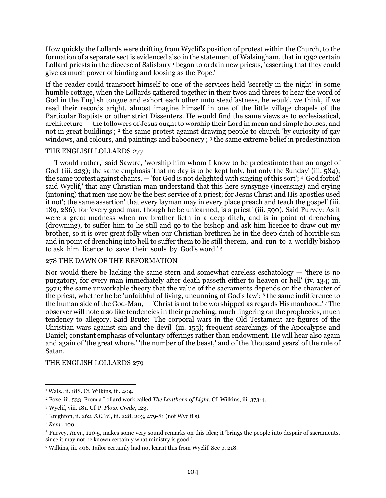How quickly the Lollards were drifting from Wyclif's position of protest within the Church, to the formation of a separate sect is evidenced also in the statement of Walsingham, that in 1392 certain Lollard priests in the diocese of Salisbury <sup>1</sup> began to ordain new priests, 'asserting that they could give as much power of binding and loosing as the Pope.'

If the reader could transport himself to one of the services held 'secretly in the night' in some humble cottage, when the Lollards gathered together in their twos and threes to hear the word of God in the English tongue and exhort each other unto steadfastness, he would, we think, if we read their records aright, almost imagine himself in one of the little village chapels of the Particular Baptists or other strict Dissenters. He would find the same views as to ecclesiastical, architecture — 'the followers of Jesus ought to worship their Lord in mean and simple houses, and not in great buildings'; <sup>2</sup> the same protest against drawing people to church 'by curiosity of gay windows, and colours, and paintings and baboonery'; <sup>3</sup> the same extreme belief in predestination

### THE ENGLISH LOLLARDS 277

— 'I would rather,' said Sawtre, 'worship him whom I know to be predestinate than an angel of God' (iii. 223); the same emphasis 'that no day is to be kept holy, but only the Sunday' (iii. 584); the same protest against chants, — 'for God is not delighted with singing of this sort'; <sup>4</sup> 'God forbid' said Wyclif,' that any Christian man understand that this here synsynge (incensing) and crying (intoning) that men use now be the best service of a priest; for Jesus Christ and His apostles used it not'; the same assertion' that every layman may in every place preach and teach the gospel' (iii. 189, 286), for 'every good man, though he be unlearned, is a priest' (iii. 590). Said Purvey: As it were a great madness when my brother lieth in a deep ditch, and is in point of drenching (drowning), to suffer him to lie still and go to the bishop and ask him licence to draw out my brother, so it is over great folly when our Christian brethren lie in the deep ditch of horrible sin and in point of drenching into hell to suffer them to lie still therein, and run to a worldly bishop to ask him licence to save their souls by God's word.' <sup>5</sup>

### 278 THE DAWN OF THE REFORMATION

Nor would there be lacking the same stern and somewhat careless eschatology — 'there is no purgatory, for every man immediately after death passeth either to heaven or hell' (iv. 134; iii. 597); the same unworkable theory that the value of the sacraments depends on the character of the priest, whether he be 'unfaithful of living, uncunning of God's law'; 6 the same indifference to the human side of the God-Man, — 'Christ is not to be worshipped as regards His manhood.' <sup>7</sup> The observer will note also like tendencies in their preaching, much lingering on the prophecies, much tendency to allegory. Said Brute: 'The corporal wars in the Old Testament are figures of the Christian wars against sin and the devil' (iii. 155); frequent searchings of the Apocalypse and Daniel; constant emphasis of voluntary offerings rather than endowment. He will hear also again and again of 'the great whore,' 'the number of the beast,' and of the 'thousand years' of the rule of Satan.

### THE ENGLISH LOLLARDS 279

 $\overline{a}$ <sup>1</sup> Wals., ii. 188. Cf. Wilkins, iii. 404.

<sup>2</sup> Foxe, iii. 533. From a Lollard work called *The Lanthorn of Light*. Cf. Wilkins, iii. 373-4.

<sup>3</sup> Wyclif, viii. 181. Cf. P. *Plow. Crede*, 123.

<sup>4</sup> Knighton, ii. 262. *S.E.W*., iii. 228, 203, 479-81 (not Wyclif's).

<sup>5</sup> *Rem*., 100.

<sup>6</sup> Purvey, *Rem*., 120-5, makes some very sound remarks on this idea; it 'brings the people into despair of sacraments, since it may not be known certainly what ministry is good.'

<sup>7</sup> Wilkins, iii. 406. Tailor certainly had not learnt this from Wyclif. See p. 218.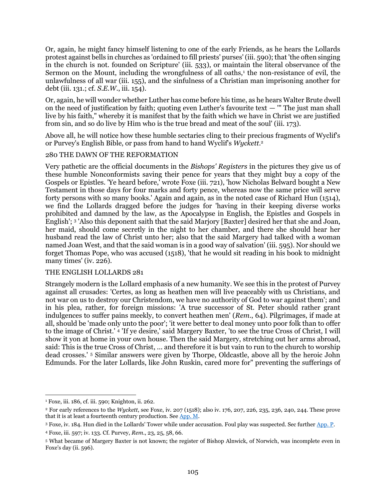Or, again, he might fancy himself listening to one of the early Friends, as he hears the Lollards protest against bells in churches as 'ordained to fill priests' purses' (iii. 590); that 'the often singing in the church is not. founded on Scripture' (iii. 533), or maintain the literal observance of the Sermon on the Mount, including the wrongfulness of all oaths,<sup>1</sup> the non-resistance of evil, the unlawfulness of all war (iii. 155), and the sinfulness of a Christian man imprisoning another for debt (iii. 131.; cf. *S.E.W*., iii. 154).

Or, again, he will wonder whether Luther has come before his time, as he hears Walter Brute dwell on the need of justification by faith; quoting even Luther's favourite text  $-$  "" The just man shall live by his faith," whereby it is manifest that by the faith which we have in Christ we are justified from sin, and so do live by Him who is the true bread and meat of the soul' (iii. 173).

Above all, he will notice how these humble sectaries cling to their precious fragments of Wyclif's or Purvey's English Bible, or pass from hand to hand Wyclif's *Wyckett*. 2

### 280 THE DAWN OF THE REFORMATION

Very pathetic are the official documents in the *Bishops' Registers* in the pictures they give us of these humble Nonconformists saving their pence for years that they might buy a copy of the Gospels or Epistles. 'Ye heard before,' wrote Foxe (iii. 721), 'how Nicholas Belward bought a New Testament in those days for four marks and forty pence, whereas now the same price will serve forty persons with so many books.' Again and again, as in the noted case of Richard Hun (1514), we find the Lollards dragged before the judges for 'having in their keeping diverse works prohibited and damned by the law, as the Apocalypse in English, the Epistles and Gospels in English'; <sup>3</sup> 'Also this deponent saith that the said Marjory [Baxter] desired her that she and Joan, her maid, should come secretly in the night to her chamber, and there she should hear her husband read the law of Christ unto her; also that the said Margery had talked with a woman named Joan West, and that the said woman is in a good way of salvation' (iii. 595). Nor should we forget Thomas Pope, who was accused (1518), 'that he would sit reading in his book to midnight many times' (iv. 226).

#### THE ENGLISH LOLLARDS 281

Strangely modern is the Lollard emphasis of a new humanity. We see this in the protest of Purvey against all crusades: 'Certes, as long as heathen men will live peaceably with us Christians, and not war on us to destroy our Christendom, we have no authority of God to war against them'; and in his plea, rather, for foreign missions: 'A true successor of St. Peter should rather grant indulgences to suffer pains meekly, to convert heathen men' (*Rem*., 64). Pilgrimages, if made at all, should be 'made only unto the poor'; 'it were better to deal money unto poor folk than to offer to the image of Christ.' <sup>4</sup> 'If ye desire,' said Margery Baxter, 'to see the true Cross of Christ, I will show it yon at home in your own house. Then the said Margery, stretching out her arms abroad, said: This is the true Cross of Christ, ... and therefore it is but vain to run to the church to worship dead crosses.' <sup>5</sup> Similar answers were given by Thorpe, Oldcastle, above all by the heroic John Edmunds. For the later Lollards, like John Ruskin, cared more for" preventing the sufferings of

 $\overline{a}$ <sup>1</sup> Foxe, iii. 186, cf. iii. 590; Knighton, ii. 262.

<sup>2</sup> For early references to the *Wyckett*, see Foxe, iv. 207 (1518); also iv. 176, 207, 226, 235, 236, 240, 244. These prove that it is at least a fourteenth century production. See [App. M.](#page-112-0)

<sup>3</sup> Foxe, iv. 184. Hun died in the Lollards' Tower while under accusation. Foul play was suspected. Sec furthe[r App. P.](#page-113-2)

<sup>4</sup> Foxe, iii. 597; iv. 133. Cf. Purvey, *Rem*., 23, 25, 58, 66.

<sup>5</sup> What became of Margery Baxter is not known; the register of Bishop Alnwick, of Norwich, was incomplete even in Foxe's day (ii. 596).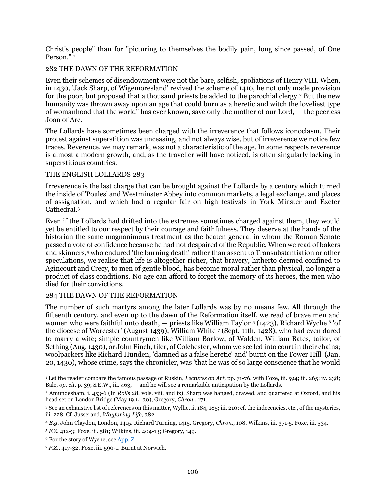Christ's people" than for "picturing to themselves the bodily pain, long since passed, of One Person $\overline{1}$ 

# 282 THE DAWN OF THE REFORMATION

Even their schemes of disendowment were not the bare, selfish, spoliations of Henry VIII. When, in 1430, 'Jack Sharp, of Wigemoresland' revived the scheme of 1410, he not only made provision for the poor, but proposed that a thousand priests be added to the parochial clergy.<sup>2</sup> But the new humanity was thrown away upon an age that could burn as a heretic and witch the loveliest type of womanhood that the world" has ever known, save only the mother of our Lord, — the peerless Joan of Arc.

The Lollards have sometimes been charged with the irreverence that follows iconoclasm. Their protest against superstition was unceasing, and not always wise, but of irreverence we notice few traces. Reverence, we may remark, was not a characteristic of the age. In some respects reverence is almost a modern growth, and, as the traveller will have noticed, is often singularly lacking in superstitious countries.

### THE ENGLISH LOLLARDS 283

Irreverence is the last charge that can be brought against the Lollards by a century which turned the inside of 'Poules' and Westminster Abbey into common markets, a legal exchange, and places of assignation, and which had a regular fair on high festivals in York Minster and Exeter Cathedral.<sup>3</sup>

Even if the Lollards had drifted into the extremes sometimes charged against them, they would yet be entitled to our respect by their courage and faithfulness. They deserve at the hands of the historian the same magnanimous treatment as the beaten general in whom the Roman Senate passed a vote of confidence because he had not despaired of the Republic. When we read of bakers and skinners,<sup>4</sup> who endured 'the burning death' rather than assent to Transubstantiation or other speculations, we realise that life is altogether richer, that bravery, hitherto deemed confined to Agincourt and Crecy, to men of gentle blood, has become moral rather than physical, no longer a product of class conditions. No age can afford to forget the memory of its heroes, the men who died for their convictions.

### 284 THE DAWN OF THE REFORMATION

The number of such martyrs among the later Lollards was by no means few. All through the fifteenth century, and even up to the dawn of the Reformation itself, we read of brave men and women who were faithful unto death, — priests like William Taylor <sup>5</sup> (1423), Richard Wyche <sup>6</sup> 'of the diocese of Worcester' (August 1439), William White 7 (Sept. 11th, 1428), who had even dared to marry a wife; simple countrymen like William Barlow, of Walden, William Bates, tailor, of Sething (Aug. 1430), or John Finch, tiler, of Colchester, whom we see led into court in their chains; woolpackers like Richard Hunden, 'damned as a false heretic' and' burnt on the Tower Hill' (Jan. 20, 1430), whose crime, says the chronicler, was 'that he was of so large conscience that he would

 $\overline{a}$ <sup>1</sup> Let the reader compare the famous passage of Ruskin, *Lectures on Art,* pp. 71-76, with Foxe, iii. 594; iii. 265; iv. 238; Bale, *op. cit.* p. 39; S.E.W., iii. 463, — and he will see a remarkable anticipation by the Lollards.

<sup>2</sup> Amundesham, i. 453-6 (In *Rolls* 28, vols. viii. and ix). Sharp was hanged, drawed, and quartered at Oxford, and his head set on London Bridge (May 19,14.30), Gregory, *Chron*., 171.

<sup>3</sup> See an exhaustive list of references on this matter, Wyllie, ii. 184, 185; iii. 210; cf. the indecencies, etc., of the mysteries, iii. 228. Cf. Jusserand, *Wayfaring Life*, 382.

<sup>4</sup> *E.g.* John Claydon, London, 1415. Richard Turning, 1415. Gregory, *Chron*., 108. Wilkins, iii. 371-5. Foxe, iii. 534.

<sup>5</sup> *F.Z.* 412-3; Foxe, iii. 581; Wilkins, iii. 404-13; Gregory, 149.

<sup>&</sup>lt;sup>6</sup> For the story of Wyche, see [App. Z.](#page-117-1)

<sup>7</sup> *F.Z.*, 417-32. Foxe, iii. 590-1. Burnt at Norwich.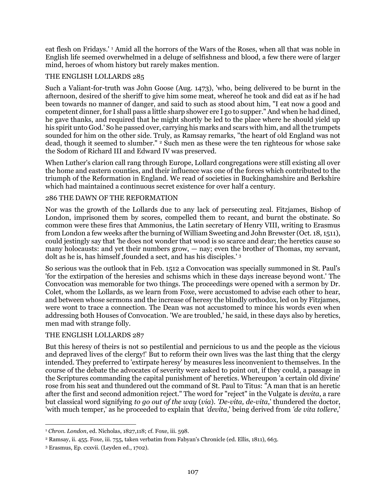eat flesh on Fridays.' <sup>1</sup> Amid all the horrors of the Wars of the Roses, when all that was noble in English life seemed overwhelmed in a deluge of selfishness and blood, a few there were of larger mind, heroes of whom history but rarely makes mention.

### THE ENGLISH LOLLARDS 285

Such a Valiant-for-truth was John Goose (Aug. 1473), 'who, being delivered to be burnt in the afternoon, desired of the sheriff to give him some meat, whereof he took and did eat as if he had been towards no manner of danger, and said to such as stood about him, "I eat now a good and competent dinner, for I shall pass a little sharp shower ere I go to supper." And when he had dined, he gave thanks, and required that he might shortly be led to the place where he should yield up his spirit unto God.' So he passed over, carrying his marks and scars with him, and all the trumpets sounded for him on the other side. Truly, as Ramsay remarks, "the heart of old England was not dead, though it seemed to slumber." <sup>2</sup> Such men as these were the ten righteous for whose sake the Sodom of Richard III and Edward IV was preserved.

When Luther's clarion call rang through Europe, Lollard congregations were still existing all over the home and eastern counties, and their influence was one of the forces which contributed to the triumph of the Reformation in England. We read of societies in Buckinghamshire and Berkshire which had maintained a continuous secret existence for over half a century.

### 286 THE DAWN OF THE REFORMATION

Nor was the growth of the Lollards due to any lack of persecuting zeal. Fitzjames, Bishop of London, imprisoned them by scores, compelled them to recant, and burnt the obstinate. So common were these fires that Ammonius, the Latin secretary of Henry VIII, writing to Erasmus from London a few weeks after the burning of William Sweeting and John Brewster (Oct. 18, 1511), could jestingly say that 'he does not wonder that wood is so scarce and dear; the heretics cause so many holocausts: and yet their numbers grow, — nay; even the brother of Thomas, my servant, dolt as he is, has himself ,founded a sect, and has his disciples.' <sup>3</sup>

So serious was the outlook that in Feb. 1512 a Convocation was specially summoned in St. Paul's 'for the extirpation of the heresies and schisms which in these days increase beyond wont.' The Convocation was memorable for two things. The proceedings were opened with a sermon by Dr. Colet, whom the Lollards, as we learn from Foxe, were accustomed to advise each other to hear, and between whose sermons and the increase of heresy the blindly orthodox, led on by Fitzjames, were wont to trace a connection. The Dean was not accustomed to mince his words even when addressing both Houses of Convocation. 'We are troubled,' he said, in these days also by heretics, men mad with strange folly.

#### THE ENGLISH LOLLARDS 287

But this heresy of theirs is not so pestilential and pernicious to us and the people as the vicious and depraved lives of the clergy!' But to reform their own lives was the last thing that the clergy intended. They preferred to 'extirpate heresy' by measures less inconvenient to themselves. In the course of the debate the advocates of severity were asked to point out, if they could, a passage in the Scriptures commanding the capital punishment of' heretics. Whereupon 'a certain old divine' rose from his seat and thundered out the command of St. Paul to Titus: "A man that is an heretic after the first and second admonition reject." The word for "reject" in the Vulgate is *devita*, a rare but classical word signifying *to go out of the way* (*via*). *'De-vita, de-vita*,' thundered the doctor, 'with much temper,' as he proceeded to explain that *'devita*,' being derived from *'de vita tollere*,'

<sup>1</sup> *Chron. London*, ed. Nicholas, 1827,118; cf. Foxe, iii. 598.

<sup>2</sup> Ramsay, ii. 455. Foxe, iii. 755, taken verbatim from Fabyan's Chronicle (ed. Ellis, 1811), 663.

<sup>3</sup> Erasmus, Ep. cxxvii. (Leyden ed., 1702).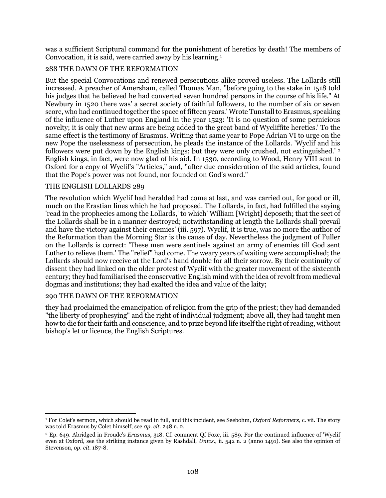was a sufficient Scriptural command for the punishment of heretics by death! The members of Convocation, it is said, were carried away by his learning.<sup>1</sup>

# 288 THE DAWN OF THE REFORMATION

But the special Convocations and renewed persecutions alike proved useless. The Lollards still increased. A preacher of Amersham, called Thomas Man, "before going to the stake in 1518 told his judges that he believed he had converted seven hundred persons in the course of his life." At Newbury in 1520 there was' a secret society of faithful followers, to the number of six or seven score, who had continued together the space of fifteen years.' Wrote Tunstall to Erasmus, speaking of the influence of Luther upon England in the year 1523: 'It is no question of some pernicious novelty; it is only that new arms are being added to the great band of Wycliffite heretics.' To the same effect is the testimony of Erasmus. Writing that same year to Pope Adrian VI to urge on the new Pope the uselessness of persecution, he pleads the instance of the Lollards. 'Wyclif and his followers were put down by the English kings; but they were only crushed, not extinguished.' <sup>2</sup> English kings, in fact, were now glad of his aid. In 1530, according to Wood, Henry VIII sent to Oxford for a copy of Wyclif's "Articles," and, "after due consideration of the said articles, found that the Pope's power was not found, nor founded on God's word."

### THE ENGLISH LOLLARDS 289

The revolution which Wyclif had heralded had come at last, and was carried out, for good or ill, much on the Erastian lines which he had proposed. The Lollards, in fact, had fulfilled the saying 'read in the prophecies among the Lollards,' to which' William [Wright] deposeth; that the sect of the Lollards shall be in a manner destroyed; notwithstanding at length the Lollards shall prevail and have the victory against their enemies' (iii. 597). Wyclif, it is true, was no more the author of the Reformation than the Morning Star is the cause of day. Nevertheless the judgment of Fuller on the Lollards is correct: 'These men were sentinels against an army of enemies till God sent Luther to relieve them.' The "relief" had come. The weary years of waiting were accomplished; the Lollards should now receive at the Lord's hand double for all their sorrow. By their continuity of dissent they had linked on the older protest of Wyclif with the greater movement of the sixteenth century; they had familiarised the conservative English mind with the idea of revolt from medieval dogmas and institutions; they had exalted the idea and value of the laity;

#### 290 THE DAWN OF THE REFORMATION

they had proclaimed the emancipation of religion from the grip of the priest; they had demanded "the liberty of prophesying" and the right of individual judgment; above all, they had taught men how to die for their faith and conscience, and to prize beyond life itself the right of reading, without bishop's let or licence, the English Scriptures.

 $\overline{a}$ <sup>1</sup> For Colet's sermon, which should be read in full, and this incident, see Seebohm, *Oxford Reformers*, c. vii. The story was told Erasmus by Colet himself; see *0p. cit.* 248 n. 2.

<sup>2</sup> Ep. 649. Abridged in Froude's *Erasmus*, 318. Cf. comment Qf Foxe, iii. 589. For the continued influence of 'Wyclif even at Oxford, see the striking instance given by Rashdall, *Univs*., ii. 542 n. 2 (anno 1491). See also the opinion of Stevenson, *op. cit.* 187-8.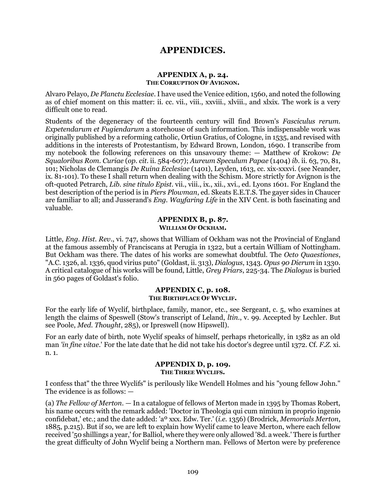# **APPENDICES.**

# **APPENDIX A, p. 24. THE CORRUPTION OF AVIGNON.**

Alvaro Pelayo, *De Planctu Ecclesiae*. I have used the Venice edition, 1560, and noted the following as of chief moment on this matter: ii. cc. vii., viii., xxviii., xlviii., and xlxix. The work is a very difficult one to read.

Students of the degeneracy of the fourteenth century will find Brown's *Fasciculus rerum. Expetendarum et Fugiendarum* a storehouse of such information. This indispensable work was originally published by a reforming catholic, Ortiun Gratius, of Cologne, in 1535, and revised with additions in the interests of Protestantism, by Edward Brown, London, 1690. I transcribe from my notebook the following references on this unsavoury theme: — Matthew of Krokow: *De Squaloribus Rom. Curiae* (*op. cit.* ii. 584-607); *Aureum Speculum Papae* (1404) *ib*. ii. 63, 70, 81, 101; Nicholas de Clemangis *De Ruina Ecclesiae* (1401), Leyden, 1613, cc. xix-xxxvi. (see Neander, ix. 81-101). To these I shall return when dealing with the Schism. More strictly for Avignon is the oft-quoted Petrarch, *Lib. sine titulo Epist*. vii., viii., ix., xii., xvi., ed. Lyons 1601. For England the best description of the period is in *Piers Plowman*, ed. Skeats E.E.T.S. The gayer sides in Chaucer are familiar to all; and Jusserand's *Eng. Wayfaring Life* in the XIV Cent. is both fascinating and valuable.

#### **APPENDIX B, p. 87. WILLIAM OF OCKHAM.**

Little, *Eng. Hist. Rev*., vi. 747, shows that William of Ockham was not the Provincial of England at the famous assembly of Franciscans at Perugia in 1322, but a certain William of Nottingham. But Ockham was there. The dates of his works are somewhat doubtful. The *Octo Quaestiones*, "A.C. 1326, al. 1336, quod virius puto" (Goldast, ii. 313), *Dialogus*, 1343. *Opus 90 Dierum* in 1330. A critical catalogue of his works will be found, Little, *Grey Friars*, 225-34. The *Dialogus* is buried in 560 pages of Goldast's folio.

## **APPENDIX C, p. 108. THE BIRTHPLACE OF WYCLIF.**

For the early life of Wyclif, birthplace, family, manor, etc., see Sergeant, c. 5, who examines at length the claims of Speswell (Stow's transcript of Leland, *ltin*., v. 99. Accepted by Lechler. But see Poole, *Med. Thought*, 285), or Ipreswell (now Hipswell).

For an early date of birth, note Wyclif speaks of himself, perhaps rhetorically, in 1382 as an old man *'in fine vitae*.' For the late date that he did not take his doctor's degree until 1372. Cf. *F.Z.* xi. n. 1.

# **APPENDIX D, p. 109.**

#### **THE THREE WYCLIFS.**

I confess that" the three Wyclifs" is perilously like Wendell Holmes and his "young fellow John." The evidence is as follows: —

(a) *The Fellow of Merton*. — In a catalogue of fellows of Merton made in 1395 by Thomas Robert, his name occurs with the remark added: 'Doctor in Theologia qui cum nimium in proprio ingenio confidebat,' etc.; and the date added: 'aº xxx. Edw. Ter.' (*i.e.* 1356) (Brodrick, *Memorials Merton*, 1885, p.215). But if so, we are left to explain how Wyclif came to leave Merton, where each fellow received '50 shillings a year,' for Balliol, where they were only allowed '8d. a week.' There is further the great difficulty of John Wyclif being a Northern man. Fellows of Merton were by preference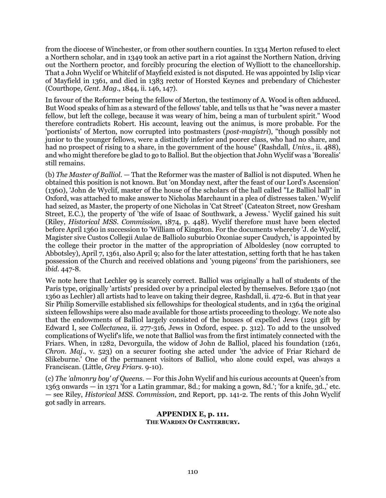from the diocese of Winchester, or from other southern counties. In 1334 Merton refused to elect a Northern scholar, and in 1349 took an active part in a riot against the Northern Nation, driving out the Northern proctor, and forcibly procuring the election of Wylliott to the chancellorship. That a John Wyclif or Whitclif of Mayfield existed is not disputed. He was appointed by Islip vicar of Mayfield in 1361, and died in 1383 rector of Horsted Keynes and prebendary of Chichester (Courthope, *Gent. Mag*., 1844, ii. 146, 147).

In favour of the Reformer being the fellow of Merton, the testimony of A. Wood is often adduced. But Wood speaks of him as a steward of the fellows' table, and tells us that he "was never a master fellow, but left the college, because it was weary of him, being a man of turbulent spirit." Wood therefore contradicts Robert. His account, leaving out the animus, is more probable. For the 'portionists' of Merton, now corrupted into postmasters (*post-magistri*), "though possibly not junior to the younger fellows, were a distinctly inferior and poorer class, who had no share, and had no prospect of rising to a share, in the government of the house" (Rashdall, *Univs*., ii. 488), and who might therefore be glad to go to Balliol. But the objection that John Wyclif was a 'Borealis' still remains.

(b) *The Master of Balliol*. — That the Reformer was the master of Balliol is not disputed. When he obtained this position is not known. But 'on Monday next, after the feast of our Lord's Ascension' (1360), 'John de Wyclif, master of the house of the scholars of the hall called "Le Balliol hall" in Oxford, was attached to make answer to Nicholas Marchaunt in a plea of distresses taken.' Wyclif had seized, as Master, the property of one Nicholas in 'Cat Street' (Cateaton Street, now Gresham Street, E.C.), the property of 'the wife of Isaac of Southwark, a Jewess.' Wyclif gained his suit (Riley, *Historical MSS. Commission*, 1874, p. 448). Wyclif therefore must have been elected before April 1360 in succession to 'William of Kingston. For the documents whereby 'J. de Wyclif, Magister sive Custos Collegii Aulae de Balliolo suburbio Oxoniae super Caudych,' is appointed by the college their proctor in the matter of the appropriation of Alboldesley (now corrupted to Abbotsley), April 7, 1361, also April 9; also for the later attestation, setting forth that he has taken possession of the Church and received oblations and 'young pigeons' from the parishioners, see *ibid*. 447-8.

We note here that Lechler 99 is scarcely correct. Balliol was originally a hall of students of the Paris type, originally 'artists' presided over by a principal elected by themselves. Before 1340 (not 1360 as Lechler) all artists had to leave on taking their degree, Rashdall, ii. 472-6. But in that year Sir Philip Somerville established six fellowships for theological students, and in 1364 the original sixteen fellowships were also made available for those artists proceeding to theology. We note also that the endowments of Balliol largely consisted of the houses of expelled Jews (1291 gift by Edward I, see *Collectanea*, ii. 277-316, Jews in Oxford, espec. p. 312). To add to the unsolved complications of Wyclif's life, we note that Balliol was from the first intimately connected with the Friars. When, in 1282, Devorguila, the widow of John de Balliol, placed his foundation (1261, *Chron. Maj*., v. 523) on a securer footing she acted under 'the advice of Friar Richard de Slikeburne.' One of the permanent visitors of Balliol, who alone could expel, was always a Franciscan. (Little, *Grey Friars*. 9-10).

(c) *The 'almonry boy' of Queens*. — For this John Wyclif and his curious accounts at Queen's from 1363 onwards — in 1371 'for a Latin grammar, 8d.; for making a gown, 8d.'; 'for a knife, 3d.,' etc. — see Riley, *Historical MSS. Commission*, 2nd Report, pp. 141-2. The rents of this John Wyclif got sadly in arrears.

## **APPENDIX E, p. 111. THE WARDEN OF CANTERBURY.**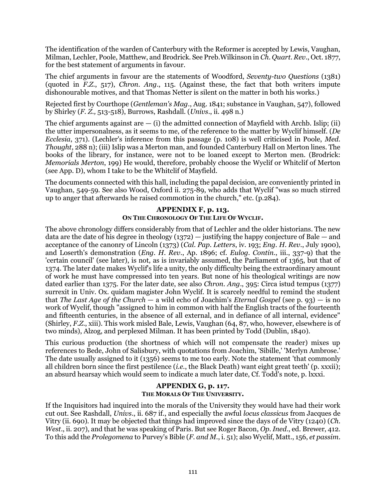The identification of the warden of Canterbury with the Reformer is accepted by Lewis, Vaughan, Milman, Lechler, Poole, Matthew, and Brodrick. See Preb.Wilkinson in *Ch. Quart. Rev*., Oct. 1877, for the best statement of arguments in favour.

The chief arguments in favour are the statements of Woodford, *Seventy-two Questions* (1381) (quoted in *F.Z.*, 517), *Chron. Ang*., 115. (Against these, the fact that both writers impute dishonourable motives, and that Thomas Netter is silent on the matter in both his works.)

Rejected first by Courthope (*Gentleman's Mag*., Aug. 1841; substance in Vaughan, 547), followed by Shirley (*F. Z.,* 513-518), Burrows, Rashdall. (*Univs*., ii. 498 n.)

The chief arguments against are  $-$  (i) the admitted connection of Mayfield with Archb. Islip; (ii) the utter impersonalness, as it seems to me, of the reference to the matter by Wyclif himself. (*De Ecclesia*, 371). (Lechler's inference from this passage (p. 108) is well criticised in Poole, *Med. Thought*, 288 n); (iii) Islip was a Merton man, and founded Canterbury Hall on Merton lines. The books of the library, for instance, were not to be loaned except to Merton men. (Brodrick: *Memorials Merton*, 199) He would, therefore, probably choose the Wyclif or Whitclif of Merton (see App. D), whom I take to be the Whitclif of Mayfield.

The documents connected with this hall, including the papal decision, are conveniently printed in Vaughan, 549-59. See also Wood, Oxford ii. 275-89, who adds that Wyclif "was so much stirred up to anger that afterwards he raised commotion in the church," etc. (p.284).

# **APPENDIX F, p. 113. ON THE CHRONOLOGY OF THE LIFE OF WYCLIF.**

The above chronology differs considerably from that of Lechler and the older historians. The new data are the date of his degree in theology  $(1372)$  — justifying the happy conjecture of Bale — and acceptance of the canonry of Lincoln (1373) (*Cal. Pap. Letters*, iv. 193; *Eng. H. Rev*., July 1900), and Loserth's demonstration (*Eng. H. Rev*., Ap. 1896; cf. *Eulog. Contin*., iii., 337-9) that the 'certain council' (see later), is not, as is invariably assumed, the Parliament of 1365, but that of 1374. The later date makes Wyclif's life a unity, the only difficulty being the extraordinary amount of work he must have compressed into ten years. But none of his theological writings are now dated earlier than 1375. For the later date, see also *Chron. Ang*., 395: Circa istud tempus (1377) surrexit in Univ. Ox. quidam magister John Wyclif. It is scarcely needful to remind the student that *The Last Age of the Church* — a wild echo of Joachim's *Eternal Gospel* (see p. 93) — is no work of Wyclif, though "assigned to him in common with half the English tracts of the fourteenth and fifteenth centuries, in the absence of all external, and in defiance of all internal, evidence" (Shirley, *F.Z.*, xiii). This work misled Bale, Lewis, Vaughan (64, 87, who, however, elsewhere is of two minds), Alzog, and perplexed Milman. It has been printed by Todd (Dublin, 1840).

This curious production (the shortness of which will not compensate the reader) mixes up references to Bede, John of Salisbury, with quotations from Joachim, 'Sibille,' 'Merlyn Ambrose.' The date usually assigned to it (1356) seems to me too early. Note the statement 'that commonly all children born since the first pestilence (*i.e.*, the Black Death) want eight great teeth' (p. xxxii); an absurd hearsay which would seem to indicate a much later date, Cf. Todd's note, p. lxxxi.

# **APPENDIX G, p. 117. THE MORALS OF THE UNIVERSITY.**

If the Inquisitors had inquired into the morals of the University they would have had their work cut out. See Rashdall, *Univs*., ii. 687 if., and especially the awful *locus classicus* from Jacques de Vitry (ii. 690). It may be objected that things had improved since the days of de Vitry (1240) (*Ch. West*., ii. 207), and that he was speaking of Paris. But see Roger Bacon, *Op. Ined*., ed. Brewer, 412. To this add the *Prolegomena* to Purvey's Bible (*F. and M.*, i. 51); also Wyclif, Matt., 156, *et passim*.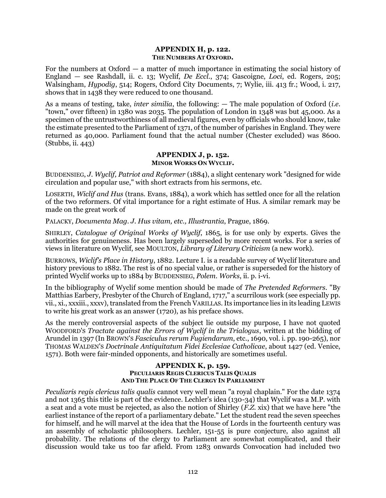# **APPENDIX H, p. 122. THE NUMBERS AT OXFORD.**

For the numbers at Oxford — a matter of much importance in estimating the social history of England — see Rashdall, ii. c. 13; Wyclif, *De Eccl*., 374; Gascoigne, *Loci*, ed. Rogers, 205; Walsingham, *Hypodig*, 514; Rogers, Oxford City Documents, 7; Wylie, iii. 413 fr.; Wood, i. 217, shows that in 1438 they were reduced to one thousand.

As a means of testing, take, *inter similia*, the following: — The male population of Oxford (*i.e.* "town," over fifteen) in 1380 was 2035. The population of London in 1348 was but 45,000. As a specimen of the untrustworthiness of all medieval figures, even by officials who should know, take the estimate presented to the Parliament of 1371, of the number of parishes in England. They were returned as 40,000. Parliament found that the actual number (Chester excluded) was 8600. (Stubbs, ii. 443)

## **APPENDIX J, p. 152. MINOR WORKS ON WYCLIF.**

BUDDENSIEG, *J. Wyclif, Patriot and Reformer* (1884), a slight centenary work "designed for wide circulation and popular use," with short extracts from his sermons, etc.

LOSERTH, *Wiclif and Hus* (trans. Evans, 1884), a work which has settled once for all the relation of the two reformers. Of vital importance for a right estimate of Hus. A similar remark may be made on the great work of

PALACKY, *Documenta Mag. J. Hus vitam, etc., Illustrantia*, Prague, 1869.

SHIRLEY, *Catalogue of Original Works of Wyclif*, 1865, is for use only by experts. Gives the authorities for genuineness. Has been largely superseded by more recent works. For a series of views in literature on Wyclif, see MOULTON, *Library of Literary Criticism* (a new work).

BURROWS, *Wiclif's Place in History*, 1882. Lecture I. is a readable survey of Wyclif literature and history previous to 1882. The rest is of no special value, or rather is superseded for the history of printed Wyclif works up to 1884 by BUDDENSIEG, *Polem. Works*, ii. p. i-vi.

In the bibliography of Wyclif some mention should be made of *The Pretended Reformers*. "By Matthias Earbery, Presbyter of the Church of England, 1717," a scurrilous work (see especially pp. vii., xi., xxxiii., xxxv), translated from the French VARILLAS. Its importance lies in its leading LEWIS to write his great work as an answer (1720), as his preface shows.

As the merely controversial aspects of the subject lie outside my purpose, I have not quoted WOODFORD'S *Tractate against the Errors of Wyclif in the Trialogus*, written at the bidding of Arundel in 1397 (In BROWN'S *Fasciculus rerum Fugiendarum*, etc., 1690, vol. i. pp. 190-265), nor THOMAS WALDEN'S *Doctrinale Antiquitatum Fidei Ecclesiae Catholicae*, about 1427 (ed. Venice, 1571). Both were fair-minded opponents, and historically are sometimes useful.

#### **APPENDIX K, p. 159. PECULIARIS REGIS CLERICUS TALIS QUALIS AND THE PLACE OF THE CLERGY IN PARLIAMENT**

*Peculiaris regis clericus talis qualis* cannot very well mean "a royal chaplain." For the date 1374 and not 1365 this title is part of the evidence. Lechler's idea (130-34) that Wyclif was a M.P. with a seat and a vote must be rejected, as also the notion of Shirley (*F.Z.* xix) that we have here "the earliest instance of the report of a parliamentary debate." Let the student read the seven speeches for himself, and he will marvel at the idea that the House of Lords in the fourteenth century was an assembly of scholastic philosophers. Lechler, 151-55 is pure conjecture, also against all probability. The relations of the clergy to Parliament are somewhat complicated, and their discussion would take us too far afield. From 1283 onwards Convocation had included two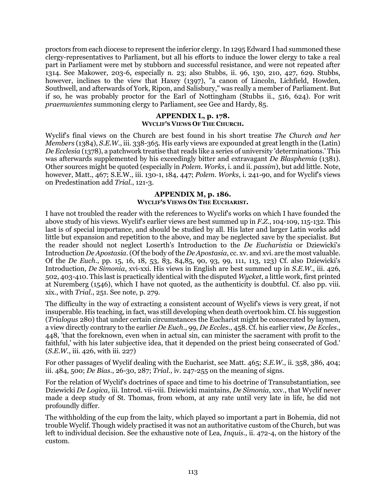proctors from each diocese to represent the inferior clergy. In 1295 Edward I had summoned these clergy-representatives to Parliament, but all his efforts to induce the lower clergy to take a real part in Parliament were met by stubborn and successful resistance, and were not repeated after 1314. See Makower, 203-6, especially n. 23; also Stubbs, ii. 96, 130, 210, 427, 629. Stubbs, however, inclines to the view that Haxey (1397), "a canon of Lincoln, Lichfield, Howden, Southwell, and afterwards of York, Ripon, and Salisbury," was really a member of Parliament. But if so, he was probably proctor for the Earl of Nottingham (Stubbs ii., 516, 624). For writ *praemunientes* summoning clergy to Parliament, see Gee and Hardy, 85.

#### **APPENDIX L, p. 178. WYCLIF'S VIEWS OF THE CHURCH.**

Wyclif's final views on the Church are best found in his short treatise *The Church and her Members* (1384), *S.E.W.*, iii. 338-365. His early views are expounded at great length in the (Latin) *De Ecclesia* (1378), a patchwork treatise that reads like a series of university 'determinations.' This was afterwards supplemented by his exceedingly bitter and extravagant *De Blasphemia* (1381). Other sources might be quoted (especially in *Polem. Works*, i. and ii. *passim*), but add little. Note, however, Matt., 467; S.E.W., iii. 130-1, 184, 447; *Polem. Works*, i. 241-90, and for Wyclif's views on Predestination add *Trial.*, 121-3.

# **APPENDIX M, p. 186. WYCLIF'S VIEWS ON THE EUCHARIST.**

I have not troubled the reader with the references to Wyclif's works on which I have founded the above study of his views. Wyclif's earlier views are best summed up in *F.Z.*, 104-109, 115-132. This last is of special importance, and should be studied by all. His later and larger Latin works add little but expansion and repetition to the above, and may be neglected save by the specialist. But the reader should not neglect Loserth's Introduction to the *De Eucharistia* or Dziewicki's Introduction *De Apostasia*. (Of the body of the *De Apostasia*, cc. xv. and xvi. are the most valuable. Of the *De Euch*., pp. 15, 16, 18, 53, 83, 84,85, 90, 93, 99, 111, 113, 123) Cf. also Dziewicki's Introduction, *De Simonia*, xvi-xxi. His views in English are best summed up in *S.E.W*., iii. 426, 502, 403-410. This last is practically identical with the disputed *Wycket*, a little work, first printed at Nuremberg (1546), which I have not quoted, as the authenticity is doubtful. Cf. also pp. viii. xix., with *Trial.*, 251. See note, p. 279.

The difficulty in the way of extracting a consistent account of Wyclif's views is very great, if not insuperable. His teaching, in fact, was still developing when death overtook him. Cf. his suggestion (*Trialogus* 280) that under certain circumstances the Eucharist might be consecrated by laymen, a view directly contrary to the earlier *De Euch*., 99, *De Eccles*., 458. Cf. his earlier view, *De Eccles*., 448, 'that the foreknown, even when in actual sin, can minister the sacrament with profit to the faithful,' with his later subjective idea, that it depended on the priest being consecrated of God.' (*S.E.W.*, iii. 426, with iii. 227)

For other passages of Wyclif dealing with the Eucharist, see Matt. 465; *S.E.W.*, ii. 358, 386, 404; iii. 484, 500; *De Bias*., 26-30, 287; *Trial.*, iv. 247-255 on the meaning of signs.

For the relation of Wyclif's doctrines of space and time to his doctrine of Transubstantiation, see Dziewicki *De Logica*, iii. Introd. vii-viii. Dziewicki maintains, *De Simonia*, xxv., that Wyclif never made a deep study of St. Thomas, from whom, at any rate until very late in life, he did not profoundly differ.

The withholding of the cup from the laity, which played so important a part in Bohemia, did not trouble Wyclif. Though widely practised it was not an authoritative custom of the Church, but was left to individual decision. See the exhaustive note of Lea, *Inquis*., ii. 472-4, on the history of the custom.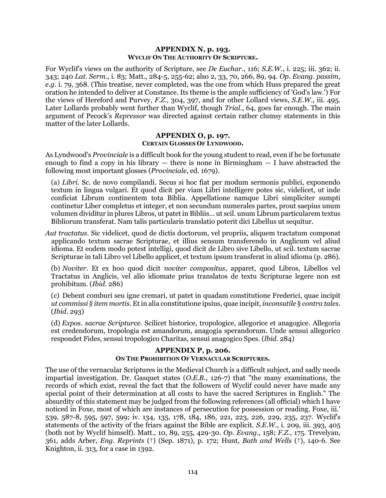## **APPENDIX N, p. 193. WYCLIF ON THE AUTHORITY OF SCRIPTURE.**

For Wyclif's views on the authority of Scripture, see *De Euchar*., 116; *S.E.W.*, i. 225; iii. 362; ii. 343; 240 *Lat. Serm*., i. 83; Matt., 284-5, 255-62; also 2, 33, 70, 266, 89, 94. *Op. Evang. passim*, *e.g.* i. 79, 368. (This treatise, never completed, was the one from which Huss prepared the great oration he intended to deliver at Constance. Its theme is the ample sufficiency of 'God's law.') For the views of Hereford and Purvey, *F.Z.*, 304, 397, and for other Lollard views, *S.E.W.*, iii. 495. Later Lollards probably went further than Wyclif, though *Trial.*, 64, goes far enough. The main argument of Pecock's *Repressor* was directed against certain rather clumsy statements in this matter of the later Lollards.

#### **APPENDIX O, p. 197. CERTAIN GLOSSES OF LYNDWOOD.**

<span id="page-113-0"></span>As Lyndwood's *Provinciale* is a difficult book for the young student to read, even if he be fortunate enough to find a copy in his library  $-$  there is none in Birmingham  $-$  I have abstracted the following most important glosses (*Provinciale*, ed. 1679).

(a) *Libri*. Sc. de novo compilandi. Secus si hoc fiat per modum sermonis publici, exponendo textum in lingua vulgari. Et quod dicit per viam Libri intelligere potes sic, videlicet, ut inde conficiat Librum continentem tota Biblia. Appellatione namque Libri simpliciter sumpti continetur Liber completus et integer, et non secundum numerales partes, prout saepius unum volumen dividitur in plures Libros, ut patet in Bibliis... ut scil. unum Librum particularem textus Bibliorum transferat. Nam talis particularis translatio poterit dici Libellus ut sequitur.

*Aut tractatus*. Sic videlicet, quod de dictis doctorum, vel propriis, aliquem tractatum componat applicando textum sacrae Scripturae, et illius sensum transferendo in Anglicum vel aliud idioma. Et eodem modo potest intelligi, quod dicit de Libro sive Libello, ut scil. textum sacrae Scripturae in tali Libro vel Libello applicet, et textum ipsum transferat in aliud idioma (p. 286).

(b) *Noviter*. Et ex hoo quod dicit *noviter compositus*, apparet, quod Libros, Libellos vel Tractatus in Anglicis, vel alio idiomate prius translatos de textu Scripturae legere non est prohibitum. (*Ibid*. 286)

(c) Debent comburi seu igne cremari, ut patet in quadam constitutione Frederici, quae incipit *ut commissi § item mortis*. Et in alia constitutione ipsius, quae incipit, *inconsutile* § *contra tales*. (*Ibid*. 293)

(d) *Expos. sacrae Scripturce*. Scilicet historice, tropologice, allegorice et anagogice. Allegoria est credendorum, tropologia est amandorum, anagogia sperandorum. Unde sensui allegorico respondet Fides, sensui tropologico Charitas, sensui anagogico Spes. (*lbid*. 284)

## **APPENDIX P, p. 206. ON THE PROHIBITION OF VERNACULAR SCRIPTURES.**

The use of the vernacular Scriptures in the Medieval Church is a difficult subject, and sadly needs impartial investigation. Dr. Gasquet states (*O.E.B.*, 126-7) that "the many examinations, the records of which exist, reveal the fact that the followers of Wyclif could never have made any special point of their determination at all costs to have the sacred Scriptures in English." The absurdity of this statement may be judged from the following references (all official) which I have noticed in Foxe, most of which are instances of persecution for possession or reading. Foxe, iii.' 539, 587-8, 595, 597, 599; iv. 134, 135, 178, 184, 186, 221, 223, 226, 229, 235, 237. Wyclif's statements of the activity of the friars against the Bible are explicit. *S.E.W.*, i. 209, iii. 393, 405 (both not by Wyclif himself). Matt., 10, 89, 255, 429-30. *Op. Evang.*, 158; *F.Z.*, 175. Trevelyan, 361, adds Arber, *Eng. Reprints* (†) (Sep. 1871), p. 172; Hunt, *Bath and Wells* (†), 140-6. See Knighton, ii. 313, for a case in 1392.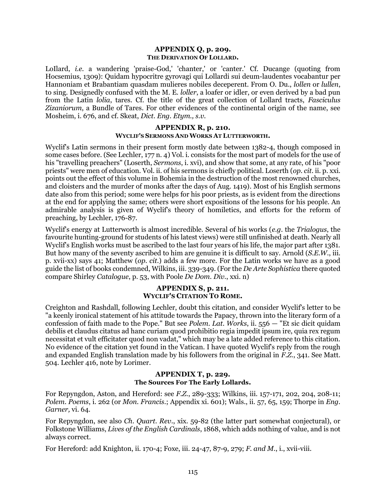## **APPENDIX Q, p. 209. THE DERIVATION OF LOLLARD.**

LoIlard, *i.e.* a wandering 'praise-God,' 'chanter,' or 'canter.' Cf. Ducange (quoting from Hocsemius, 1309): Quidam hypocritre gyrovagi qui Lollardi sui deum-laudentes vocabantur per Hannoniam et Brabantiam quasdam mulieres nobiles deceperent. From O. Du., *lollen* or *lullen*, to sing. Designedly confused with the M. E. *loller*, a loafer or idler, or even derived by a bad pun from the Latin *lolia*, tares. Cf. the title of the great collection of Lollard tracts, *Fasciculus Zizaniorum*, a Bundle of Tares. For other evidences of the continental origin of the name, see Mosheim, i. 676, and cf. Skeat, *Dict. Eng. Etym., s.v.*

# **APPENDIX R, p. 210. WYCLIF'S SERMONS AND WORKS AT LUTTERWORTH.**

Wyclif's Latin sermons in their present form mostly date between 1382-4, though composed in some cases before. (See Lechler, 177 n. 4) Vol. i. consists for the most part of models for the use of his "travelling preachers" (Loserth, *Sermons*, i. xvi), and show that some, at any rate, of his "poor priests" were men of education. Vol. ii. of his sermons is chiefly political. Loserth (*op. cit.* ii. p. xxi. points out the effect of this volume in Bohemia in the destruction of the most renowned churches, and cloisters and the murder of monks after the days of Aug. 1419). Most of his English sermons date also from this period; some were helps for his poor priests, as is evident from the directions at the end for applying the same; others were short expositions of the lessons for his people. An admirable analysis is given of Wyclif's theory of homiletics, and efforts for the reform of preaching, by Lechler, 176-87.

Wyclif's energy at Lutterworth is almost incredible. Several of his works (*e.g.* the *Trialogus*, the favourite hunting-ground for students of his latest views) were still unfinished at death. Nearly all Wyclif's English works must be ascribed to the last four years of his life, the major part after 1381. But how many of the seventy ascribed to him are genuine it is difficult to say. Arnold (*S.E.W.*, iii. p. xvii-xx) says 41; Matthew (*op. cit.*) adds a few more. For the Latin works we have as a good guide the list of books condemned, Wilkins, iii. 339-349. (For the *De Arte Sophistica* there quoted compare Shirley *Catalogue*, p. 53, with Poole *De Dom. Div*., xxi. n)

# **APPENDIX S, p. 211. WYCLIF'S CITATION TO ROME.**

Creighton and Rashdall, following Lechler, doubt this citation, and consider Wyclif's letter to be "a keenly ironical statement of his attitude towards the Papacy, thrown into the literary form of a confession of faith made to the Pope." But see *Polem. Lat. Works*, ii. 556 — "Et sic dicit quidam debilis et claudus citatus ad hanc curiam quod prohibitio regia impedit ipsum ire, quia rex regum necessitat et vult efficitater quod non vadat," which may be a late added reference to this citation. No evidence of the citation yet found in the Vatican. I have quoted Wyclif's reply from the rough and expanded English translation made by his followers from the original in *F.Z.*, 341. See Matt. 504. Lechler 416, note by Lorimer.

# **APPENDIX T, p. 229. The Sources For The Early Lollards.**

For Repyngdon, Aston, and Hereford: see *F.Z.*, 289-333; Wilkins, iii. 157-171, 202, 204, 208-11; *Polem. Poems*, i. 262 (or *Mon. Francis*.; Appendix xi. 601); Wals., ii. 57, 65, 159; Thorpe in *Eng. Garner,* vi. 64.

For Repyngdon, see also *Ch. Quart. Rev.*, xix. 59-82 (the latter part somewhat conjectural), or Folkstone Williams, *Lives of the English Cardinals*, 1868, which adds nothing of value, and is not always correct.

For Hereford: add Knighton, ii. 170-4; Foxe, iii. 24-47, 87-9, 279; *F. and M.*, i., xvii-viii.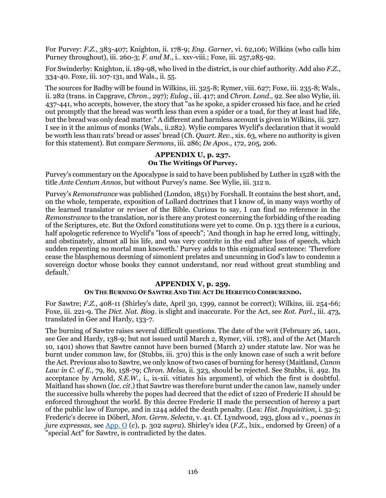For Purvey: *F.Z.*, 383-407; Knighton, ii. 178-9; *Eng. Garner*, vi. 62,106; Wilkins (who calls him Purney throughout), iii. 260-3; *F. and M.*, i.. xxv-viii.; Foxe, iii. 257,285-92.

For Swinderby: Knighton, ii. 189-98, who lived in the district, is our chief authority. Add also *F.Z.*, 334-40. Foxe, iii. 107-131, and Wals., ii. 55.

The sources for Badby will be found in Wilkins, iii. 325-8; Rymer, viii. 627; Foxe, iii. 235-8; Wals., ii. 282 (trans. in Capgrave, *Chron*., 297); *Eulog*., iii. 417; and *Chron. Lond*., 92. See also Wylie, iii. 437-441, who accepts, however, the story that "as he spoke, a spider crossed his face, and he cried out promptly that the bread was worth less than even a spider or a toad, for they at least had life, but the bread was only dead matter." A different and harmless account is given in Wilkins, iii. 327. I see in it the animus of monks (Wals., ii.282). Wylie compares Wyclif's declaration that it would be worth less than rats' bread or asses' bread (*Ch. Quart. Rev*., xix. 63, where no authority is given for this statement). But compare *Sermons*, iii. 286; *De Apos*., 172, 205, 206.

# **APPENDIX U, p. 237. On The Writings Of Purvey.**

Purvey's commentary on the Apocalypse is said to have been published by Luther in 1528 with the title *Ante Centum Annos*, but without Purvey's name. See Wylie, iii. 312 n.

Purvey's *Remonstrance* was published (London, 1851) by Forshall. It contains the best short, and, on the whole, temperate, exposition of Lollard doctrines that I know of, in many ways worthy of the learned translator or reviser of the Bible. Curious to say, I can find no reference in the *Remonstrance* to the translation, nor is there any protest concerning the forbidding of the reading of the Scriptures, etc. But the Oxford constitutions were yet to come. On p. 133 there is a curious, half apologetic reference to Wyclif's "loss of speech"; 'And though in hap he erred long, wittingly, and obstinately, almost all his life, and was very contrite in the end after loss of speech, which sudden repenting no mortal man knoweth.' Purvey adds to this enigmatical sentence: 'Therefore cease the blasphemous deeming of simonient prelates and uncunning in God's law to condemn a sovereign doctor whose books they cannot understand, nor read without great stumbling and default.'

# **APPENDIX V, p. 259.**

# **ON THE BURNING OF SAWTRE AND THE ACT DE HERETICO COMBURENDO.**

For Sawtre; *F.Z.*, 408-11 (Shirley's date, April 30, 1399, cannot be correct); Wilkins, iii. 254-66; Foxe, iii. 221-9. The *Dict. Nat. Biog*. is slight and inaccurate. For the Act, see *Rot. Parl*., iii. 473, translated in Gee and Hardy, 133-7.

The burning of Sawtre raises several difficult questions. The date of the writ (February 26, 1401, see Gee and Hardy, 138-9; but not issued until March 2, Rymer, viii. 178), and of the Act (March 10, 1401) shows that Sawtre cannot have been burned (March 2) under statute law. Nor was he burnt under common law, for (Stubbs, iii. 370) this is the only known case of such a writ before the Act. Previous also to Sawtre, we only know of two cases of burning for heresy (Maitland, *Canon Law in C. of E.*, 79, 80, 158-79; *Chron. Melsa*, ii. 323, should be rejected. See Stubbs, ii. 492. Its acceptance by Arnold*, S.E.W*., i., ix-xii. vitiates his argument), of which the first is doubtful. Maitland has shown (*loc. cit.*) that Sawtre was therefore burnt under the canon law, namely under the successive bulls whereby the popes had decreed that the edict of 1220 of Frederic II should be enforced throughout the world. By this decree Frederic II made the persecution of heresy a part of the public law of Europe, and in 1244 added the death penalty. (Lea: *Hist. Inquisition*, i. 32-5; Frederic's decree in Döberl, *Mon. Germ. Selecta*, v. 41. Cf. Lyndwood, 293, gloss ad v., *poenas in jure expressas*, see [App.](#page-113-0) O (c), p. 302 *supra*). Shirley's idea (*F.Z.*, lxix., endorsed by Green) of a "special Act" for Sawtre, is contradicted by the dates.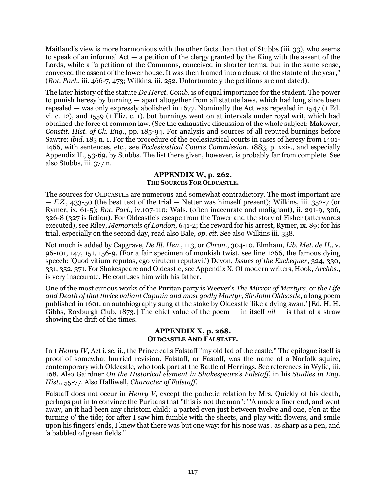Maitland's view is more harmonious with the other facts than that of Stubbs (iii. 33), who seems to speak of an informal Act — a petition of the clergy granted by the King with the assent of the Lords, while a "a petition of the Commons, conceived in shorter terms, but in the same sense, conveyed the assent of the lower house. It was then framed into a clause of the statute of the year," (*Rot. Parl*., iii. 466-7, 473; Wilkins, iii. 252. Unfortunately the petitions are not dated).

The later history of the statute *De Heret. Comb*. is of equal importance for the student. The power to punish heresy by burning — apart altogether from all statute laws, which had long since been repealed — was only expressly abolished in 1677. Nominally the Act was repealed in 1547 (1 Ed. vi. c. 12), and 1559 (1 Eliz. c. 1), but burnings went on at intervals under royal writ, which had obtained the force of common law. (See the exhaustive discussion of the whole subject: Makower, *Constit. Hist. of Ck. Eng*., pp. 185-94. For analysis and sources of all reputed burnings before Sawtre: *ibid*. 183 n. 1. For the procedure of the ecclesiastical courts in cases of heresy from 1401- 1466, with sentences, etc., see *Ecclesiastical Courts Commission*, 1883, p. xxiv., and especially Appendix II., 53-69, by Stubbs. The list there given, however, is probably far from complete. See also Stubbs, iii. 377 n.

# **APPENDIX W, p. 262. THE SOURCES FOR OLDCASTLE.**

The sources for OLDCASTLE are numerous and somewhat contradictory. The most important are — *F.Z.*, 433-50 (the best text of the trial — Netter was himself present); Wilkins, iii. 352-7 (or Rymer, ix. 61-5); *Rot. Parl*., iv.107-110; Wals. (often inaccurate and malignant), ii. 291-9, 306, 326-8 (327 is fiction). For Oldcastle's escape from the Tower and the story of Fisher (afterwards executed), see Riley, *Memorials of London*, 641-2; the reward for his arrest, Rymer, ix. 89; for his trial, especially on the second day, read also Bale, *op. cit.* See also Wilkins iii. 338.

Not much is added by Capgrave, *De Ill. Hen*., 113, or *Chron*., 304-10. Elmham, *Lib. Met. de H*., v. 96-101, 147, 151, 156-9. (For a fair specimen of monkish twist, see line 1266, the famous dying speech: 'Quod vitium reputas, ego virutem reputavi.') Devon, *Issues of the Exchequer*, 324, 330, 331, 352, 371. For Shakespeare and Oldcastle, see Appendix X. Of modern writers, Hook, *Archbs*., is very inaccurate. He confuses him with his father.

One of the most curious works of the Puritan party is Weever's *The Mirror of Martyrs*, or *the Life and Death of that thrice valiant Captain and most godly Martyr, Sir John Oldcastle*, a long poem published in 1601, an autobiography sung at the stake by Oldcastle 'like a dying swan.' [Ed. H. H. Gibbs, Roxburgh Club, 1873.] The chief value of the poem — in itself *nil* — is that of a straw showing the drift of the times.

# **APPENDIX X, p. 268. OLDCASTLE AND FALSTAFF.**

In 1 *Henry IV*, Act i. sc. ii., the Prince calls Falstaff "my old lad of the castle." The epilogue itself is proof of somewhat hurried revision. Falstaff, or Fastolf, was the name of a Norfolk squire, contemporary with Oldcastle, who took part at the Battle of Herrings. See references in Wylie, iii. 168. Also Gairdner *On the Historical element in Shakespeare's Falstaff*, in his *Studies in Eng. Hist.*, 55-77. Also Halliwell, *Character of Falstaff*.

Falstaff does not occur in *Henry V*, except the pathetic relation by Mrs. Quickly of his death, perhaps put in to convince the Puritans that "this is not the man": "'A made a finer end, and went away, an it had been any christom child; 'a parted even just between twelve and one, e'en at the turning 0' the tide; for after I saw him fumble with the sheets, and play with flowers, and smile upon his fingers' ends, I knew that there was but one way: for his nose was . as sharp as a pen, and 'a babbled of green fields."